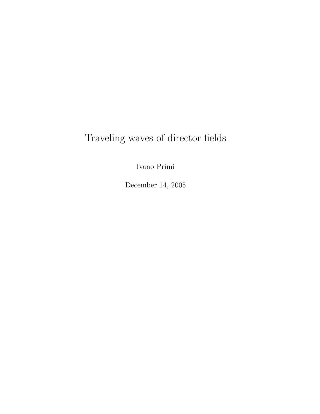# Traveling waves of director fields

Ivano Primi

December 14, 2005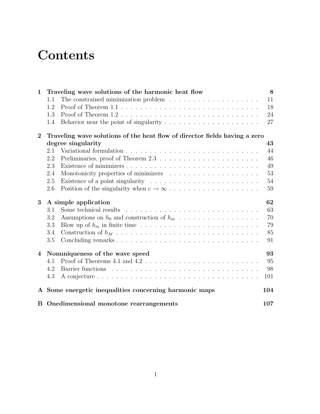# **Contents**

| $\mathbf 1$    | Traveling wave solutions of the harmonic heat flow |                                                                                                                                                                                                                                | 8   |
|----------------|----------------------------------------------------|--------------------------------------------------------------------------------------------------------------------------------------------------------------------------------------------------------------------------------|-----|
|                | 1.1                                                | The constrained minimization problem $\dots \dots \dots \dots \dots \dots \dots$                                                                                                                                               | 11  |
|                | 1.2                                                |                                                                                                                                                                                                                                | 18  |
|                | 1.3                                                |                                                                                                                                                                                                                                | 24  |
|                | 1.4                                                | Behavior near the point of singularity $\dots \dots \dots \dots \dots \dots \dots$                                                                                                                                             | 27  |
| $\bf{2}$       |                                                    | Traveling wave solutions of the heat flow of director fields having a zero                                                                                                                                                     |     |
|                | degree singularity                                 |                                                                                                                                                                                                                                |     |
|                | 2.1                                                |                                                                                                                                                                                                                                | 44  |
|                | 2.2                                                |                                                                                                                                                                                                                                | 46  |
|                | 2.3                                                |                                                                                                                                                                                                                                | 49  |
|                | 2.4                                                | Monotonicity properties of minimizers entering in the set of the set of minimizers entering in the set of the set of the set of the set of the set of the set of the set of the set of the set of the set of the set of the se | 53  |
|                | 2.5                                                |                                                                                                                                                                                                                                | 54  |
|                | 2.6                                                |                                                                                                                                                                                                                                | 59  |
| 3              | 62<br>A simple application                         |                                                                                                                                                                                                                                |     |
|                | 3.1                                                | Some technical results                                                                                                                                                                                                         | 63  |
|                | 3.2                                                |                                                                                                                                                                                                                                | 70  |
|                | 3.3                                                |                                                                                                                                                                                                                                | 79  |
|                | 3.4                                                |                                                                                                                                                                                                                                | 85  |
|                | 3.5                                                |                                                                                                                                                                                                                                | 91  |
| $\overline{4}$ | Nonuniqueness of the wave speed<br>93              |                                                                                                                                                                                                                                |     |
|                | 4.1                                                | Proof of Theorems 4.1 and 4.2 $\dots \dots \dots \dots \dots \dots \dots \dots \dots \dots \dots$                                                                                                                              | 95  |
|                | 4.2                                                |                                                                                                                                                                                                                                | 98  |
|                | 4.3                                                |                                                                                                                                                                                                                                | 101 |
| $\mathbf{A}$   |                                                    | Some energetic inequalities concerning harmonic maps                                                                                                                                                                           | 104 |
|                |                                                    | B Onedimensional monotone rearrangements                                                                                                                                                                                       | 107 |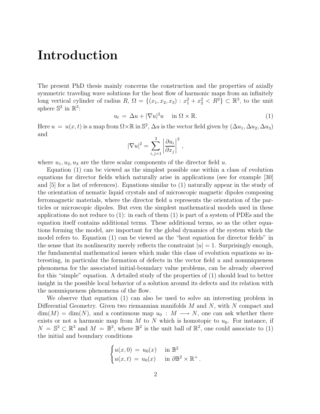### Introduction

The present PhD thesis mainly concerns the construction and the properties of axially symmetric traveling wave solutions for the heat flow of harmonic maps from an infinitely long vertical cylinder of radius  $R, \Omega = \{(x_1, x_2, x_3) : x_1^2 + x_2^2 < R^2\} \subset \mathbb{R}^3$ , to the unit sphere  $\mathbb{S}^2$  in  $\mathbb{R}^3$ :

$$
u_t = \Delta u + |\nabla u|^2 u \quad \text{in } \Omega \times \mathbb{R}.
$$
 (1)

Here  $u = u(x, t)$  is a map from  $\Omega \times \mathbb{R}$  in  $\mathbb{S}^2$ ,  $\Delta u$  is the vector field given by  $(\Delta u_1, \Delta u_2, \Delta u_3)$ and

$$
|\nabla u|^2 = \sum_{i,j=1}^3 \left| \frac{\partial u_i}{\partial x_j} \right|^2,
$$

where  $u_1, u_2, u_3$  are the three scalar components of the director field u.

Equation (1) can be viewed as the simplest possible one within a class of evolution equations for director fields which naturally arise in applications (see for example [30] and [5] for a list of references). Equations similar to (1) naturally appear in the study of the orientation of nematic liquid crystals and of microscopic magnetic dipoles composing ferromagnetic materials, where the director field u represents the orientation of the particles or microscopic dipoles. But even the simplest mathematical models used in these applications do not reduce to (1): in each of them (1) is part of a system of PDEs and the equation itself contains additional terms. These additional terms, so as the other equations forming the model, are important for the global dynamics of the system which the model refers to. Equation (1) can be viewed as the "heat equation for director fields" in the sense that its nonlinearity merely reflects the constraint  $|u|=1$ . Surprisingly enough, the fundamental mathematical issues which make this class of evolution equations so interesting, in particular the formation of defects in the vector field  $u$  and nonuniqueness phenomena for the associated initial-boundary value problems, can be already observed for this "simple" equation. A detailed study of the properties of (1) should lead to better insight in the possible local behavior of a solution around its defects and its relation with the nonuniqueness phenomena of the flow.

We observe that equation (1) can also be used to solve an interesting problem in Differential Geometry. Given two riemannian manifolds M and N, with N compact and  $\dim(M) = \dim(N)$ , and a continuous map  $u_0 : M \longrightarrow N$ , one can ask whether there exists or not a harmonic map from  $M$  to  $N$  which is homotopic to  $u_0$ . For instance, if  $N = \mathbb{S}^2 \subset \mathbb{R}^3$  and  $M = \mathbb{B}^2$ , where  $\mathbb{B}^2$  is the unit ball of  $\mathbb{R}^2$ , one could associate to (1) the initial and boundary conditions

$$
\begin{cases} u(x,0) = u_0(x) & \text{in } \mathbb{B}^2 \\ u(x,t) = u_0(x) & \text{in } \partial \mathbb{B}^2 \times \mathbb{R}^+ . \end{cases}
$$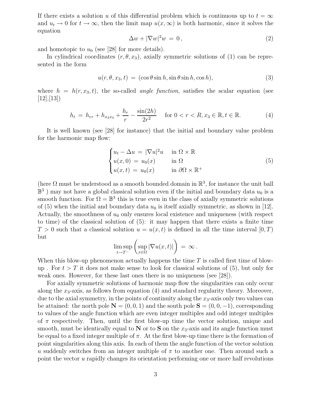If there exists a solution u of this differential problem which is continuous up to  $t = \infty$ and  $u_t \to 0$  for  $t \to \infty$ , then the limit map  $u(x, \infty)$  is both harmonic, since it solves the equation

$$
\Delta w + |\nabla w|^2 w = 0, \qquad (2)
$$

and homotopic to  $u_0$  (see [28] for more details).

In cylindrical coordinates  $(r, \theta, x_3)$ , axially symmetric solutions of (1) can be represented in the form

$$
u(r, \theta, x_3, t) = (\cos \theta \sin h, \sin \theta \sin h, \cos h), \tag{3}
$$

where  $h = h(r, x_3, t)$ , the so-called *angle function*, satisfies the scalar equation (see  $[12]$ , $[13]$ 

$$
h_t = h_{rr} + h_{x_3x_3} + \frac{h_r}{r} - \frac{\sin(2h)}{2r^2} \quad \text{for } 0 < r < R, x_3 \in \mathbb{R}, t \in \mathbb{R}.\tag{4}
$$

It is well known (see [28] for instance) that the initial and boundary value problem for the harmonic map flow:

$$
\begin{cases}\n u_t - \Delta u = |\nabla u|^2 u & \text{in } \Omega \times \mathbb{R} \\
 u(x, 0) = u_0(x) & \text{in } \Omega \\
 u(x, t) = u_0(x) & \text{in } \partial\Omega \times \mathbb{R}^+\n\end{cases}
$$
\n(5)

(here  $\Omega$  must be understood as a smooth bounded domain in  $\mathbb{R}^3$ , for instance the unit ball  $\mathbb{B}^3$  ) may not have a global classical solution even if the initial and boundary data  $u_0$  is a smooth function. For  $\Omega = \mathbb{B}^3$  this is true even in the class of axially symmetric solutions of  $(5)$  when the initial and boundary data  $u_0$  is itself axially symmetric, as shown in [12]. Actually, the smoothness of  $u_0$  only ensures local existence and uniqueness (with respect to time) of the classical solution of (5): it may happen that there exists a finite time  $T > 0$  such that a classical solution  $u = u(x, t)$  is defined in all the time interval  $[0, T)$ but

$$
\limsup_{t\to T^-}\left(\sup_{x\in\Omega}|\nabla u(x,t)|\right) = \infty.
$$

When this blow-up phenomenon actually happens the time  $T$  is called first time of blowup . For  $t > T$  it does not make sense to look for classical solutions of (5), but only for weak ones. However, for these last ones there is no uniqueness (see [28]).

For axially symmetric solutions of harmonic map flow the singularities can only occur along the  $x_3$ -axis, as follows from equation (4) and standard regularity theory. Moreover, due to the axial symmetry, in the points of continuity along the  $x_3$ -axis only two values can be attained: the north pole  $N = (0, 0, 1)$  and the south pole  $S = (0, 0, -1)$ , corresponding to values of the angle function which are even integer multiples and odd integer multiples of  $\pi$  respectively. Then, until the first blow-up time the vector solution, unique and smooth, must be identically equal to  $N$  or to  $S$  on the  $x_3$ -axis and its angle function must be equal to a fixed integer multiple of  $\pi$ . At the first blow-up time there is the formation of point singularities along this axis. In each of them the angle function of the vector solution u suddenly switches from an integer multiple of  $\pi$  to another one. Then around such a point the vector u rapidly changes its orientation performing one or more half revolutions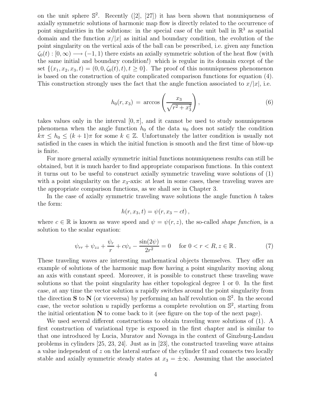on the unit sphere  $\mathbb{S}^2$ . Recently ([2], [27]) it has been shown that nonuniqueness of axially symmetric solutions of harmonic map flow is directly related to the occurrence of point singularities in the solutions: in the special case of the unit ball in  $\mathbb{R}^3$  as spatial domain and the function  $x/|x|$  as initial and boundary condition, the evolution of the point singularity on the vertical axis of the ball can be prescribed, i.e. given any function  $\zeta_0(t): [0,\infty) \longrightarrow (-1,1)$  there exists an axially symmetric solution of the heat flow (with the same initial and boundary condition!) which is regular in its domain except of the set  $\{(x_1, x_2, x_3, t) = (0, 0, \zeta_0(t), t), t \ge 0\}$ . The proof of this nonuniqueness phenomenon is based on the construction of quite complicated comparison functions for equation (4). This construction strongly uses the fact that the angle function associated to  $x/|x|$ , i.e.

$$
h_0(r, x_3) = \arccos\left(\frac{x_3}{\sqrt{r^2 + x_3^2}}\right),\tag{6}
$$

takes values only in the interval  $[0, \pi]$ , and it cannot be used to study nonuniqueness phenomena when the angle function  $h_0$  of the data  $u_0$  does not satisfy the condition  $k\pi \leq h_0 \leq (k+1)\pi$  for some  $k \in \mathbb{Z}$ . Unfortunately the latter condition is usually not satisfied in the cases in which the initial function is smooth and the first time of blow-up is finite.

For more general axially symmetric initial functions nonuniqueness results can still be obtained, but it is much harder to find appropriate comparison functions. In this context it turns out to be useful to construct axially symmetric traveling wave solutions of (1) with a point singularity on the  $x_3$ -axis: at least in some cases, these traveling waves are the appropriate comparison functions, as we shall see in Chapter 3.

In the case of axially symmetric traveling wave solutions the angle function  $h$  takes the form:

$$
h(r,x_3,t)=\psi(r,x_3-ct),
$$

where  $c \in \mathbb{R}$  is known as wave speed and  $\psi = \psi(r, z)$ , the so-called *shape function*, is a solution to the scalar equation:

$$
\psi_{rr} + \psi_{zz} + \frac{\psi_r}{r} + c\psi_z - \frac{\sin(2\psi)}{2r^2} = 0 \quad \text{for } 0 < r < R, z \in \mathbb{R} \,. \tag{7}
$$

These traveling waves are interesting mathematical objects themselves. They offer an example of solutions of the harmonic map flow having a point singularity moving along an axis with constant speed. Moreover, it is possible to construct these traveling wave solutions so that the point singularity has either topological degree 1 or 0. In the first case, at any time the vector solution u rapidly switches around the point singularity from the direction **S** to **N** (or viceversa) by performing an half revolution on  $\mathbb{S}^2$ . In the second case, the vector solution u rapidly performs a complete revolution on  $\mathbb{S}^2$ , starting from the initial orientation  $N$  to come back to it (see figure on the top of the next page).

We used several different constructions to obtain traveling wave solutions of (1). A first construction of variational type is exposed in the first chapter and is similar to that one introduced by Lucia, Muratov and Novaga in the context of Ginzburg-Landau problems in cylinders [25, 23, 24]. Just as in [23], the constructed traveling wave attains a value independent of z on the lateral surface of the cylinder  $\Omega$  and connects two locally stable and axially symmetric steady states at  $x_3 = \pm \infty$ . Assuming that the associated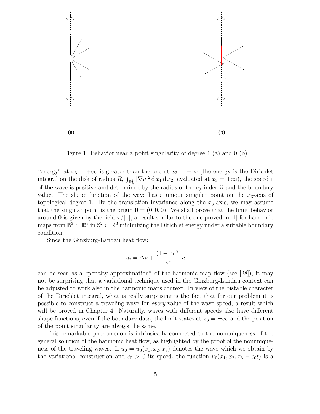

Figure 1: Behavior near a point singularity of degree 1 (a) and 0 (b)

"energy" at  $x_3 = +\infty$  is greater than the one at  $x_3 = -\infty$  (the energy is the Dirichlet integral on the disk of radius  $R$ ,  $\int_{\mathbb{B}^2_R} |\nabla u|^2 d x_1 d x_2$ , evaluated at  $x_3 = \pm \infty$ ), the speed c of the wave is positive and determined by the radius of the cylinder  $\Omega$  and the boundary value. The shape function of the wave has a unique singular point on the  $x_3$ -axis of topological degree 1. By the translation invariance along the  $x_3$ -axis, we may assume that the singular point is the origin  $\mathbf{0} = (0, 0, 0)$ . We shall prove that the limit behavior around 0 is given by the field  $x/|x|$ , a result similar to the one proved in [1] for harmonic maps from  $\mathbb{B}^3 \subset \mathbb{R}^3$  in  $\mathbb{S}^2 \subset \mathbb{R}^3$  minimizing the Dirichlet energy under a suitable boundary condition.

Since the Ginzburg-Landau heat flow:

$$
u_t = \Delta u + \frac{(1 - |u|^2)}{\epsilon^2}u
$$

can be seen as a "penalty approximation" of the harmonic map flow (see [28]), it may not be surprising that a variational technique used in the Ginzburg-Landau context can be adjusted to work also in the harmonic maps context. In view of the bistable character of the Dirichlet integral, what is really surprising is the fact that for our problem it is possible to construct a traveling wave for every value of the wave speed, a result which will be proved in Chapter 4. Naturally, waves with different speeds also have different shape functions, even if the boundary data, the limit states at  $x_3 = \pm \infty$  and the position of the point singularity are always the same.

This remarkable phenomenon is intrinsically connected to the nonuniqueness of the general solution of the harmonic heat flow, as highlighted by the proof of the nonuniqueness of the traveling waves. If  $u_0 = u_0(x_1, x_2, x_3)$  denotes the wave which we obtain by the variational construction and  $c_0 > 0$  its speed, the function  $u_0(x_1, x_2, x_3 - c_0t)$  is a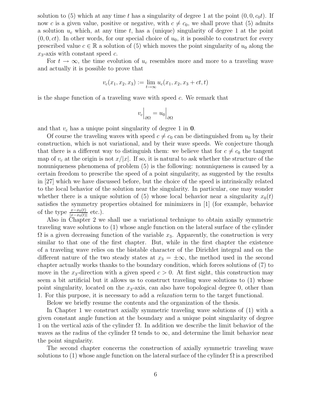solution to (5) which at any time t has a singularity of degree 1 at the point  $(0, 0, c_0t)$ . If now c is a given value, positive or negative, with  $c \neq c_0$ , we shall prove that (5) admits a solution  $u_c$  which, at any time t, has a (unique) singularity of degree 1 at the point  $(0, 0, ct)$ . In other words, for our special choice of  $u_0$ , it is possible to construct for every prescribed value  $c \in \mathbb{R}$  a solution of (5) which moves the point singularity of  $u_0$  along the  $x_3$ -axis with constant speed c.

For  $t \to \infty$ , the time evolution of  $u_c$  resembles more and more to a traveling wave and actually it is possible to prove that

$$
v_c(x_1, x_2, x_3) := \lim_{t \to \infty} u_c(x_1, x_2, x_3 + ct, t)
$$

is the shape function of a traveling wave with speed  $c$ . We remark that

$$
v_c\Big|_{\partial\Omega} = u_0\Big|_{\partial\Omega}
$$

and that  $v_c$  has a unique point singularity of degree 1 in 0.

Of course the traveling waves with speed  $c \neq c_0$  can be distinguished from  $u_0$  by their construction, which is not variational, and by their wave speeds. We conjecture though that there is a different way to distinguish them: we believe that for  $c \neq c_0$  the tangent map of  $v_c$  at the origin is not  $x/|x|$ . If so, it is natural to ask whether the structure of the nonuniqueness phenomena of problem (5) is the following: nonuniqueness is caused by a certain freedom to prescribe the speed of a point singularity, as suggested by the results in [27] which we have discussed before, but the choice of the speed is intrinsically related to the local behavior of the solution near the singularity. In particular, one may wonder whether there is a unique solution of (5) whose local behavior near a singularity  $x_0(t)$ satisfies the symmetry properties obtained for minimizers in [1] (for example, behavior of the type  $\frac{x-x_0(t)}{|x-x_0(t)|}$  etc.).

Also in Chapter 2 we shall use a variational technique to obtain axially symmetric traveling wave solutions to (1) whose angle function on the lateral surface of the cylinder  $\Omega$  is a given decreasing function of the variable  $x_3$ . Apparently, the construction is very similar to that one of the first chapter. But, while in the first chapter the existence of a traveling wave relies on the bistable character of the Dirichlet integral and on the different nature of the two steady states at  $x_3 = \pm \infty$ , the method used in the second chapter actually works thanks to the boundary condition, which forces solutions of (7) to move in the  $x_3$ -direction with a given speed  $c > 0$ . At first sight, this construction may seem a bit artificial but it allows us to construct traveling wave solutions to (1) whose point singularity, located on the  $x_3$ -axis, can also have topological degree 0, other than 1. For this purpose, it is necessary to add a relaxation term to the target functional.

Below we briefly resume the contents and the organization of the thesis.

In Chapter 1 we construct axially symmetric traveling wave solutions of (1) with a given constant angle function at the boundary and a unique point singularity of degree 1 on the vertical axis of the cylinder  $\Omega$ . In addition we describe the limit behavior of the waves as the radius of the cylinder  $\Omega$  tends to  $\infty$ , and determine the limit behavior near the point singularity.

The second chapter concerns the construction of axially symmetric traveling wave solutions to (1) whose angle function on the lateral surface of the cylinder  $\Omega$  is a prescribed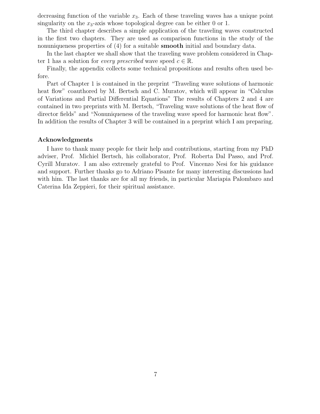decreasing function of the variable  $x_3$ . Each of these traveling waves has a unique point singularity on the  $x_3$ -axis whose topological degree can be either 0 or 1.

The third chapter describes a simple application of the traveling waves constructed in the first two chapters. They are used as comparison functions in the study of the nonuniqueness properties of (4) for a suitable **smooth** initial and boundary data.

In the last chapter we shall show that the traveling wave problem considered in Chapter 1 has a solution for *every prescribed* wave speed  $c \in \mathbb{R}$ .

Finally, the appendix collects some technical propositions and results often used before.

Part of Chapter 1 is contained in the preprint "Traveling wave solutions of harmonic heat flow" coauthored by M. Bertsch and C. Muratov, which will appear in "Calculus" of Variations and Partial Differential Equations" The results of Chapters 2 and 4 are contained in two preprints with M. Bertsch, "Traveling wave solutions of the heat flow of director fields" and "Nonuniqueness of the traveling wave speed for harmonic heat flow". In addition the results of Chapter 3 will be contained in a preprint which I am preparing.

#### Acknowledgments

I have to thank many people for their help and contributions, starting from my PhD adviser, Prof. Michiel Bertsch, his collaborator, Prof. Roberta Dal Passo, and Prof. Cyrill Muratov. I am also extremely grateful to Prof. Vincenzo Nesi for his guidance and support. Further thanks go to Adriano Pisante for many interesting discussions had with him. The last thanks are for all my friends, in particular Mariapia Palombaro and Caterina Ida Zeppieri, for their spiritual assistance.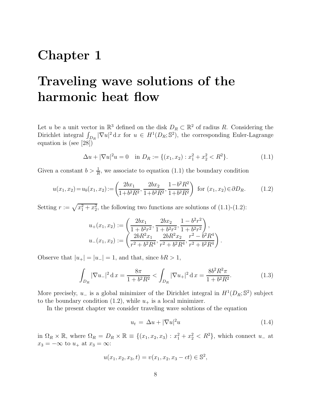## Chapter 1

## Traveling wave solutions of the harmonic heat flow

Let u be a unit vector in  $\mathbb{R}^3$  defined on the disk  $D_R \subset \mathbb{R}^2$  of radius R. Considering the Dirichlet integral  $\int_{D_R} |\nabla u|^2 \,dx$  for  $u \in H^1(D_R; \mathbb{S}^2)$ , the corresponding Euler-Lagrange equation is (see [28])

$$
\Delta u + |\nabla u|^2 u = 0 \quad \text{in } D_R := \{ (x_1, x_2) : x_1^2 + x_2^2 < R^2 \}. \tag{1.1}
$$

Given a constant  $b > \frac{1}{R}$ , we associate to equation (1.1) the boundary condition

$$
u(x_1, x_2) = u_b(x_1, x_2) := \left(\frac{2bx_1}{1 + b^2 R^2}, \frac{2bx_2}{1 + b^2 R^2}, \frac{1 - b^2 R^2}{1 + b^2 R^2}\right) \text{ for } (x_1, x_2) \in \partial D_R.
$$
 (1.2)

Setting  $r := \sqrt{x_1^2 + x_2^2}$ , the following two functions are solutions of (1.1)-(1.2):

$$
u_{+}(x_{1}, x_{2}) := \left(\frac{2bx_{1}}{1+b^{2}r^{2}}, \frac{2bx_{2}}{1+b^{2}r^{2}}, \frac{1-b^{2}r^{2}}{1+b^{2}r^{2}}\right),
$$
  

$$
u_{-}(x_{1}, x_{2}) := \left(\frac{2bR^{2}x_{1}}{r^{2}+b^{2}R^{4}}, \frac{2bR^{2}x_{2}}{r^{2}+b^{2}R^{4}}, \frac{r^{2}-b^{2}R^{4}}{r^{2}+b^{2}R^{4}}\right).
$$

Observe that  $|u_+| = |u_-| = 1$ , and that, since  $bR > 1$ ,

$$
\int_{D_R} |\nabla u_-|^2 \, \mathrm{d}x = \frac{8\pi}{1 + b^2 R^2} < \int_{D_R} |\nabla u_+|^2 \, \mathrm{d}x = \frac{8b^2 R^2 \pi}{1 + b^2 R^2}.\tag{1.3}
$$

More precisely,  $u_{-}$  is a global minimizer of the Dirichlet integral in  $H^{1}(D_{R}; S^{2})$  subject to the boundary condition (1.2), while  $u_+$  is a local minimizer.

In the present chapter we consider traveling wave solutions of the equation

$$
u_t = \Delta u + |\nabla u|^2 u \tag{1.4}
$$

in  $\Omega_R \times \mathbb{R}$ , where  $\Omega_R = D_R \times \mathbb{R} \equiv \{(x_1, x_2, x_3) : x_1^2 + x_2^2 < R^2\}$ , which connect  $u_-$  at  $x_3 = -\infty$  to  $u_+$  at  $x_3 = \infty$ :

$$
u(x_1, x_2, x_3, t) = v(x_1, x_2, x_3 - ct) \in \mathbb{S}^2,
$$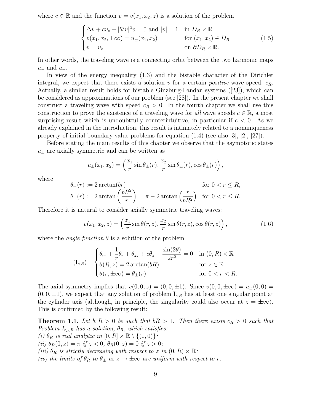where  $c \in \mathbb{R}$  and the function  $v = v(x_1, x_2, z)$  is a solution of the problem

$$
\begin{cases}\n\Delta v + cv_z + |\nabla v|^2 v = 0 \text{ and } |v| = 1 & \text{in } D_R \times \mathbb{R} \\
v(x_1, x_2, \pm \infty) = u_{\pm}(x_1, x_2) & \text{for } (x_1, x_2) \in D_R \\
v = u_b & \text{on } \partial D_R \times \mathbb{R}.\n\end{cases}
$$
\n(1.5)

In other words, the traveling wave is a connecting orbit between the two harmonic maps  $u_-\text{ and }u_+$ .

In view of the energy inequality (1.3) and the bistable character of the Dirichlet integral, we expect that there exists a solution v for a certain *positive* wave speed,  $c_R$ . Actually, a similar result holds for bistable Ginzburg-Landau systems ([23]), which can be considered as approximations of our problem (see [28]). In the present chapter we shall construct a traveling wave with speed  $c_R > 0$ . In the fourth chapter we shall use this construction to prove the existence of a traveling wave for all wave speeds  $c \in \mathbb{R}$ , a most surprising result which is undoubtfully counterintuitive, in particular if  $c < 0$ . As we already explained in the introduction, this result is intimately related to a nonuniqueness property of initial-boundary value problems for equation  $(1.4)$  (see also [3], [2], [27]).

Before stating the main results of this chapter we observe that the asymptotic states  $u_{\pm}$  are axially symmetric and can be written as

$$
u_{\pm}(x_1, x_2) = \left(\frac{x_1}{r}\sin \theta_{\pm}(r), \frac{x_2}{r}\sin \theta_{\pm}(r), \cos \theta_{\pm}(r)\right),
$$

where

$$
\theta_{+}(r) := 2 \arctan(br) \qquad \text{for } 0 < r \leq R,
$$
\n
$$
\theta_{-}(r) := 2 \arctan\left(\frac{bR^2}{r}\right) = \pi - 2 \arctan\left(\frac{r}{bR^2}\right) \quad \text{for } 0 < r \leq R.
$$

Therefore it is natural to consider axially symmetric traveling waves:

$$
v(x_1, x_2, z) = \left(\frac{x_1}{r}\sin\theta(r, z), \frac{x_2}{r}\sin\theta(r, z), \cos\theta(r, z)\right),\tag{1.6}
$$

where the *angle function*  $\theta$  is a solution of the problem

$$
\begin{aligned}\n(I_{c,R}) \quad \begin{cases}\n\theta_{rr} + \frac{1}{r}\theta_r + \theta_{zz} + c\theta_z - \frac{\sin(2\theta)}{2r^2} = 0 & \text{in } (0,R) \times \mathbb{R} \\
\theta(R,z) = 2\arctan(bR) & \text{for } z \in \mathbb{R} \\
\theta(r,\pm\infty) = \theta_{\pm}(r) & \text{for } 0 < r < R.\n\end{cases}\n\end{aligned}
$$

The axial symmetry implies that  $v(0, 0, z) = (0, 0, \pm 1)$ . Since  $v(0, 0, \pm \infty) = u_{\pm}(0, 0) =$  $(0, 0, \pm 1)$ , we expect that any solution of problem  $I_{c,R}$  has at least one singular point at the cylinder axis (although, in principle, the singularity could also occur at  $z = \pm \infty$ ). This is confirmed by the following result:

**Theorem 1.1.** Let  $b, R > 0$  be such that  $bR > 1$ . Then there exists  $c_R > 0$  such that Problem  $I_{c_R,R}$  has a solution,  $\theta_R$ , which satisfies: (i)  $\theta_R$  is real analytic in  $[0, R] \times \mathbb{R} \setminus \{(0, 0)\};$ (ii)  $\theta_R(0, z) = \pi$  if  $z < 0$ ,  $\theta_R(0, z) = 0$  if  $z > 0$ ;

(iii)  $\theta_R$  is strictly decreasing with respect to z in  $(0, R) \times \mathbb{R}$ ;

(iv) the limits of  $\theta_R$  to  $\theta_{\pm}$  as  $z \to \pm \infty$  are uniform with respect to r.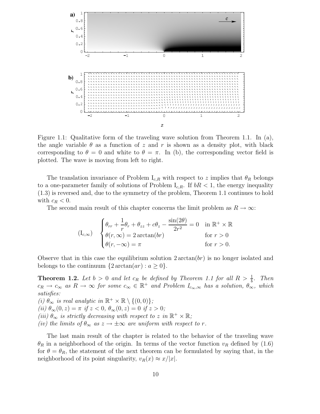

Figure 1.1: Qualitative form of the traveling wave solution from Theorem 1.1. In (a), the angle variable  $\theta$  as a function of z and r is shown as a density plot, with black corresponding to  $\theta = 0$  and white to  $\theta = \pi$ . In (b), the corresponding vector field is plotted. The wave is moving from left to right.

The translation invariance of Problem  $I_{c,R}$  with respect to z implies that  $\theta_R$  belongs to a one-parameter family of solutions of Problem  $I_{c,R}$ . If  $bR < 1$ , the energy inequality (1.3) is reversed and, due to the symmetry of the problem, Theorem 1.1 continues to hold with  $c_R < 0$ .

The second main result of this chapter concerns the limit problem as  $R \to \infty$ :

$$
(I_{c,\infty}) \quad \begin{cases} \theta_{rr} + \frac{1}{r}\theta_r + \theta_{zz} + c\theta_z - \frac{\sin(2\theta)}{2r^2} = 0 & \text{in } \mathbb{R}^+ \times \mathbb{R} \\ \theta(r,\infty) = 2\arctan(br) & \text{for } r > 0 \\ \theta(r,-\infty) = \pi & \text{for } r > 0. \end{cases}
$$

Observe that in this case the equilibrium solution  $2 \arctan(br)$  is no longer isolated and belongs to the continuum  $\{2\arctan(ar): a \geq 0\}.$ 

**Theorem 1.2.** Let  $b > 0$  and let  $c_R$  be defined by Theorem 1.1 for all  $R > \frac{1}{b}$ . Then  $c_R \to c_\infty$  as  $R \to \infty$  for some  $c_\infty \in \mathbb{R}^+$  and Problem  $I_{c_\infty,\infty}$  has a solution,  $\theta_\infty$ , which satisfies:

(i)  $\theta_{\infty}$  is real analytic in  $\mathbb{R}^+ \times \mathbb{R} \setminus \{(0,0)\};$ (ii)  $\theta_{\infty}(0, z) = \pi$  if  $z < 0$ ,  $\theta_{\infty}(0, z) = 0$  if  $z > 0$ ; (iii)  $\theta_{\infty}$  is strictly decreasing with respect to z in  $\mathbb{R}^+ \times \mathbb{R}$ ; (iv) the limits of  $\theta_{\infty}$  as  $z \to \pm \infty$  are uniform with respect to r.

The last main result of the chapter is related to the behavior of the traveling wave  $\theta_R$  in a neighborhood of the origin. In terms of the vector function  $v_R$  defined by (1.6) for  $\theta = \theta_R$ , the statement of the next theorem can be formulated by saying that, in the neighborhood of its point singularity,  $v_R(x) \approx x/|x|$ .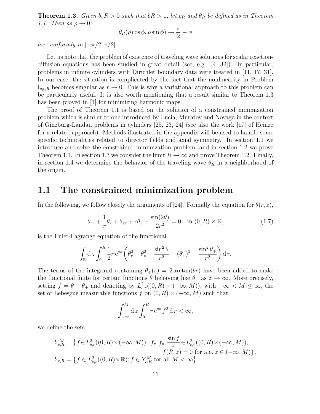**Theorem 1.3.** Given  $b, R > 0$  such that  $bR > 1$ , let  $c_R$  and  $\theta_R$  be defined as in Theorem 1.1. Then as  $\rho \rightarrow 0^+$ 

$$
\theta_R(\rho\cos\phi,\rho\sin\phi)\to \frac{\pi}{2}-\phi
$$

loc. uniformly in  $[-\pi/2, \pi/2]$ .

Let us note that the problem of existence of traveling wave solutions for scalar reactiondiffusion equations has been studied in great detail (see, e.g. [4, 32]). In particular, problems in infinite cylinders with Dirichlet boundary data were treated in [11, 17, 31]. In our case, the situation is complicated by the fact that the nonlinearity in Problem  $I_{c_R,R}$  becomes singular as  $r \to 0$ . This is why a variational approach to this problem can be particularly useful. It is also worth mentioning that a result similar to Theorem 1.3 has been proved in [1] for minimizing harmonic maps.

The proof of Theorem 1.1 is based on the solution of a constrained minimization problem which is similar to one introduced by Lucia, Muratov and Novaga in the context of Ginzburg-Landau problems in cylinders [25, 23, 24] (see also the work [17] of Heinze for a related approach). Methods illustrated in the appendix will be used to handle some specific technicalities related to director fields and axial symmetry. In section 1.1 we introduce and solve the constrained minimization problem, and in section 1.2 we prove Theorem 1.1. In section 1.3 we consider the limit  $R \to \infty$  and prove Theorem 1.2. Finally, in section 1.4 we determine the behavior of the traveling wave  $\theta_R$  in a neighborhood of the origin.

### 1.1 The constrained minimization problem

In the following, we follow closely the arguments of [24]. Formally the equation for  $\theta(r, z)$ ,

$$
\theta_{rr} + \frac{1}{r}\theta_r + \theta_{zz} + c\theta_z - \frac{\sin(2\theta)}{2r^2} = 0 \quad \text{in } (0, R) \times \mathbb{R}, \tag{1.7}
$$

is the Euler-Lagrange equation of the functional

$$
\int_{\mathbb{R}} \mathrm{d}z \int_0^R \frac{1}{2} r \, \mathrm{e}^{cz} \left( \theta_r^2 + \theta_z^2 + \frac{\sin^2 \theta}{r^2} - (\theta_+')^2 - \frac{\sin^2 \theta_+}{r^2} \right) \mathrm{d}r.
$$

The terms of the integrand containing  $\theta_+(r) = 2 \arctan(br)$  have been added to make the functional finite for certain functions  $\theta$  behaving like  $\theta_+$  as  $z \to \infty$ . More precisely, setting  $f = \theta - \theta_+$  and denoting by  $L^2_{c,r}((0,R) \times (-\infty,M))$ , with  $-\infty < M \leq \infty$ , the set of Lebesgue measurable functions f on  $(0, R) \times (-\infty, M)$  such that

$$
\int_{-\infty}^{M} \mathrm{d}z \int_{0}^{R} r \,\mathrm{e}^{cz} \, f^{2} \,\mathrm{d}r < \infty,
$$

we define the sets

$$
Y_{c,R}^M = \left\{ f \in L_{c,r}^2((0, R) \times (-\infty, M)); \ f_r, f_z, \frac{\sin f}{r} \in L_{c,r}^2((0, R) \times (-\infty, M)), f(R, z) = 0 \text{ for a.e. } z \in (-\infty, M) \right\},
$$
  

$$
Y_{c,R} = \left\{ f \in L_{c,r}^2((0, R) \times \mathbb{R}); f \in Y_{c,R}^M \text{ for all } M < \infty \right\}.
$$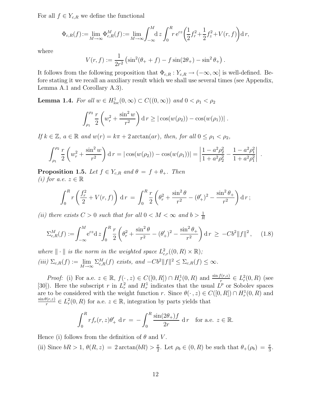For all  $f \in Y_{c,R}$  we define the functional

$$
\Phi_{c,R}(f) := \lim_{M \to \infty} \Phi_{c,R}^M(f) := \lim_{M \to \infty} \int_{-\infty}^M dz \int_0^R r e^{cz} \left(\frac{1}{2}f_r^2 + \frac{1}{2}f_z^2 + V(r,f)\right) dr,
$$

where

$$
V(r, f) := \frac{1}{2r^2} \left( \sin^2(\theta_+ + f) - f \sin(2\theta_+) - \sin^2 \theta_+ \right).
$$

It follows from the following proposition that  $\Phi_{c,R}: Y_{c,R} \to (-\infty,\infty]$  is well-defined. Before stating it we recall an auxiliary result which we shall use several times (see Appendix, Lemma A.1 and Corollary A.3).

**Lemma 1.4.** For all  $w \in H^1_{loc}(0, \infty) \subset C((0, \infty))$  and  $0 < \rho_1 < \rho_2$ 

$$
\int_{\rho_1}^{\rho_2} \frac{r}{2} \left( w_r^2 + \frac{\sin^2 w}{r^2} \right) dr \ge \left| \cos(w(\rho_2)) - \cos(w(\rho_1)) \right|.
$$

If  $k \in \mathbb{Z}$ ,  $a \in \mathbb{R}$  and  $w(r) = k\pi + 2 \arctan(ar)$ , then, for all  $0 \le \rho_1 < \rho_2$ ,

$$
\int_{\rho_1}^{\rho_2} \frac{r}{2} \left( w_r^2 + \frac{\sin^2 w}{r^2} \right) dr = |\cos(w(\rho_2)) - \cos(w(\rho_1))| = \left| \frac{1 - a^2 \rho_2^2}{1 + a^2 \rho_2^2} - \frac{1 - a^2 \rho_1^2}{1 + a^2 \rho_1^2} \right|.
$$

**Proposition 1.5.** Let  $f \in Y_{c,R}$  and  $\theta = f + \theta_+$ . Then (i) for a.e.  $z \in \mathbb{R}$ 

$$
\int_0^R r \left( \frac{f_r^2}{2} + V(r, f) \right) dr = \int_0^R \frac{r}{2} \left( \theta_r^2 + \frac{\sin^2 \theta}{r^2} - (\theta'_+)^2 - \frac{\sin^2 \theta_+}{r^2} \right) dr;
$$

(ii) there exists  $C > 0$  such that for all  $0 < M < \infty$  and  $b > \frac{1}{R}$ 

$$
\Sigma_{c,R}^M(f) := \int_{-\infty}^M e^{cz} dz \int_0^R \frac{r}{2} \left( \theta_r^2 + \frac{\sin^2 \theta}{r^2} - (\theta_+')^2 - \frac{\sin^2 \theta_+}{r^2} \right) dr \ge -Cb^2 \|f\|^2, \quad (1.8)
$$

where  $\|\cdot\|$  is the norm in the weighted space  $L^2_{c,r}((0,R)\times\mathbb{R});$  $(iii) \Sigma_{c,R}(f) := \lim_{M \to \infty}$  $M\rightarrow\infty$  $\Sigma_{c,R}^M(f)$  exists, and  $-Cb^2||f||^2 \leq \Sigma_{c,R}(f) \leq \infty$ .

*Proof:* (i) For a.e.  $z \in \mathbb{R}$ ,  $f(\cdot, z) \in C([0, R]) \cap H_r^1(0, R)$  and  $\frac{\sin f(r, z)}{r} \in L_r^2(0, R)$  (see [30]). Here the subscript r in  $L_r^2$  and  $H_r^1$  indicates that the usual  $L^p$  or Sobolev spaces are to be considered with the weight function r. Since  $\theta(\cdot, z) \in C([0, R]) \cap H_r^1(0, R)$  and  $\sin \theta(r,z)$  $\frac{\partial (r,z)}{r} \in L^2_r(0,R)$  for a.e.  $z \in \mathbb{R}$ , integration by parts yields that

$$
\int_0^R r f_r(r, z) \theta'_+ \, \mathrm{d} \, r = -\int_0^R \frac{\sin(2\theta_+) f}{2r} \, \mathrm{d} \, r \quad \text{for a.e. } z \in \mathbb{R}.
$$

Hence (i) follows from the definition of  $\theta$  and V.

(ii) Since  $bR > 1$ ,  $\theta(R, z) = 2 \arctan(bR) > \frac{\pi}{2}$  $\frac{\pi}{2}$ . Let  $\rho_b \in (0, R)$  be such that  $\theta_+(\rho_b) = \frac{\pi}{3}$ .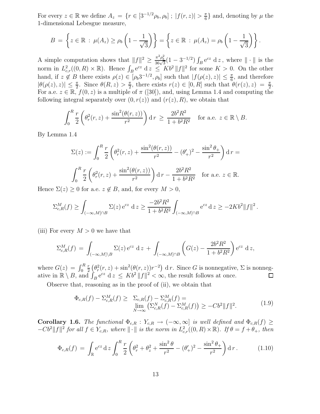For every  $z \in \mathbb{R}$  we define  $A_z = \{r \in [3^{-1/2}\rho_b, \rho_b] ; |f(r, z)| > \frac{\pi}{6}\}$  $\frac{\pi}{6}$  and, denoting by  $\mu$  the 1-dimensional Lebesgue measure,

$$
B = \left\{ z \in \mathbb{R} : \mu(A_z) \ge \rho_b \left( 1 - \frac{1}{\sqrt{3}} \right) \right\} = \left\{ z \in \mathbb{R} : \mu(A_z) = \rho_b \left( 1 - \frac{1}{\sqrt{3}} \right) \right\}.
$$

A simple computation shows that  $||f||^2 \ge \frac{\pi^2 \rho_b^2}{36\sqrt{3}}(1-3^{-1/2}) \int_B e^{cz} dz$ , where  $||\cdot||$  is the norm in  $L^2_{c,r}((0,R)\times\mathbb{R})$ . Hence  $\int_B e^{cz} dz \leq Kb^2 ||f||^2$  for some  $K > 0$ . On the other hand, if  $z \notin B$  there exists  $\rho(z) \in [\rho_b 3^{-1/2}, \rho_b]$  such that  $|f(\rho(z), z)| \leq \frac{\pi}{6}$ , and therefore  $|\theta(\rho(z), z)| \leq \frac{\pi}{2}$ . Since  $\theta(R, z) > \frac{\pi}{2}$  $\frac{\pi}{2}$ , there exists  $r(z) \in [0, R]$  such that  $\theta(r(z), z) = \frac{\pi}{2}$ . For a.e.  $z \in \mathbb{R}$ ,  $f(0, z)$  is a multiple of  $\pi$  ([30]), and, using Lemma 1.4 and computing the following integral separately over  $(0, r(z))$  and  $(r(z), R)$ , we obtain that

$$
\int_0^R \frac{r}{2} \left( \theta_r^2(r, z) + \frac{\sin^2(\theta(r, z))}{r^2} \right) dr \ge \frac{2b^2 R^2}{1 + b^2 R^2} \quad \text{for a.e. } z \in \mathbb{R} \setminus B.
$$

By Lemma 1.4

$$
\Sigma(z) := \int_0^R \frac{r}{2} \left( \theta_r^2(r, z) + \frac{\sin^2(\theta(r, z))}{r^2} - (\theta'_+)^2 - \frac{\sin^2 \theta_+}{r^2} \right) dr =
$$
  

$$
\int_0^R \frac{r}{2} \left( \theta_r^2(r, z) + \frac{\sin^2(\theta(r, z))}{r^2} \right) dr - \frac{2b^2 R^2}{1 + b^2 R^2} \quad \text{for a.e. } z \in \mathbb{R}.
$$

Hence  $\Sigma(z) \geq 0$  for a.e.  $z \notin B$ , and, for every  $M > 0$ ,

$$
\Sigma_{c,R}^M(f) \ge \int_{(-\infty,M] \cap B} \Sigma(z) e^{cz} dz \ge \frac{-2b^2 R^2}{1+b^2 R^2} \int_{(-\infty,M] \cap B} e^{cz} dz \ge -2Kb^2 ||f||^2.
$$

(iii) For every  $M > 0$  we have that

$$
\Sigma_{c,R}^M(f) = \int_{(-\infty,M] \backslash B} \Sigma(z) e^{cz} dz + \int_{(-\infty,M] \cap B} \left( G(z) - \frac{2b^2 R^2}{1 + b^2 R^2} \right) e^{cz} dz,
$$

where  $G(z) = \int_0^R$  $\frac{r}{2}(\theta_r^2(r,z)+\sin^2(\theta(r,z))r^{-2})$  d r. Since G is nonnegative,  $\Sigma$  is nonnegr ative in  $\mathbb{R} \setminus B$ , and  $\int_B e^{cz} dz \leq Kb^2 ||f||^2 < \infty$ , the result follows at once. □

Observe that, reasoning as in the proof of (ii), we obtain that

$$
\Phi_{c,R}(f) - \Sigma_{c,R}^M(f) \geq \sum_{c,R}(f) - \Sigma_{c,R}^M(f) = \lim_{N \to \infty} \left( \Sigma_{c,R}^N(f) - \Sigma_{c,R}^M(f) \right) \geq -Cb^2 \|f\|^2.
$$
\n(1.9)

Corollary 1.6. The functional  $\Phi_{c,R} : Y_{c,R} \to (-\infty,\infty]$  is well defined and  $\Phi_{c,R}(f) \geq$  $-Cb^2||f||^2$  for all  $f \in Y_{c,R}$ , where  $||\cdot||$  is the norm in  $L^2_{c,r}((0,R)\times\mathbb{R})$ . If  $\theta = f + \theta_+$ , then

$$
\Phi_{c,R}(f) = \int_{\mathbb{R}} e^{cz} dz \int_0^R \frac{r}{2} \left( \theta_r^2 + \theta_z^2 + \frac{\sin^2 \theta}{r^2} - (\theta_+^2)^2 - \frac{\sin^2 \theta_+}{r^2} \right) dr \,. \tag{1.10}
$$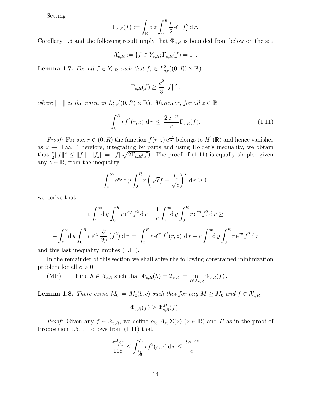Setting

$$
\Gamma_{c,R}(f) := \int_{\mathbb{R}} \mathrm{d}z \int_0^R \frac{r}{2} e^{cz} f_z^2 \, \mathrm{d}r,
$$

Corollary 1.6 and the following result imply that  $\Phi_{c,R}$  is bounded from below on the set

$$
\mathcal{X}_{c,R} := \{ f \in Y_{c,R}; \Gamma_{c,R}(f) = 1 \}.
$$

**Lemma 1.7.** For all  $f \in Y_{c,R}$  such that  $f_z \in L^2_{c,r}((0,R) \times \mathbb{R})$ 

$$
\Gamma_{c,R}(f) \ge \frac{c^2}{8} ||f||^2,
$$

where  $\| \cdot \|$  is the norm in  $L^2_{c,r}((0,R) \times \mathbb{R})$ . Moreover, for all  $z \in \mathbb{R}$ 

$$
\int_{0}^{R} rf^{2}(r,z) \, \mathrm{d}r \le \frac{2 \, \mathrm{e}^{-cz}}{c} \Gamma_{c,R}(f). \tag{1.11}
$$

 $\Box$ 

*Proof:* For a.e.  $r \in (0, R)$  the function  $f(r, z) e^{\frac{cz}{2}}$  belongs to  $H^1(\mathbb{R})$  and hence vanishes as  $z \to \pm \infty$ . Therefore, integrating by parts and using Hölder's inequality, we obtain that  $\frac{c}{2}||f||^2 \le ||f|| \cdot ||f_z|| = ||f|| \sqrt{2\Gamma_{c,R}(f)}$ . The proof of (1.11) is equally simple: given any  $z \in \mathbb{R}$ , from the inequality

$$
\int_{z}^{\infty} e^{cy} dy \int_{0}^{R} r \left(\sqrt{c} f + \frac{f_{z}}{\sqrt{c}}\right)^{2} dr \ge 0
$$

we derive that

$$
c \int_z^{\infty} dy \int_0^R r e^{cy} f^2 dr + \frac{1}{c} \int_z^{\infty} dy \int_0^R r e^{cy} f_z^2 dr \ge
$$

$$
- \int_z^{\infty} dy \int_0^R r e^{cy} \frac{\partial}{\partial y} (f^2) dr = \int_0^R r e^{cz} f^2(r, z) dr + c \int_z^{\infty} dy \int_0^R r e^{cy} f^2 dr
$$

and this last inequality implies (1.11).

In the remainder of this section we shall solve the following constrained minimization problem for all  $c > 0$ :

(MP) Find 
$$
h \in \mathcal{X}_{c,R}
$$
 such that  $\Phi_{c,R}(h) = \mathcal{I}_{c,R} := \inf_{f \in \mathcal{X}_{c,R}} \Phi_{c,R}(f)$ .

**Lemma 1.8.** There exists  $M_0 = M_0(b, c)$  such that for any  $M \geq M_0$  and  $f \in \mathcal{X}_{c,R}$ 

$$
\Phi_{c,R}(f) \ge \Phi_{c,R}^M(f).
$$

*Proof:* Given any  $f \in \mathcal{X}_{c,R}$ , we define  $\rho_b$ ,  $A_z$ ,  $\Sigma(z)$  ( $z \in \mathbb{R}$ ) and B as in the proof of Proposition 1.5. It follows from (1.11) that

$$
\frac{\pi^2 \rho_b^2}{108} \le \int_{\frac{\rho_b}{\sqrt{3}}}^{\rho_b} r f^2(r, z) \, dr \le \frac{2 e^{-cz}}{c}
$$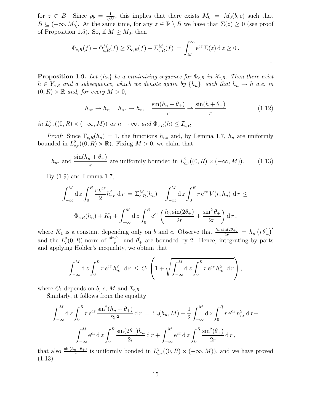for  $z \in B$ . Since  $\rho_b = \frac{1}{\sqrt{3}}$  $\frac{1}{3b}$ , this implies that there exists  $M_0 = M_0(b, c)$  such that  $B \subseteq (-\infty, M_0]$ . At the same time, for any  $z \in \mathbb{R} \setminus B$  we have that  $\Sigma(z) \geq 0$  (see proof of Proposition 1.5). So, if  $M \geq M_0$ , then

$$
\Phi_{c,R}(f) - \Phi_{c,R}^M(f) \ge \Sigma_{c,R}(f) - \Sigma_{c,R}^M(f) = \int_M^{\infty} e^{cz} \Sigma(z) dz \ge 0.
$$

**Proposition 1.9.** Let  $\{h_n\}$  be a minimizing sequence for  $\Phi_{c,R}$  in  $\mathcal{X}_{c,R}$ . Then there exist  $h \in Y_{c,R}$  and a subsequence, which we denote again by  $\{h_n\}$ , such that  $h_n \to h$  a.e. in  $(0, R) \times \mathbb{R}$  and, for every  $M > 0$ ,

$$
h_{nr} \rightharpoonup h_r, \quad h_{nz} \rightharpoonup h_z, \quad \frac{\sin(h_n + \theta_+)}{r} \rightharpoonup \frac{\sin(h + \theta_+)}{r} \tag{1.12}
$$

 $\Box$ 

in  $L^2_{c,r}((0,R)\times(-\infty,M))$  as  $n\to\infty$ , and  $\Phi_{c,R}(h)\leq \mathcal{I}_{c,R}$ .

*Proof:* Since  $\Gamma_{c,R}(h_n) = 1$ , the functions  $h_{nz}$  and, by Lemma 1.7,  $h_n$  are uniformly bounded in  $L^2_{c,r}((0,R)\times\mathbb{R})$ . Fixing  $M>0$ , we claim that

$$
h_{nr} \text{ and } \frac{\sin(h_n + \theta_+)}{r} \text{ are uniformly bounded in } L^2_{c,r}((0, R) \times (-\infty, M)).
$$
 (1.13)

By (1.9) and Lemma 1.7,

$$
\int_{-\infty}^{M} dz \int_{0}^{R} \frac{r e^{cz}}{2} h_{nr}^{2} dr = \Sigma_{c,R}^{M}(h_{n}) - \int_{-\infty}^{M} dz \int_{0}^{R} r e^{cz} V(r, h_{n}) dr \le
$$
  

$$
\Phi_{c,R}(h_{n}) + K_{1} + \int_{-\infty}^{M} dz \int_{0}^{R} e^{cz} \left( \frac{h_{n} \sin(2\theta_{+})}{2r} + \frac{\sin^{2} \theta_{+}}{2r} \right) dr,
$$

where  $K_1$  is a constant depending only on b and c. Observe that  $\frac{h_n \sin(2\theta_+)}{2r} = h_n (r\theta'_+)'$ and the  $L_r^2(0, R)$ -norm of  $\frac{\sin \theta_+}{r}$  and  $\theta_+$  are bounded by 2. Hence, integrating by parts and applying Hölder's inequality, we obtain that

$$
\int_{-\infty}^M dz \int_0^R r e^{cz} h_{nr}^2 dr \leq C_1 \left( 1 + \sqrt{\int_{-\infty}^M dz \int_0^R r e^{cz} h_{nr}^2 dr} \right),
$$

where  $C_1$  depends on b, c, M and  $\mathcal{I}_{c,R}$ .

Similarly, it follows from the equality

$$
\int_{-\infty}^{M} dz \int_{0}^{R} r e^{cz} \frac{\sin^{2}(h_{n} + \theta_{+})}{2r^{2}} dr = \Sigma_{c}(h_{n}, M) - \frac{1}{2} \int_{-\infty}^{M} dz \int_{0}^{R} r e^{cz} h_{nr}^{2} dr + \int_{-\infty}^{M} e^{cz} dz \int_{0}^{R} \frac{\sin(2\theta_{+})h_{n}}{2r} dr + \int_{-\infty}^{M} e^{cz} dz \int_{0}^{R} \frac{\sin^{2}(\theta_{+})}{2r} dr,
$$

that also  $\frac{\sin(h_n+\theta_+)}{r}$  is uniformly bonded in  $L^2_{c,r}((0,R)\times(-\infty,M))$ , and we have proved  $(1.13).$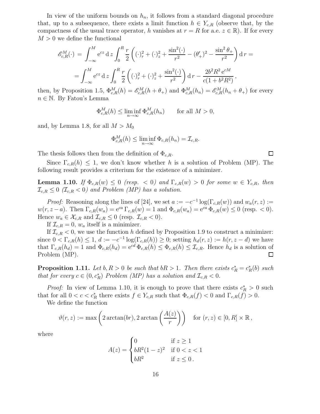In view of the uniform bounds on  $h_n$ , it follows from a standard diagonal procedure that, up to a subsequence, there exists a limit function  $h \in Y_{c,R}$  (observe that, by the compactness of the usual trace operator, h vanishes at  $r = R$  for a.e.  $z \in \mathbb{R}$ ). If for every  $M > 0$  we define the functional

$$
\mathcal{E}_{c,R}^{M}(\cdot) = \int_{-\infty}^{M} e^{cz} dz \int_{0}^{R} \frac{r}{2} \left( (\cdot)_{r}^{2} + (\cdot)_{z}^{2} + \frac{\sin^{2}(\cdot)}{r^{2}} - (\theta_{+}')^{2} - \frac{\sin^{2}\theta_{+}}{r^{2}} \right) dr =
$$
  
= 
$$
\int_{-\infty}^{M} e^{cz} dz \int_{0}^{R} \frac{r}{2} \left( (\cdot)_{r}^{2} + (\cdot)_{z}^{2} + \frac{\sin^{2}(\cdot)}{r^{2}} \right) dr - \frac{2b^{2}R^{2}e^{cM}}{c(1 + b^{2}R^{2})},
$$

then, by Proposition 1.5,  $\Phi_{c,R}^M(h) = \mathscr{E}_{c,R}^M(h + \theta_+)$  and  $\Phi_{c,R}^M(h_n) = \mathscr{E}_{c,R}^M(h_n + \theta_+)$  for every  $n \in \mathbb{N}$ . By Fatou's Lemma

$$
\Phi_{c,R}^M(h) \le \liminf_{n \to \infty} \Phi_{c,R}^M(h_n) \qquad \text{for all } M > 0,
$$

and, by Lemma 1.8, for all  $M > M_0$ 

$$
\Phi_{c,R}^M(h) \le \liminf_{n \to \infty} \Phi_{c,R}(h_n) = \mathcal{I}_{c,R}.
$$

The thesis follows then from the definition of  $\Phi_{c,R}$ .

Since  $\Gamma_{c,R}(h) \leq 1$ , we don't know whether h is a solution of Problem (MP). The following result provides a criterium for the existence of a minimizer.

**Lemma 1.10.** If  $\Phi_{c,R}(w) \leq 0$  (resp. < 0) and  $\Gamma_{c,R}(w) > 0$  for some  $w \in Y_{c,R}$ , then  $\mathcal{I}_{c,R} \leq 0$  ( $\mathcal{I}_{c,R} < 0$ ) and Problem (MP) has a solution.

*Proof:* Reasoning along the lines of [24], we set  $a := -c^{-1} \log(\Gamma_{c,R}(w))$  and  $w_a(r, z) :=$  $w(r, z - a)$ . Then  $\Gamma_{c,R}(w_a) = e^{ca} \Gamma_{c,R}(w) = 1$  and  $\Phi_{c,R}(w_a) = e^{ca} \Phi_{c,R}(w) \leq 0$  (resp. < 0). Hence  $w_a \in \mathcal{X}_{c,R}$  and  $\mathcal{I}_{c,R} \leq 0$  (resp.  $\mathcal{I}_{c,R} < 0$ ).

If  $\mathcal{I}_{c,R} = 0$ ,  $w_a$  itself is a minimizer.

If  $\mathcal{I}_{c,R} < 0$ , we use the function h defined by Proposition 1.9 to construct a minimizer: since  $0 < \Gamma_{c,R}(h) \leq 1$ ,  $d := -c^{-1} \log(\Gamma_{c,R}(h)) \geq 0$ ; setting  $h_d(r, z) := h(r, z - d)$  we have that  $\Gamma_{c,R}(h_d) = 1$  and  $\Phi_{c,R}(h_d) = e^{cd} \Phi_{c,R}(h) \leq \Phi_{c,R}(h) \leq \mathcal{I}_{c,R}$ . Hence  $h_d$  is a solution of Problem (MP). Problem (MP).

**Proposition 1.11.** Let  $b, R > 0$  be such that  $bR > 1$ . Then there exists  $c_R^* = c_R^*(b)$  such that for every  $c \in (0, c_R^*)$  Problem (MP) has a solution and  $\mathcal{I}_{c,R} < 0$ .

*Proof:* In view of Lemma 1.10, it is enough to prove that there exists  $c_R^* > 0$  such that for all  $0 < c < c_R^*$  there exists  $f \in Y_{c,R}$  such that  $\Phi_{c,R}(f) < 0$  and  $\Gamma_{c,R}(f) > 0$ .

We define the function

$$
\vartheta(r,z) := \max\left(2\arctan(br), 2\arctan\left(\frac{A(z)}{r}\right)\right) \quad \text{for } (r,z) \in [0,R] \times \mathbb{R},
$$

where

$$
A(z) = \begin{cases} 0 & \text{if } z \ge 1 \\ bR^2(1-z)^2 & \text{if } 0 < z < 1 \\ bR^2 & \text{if } z \le 0 \end{cases}
$$

 $\Box$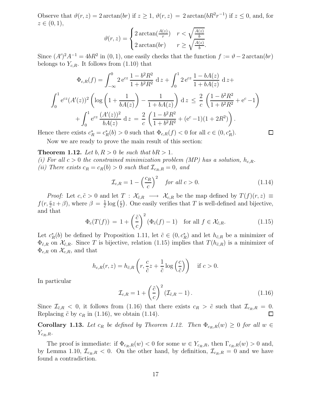Observe that  $\vartheta(r, z) = 2 \arctan(br)$  if  $z \ge 1$ ,  $\vartheta(r, z) = 2 \arctan(bR^2r^{-1})$  if  $z \le 0$ , and, for  $z \in (0, 1),$ 

$$
\vartheta(r,z) = \begin{cases} 2\arctan(\frac{A(z)}{r}) & r < \sqrt{\frac{A(z)}{b}}\\ 2\arctan(br) & r \ge \sqrt{\frac{A(z)}{b}}. \end{cases}
$$

Since  $(A')^2A^{-1} = 4bR^2$  in  $(0, 1)$ , one easily checks that the function  $f := \vartheta - 2 \arctan(br)$ belongs to  $Y_{c,R}$ . It follows from (1.10) that

$$
\Phi_{c,R}(f) = \int_{-\infty}^{0} 2 e^{cz} \frac{1 - b^2 R^2}{1 + b^2 R^2} dz + \int_{0}^{1} 2 e^{cz} \frac{1 - bA(z)}{1 + bA(z)} dz +
$$

$$
\int_{0}^{1} e^{cz} (A'(z))^2 \left( \log \left( 1 + \frac{1}{bA(z)} \right) - \frac{1}{1 + bA(z)} \right) dz \leq \frac{2}{c} \left( \frac{1 - b^2 R^2}{1 + b^2 R^2} + e^c - 1 \right) + \int_{0}^{1} e^{cz} \frac{(A'(z))^2}{bA(z)} dz = \frac{2}{c} \left( \frac{1 - b^2 R^2}{1 + b^2 R^2} + (e^c - 1)(1 + 2R^2) \right).
$$

Hence there exists  $c_R^* = c_R^*(b) > 0$  such that  $\Phi_{c,R}(f) < 0$  for all  $c \in (0, c_R^*)$ .

Now we are ready to prove the main result of this section:

**Theorem 1.12.** Let  $b, R > 0$  be such that  $bR > 1$ .

(i) For all  $c > 0$  the constrained minimization problem (MP) has a solution,  $h_{c,R}$ . (ii) There exists  $c_R = c_R(b) > 0$  such that  $\mathcal{I}_{c_R,R} = 0$ , and

$$
\mathcal{I}_{c,R} = 1 - \left(\frac{c_R}{c}\right)^2 \quad \text{for all } c > 0. \tag{1.14}
$$

 $\square$ 

*Proof:* Let  $c, \tilde{c} > 0$  and let  $T : \mathcal{X}_{\tilde{c},R} \longrightarrow \mathcal{X}_{c,R}$  be the map defined by  $T(f)(r, z) \equiv$  $f(r, \frac{c}{\tilde{c}}z + \beta)$ , where  $\beta = \frac{1}{\tilde{c}}$  $\frac{1}{\tilde{c}}\log\big(\frac{c}{\tilde{c}}$  $\frac{c}{c}$ ). One easily verifies that T is well-defined and bijective, and that

$$
\Phi_c(T(f)) = 1 + \left(\frac{\tilde{c}}{c}\right)^2 (\Phi_{\tilde{c}}(f) - 1) \quad \text{for all } f \in \mathcal{X}_{\tilde{c},R}.
$$
\n(1.15)

Let  $c_R^*(b)$  be defined by Proposition 1.11, let  $\tilde{c} \in (0, c_R^*)$  and let  $h_{\tilde{c},R}$  be a minimizer of  $\Phi_{\tilde{c},R}$  on  $\mathcal{X}_{\tilde{c},R}$ . Since T is bijective, relation (1.15) implies that  $T(h_{\tilde{c},R})$  is a minimizer of  $\Phi_{c,R}$  on  $\mathcal{X}_{c,R}$ , and that

$$
h_{c,R}(r,z) = h_{\tilde{c},R}\left(r, \frac{c}{\tilde{c}}z + \frac{1}{\tilde{c}}\log\left(\frac{c}{\tilde{c}}\right)\right) \quad \text{if } c > 0.
$$

In particular

$$
\mathcal{I}_{c,R} = 1 + \left(\frac{\tilde{c}}{c}\right)^2 \left(\mathcal{I}_{\tilde{c},R} - 1\right). \tag{1.16}
$$

Since  $\mathcal{I}_{\tilde{c},R}$  < 0, it follows from (1.16) that there exists  $c_R > \tilde{c}$  such that  $\mathcal{I}_{c_R,R} = 0$ . Replacing  $\tilde{c}$  by  $c_R$  in (1.16), we obtain (1.14).

Corollary 1.13. Let  $c_R$  be defined by Theorem 1.12. Then  $\Phi_{c_R,R}(w) \geq 0$  for all  $w \in$  $Y_{c_R,R}$ .

The proof is immediate: if  $\Phi_{c_R,R}(w) < 0$  for some  $w \in Y_{c_R,R}$ , then  $\Gamma_{c_R,R}(w) > 0$  and, by Lemma 1.10,  $\mathcal{I}_{c_R,R} < 0$ . On the other hand, by definition,  $\mathcal{I}_{c_R,R} = 0$  and we have found a contradiction.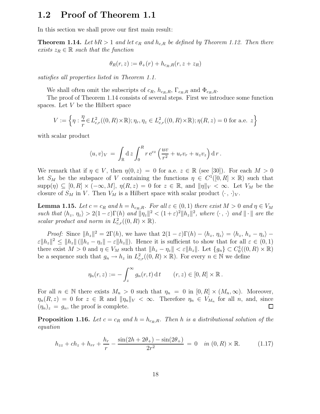### 1.2 Proof of Theorem 1.1

In this section we shall prove our first main result:

**Theorem 1.14.** Let  $bR > 1$  and let  $c_R$  and  $h_{c,R}$  be defined by Theorem 1.12. Then there exists  $z_R \in \mathbb{R}$  such that the function

$$
\theta_R(r,z) := \theta_+(r) + h_{c_R,R}(r,z+z_R)
$$

satisfies all properties listed in Theorem 1.1.

We shall often omit the subscripts of  $c_R$ ,  $h_{c_R,R}$ ,  $\Gamma_{c_R,R}$  and  $\Phi_{c_R,R}$ .

The proof of Theorem 1.14 consists of several steps. First we introduce some function spaces. Let  $V$  be the Hilbert space

$$
V:=\left\{\eta: \frac{\eta}{r}\!\in\! L^2_{c,r}((0,R)\!\times\!\mathbb{R}); \eta_r,\eta_z\in L^2_{c,r}((0,R)\!\times\!\mathbb{R}); \eta(R,z)=0 \text{ for a.e. }z\right\}
$$

with scalar product

$$
\langle u, v \rangle_V = \int_{\mathbb{R}} dz \int_0^R r e^{cz} \left( \frac{uv}{r^2} + u_r v_r + u_z v_z \right) dr.
$$

We remark that if  $\eta \in V$ , then  $\eta(0, z) = 0$  for a.e.  $z \in \mathbb{R}$  (see [30]). For each  $M > 0$ let  $S_M$  be the subspace of V containing the functions  $\eta \in C^1([0, R] \times \mathbb{R})$  such that  $\text{supp}(\eta) \subseteq [0, R] \times (-\infty, M], \eta(R, z) = 0 \text{ for } z \in \mathbb{R}, \text{ and } ||\eta||_V < \infty.$  Let  $V_M$  be the closure of  $S_M$  in V. Then  $V_M$  is a Hilbert space with scalar product  $\langle \cdot, \cdot \rangle_V$ .

**Lemma 1.15.** Let  $c = c_R$  and  $h = h_{c_R,R}$ . For all  $\varepsilon \in (0,1)$  there exist  $M > 0$  and  $\eta \in V_M$ such that  $\langle h_z, \eta_z \rangle > 2(1-\varepsilon)\Gamma(h)$  and  $\|\eta_z\|^2 < (1+\varepsilon)^2 \|h_z\|^2$ , where  $\langle \cdot, \cdot \rangle$  and  $\|\cdot\|$  are the scalar product and norm in  $L^2_{c,r}((0,R) \times \mathbb{R})$ .

*Proof:* Since  $||h_z||^2 = 2\Gamma(h)$ , we have that  $2(1 - \varepsilon)\Gamma(h) - \langle h_z, \eta_z \rangle = \langle h_z, h_z - \eta_z \rangle \epsilon \|h_z\|^2 \leq \|h_z\| (\|h_z - \eta_z\| - \epsilon \|h_z\|).$  Hence it is sufficient to show that for all  $\varepsilon \in (0,1)$ there exist  $M > 0$  and  $\eta \in V_M$  such that  $||h_z - \eta_z|| < \varepsilon ||h_z||$ . Let  $\{g_n\} \subset C_0^1((0, R) \times \mathbb{R})$ be a sequence such that  $g_n \to h_z$  in  $L^2_{c,r}((0,R) \times \mathbb{R})$ . For every  $n \in \mathbb{N}$  we define

$$
\eta_n(r, z) := -\int_z^\infty g_n(r, t) dt \qquad (r, z) \in [0, R] \times \mathbb{R}.
$$

For all  $n \in \mathbb{N}$  there exists  $M_n > 0$  such that  $\eta_n = 0$  in  $[0, R] \times (M_n, \infty)$ . Moreover,  $\eta_n(R, z) = 0$  for  $z \in \mathbb{R}$  and  $\|\eta_n\|_V < \infty$ . Therefore  $\eta_n \in V_{M_n}$  for all n, and, since  $(\eta_n)_z = g_n$ , the proof is complete. □

**Proposition 1.16.** Let  $c = c_R$  and  $h = h_{c_R,R}$ . Then h is a distributional solution of the equation

$$
h_{zz} + ch_z + h_{rr} + \frac{h_r}{r} - \frac{\sin(2h + 2\theta_+) - \sin(2\theta_+)}{2r^2} = 0 \quad in \ (0, R) \times \mathbb{R}.
$$
 (1.17)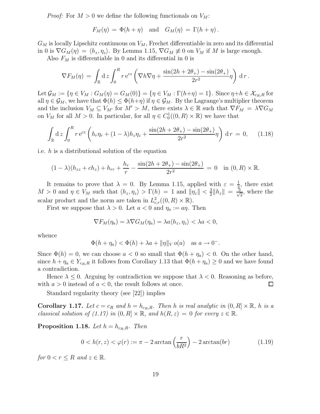*Proof:* For  $M > 0$  we define the following functionals on  $V_M$ :

$$
F_M(\eta) = \Phi(h + \eta) \quad \text{and} \quad G_M(\eta) = \Gamma(h + \eta).
$$

 $G_M$  is locally Lipschitz continuous on  $V_M$ , Frechet differentiable in zero and its differential in 0 is  $\nabla G_M(\eta) = \langle h_z, \eta_z \rangle$ . By Lemma 1.15,  $\nabla G_M \neq 0$  on  $V_M$  if M is large enough.

Also  $F_M$  is differentiable in 0 and its differential in 0 is

$$
\nabla F_M(\eta) = \int_{\mathbb{R}} \mathrm{d}z \int_0^R r \,\mathrm{e}^{cz} \left( \nabla h \nabla \eta + \frac{\sin(2h + 2\theta_+) - \sin(2\theta_+)}{2r^2} \eta \right) \,\mathrm{d}r.
$$

Let  $\mathcal{G}_M := \{\eta \in V_M : G_M(\eta) = G_M(0)\} = \{\eta \in V_M : \Gamma(h + \eta) = 1\}.$  Since  $\eta + h \in \mathcal{X}_{c_R,R}$  for all  $\eta \in \mathcal{G}_M$ , we have that  $\Phi(h) \leq \Phi(h+\eta)$  if  $\eta \in \mathcal{G}_M$ . By the Lagrange's multiplier theorem and the inclusion  $V_M \subseteq V_{M'}$  for  $M' > M$ , there exists  $\lambda \in \mathbb{R}$  such that  $\nabla F_M = \lambda \nabla G_M$ on  $V_M$  for all  $M > 0$ . In particular, for all  $\eta \in C_0^1((0, R) \times \mathbb{R})$  we have that

$$
\int_{\mathbb{R}} d z \int_0^R r e^{cz} \left( h_r \eta_r + (1 - \lambda) h_z \eta_z + \frac{\sin(2h + 2\theta_+) - \sin(2\theta_+)}{2r^2} \eta \right) dr = 0, \quad (1.18)
$$

i.e. h is a distributional solution of the equation

$$
(1 - \lambda)(h_{zz} + ch_z) + h_{rr} + \frac{h_r}{r} - \frac{\sin(2h + 2\theta_+) - \sin(2\theta_+)}{2r^2} = 0 \text{ in } (0, R) \times \mathbb{R}.
$$

It remains to prove that  $\lambda = 0$ . By Lemma 1.15, applied with  $\varepsilon = \frac{1}{2}$  $\frac{1}{2}$ , there exist  $M > 0$  and  $\eta \in V_M$  such that  $\langle h_z, \eta_z \rangle > \Gamma(h) = 1$  and  $\|\eta_z\| < \frac{3}{2}$  $\frac{3}{2} \|h_z\| = \frac{3}{\sqrt{2}}$  $\frac{1}{2}$ , where the scalar product and the norm are taken in  $L^2_{c,r}((0,R) \times \mathbb{R})$ .

First we suppose that  $\lambda > 0$ . Let  $a < 0$  and  $\eta_a := a\eta$ . Then

$$
\nabla F_M(\eta_a) = \lambda \nabla G_M(\eta_a) = \lambda a \langle h_z, \eta_z \rangle < \lambda a < 0,
$$

whence

$$
\Phi(h + \eta_a) < \Phi(h) + \lambda a + \|\eta\|_V \, o(a) \quad \text{as } a \to 0^-.
$$

Since  $\Phi(h) = 0$ , we can choose  $a < 0$  so small that  $\Phi(h + \eta_a) < 0$ . On the other hand, since  $h + \eta_a \in Y_{c_R,R}$  it follows from Corollary 1.13 that  $\Phi(h + \eta_a) \geq 0$  and we have found a contradiction.

Hence  $\lambda \leq 0$ . Arguing by contradiction we suppose that  $\lambda < 0$ . Reasoning as before, h  $a > 0$  instead of  $a < 0$ , the result follows at once. with  $a > 0$  instead of  $a < 0$ , the result follows at once.

Standard regularity theory (see [22]) implies

**Corollary 1.17.** Let  $c = c_R$  and  $h = h_{c_R,R}$ . Then h is real analytic in  $(0, R] \times \mathbb{R}$ , h is a classical solution of (1.17) in  $(0, R] \times \mathbb{R}$ , and  $h(R, z) = 0$  for every  $z \in \mathbb{R}$ .

**Proposition 1.18.** Let  $h = h_{c_R,R}$ . Then

$$
0 < h(r, z) < \varphi(r) := \pi - 2\arctan\left(\frac{r}{bR^2}\right) - 2\arctan(br) \tag{1.19}
$$

for  $0 < r \leq R$  and  $z \in \mathbb{R}$ .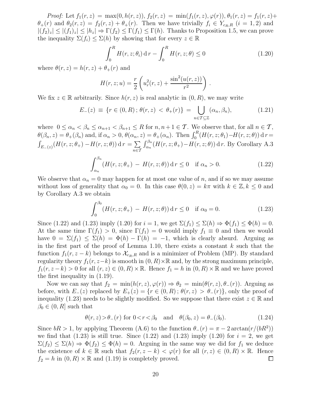Proof: Let  $f_1(r, z) = \max(0, h(r, z)), f_2(r, z) = \min(f_1(r, z), \varphi(r)), \theta_1(r, z) = f_1(r, z) +$  $\theta_+(r)$  and  $\theta_2(r,z) = f_2(r,z) + \theta_+(r)$ . Then we have trivially  $f_i \in Y_{c_R,R}$   $(i = 1,2)$  and  $|(f_2)_z| \le |(f_1)_z| \le |h_z| \Rightarrow \Gamma(f_2) \le \Gamma(f_1) \le \Gamma(h)$ . Thanks to Proposition 1.5, we can prove the inequality  $\Sigma(f_i) \leq \Sigma(h)$  by showing that for every  $z \in \mathbb{R}$ 

$$
\int_{0}^{R} H(r, z; \theta_{i}) dr - \int_{0}^{R} H(r, z; \theta) \le 0
$$
\n(1.20)

where  $\theta(r, z) = h(r, z) + \theta_+(r)$  and

$$
H(r, z; u) = \frac{r}{2} \left( u_r^2(r, z) + \frac{\sin^2(u(r, z))}{r^2} \right) .
$$

We fix  $z \in \mathbb{R}$  arbitrarily. Since  $h(r, z)$  is real analytic in  $(0, R)$ , we may write

$$
E_{-}(z) \equiv \{ r \in (0, R) ; \theta(r, z) < \theta_{+}(r) \} = \bigcup_{n \in \mathcal{T} \subseteq \mathbb{Z}} (\alpha_n, \beta_n), \tag{1.21}
$$

where  $0 \leq \alpha_n < \beta_n \leq \alpha_{n+1} < \beta_{n+1} \leq R$  for  $n, n+1 \in \mathcal{T}$ . We observe that, for all  $n \in \mathcal{T}$ ,  $\theta(\beta_n, z) = \theta_+(\beta_n)$  and, if  $\alpha_n > 0$ ,  $\theta(\alpha_n, z) = \theta_+(\alpha_n)$ . Then  $\int_0^R (H(r, z; \theta_1) - H(r, z; \theta)) dr =$  $\int_{E_{-}(z)} (H(r, z; \theta_{+}) - H(r, z; \theta)) \, \mathrm{d}r = \sum_{n \in \mathcal{I}}$ n∈T  $\int_{\alpha_n}^{\beta_n} (H(r, z; \theta_+) - H(r, z; \theta)) \, dr$ . By Corollary A.3

$$
\int_{\alpha_n}^{\beta_n} \left( H(r, z; \theta_+) - H(r, z; \theta) \right) \mathrm{d} r \le 0 \quad \text{if } \alpha_n > 0. \tag{1.22}
$$

We observe that  $\alpha_n = 0$  may happen for at most one value of n, and if so we may assume without loss of generality that  $\alpha_0 = 0$ . In this case  $\theta(0, z) = k\pi$  with  $k \in \mathbb{Z}, k \leq 0$  and by Corollary A.3 we obtain

$$
\int_0^{\beta_0} (H(r, z; \theta_+) - H(r, z; \theta)) \, \mathrm{d} \, r \le 0 \quad \text{if } \alpha_0 = 0. \tag{1.23}
$$

Since (1.22) and (1.23) imply (1.20) for  $i = 1$ , we get  $\Sigma(f_1) \leq \Sigma(h) \Rightarrow \Phi(f_1) \leq \Phi(h) = 0$ . At the same time  $\Gamma(f_1) > 0$ , since  $\Gamma(f_1) = 0$  would imply  $f_1 \equiv 0$  and then we would have  $0 = \Sigma(f_1) \leq \Sigma(h) = \Phi(h) - \Gamma(h) = -1$ , which is clearly absurd. Arguing as in the first part of the proof of Lemma 1.10, there exists a constant  $k$  such that the function  $f_1(r, z - k)$  belongs to  $\mathcal{X}_{c_R, R}$  and is a minimizer of Problem (MP). By standard regularity theory  $f_1(r, z-k)$  is smooth in  $(0, R) \times \mathbb{R}$  and, by the strong maximum principle,  $f_1(r, z-k) > 0$  for all  $(r, z) \in (0, R) \times \mathbb{R}$ . Hence  $f_1 = h$  in  $(0, R) \times \mathbb{R}$  and we have proved the first inequality in (1.19).

Now we can say that  $f_2 = \min(h(r, z), \varphi(r)) \Rightarrow \theta_2 = \min(\theta(r, z), \theta_-(r))$ . Arguing as before, with  $E_-(z)$  replaced by  $E_+(z) = \{r \in (0,R) : \theta(r,z) > \theta_-(r)\}\)$ , only the proof of inequality (1.23) needs to be slightly modified. So we suppose that there exist  $z \in \mathbb{R}$  and  $\beta_0 \in (0, R]$  such that

$$
\theta(r,z) > \theta_-(r) \text{ for } 0 < r < \beta_0 \quad \text{and} \quad \theta(\beta_0, z) = \theta_-(\beta_0). \tag{1.24}
$$

Since  $bR > 1$ , by applying Theorem (A.6) to the function  $\theta_{-}(r) = \pi - 2 \arctan(r/(bR^2))$ we find that  $(1.23)$  is still true. Since  $(1.22)$  and  $(1.23)$  imply  $(1.20)$  for  $i = 2$ , we get  $\Sigma(f_2) \leq \Sigma(h) \Rightarrow \Phi(f_2) \leq \Phi(h) = 0$ . Arguing in the same way we did for  $f_1$  we deduce the existence of  $k \in \mathbb{R}$  such that  $f_2(r, z - k) < \varphi(r)$  for all  $(r, z) \in (0, R) \times \mathbb{R}$ . Hence  $f_2 = h$  in  $(0, R) \times \mathbb{R}$  and  $(1.19)$  is completely proved.  $f_2 = h$  in  $(0, R) \times \mathbb{R}$  and  $(1.19)$  is completely proved.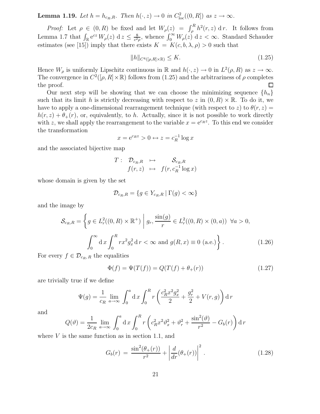**Lemma 1.19.** Let  $h = h_{c_R,R}$ . Then  $h(\cdot, z) \to 0$  in  $C^2_{loc}((0,R])$  as  $z \to \infty$ .

*Proof:* Let  $\rho \in (0, R)$  be fixed and let  $W_{\rho}(z) = \int_{\rho}^{R} h^{2}(r, z) dr$ . It follows from Lemma 1.7 that  $\int_{\mathbb{R}} e^{cz} W_{\rho}(z) dz \leq \frac{8}{c^2}$  $\frac{8}{c^2 \rho}$ , whence  $\int_0^\infty W_\rho(z) dz < \infty$ . Standard Schauder estimates (see [15]) imply that there exists  $K = K(c, b, \lambda, \rho) > 0$  such that

$$
||h||_{C^{4}([\rho,R]\times\mathbb{R})} \leq K. \tag{1.25}
$$

Hence  $W_{\rho}$  is uniformly Lipschitz continuous in  $\mathbb{R}$  and  $h(\cdot, z) \to 0$  in  $L^2(\rho, R)$  as  $z \to \infty$ . The convergence in  $C^2([p, R] \times \mathbb{R})$  follows from (1.25) and the arbitrariness of  $p$  completes the proof.

Our next step will be showing that we can choose the minimizing sequence  ${h_n}$ such that its limit h is strictly decreasing with respect to z in  $(0, R) \times \mathbb{R}$ . To do it, we have to apply a one-dimensional rearrangement technique (with respect to z) to  $\theta(r, z)$  $h(r, z) + \theta_+(r)$ , or, equivalently, to h. Actually, since it is not possible to work directly with z, we shall apply the rearrangement to the variable  $x = e^{cnz}$ . To this end we consider the transformation

$$
x = e^{c_R z} > 0 \leftrightarrow z = c_R^{-1} \log x
$$

and the associated bijective map

$$
T: \begin{array}{ccc} \mathcal{D}_{c_R,R} & \mapsto & \mathcal{S}_{c_R,R} \\ f(r,z) & \mapsto & f(r,c_R^{-1}\log x) \end{array}
$$

whose domain is given by the set

$$
\mathcal{D}_{c_R,R} = \{ g \in Y_{c_R,R} \mid \Gamma(g) < \infty \}
$$

and the image by

$$
\mathcal{S}_{c_R,R} = \left\{ g \in L_r^2((0,R) \times \mathbb{R}^+) \middle| g_r, \frac{\sin(g)}{r} \in L_r^2((0,R) \times (0,a)) \quad \forall a > 0, \right\}
$$
\n
$$
\int_0^\infty dx \int_0^R rx^2 g_x^2 dr < \infty \text{ and } g(R,x) \equiv 0 \text{ (a.e.)} \right\}.
$$
\n(1.26)

For every  $f \in \mathcal{D}_{c_R, R}$  the equalities

$$
\Phi(f) = \Psi(T(f)) = Q(T(f) + \theta_+(r))
$$
\n(1.27)

are trivially true if we define

$$
\Psi(g) = \frac{1}{c_R} \lim_{a \to \infty} \int_0^a dx \int_0^R r \left( \frac{c_R^2 x^2 g_x^2}{2} + \frac{g_r^2}{2} + V(r, g) \right) dr
$$

and

$$
Q(\theta) = \frac{1}{2c_R} \lim_{a \to \infty} \int_0^a dx \int_0^R r \left( c_R^2 x^2 \theta_x^2 + \theta_r^2 + \frac{\sin^2(\theta)}{r^2} - G_b(r) \right) dr
$$

where  $V$  is the same function as in section 1.1, and

$$
G_b(r) = \frac{\sin^2(\theta_+(r))}{r^2} + \left| \frac{d}{dr}(\theta_+(r)) \right|^2.
$$
 (1.28)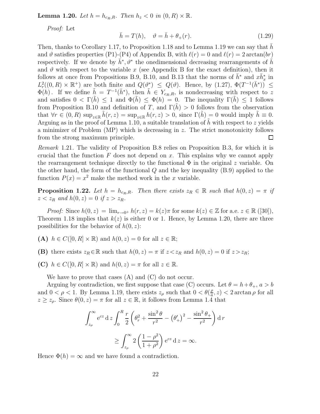**Lemma 1.20.** Let  $h = h_{c_R,R}$ . Then  $h_z < 0$  in  $(0, R) \times \mathbb{R}$ .

Proof: Let

$$
\bar{h} = T(h), \quad \vartheta = \bar{h} + \theta_{+}(r). \tag{1.29}
$$

Then, thanks to Corollary 1.17, to Proposition 1.18 and to Lemma 1.19 we can say that h and  $\vartheta$  satisfies properties (P1)-(P4) of Appendix B, with  $\ell(r) = 0$  and  $\ell(r) = 2 \arctan(br)$ respectively. If we denote by  $\bar{h}^*, \vartheta^*$  the onedimensional decreasing rearrangements of  $\bar{h}$ and  $\vartheta$  with respect to the variable x (see Appendix B for the exact definition), then it follows at once from Propositions B.9, B.10, and B.13 that the norms of  $\bar{h}^*$  and  $x\bar{h}^*_x$  in  $L_r^2((0, R) \times \mathbb{R}^+)$  are both finite and  $Q(\vartheta^*) \leq Q(\vartheta)$ . Hence, by (1.27),  $\Phi(T^{-1}(\bar{h}^*)) \leq$  $\Phi(h)$ . If we define  $\tilde{h} = T^{-1}(\bar{h}^*)$ , then  $\tilde{h} \in Y_{c_R,R}$ , is nondecreasing with respect to z and satisfies  $0 < \Gamma(h) \leq 1$  and  $\Phi(h) \leq \Phi(h) = 0$ . The inequality  $\Gamma(h) \leq 1$  follows from Proposition B.10 and definition of T, and  $\Gamma(h) > 0$  follows from the observation that  $\forall r \in (0, R)$  sup<sub> $z \in \mathbb{R}$ </sub>  $h(r, z) = \sup_{z \in \mathbb{R}} h(r, z) > 0$ , since  $\Gamma(h) = 0$  would imply  $h \equiv 0$ . Arguing as in the proof of Lemma 1.10, a suitable translation of  $h$  with respect to  $z$  yields a minimizer of Problem (MP) which is decreasing in z. The strict monotonicity follows from the strong maximum principle.  $\Box$ 

Remark 1.21. The validity of Proposition B.8 relies on Proposition B.3, for which it is crucial that the function  $F$  does not depend on  $x$ . This explains why we cannot apply the rearrangement technique directly to the functional  $\Phi$  in the original z variable. On the other hand, the form of the functional  $Q$  and the key inequality  $(B.9)$  applied to the function  $P(x) = x^2$  make the method work in the x variable.

**Proposition 1.22.** Let  $h = h_{c_R,R}$ . Then there exists  $z_R \in \mathbb{R}$  such that  $h(0, z) = \pi$  if  $z < z_R$  and  $h(0, z) = 0$  if  $z > z_R$ .

*Proof:* Since  $h(0, z) = \lim_{x\to 0^+} h(r, z) = k(z)\pi$  for some  $k(z) \in \mathbb{Z}$  for a.e.  $z \in \mathbb{R}$  ([30]), Theorem 1.18 implies that  $k(z)$  is either 0 or 1. Hence, by Lemma 1.20, there are three possibilities for the behavior of  $h(0, z)$ :

(A)  $h \in C([0, R] \times \mathbb{R})$  and  $h(0, z) = 0$  for all  $z \in \mathbb{R}$ ;

(B) there exists  $z_R \in \mathbb{R}$  such that  $h(0, z) = \pi$  if  $z \lt z_R$  and  $h(0, z) = 0$  if  $z > z_R$ ;

(C)  $h \in C([0, R] \times \mathbb{R})$  and  $h(0, z) = \pi$  for all  $z \in \mathbb{R}$ .

We have to prove that cases (A) and (C) do not occur.

Arguing by contradiction, we first suppose that case (C) occurs. Let  $\theta = h + \theta_+$ ,  $a > b$ and  $0 < \rho < 1$ . By Lemma 1.19, there exists  $z_{\rho}$  such that  $0 < \theta \left( \frac{\rho}{a} \right)$  $(\frac{\rho}{a}, z) < 2 \arctan \rho$  for all  $z \ge z_\rho$ . Since  $\theta(0, z) = \pi$  for all  $z \in \mathbb{R}$ , it follows from Lemma 1.4 that

$$
\int_{z_{\rho}}^{\infty} e^{cz} dz \int_{0}^{R} \frac{r}{2} \left( \theta_r^2 + \frac{\sin^2 \theta}{r^2} - (\theta_+^2)^2 - \frac{\sin^2 \theta_+}{r^2} \right) dr
$$
  

$$
\geq \int_{z_{\rho}}^{\infty} 2 \left( \frac{1 - \rho^2}{1 + \rho^2} \right) e^{cz} dz = \infty.
$$

Hence  $\Phi(h) = \infty$  and we have found a contradiction.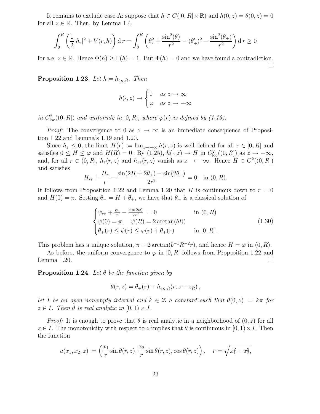It remains to exclude case A: suppose that  $h \in C([0, R] \times \mathbb{R})$  and  $h(0, z) = \theta(0, z) = 0$ for all  $z \in \mathbb{R}$ . Then, by Lemma 1.4,

$$
\int_0^R \left(\frac{1}{2}|h_r|^2 + V(r,h)\right) \mathrm{d}r = \int_0^R \left(\theta_r^2 + \frac{\sin^2(\theta)}{r^2} - (\theta_+^2)^2 - \frac{\sin^2(\theta_+)}{r^2}\right) \mathrm{d}r \ge 0
$$

for a.e.  $z \in \mathbb{R}$ . Hence  $\Phi(h) \ge \Gamma(h) = 1$ . But  $\Phi(h) = 0$  and we have found a contradiction.

**Proposition 1.23.** Let  $h = h_{c_R,R}$ . Then

$$
h(\cdot, z) \to \begin{cases} 0 & as z \to \infty \\ \varphi & as z \to -\infty \end{cases}
$$

in  $C^2_{\text{loc}}((0,R])$  and uniformly in  $[0,R]$ , where  $\varphi(r)$  is defined by (1.19).

*Proof:* The convergence to 0 as  $z \to \infty$  is an immediate consequence of Proposition 1.22 and Lemma's 1.19 and 1.20.

Since  $h_z \leq 0$ , the limit  $H(r) := \lim_{z \to -\infty} h(r, z)$  is well-defined for all  $r \in [0, R]$  and satisfies  $0 \le H \le \varphi$  and  $H(R) = 0$ . By  $(1.25)$ ,  $h(\cdot, z) \to H$  in  $C_{\text{loc}}^2((0, R])$  as  $z \to -\infty$ , and, for all  $r \in (0, R]$ ,  $h_z(r, z)$  and  $h_{zz}(r, z)$  vanish as  $z \to -\infty$ . Hence  $H \in C^2((0, R])$ and satisfies

$$
H_{rr} + \frac{H_r}{r} - \frac{\sin(2H + 2\theta_+) - \sin(2\theta_+)}{2r^2} = 0 \quad \text{in } (0, R).
$$

It follows from Proposition 1.22 and Lemma 1.20 that H is continuous down to  $r = 0$ and  $H(0) = \pi$ . Setting  $\theta_- = H + \theta_+$ , we have that  $\theta_-$  is a classical solution of

$$
\begin{cases}\n\psi_{rr} + \frac{\psi_r}{r} - \frac{\sin(2\psi)}{2r^2} = 0 & \text{in } (0, R) \\
\psi(0) = \pi, \quad \psi(R) = 2 \arctan(bR) \\
\theta_+(r) \le \psi(r) \le \varphi(r) + \theta_+(r) & \text{in } [0, R]\n\end{cases} (1.30)
$$

This problem has a unique solution,  $\pi - 2 \arctan(b^{-1}R^{-2}r)$ , and hence  $H = \varphi$  in  $(0, R)$ .

As before, the uniform convergence to  $\varphi$  in [0, R] follows from Proposition 1.22 and Lemma 1.20.  $\Box$ 

**Proposition 1.24.** Let  $\theta$  be the function given by

$$
\theta(r,z) = \theta_+(r) + h_{c_R,R}(r,z+z_R),
$$

let I be an open nonempty interval and  $k \in \mathbb{Z}$  a constant such that  $\theta(0, z) = k\pi$  for  $z \in I$ . Then  $\theta$  is real analytic in  $[0, 1) \times I$ .

*Proof:* It is enough to prove that  $\theta$  is real analytic in a neighborhood of  $(0, z)$  for all  $z \in I$ . The monotonicity with respect to z implies that  $\theta$  is continuous in  $[0, 1) \times I$ . Then the function

$$
u(x_1, x_2, z) := \left(\frac{x_1}{r} \sin \theta(r, z), \frac{x_2}{r} \sin \theta(r, z), \cos \theta(r, z)\right), \quad r = \sqrt{x_1^2 + x_2^2},
$$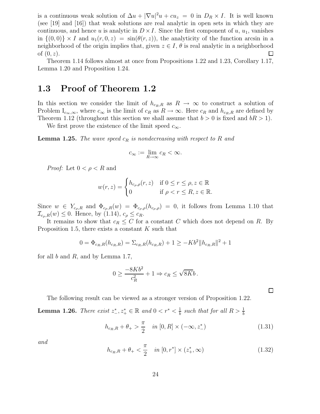is a continuous weak solution of  $\Delta u + |\nabla u|^2 u + cu_z = 0$  in  $D_R \times I$ . It is well known (see [19] and [16]) that weak solutions are real analytic in open sets in which they are continuous, and hence u is analytic in  $D \times I$ . Since the first component of u,  $u_1$ , vanishes in  $\{(0,0)\}\times I$  and  $u_1(r, 0, z) = \sin(\theta(r, z))$ , the analyticity of the function arcsin in a neighborhood of the origin implies that, given  $z \in I$ ,  $\theta$  is real analytic in a neighborhood of  $(0, z)$ . of  $(0, z)$ .

Theorem 1.14 follows almost at once from Propositions 1.22 and 1.23, Corollary 1.17, Lemma 1.20 and Proposition 1.24.

### 1.3 Proof of Theorem 1.2

In this section we consider the limit of  $h_{c_R,R}$  as  $R \to \infty$  to construct a solution of Problem  $I_{c_{\infty},\infty}$ , where  $c_{\infty}$  is the limit of  $c_R$  as  $R \to \infty$ . Here  $c_R$  and  $h_{c_R,R}$  are defined by Theorem 1.12 (throughout this section we shall assume that  $b > 0$  is fixed and  $bR > 1$ ).

We first prove the existence of the limit speed  $c_{\infty}$ .

**Lemma 1.25.** The wave speed  $c_R$  is nondecreasing with respect to R and

$$
c_{\infty} := \lim_{R \to \infty} c_R < \infty.
$$

*Proof:* Let  $0 < \rho < R$  and

$$
w(r, z) = \begin{cases} h_{c_{\rho}, \rho}(r, z) & \text{if } 0 \le r \le \rho, z \in \mathbb{R} \\ 0 & \text{if } \rho < r \le R, z \in \mathbb{R}. \end{cases}
$$

Since  $w \in Y_{c_p,R}$  and  $\Phi_{c_p,R}(w) = \Phi_{c_p,\rho}(h_{c_p,\rho}) = 0$ , it follows from Lemma 1.10 that  $\mathcal{I}_{c_\rho,R}(w) \leq 0$ . Hence, by (1.14),  $c_\rho \leq c_R$ .

It remains to show that  $c_R \leq C$  for a constant C which does not depend on R. By Proposition 1.5, there exists a constant  $K$  such that

$$
0 = \Phi_{c_R,R}(h_{c_R,R}) = \sum_{c_R,R}(h_{c_R,R}) + 1 \ge -Kb^2 ||h_{c_R,R}||^2 + 1
$$

for all  $b$  and  $R$ , and by Lemma 1.7,

$$
0 \ge \frac{-8Kb^2}{c_R^2} + 1 \Rightarrow c_R \le \sqrt{8Kb}.
$$

The following result can be viewed as a stronger version of Proposition 1.22.

**Lemma 1.26.** There exist  $z^*_{-}, z^*_{+} \in \mathbb{R}$  and  $0 < r^* < \frac{1}{b}$  $\frac{1}{b}$  such that for all  $R > \frac{1}{b}$ 

$$
h_{c_R,R} + \theta_+ > \frac{\pi}{2} \quad in \ [0,R] \times (-\infty, z_-^*)
$$
 (1.31)

 $\Box$ 

and

$$
h_{c_R,R} + \theta_+ < \frac{\pi}{2} \quad in \left[0, r^* \right] \times (z_+^*, \infty) \tag{1.32}
$$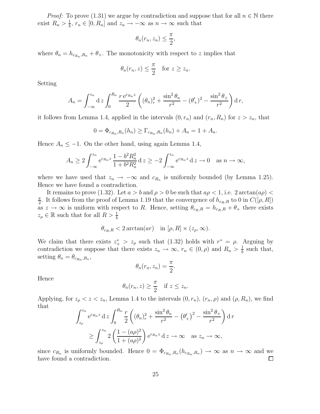*Proof:* To prove (1.31) we argue by contradiction and suppose that for all  $n \in \mathbb{N}$  there exist  $R_n > \frac{1}{b}$  $\frac{1}{b}$ ,  $r_n \in [0, R_n]$  and  $z_n \to -\infty$  as  $n \to \infty$  such that

$$
\theta_n(r_n, z_n) \le \frac{\pi}{2},
$$

where  $\theta_n = h_{c_{R_n},R_n} + \theta_+$ . The monotonicity with respect to z implies that

$$
\theta_n(r_n, z) \leq \frac{\pi}{2}
$$
 for  $z \geq z_n$ .

Setting

$$
A_n = \int_{-\infty}^{z_n} dz \int_0^{R_n} \frac{r e^{c_{R_n}z}}{2} \left( (\theta_n)_r^2 + \frac{\sin^2 \theta_n}{r^2} - (\theta'_+)^2 - \frac{\sin^2 \theta_+}{r^2} \right) dr,
$$

it follows from Lemma 1.4, applied in the intervals  $(0, r_n)$  and  $(r_n, R_n)$  for  $z > z_n$ , that

$$
0 = \Phi_{c_{R_n}, R_n}(h_n) \ge \Gamma_{c_{R_n}, R_n}(h_n) + A_n = 1 + A_n.
$$

Hence  $A_n \leq -1$ . On the other hand, using again Lemma 1.4,

$$
A_n \ge 2 \int_{-\infty}^{z_n} e^{c_{R_n} z} \frac{1 - b^2 R_n^2}{1 + b^2 R_n^2} dz \ge -2 \int_{-\infty}^{z_n} e^{c_{R_n} z} dz \to 0 \quad \text{as } n \to \infty,
$$

where we have used that  $z_n \to -\infty$  and  $c_{R_n}$  is uniformly bounded (by Lemma 1.25). Hence we have found a contradiction.

It remains to prove (1.32). Let  $a > b$  and  $\rho > 0$  be such that  $a\rho < 1$ , i.e.  $2 \arctan(a\rho)$ π  $\frac{\pi}{2}$ . It follows from the proof of Lemma 1.19 that the convergence of  $h_{c_R,R}$  to 0 in  $C([\rho, R])$ as  $z \to \infty$  is uniform with respect to R. Hence, setting  $\theta_{c_R,R} = h_{c_R,R} + \theta_+$  there exists  $z_{\rho} \in \mathbb{R}$  such that for all  $R > \frac{1}{b}$ 

$$
\theta_{c_R,R} < 2\arctan(ar)
$$
 in  $[\rho, R] \times (z_\rho, \infty)$ .

We claim that there exists  $z^*$  >  $z_\rho$  such that (1.32) holds with  $r^* = \rho$ . Arguing by contradiction we suppose that there exists  $z_n \to \infty$ ,  $r_n \in (0, \rho)$  and  $R_n > \frac{1}{b}$  $\frac{1}{b}$  such that, setting  $\theta_n = \theta_{c_{R_n},R_n}$ ,

$$
\theta_n(r_n, z_n) = \frac{\pi}{2}.
$$

Hence

$$
\theta_n(r_n, z) \geq \frac{\pi}{2}
$$
 if  $z \leq z_n$ .

Applying, for  $z_{\rho} < z < z_n$ , Lemma 1.4 to the intervals  $(0, r_n)$ ,  $(r_n, \rho)$  and  $(\rho, R_n)$ , we find that

$$
\int_{z_{\rho}}^{z_n} e^{c_{R_n} z} dz \int_0^{R_n} \frac{r}{2} \left( (\theta_n)_r^2 + \frac{\sin^2 \theta_n}{r^2} - (\theta_+^2)^2 - \frac{\sin^2 \theta_+}{r^2} \right) dr
$$
  
 
$$
\geq \int_{z_{\rho}}^{z_n} 2 \left( \frac{1 - (a\rho)^2}{1 + (a\rho)^2} \right) e^{c_{R_n} z} dz \to \infty \text{ as } z_n \to \infty,
$$

since  $c_{R_n}$  is uniformly bounded. Hence  $0 = \Phi_{c_{R_n}, R_n}(h_{c_{R_n}, R_n}) \to \infty$  as  $n \to \infty$  and we have found a contradiction.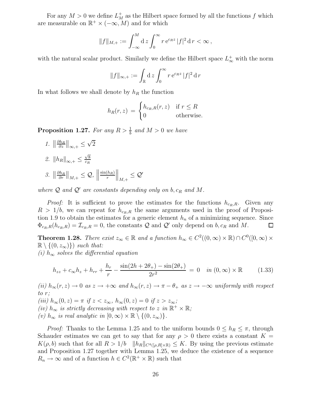For any  $M > 0$  we define  $L_M^+$  as the Hilbert space formed by all the functions f which are measurable on  $\mathbb{R}^+ \times (-\infty, M)$  and for which

$$
||f||_{M,+} := \int_{-\infty}^{M} dz \int_{0}^{\infty} r e^{c_{R}z} |f|^{2} dr < \infty,
$$

with the natural scalar product. Similarly we define the Hilbert space  $L^{\pm}_{\infty}$  with the norm

$$
||f||_{\infty,+} := \int_{\mathbb{R}} dz \int_0^{\infty} r e^{c_R z} |f|^2 dr
$$

In what follows we shall denote by  $h_R$  the function

$$
h_R(r, z) = \begin{cases} h_{c_R, R}(r, z) & \text{if } r \le R \\ 0 & \text{otherwise.} \end{cases}
$$

**Proposition 1.27.** For any  $R > \frac{1}{b}$  and  $M > 0$  we have

- 1.  $\left\| \frac{\partial h_R}{\partial z} \right\|$  $\frac{\partial h_R}{\partial z}\Big\|_{\infty,+}\leq$  $\sqrt{2}$
- 2.  $||h_R||_{\infty,+} \leq \frac{\sqrt{8}}{c_R}$ c<sup>R</sup>
- $\int_0^{\infty} \frac{\partial h_R}{\partial r}$  $\frac{\partial h_R}{\partial r}\Big\|_{M,+}\leq \mathcal{Q},\ \Big\|$  $sin(h_R)$ r  $\Big\|_{M,+} \leq \mathcal{Q}'$

where  $\mathcal Q$  and  $\mathcal Q'$  are constants depending only on b,  $c_R$  and M.

*Proof:* It is sufficient to prove the estimates for the functions  $h_{c_R,R}$ . Given any  $R > 1/b$ , we can repeat for  $h_{c_R,R}$  the same arguments used in the proof of Proposition 1.9 to obtain the estimates for a generic element  $h_n$  of a minimizing sequence. Since  $\Phi_{c_R,R}(h_{c_R,R}) = \mathcal{I}_{c_R,R} = 0$ , the constants Q and Q' only depend on  $b, c_R$  and M.  $\Box$ 

**Theorem 1.28.** There exist  $z_{\infty} \in \mathbb{R}$  and a function  $h_{\infty} \in C^2((0,\infty) \times \mathbb{R}) \cap C^0([0,\infty) \times \mathbb{R})$  $\mathbb{R}\setminus\{(0,z_{\infty})\}\)$  such that:

(i)  $h_{\infty}$  solves the differential equation

$$
h_{zz} + c_{\infty}h_z + h_{rr} + \frac{h_r}{r} - \frac{\sin(2h + 2\theta_+) - \sin(2\theta_+)}{2r^2} = 0 \quad in \ (0, \infty) \times \mathbb{R} \tag{1.33}
$$

(ii)  $h_{\infty}(r, z) \to 0$  as  $z \to +\infty$  and  $h_{\infty}(r, z) \to \pi - \theta_+$  as  $z \to -\infty$  uniformly with respect to r; (iii)  $h_{\infty}(0, z) = \pi$  if  $z < z_{\infty}$ ,  $h_{\infty}(0, z) = 0$  if  $z > z_{\infty}$ ; (iv)  $h_{\infty}$  is strictly decreasing with respect to z in ℝ<sup>+</sup> × ℝ; (v)  $h_{\infty}$  is real analytic in  $[0, \infty) \times \mathbb{R} \setminus \{(0, z_{\infty})\}.$ 

*Proof:* Thanks to the Lemma 1.25 and to the uniform bounds  $0 \le h_R \le \pi$ , through Schauder estimates we can get to say that for any  $\rho > 0$  there exists a constant  $K =$  $K(\rho, b)$  such that for all  $R > 1/b$   $\|h_R\|_{C^4([\rho,R]\times\mathbb{R})} \leq K$ . By using the previous estimate and Proposition 1.27 together with Lemma 1.25, we deduce the existence of a sequence  $R_n \to \infty$  and of a function  $h \in C^2(\mathbb{R}^+ \times \mathbb{R})$  such that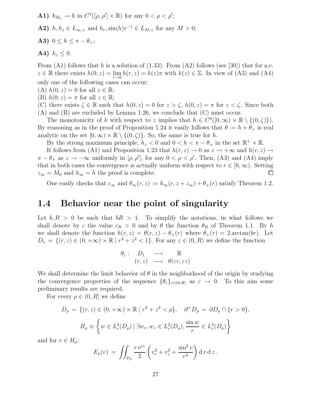**A1)**  $h_{R_n} \to h$  in  $C^2([\rho, \rho'] \times \mathbb{R})$  for any  $0 < \rho < \rho'$ ;

- **A2)**  $h, h_z \in L_{\infty,+}$  and  $h_r, \sin(h)r^{-1} \in L_{M,+}$  for any  $M > 0$ ;
- A3)  $0 \leq h \leq \pi \theta_{+}$ ;

$$
A4) \ \ h_z \leq 0.
$$

From  $(A1)$  follows that h is a solution of  $(1.33)$ . From  $(A2)$  follows (see [30]) that for a.e.  $z \in \mathbb{R}$  there exists  $h(0, z) = \lim_{r \to 0} h(r, z) = k(z)\pi$  with  $k(z) \in \mathbb{Z}$ . In view of (A3) and (A4) only one of the following cases can occur:

- (A)  $h(0, z) = 0$  for all  $z \in \mathbb{R}$ ;
- (B)  $h(0, z) = \pi$  for all  $z \in \mathbb{R}$ ;

(C) there exists  $\zeta \in \mathbb{R}$  such that  $h(0, z) = 0$  for  $z > \zeta$ ,  $h(0, z) = \pi$  for  $z < \zeta$ . Since both (A) and (B) are excluded by Lemma 1.26, we conclude that (C) must occur.

The monotonicity of h with respect to z implies that  $h \in C^0([0,\infty) \times \mathbb{R} \setminus \{(0,\zeta)\})$ . By reasoning as in the proof of Proposition 1.24 it easily follows that  $\theta := h + \theta_+$  is real analytic on the set  $[0, \infty) \times \mathbb{R} \setminus \{(0, \zeta)\}\)$ . So, the same is true for h.

By the strong maximum principle,  $h_z < 0$  and  $0 < h < \pi - \theta_+$  in the set  $\mathbb{R}^+ \times \mathbb{R}$ .

It follows from (A1) and Proposition 1.23 that  $h(r, z) \to 0$  as  $z \to +\infty$  and  $h(r, z) \to$  $\pi - \theta_+$  as  $z \to -\infty$  uniformly in  $[\rho, \rho']$ , for any  $0 < \rho < \rho'$ . Then, (A3) and (A4) imply that in both cases the convergence is actually uniform with respect to  $r \in [0, \infty)$ . Setting  $z_{\infty} = M_0$  and  $h_{\infty} = h$  the proof is complete.  $\Box$ 

One easily checks that  $c_{\infty}$  and  $\theta_{\infty}(r, z) := h_{\infty}(r, z + z_{\infty}) + \theta_{+}(r)$  satisfy Theorem 1.2.

#### 1.4 Behavior near the point of singularity

Let  $b, R > 0$  be such that  $bR > 1$ . To simplify the notations, in what follows we shall denote by c the value  $c_R > 0$  and by  $\theta$  the function  $\theta_R$  of Theorem 1.1. By h we shall denote the function  $h(r, z) = \theta(r, z) - \theta_+(r)$  where  $\theta_+(r) = 2 \arctan(br)$ . Let  $D_1 = \{(r, z) \in (0, +\infty) \times \mathbb{R} \mid r^2 + z^2 < 1\}.$  For any  $\varepsilon \in (0, R)$  we define the function

$$
\begin{array}{cccc}\n\theta_{\varepsilon}: & D_1 & \longrightarrow & \mathbb{R} \\
(r, z) & \longrightarrow & \theta(\varepsilon r, \varepsilon z)\n\end{array}
$$

We shall determine the limit behavior of  $\theta$  in the neighborhood of the origin by studying the convergence properties of the sequence  $\{\theta_{\varepsilon}\}_{{\varepsilon}\in(0,R)}$  as  ${\varepsilon}\to 0$ . To this aim some preliminary results are required.

For every  $\rho \in (0, R]$  we define

$$
D_{\rho} = \{(r, z) \in (0, +\infty) \times \mathbb{R} \mid r^2 + z^2 < \rho\}, \quad \partial^+ D_{\rho} = \partial D_{\rho} \cap \{r > 0\},
$$
\n
$$
H_{\rho} \equiv \left\{ w \in L^2_r(D_{\rho}) \mid \exists w_r, w_z \in L^2_r(D_{\rho}), \frac{\sin w}{r} \in L^2_r(D_{\rho}) \right\}
$$

and for  $v \in H_{\rho}$ :

$$
E_{\rho}(v) = \iint_{D_{\rho}} \frac{r e^{cz}}{2} \left( v_r^2 + v_z^2 + \frac{\sin^2 v}{r^2} \right) d\,r \,dz.
$$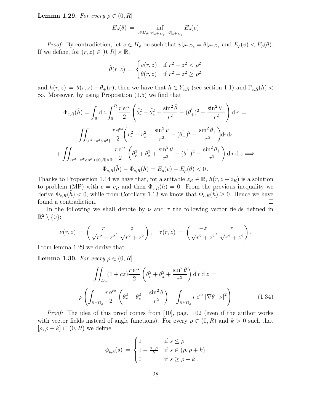**Lemma 1.29.** For every  $\rho \in (0, R]$ 

$$
E_{\rho}(\theta) = \inf_{v \in H_{\rho}, v|_{\partial^+ D_{\rho}} = \theta|_{\partial^+ D_{\rho}}} E_{\rho}(v)
$$

*Proof:* By contradiction, let  $v \in H_\rho$  be such that  $v|_{\partial^+ D_\rho} = \theta|_{\partial^+ D_\rho}$  and  $E_\rho(v) < E_\rho(\theta)$ . If we define, for  $(r, z) \in [0, R] \times \mathbb{R}$ ,

$$
\tilde{\theta}(r,z) = \begin{cases} v(r,z) & \text{if } r^2 + z^2 < \rho^2\\ \theta(r,z) & \text{if } r^2 + z^2 \ge \rho^2 \end{cases}
$$

and  $\tilde{h}(r, z) = \tilde{\theta}(r, z) - \theta_+(r)$ , then we have that  $\tilde{h} \in Y_{c,R}$  (see section 1.1) and  $\Gamma_{c,R}(\tilde{h})$  <  $\infty$ . Moreover, by using Proposition (1.5) we find that

$$
\Phi_{c,R}(\tilde{h}) = \int_{\mathbb{R}} dz \int_0^R \frac{r e^{cz}}{2} \left( \tilde{\theta}_r^2 + \tilde{\theta}_z^2 + \frac{\sin^2 \tilde{\theta}}{r^2} - (\theta_+^{'})^2 - \frac{\sin^2 \theta_+}{r^2} \right) dr =
$$
\n
$$
\iint_{\{r^2 + z^2 < \rho^2\}} \frac{r e^{cz}}{2} \left( v_r^2 + v_z^2 + \frac{\sin^2 v}{r^2} - (\theta_+^{'})^2 - \frac{\sin^2 \theta_+}{r^2} \right) dr \, dz
$$
\n
$$
+ \iint_{\{r^2 + z^2 \ge \rho^2\} \cap [0, R] \times \mathbb{R}} \frac{r e^{cz}}{2} \left( \theta_r^2 + \theta_z^2 + \frac{\sin^2 \theta}{r^2} - (\theta_+^{'})^2 - \frac{\sin^2 \theta_+}{r^2} \right) dr \, dz \implies \Phi_{c,R}(\tilde{h}) - \Phi_{c,R}(h) = E_{\rho}(v) - E_{\rho}(\theta) < 0.
$$

Thanks to Proposition 1.14 we have that, for a suitable  $z_R \in \mathbb{R}$ ,  $h(r, z - z_R)$  is a solution to problem (MP) with  $c = c_R$  and then  $\Phi_{c,R}(h) = 0$ . From the previous inequality we derive  $\Phi_{c,R}(h) < 0$ , while from Corollary 1.13 we know that  $\Phi_{c,R}(h) \geq 0$ . Hence we have found a contradiction. found a contradiction.

In the following we shall denote by  $\nu$  and  $\tau$  the following vector fields defined in  $\mathbb{R}^2 \setminus \{0\}$ :

$$
\nu(r,z) = \left(\frac{r}{\sqrt{r^2 + z^2}}, \frac{z}{\sqrt{r^2 + z^2}}\right), \quad \tau(r,z) = \left(\frac{-z}{\sqrt{r^2 + z^2}}, \frac{r}{\sqrt{r^2 + z^2}}\right).
$$

From lemma 1.29 we derive that

**Lemma 1.30.** For every  $\rho \in (0, R]$ 

$$
\iint_{D_{\rho}} (1+cz) \frac{r e^{cz}}{2} \left( \theta_r^2 + \theta_z^2 + \frac{\sin^2 \theta}{r^2} \right) dr dz =
$$
\n
$$
\rho \left( \int_{\partial^+ D_{\rho}} \frac{r e^{cz}}{2} \left( \theta_r^2 + \theta_z^2 + \frac{\sin^2 \theta}{r^2} \right) - \int_{\partial^+ D_{\rho}} r e^{cz} \left| \nabla \theta \cdot \nu \right|^2 \right)
$$
\n(1.34)

Proof: The idea of this proof comes from [10], pag. 102 (even if the author works with vector fields instead of angle functions). For every  $\rho \in (0, R)$  and  $k > 0$  such that  $[\rho, \rho + k] \subset (0, R)$  we define

$$
\phi_{\rho,k}(s) = \begin{cases} 1 & \text{if } s \le \rho \\ 1 - \frac{s - \rho}{k} & \text{if } s \in (\rho, \rho + k) \\ 0 & \text{if } s \ge \rho + k \end{cases}
$$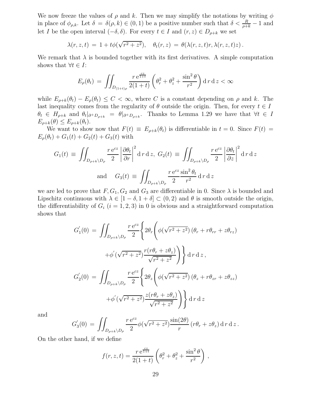We now freeze the values of  $\rho$  and k. Then we may simplify the notations by writing  $\phi$ in place of  $\phi_{\rho,k}$ . Let  $\delta = \delta(\rho,k) \in (0,1)$  be a positive number such that  $\delta < \frac{R}{\rho+k} - 1$  and let I be the open interval  $(-\delta, \delta)$ . For every  $t \in I$  and  $(r, z) \in D_{\rho+k}$  we set

$$
\lambda(r,z,t) = 1 + t\phi(\sqrt{r^2 + z^2}), \quad \theta_t(r,z) = \theta(\lambda(r,z,t)r, \lambda(r,z,t)z).
$$

We remark that  $\lambda$  is bounded together with its first derivatives. A simple computation shows that  $\forall t \in I$ :

$$
E_{\rho}(\theta_t) = \iint_{D_{(1+t)\rho}} \frac{r e^{\frac{cz}{1+t}}}{2(1+t)} \left( \theta_r^2 + \theta_z^2 + \frac{\sin^2 \theta}{r^2} \right) dr \, dz < \infty
$$

while  $E_{\rho+k}(\theta_t) - E_{\rho}(\theta_t) \leq C < \infty$ , where C is a constant depending on  $\rho$  and k. The last inequality comes from the regularity of  $\theta$  outside the origin. Then, for every  $t \in I$  $\theta_t \in H_{\rho+k}$  and  $\theta_t|_{\partial^+ D_{\rho+k}} = \theta|_{\partial^+ D_{\rho+k}}$ . Thanks to Lemma 1.29 we have that  $\forall t \in I$  $E_{\rho+k}(\theta) \leq E_{\rho+k}(\theta_t).$ 

We want to show now that  $F(t) \equiv E_{\rho+k}(\theta_t)$  is differentiable in  $t = 0$ . Since  $F(t) =$  $E_{\rho}(\theta_t) + G_1(t) + G_2(t) + G_3(t)$  with

$$
G_1(t) \equiv \iint_{D_{\rho+k}\backslash D_{\rho}} \frac{r e^{cz}}{2} \left| \frac{\partial \theta_t}{\partial r} \right|^2 d \, r \, dz, \ G_2(t) \equiv \iint_{D_{\rho+k}\backslash D_{\rho}} \frac{r e^{cz}}{2} \left| \frac{\partial \theta_t}{\partial z} \right|^2 d \, r \, dz
$$
  
and 
$$
G_3(t) \equiv \iint_{D_{\rho+k}\backslash D_{\rho}} \frac{r e^{cz} \sin^2 \theta_t}{2} d \, r \, dz
$$

we are led to prove that  $F, G_1, G_2$  and  $G_3$  are differentiable in 0. Since  $\lambda$  is bounded and Lipschitz continuous with  $\lambda \in [1 - \delta, 1 + \delta] \subset (0, 2)$  and  $\theta$  is smooth outside the origin, the differentiability of  $G_i$   $(i = 1, 2, 3)$  in 0 is obvious and a straightforward computation shows that

$$
G'_{1}(0) = \iint_{D_{\rho+k}\backslash D_{\rho}} \frac{r e^{cz}}{2} \left\{ 2\theta_{r} \left( \phi(\sqrt{r^{2} + z^{2}}) \left( \theta_{r} + r\theta_{rr} + z\theta_{rz} \right) \right. \right.\left. + \phi'(\sqrt{r^{2} + z^{2}}) \frac{r(r\theta_{r} + z\theta_{z})}{\sqrt{r^{2} + z^{2}}} \right) \right\} d\tau d\tau,
$$
\n
$$
G'_{2}(0) = \iint_{D_{\rho+k}\backslash D_{\rho}} \frac{r e^{cz}}{2} \left\{ 2\theta_{z} \left( \phi(\sqrt{r^{2} + z^{2}}) \left( \theta_{z} + r\theta_{zr} + z\theta_{zz} \right) \right. \right.\left. + \phi'(\sqrt{r^{2} + z^{2}}) \frac{z(r\theta_{r} + z\theta_{z})}{\sqrt{r^{2} + z^{2}}} \right) \right\} d\tau d\tau
$$

and

$$
G'_{3}(0) = \iint_{D_{\rho+k}\backslash D_{\rho}} \frac{r e^{cz}}{2} \phi(\sqrt{r^2 + z^2}) \frac{\sin(2\theta)}{r} (r\theta_r + z\theta_z) dr dz.
$$

On the other hand, if we define

$$
f(r, z, t) = \frac{r e^{\frac{cz}{1+t}}}{2(1+t)} \left( \theta_r^2 + \theta_z^2 + \frac{\sin^2 \theta}{r^2} \right) ,
$$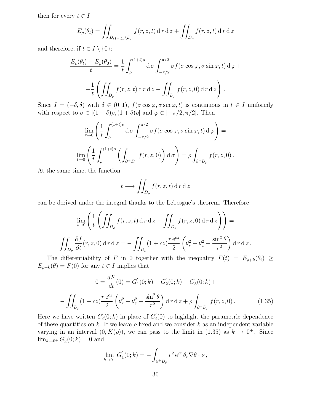then for every  $t \in I$ 

$$
E_{\rho}(\theta_t) = \iint_{D_{(1+t)\rho} \backslash D_{\rho}} f(r, z, t) \, dr \, dz + \iint_{D_{\rho}} f(r, z, t) \, dr \, dz
$$

and therefore, if  $t \in I \setminus \{0\}$ :

$$
\frac{E_{\rho}(\theta_t) - E_{\rho}(\theta_0)}{t} = \frac{1}{t} \int_{\rho}^{(1+t)\rho} d\sigma \int_{-\pi/2}^{\pi/2} \sigma f(\sigma \cos \varphi, \sigma \sin \varphi, t) d\varphi +
$$

$$
+ \frac{1}{t} \left( \iint_{D_{\rho}} f(r, z, t) d\sigma \, dz - \iint_{D_{\rho}} f(r, z, 0) d\sigma \, dz \right).
$$

Since  $I = (-\delta, \delta)$  with  $\delta \in (0, 1)$ ,  $f(\sigma \cos \varphi, \sigma \sin \varphi, t)$  is continuous in  $t \in I$  uniformly with respect to  $\sigma \in [(1-\delta)\rho, (1+\delta)\rho]$  and  $\varphi \in [-\pi/2, \pi/2]$ . Then

$$
\lim_{t \to 0} \left( \frac{1}{t} \int_{\rho}^{(1+t)\rho} d\sigma \int_{-\pi/2}^{\pi/2} \sigma f(\sigma \cos \varphi, \sigma \sin \varphi, t) d\varphi \right) =
$$
  

$$
\lim_{t \to 0} \left( \frac{1}{t} \int_{\rho}^{(1+t)\rho} \left( \int_{\partial^+ D_{\sigma}} f(r, z, 0) \right) d\sigma \right) = \rho \int_{\partial^+ D_{\rho}} f(r, z, 0) .
$$

At the same time, the function

$$
t \longrightarrow \iint_{D_{\rho}} f(r, z, t) \, \mathrm{d} \, r \, \mathrm{d} \, z
$$

can be derived under the integral thanks to the Lebesgue's theorem. Therefore

$$
\lim_{t \to 0} \left( \frac{1}{t} \left( \iint_{D_{\rho}} f(r, z, t) \, dr \, dz - \iint_{D_{\rho}} f(r, z, 0) \, dr \, dz \right) \right) =
$$
\n
$$
\iint_{D_{\rho}} \frac{\partial f}{\partial t}(r, z, 0) \, dr \, dz = - \iint_{D_{\rho}} (1 + cz) \frac{r e^{cz}}{2} \left( \theta_r^2 + \theta_z^2 + \frac{\sin^2 \theta}{r^2} \right) \, dr \, dz.
$$

The differentiability of F in 0 together with the inequality  $F(t) = E_{\rho+k}(\theta_t) \ge$  $E_{\rho+k}(\theta) = F(0)$  for any  $t \in I$  implies that

$$
0 = \frac{dF}{dt}(0) = G'_1(0; k) + G'_2(0; k) + G'_3(0; k) +
$$

$$
-\iint_{D_\rho} (1 + cz) \frac{r e^{cz}}{2} \left( \theta_r^2 + \theta_z^2 + \frac{\sin^2 \theta}{r^2} \right) dr dz + \rho \int_{\partial^+ D_\rho} f(r, z, 0). \tag{1.35}
$$

Here we have written  $G'_{i}(0; k)$  in place of  $G'_{i}(0)$  to highlight the parametric dependence of these quantities on k. If we leave  $\rho$  fixed and we consider k as an independent variable varying in an interval  $(0, K(\rho))$ , we can pass to the limit in  $(1.35)$  as  $k \to 0^+$ . Since  $\lim_{k \to 0^+} G'_3(0;k) = 0$  and

$$
\lim_{k \to 0^+} G_1'(0;k) = -\int_{\partial^+ D_\rho} r^2 e^{cz} \,\theta_r \nabla \theta \cdot \nu \,,
$$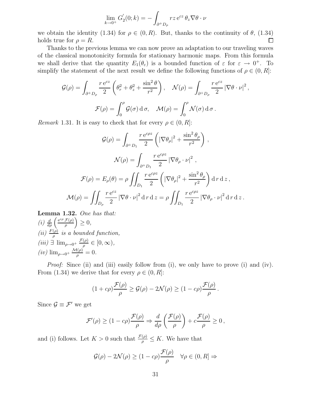$$
\lim_{k \to 0^+} G_2(0; k) = -\int_{\partial^+ D_\rho} r z \, \mathrm{e}^{cz} \, \theta_z \nabla \theta \cdot \nu
$$

we obtain the identity (1.34) for  $\rho \in (0, R)$ . But, thanks to the continuity of  $\theta$ , (1.34) holds true for  $\rho = R$ . holds true for  $\rho = R$ .

Thanks to the previous lemma we can now prove an adaptation to our traveling waves of the classical monotonicity formula for stationary harmonic maps. From this formula we shall derive that the quantity  $E_1(\theta_\varepsilon)$  is a bounded function of  $\varepsilon$  for  $\varepsilon \to 0^+$ . To simplify the statement of the next result we define the following functions of  $\rho \in (0, R]$ :

$$
\mathcal{G}(\rho) = \int_{\partial^+ D_\rho} \frac{r e^{cz}}{2} \left( \theta_r^2 + \theta_z^2 + \frac{\sin^2 \theta}{r^2} \right), \quad \mathcal{N}(\rho) = \int_{\partial^+ D_\rho} \frac{r e^{cz}}{2} \left| \nabla \theta \cdot \nu \right|^2,
$$

$$
\mathcal{F}(\rho) = \int_0^\rho \mathcal{G}(\sigma) d\sigma, \quad \mathcal{M}(\rho) = \int_0^\rho \mathcal{N}(\sigma) d\sigma.
$$

*Remark* 1.31. It is easy to check that for every  $\rho \in (0, R]$ :

$$
\mathcal{G}(\rho) = \int_{\partial^+ D_1} \frac{r e^{c\rho z}}{2} \left( |\nabla \theta_\rho|^2 + \frac{\sin^2 \theta_\rho}{r^2} \right),
$$

$$
\mathcal{N}(\rho) = \int_{\partial^+ D_1} \frac{r e^{c\rho z}}{2} |\nabla \theta_\rho \cdot \nu|^2,
$$

$$
\mathcal{F}(\rho) = E_\rho(\theta) = \rho \iint_{D_1} \frac{r e^{c\rho z}}{2} \left( |\nabla \theta_\rho|^2 + \frac{\sin^2 \theta_\rho}{r^2} \right) dr dz,
$$

$$
\mathcal{M}(\rho) = \iint_{D_\rho} \frac{r e^{cz}}{2} |\nabla \theta \cdot \nu|^2 dr dz = \rho \iint_{D_1} \frac{r e^{c\rho z}}{2} |\nabla \theta_\rho \cdot \nu|^2 dr dz.
$$

Lemma 1.32. One has that: (i)  $\frac{d}{d\rho} \left( \frac{e^{c\rho} \mathcal{F}(\rho)}{\rho} \right) \geq 0,$ (ii)  $\frac{F(\rho)}{\rho}$  is a bounded function,  $(iii) \exists \lim_{\rho \to 0^+} \frac{\mathcal{F}(\rho)}{\rho} \in [0, \infty),$  $(iv) \lim_{\rho \to 0^+} \frac{\mathcal{M}(\rho)}{\rho} = 0.$ 

*Proof:* Since (ii) and (iii) easily follow from (i), we only have to prove (i) and (iv). From (1.34) we derive that for every  $\rho \in (0, R]$ :

$$
(1 + c\rho) \frac{\mathcal{F}(\rho)}{\rho} \ge \mathcal{G}(\rho) - 2\mathcal{N}(\rho) \ge (1 - c\rho) \frac{\mathcal{F}(\rho)}{\rho}.
$$

Since  $\mathcal{G} \equiv \mathcal{F}'$  we get

$$
\mathcal{F}'(\rho) \ge (1 - c\rho) \frac{\mathcal{F}(\rho)}{\rho} \Rightarrow \frac{d}{d\rho} \left( \frac{\mathcal{F}(\rho)}{\rho} \right) + c \frac{\mathcal{F}(\rho)}{\rho} \ge 0,
$$

and (i) follows. Let  $K > 0$  such that  $\frac{\mathcal{F}(\rho)}{\rho} \leq K$ . We have that

$$
\mathcal{G}(\rho) - 2\mathcal{N}(\rho) \ge (1 - c\rho) \frac{\mathcal{F}(\rho)}{\rho} \quad \forall \rho \in (0, R] \Rightarrow
$$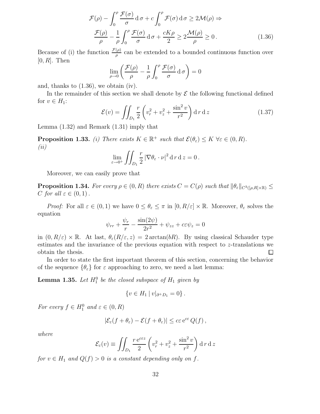$$
\mathcal{F}(\rho) - \int_0^{\rho} \frac{\mathcal{F}(\sigma)}{\sigma} d\sigma + c \int_0^{\rho} \mathcal{F}(\sigma) d\sigma \ge 2\mathcal{M}(\rho) \Rightarrow
$$

$$
\frac{\mathcal{F}(\rho)}{\rho} - \frac{1}{\rho} \int_0^{\rho} \frac{\mathcal{F}(\sigma)}{\sigma} d\sigma + \frac{cK\rho}{2} \ge 2\frac{\mathcal{M}(\rho)}{\rho} \ge 0.
$$
(1.36)

Because of (i) the function  $\frac{\mathcal{F}(\rho)}{\rho}$  can be extended to a bounded continuous function over  $[0, R]$ . Then

$$
\lim_{\rho \to 0} \left( \frac{\mathcal{F}(\rho)}{\rho} - \frac{1}{\rho} \int_0^{\rho} \frac{\mathcal{F}(\sigma)}{\sigma} d\,\sigma \right) = 0
$$

and, thanks to (1.36), we obtain (iv).

In the remainder of this section we shall denote by  $\mathcal E$  the following functional defined for  $v \in H_1$ :

$$
\mathcal{E}(v) = \iint_{D_1} \frac{r}{2} \left( v_r^2 + v_z^2 + \frac{\sin^2 v}{r^2} \right) \mathrm{d} \, r \, \mathrm{d} \, z \tag{1.37}
$$

Lemma (1.32) and Remark (1.31) imply that

**Proposition 1.33.** (i) There exists  $K \in \mathbb{R}^+$  such that  $\mathcal{E}(\theta_{\varepsilon}) \leq K \ \forall \varepsilon \in (0, R)$ . (ii)

$$
\lim_{\varepsilon \to 0^+} \iint_{D_1} \frac{r}{2} |\nabla \theta_{\varepsilon} \cdot \nu|^2 d\,r \,d\,z = 0.
$$

Moreover, we can easily prove that

**Proposition 1.34.** For every  $\rho \in (0, R)$  there exists  $C = C(\rho)$  such that  $||\theta_{\varepsilon}||_{C^{3}([\rho,R]\times\mathbb{R})} \le$ C for all  $\varepsilon \in (0,1)$ .

*Proof:* For all  $\varepsilon \in (0,1)$  we have  $0 \leq \theta_{\varepsilon} \leq \pi$  in  $[0, R/\varepsilon] \times \mathbb{R}$ . Moreover,  $\theta_{\varepsilon}$  solves the equation

$$
\psi_{rr} + \frac{\psi_r}{r} - \frac{\sin(2\psi)}{2r^2} + \psi_{zz} + c\varepsilon\psi_z = 0
$$

in  $(0, R/\varepsilon) \times \mathbb{R}$ . At last,  $\theta_{\varepsilon}(R/\varepsilon, z) = 2 \arctan(bR)$ . By using classical Schauder type estimates and the invariance of the previous equation with respect to z-translations we obtain the thesis.  $\Box$ 

In order to state the first important theorem of this section, concerning the behavior of the sequence  $\{\theta_{\varepsilon}\}\$  for  $\varepsilon$  approaching to zero, we need a last lemma:

**Lemma 1.35.** Let  $H_1^0$  be the closed subspace of  $H_1$  given by

$$
\{v \in H_1 \mid v|_{\partial^+ D_1} = 0\}.
$$

For every  $f \in H_1^0$  and  $\varepsilon \in (0, R)$ 

$$
|\mathcal{E}_{\varepsilon}(f+\theta_{\varepsilon})-\mathcal{E}(f+\theta_{\varepsilon})|\leq c\varepsilon e^{c\varepsilon} Q(f)\,,
$$

where

$$
\mathcal{E}_{\varepsilon}(v) \equiv \iint_{D_1} \frac{r e^{c \varepsilon z}}{2} \left( v_r^2 + v_z^2 + \frac{\sin^2 v}{r^2} \right) \mathrm{d} \, r \, \mathrm{d} \, z
$$

for  $v \in H_1$  and  $Q(f) > 0$  is a constant depending only on f.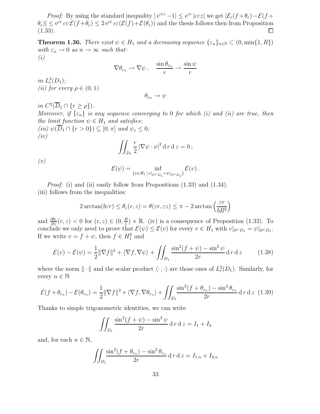*Proof:* By using the standard inequality  $|e^{c\epsilon z} - 1| \leq e^{c\epsilon} |c\epsilon z|$  we get  $|\mathcal{E}_{\epsilon}(f + \theta_{\epsilon}) - \mathcal{E}(f +$  $|\theta_{\varepsilon})| \leq e^{c\varepsilon} c\varepsilon \mathcal{E}(f + \theta_{\varepsilon}) \leq 2 e^{c\varepsilon} c\varepsilon (\mathcal{E}(f) + \mathcal{E}(\theta_{\varepsilon}))$  and the thesis follows then from Proposition (1.33).

**Theorem 1.36.** There exist  $\psi \in H_1$  and a decreasing sequence  $\{\varepsilon_n\}_{n\in\mathbb{N}} \subset (0, \min\{1, R\})$ with  $\varepsilon_n \to 0$  as  $n \to \infty$  such that: (i)

$$
\nabla \theta_{\varepsilon_n} \rightharpoonup \nabla \psi \,, \quad \frac{\sin \theta_{\varepsilon_n}}{r} \rightharpoonup \frac{\sin \psi}{r}
$$

in  $L_r^2(D_1)$ ; (*ii*) for every  $\rho \in (0,1)$ 

$$
\theta_{\varepsilon_n}\to \psi
$$

in  $C^2(\overline{D}_1 \cap \{r \geq \rho\})$ . Moreover, if  $\{\varepsilon_n\}$  is any sequence converging to 0 for which (i) and (ii) are true, then the limit function  $\psi \in H_1$  and satisfies: (iii)  $\psi(\overline{D}_1 \cap \{r > 0\}) \subseteq [0, \pi]$  and  $\psi_z \leq 0$ ;  $(iv)$ 

$$
\iint_{D_1} \frac{r}{2} |\nabla \psi \cdot \nu|^2 d\,r d\,z = 0;
$$

(v)

$$
\mathcal{E}(\psi) = \inf_{\{v \in H_1 \, | \, v|_{\partial^+ D_1} = \psi|_{\partial^+ D_1}\}} \mathcal{E}(v) \, .
$$

*Proof:* (i) and (ii) easily follow from Propositions  $(1.33)$  and  $(1.34)$ . (iii) follows from the inequalities:

$$
2\arctan(b\varepsilon r) \le \theta_{\varepsilon}(r,z) = \theta(\varepsilon r, \varepsilon z) \le \pi - 2\arctan\left(\frac{\varepsilon r}{bR^2}\right)
$$

and  $\frac{\partial \theta_{\varepsilon}}{\partial z}(r, z) < 0$  for  $(r, z) \in (0, \frac{R}{\varepsilon})$  $(\frac{R}{\varepsilon}) \times \mathbb{R}$ . (iv) is a consequence of Proposition (1.33). To conclude we only need to prove that  $\mathcal{E}(\psi) \leq \mathcal{E}(v)$  for every  $v \in H_1$  with  $v|_{\partial^+ D_1} = \psi|_{\partial^+ D_1}$ . If we write  $v = f + \psi$ , then  $f \in H_1^0$  and

$$
\mathcal{E}(v) - \mathcal{E}(\psi) = \frac{1}{2} \|\nabla f\|^2 + \langle \nabla f, \nabla \psi \rangle + \iint_{D_1} \frac{\sin^2(f + \psi) - \sin^2 \psi}{2r} \, \mathrm{d} \, r \, \mathrm{d} \, z \tag{1.38}
$$

where the norm  $\|\cdot\|$  and the scalar product  $\langle \cdot, \cdot \rangle$  are those ones of  $L^2_r(D_1)$ . Similarly, for every  $n \in \mathbb{N}$ 

$$
\mathcal{E}(f+\theta_{\varepsilon_n}) - \mathcal{E}(\theta_{\varepsilon_n}) = \frac{1}{2} \|\nabla f\|^2 + \langle \nabla f, \nabla \theta_{\varepsilon_n} \rangle + \iint_{D_1} \frac{\sin^2(f + \theta_{\varepsilon_n}) - \sin^2 \theta_{\varepsilon_n}}{2r} \, \mathrm{d} \, r \, \mathrm{d} \, z \tag{1.39}
$$

Thanks to simple trigonometric identities, we can write

$$
\iint_{D_1} \frac{\sin^2(f+\psi) - \sin^2\psi}{2r} \, \mathrm{d} \, r \, \mathrm{d} \, z = I_1 + I_2
$$

and, for each  $n \in \mathbb{N}$ ,

$$
\iint_{D_1} \frac{\sin^2(f + \theta_{\varepsilon_n}) - \sin^2 \theta_{\varepsilon_n}}{2r} \, \mathrm{d} \, r \, \mathrm{d} \, z = I_{1,n} + I_{2,n}
$$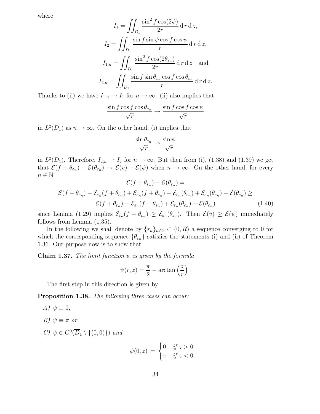where

$$
I_1 = \iint_{D_1} \frac{\sin^2 f \cos(2\psi)}{2r} d\tau d\tau d\tau,
$$
  
\n
$$
I_2 = \iint_{D_1} \frac{\sin f \sin \psi \cos f \cos \psi}{r} d\tau d\tau d\tau,
$$
  
\n
$$
I_{1,n} = \iint_{D_1} \frac{\sin^2 f \cos(2\theta_{\varepsilon_n})}{2r} d\tau d\tau d\tau d\tau d\tau d\tau.
$$
  
\n
$$
I_{2,n} = \iint_{D_1} \frac{\sin f \sin \theta_{\varepsilon_n} \cos f \cos \theta_{\varepsilon_n}}{r} d\tau d\tau d\tau.
$$

Thanks to (ii) we have  $I_{1,n} \to I_1$  for  $n \to \infty$ . (ii) also implies that

$$
\frac{\sin f \cos f \cos \theta_{\varepsilon_n}}{\sqrt{r}} \to \frac{\sin f \cos f \cos \psi}{\sqrt{r}}
$$

in  $L^2(D_1)$  as  $n \to \infty$ . On the other hand, (i) implies that

$$
\frac{\sin \theta_{\varepsilon_n}}{\sqrt{r}} \rightharpoonup \frac{\sin \psi}{\sqrt{r}}
$$

in  $L^2(D_1)$ . Therefore,  $I_{2,n} \to I_2$  for  $n \to \infty$ . But then from (i), (1.38) and (1.39) we get that  $\mathcal{E}(f + \theta_{\varepsilon_n}) - \mathcal{E}(\theta_{\varepsilon_n}) \to \mathcal{E}(v) - \mathcal{E}(\psi)$  when  $n \to \infty$ . On the other hand, for every  $n \in \mathbb{N}$  $\mathcal{C}(0)$ 

$$
\mathcal{E}(f + \theta_{\varepsilon_n}) - \mathcal{E}(\theta_{\varepsilon_n}) =
$$
  

$$
\mathcal{E}(f + \theta_{\varepsilon_n}) - \mathcal{E}_{\varepsilon_n}(f + \theta_{\varepsilon_n}) + \mathcal{E}_{\varepsilon_n}(f + \theta_{\varepsilon_n}) - \mathcal{E}_{\varepsilon_n}(\theta_{\varepsilon_n}) + \mathcal{E}_{\varepsilon_n}(\theta_{\varepsilon_n}) - \mathcal{E}(\theta_{\varepsilon_n}) \ge
$$
  

$$
\mathcal{E}(f + \theta_{\varepsilon_n}) - \mathcal{E}_{\varepsilon_n}(f + \theta_{\varepsilon_n}) + \mathcal{E}_{\varepsilon_n}(\theta_{\varepsilon_n}) - \mathcal{E}(\theta_{\varepsilon_n})
$$
(1.40)

since Lemma (1.29) implies  $\mathcal{E}_{\varepsilon_n}(f + \theta_{\varepsilon_n}) \geq \mathcal{E}_{\varepsilon_n}(\theta_{\varepsilon_n})$ . Then  $\mathcal{E}(v) \geq \mathcal{E}(\psi)$  immediately follows from Lemma (1.35).

In the following we shall denote by  $\{\varepsilon_n\}_{n\in\mathbb{N}}\subset(0,R)$  a sequence converging to 0 for which the corresponding sequence  $\{\theta_{\varepsilon_n}\}\$  satisfies the statements (i) and (ii) of Theorem 1.36. Our purpose now is to show that

**Claim 1.37.** The limit function  $\psi$  is given by the formula

$$
\psi(r,z) = \frac{\pi}{2} - \arctan\left(\frac{z}{r}\right).
$$

The first step in this direction is given by

Proposition 1.38. The following three cases can occur:

- A)  $\psi \equiv 0$ ,
- B)  $\psi \equiv \pi$  or
- C)  $\psi \in C^0(\overline{D}_1 \setminus \{(0,0)\})$  and

$$
\psi(0,z) = \begin{cases} 0 & \text{if } z > 0 \\ \pi & \text{if } z < 0 \end{cases}
$$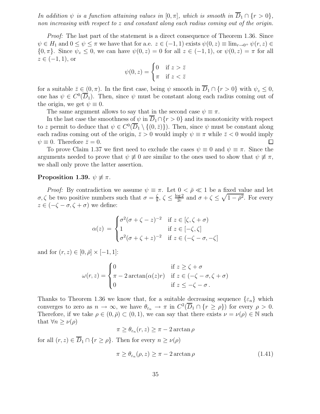In addition  $\psi$  is a function attaining values in  $[0, \pi]$ , which is smooth in  $\overline{D}_1 \cap \{r > 0\}$ , non increasing with respect to z and constant along each radius coming out of the origin.

Proof: The last part of the statement is a direct consequence of Theorem 1.36. Since  $\psi \in H_1$  and  $0 \le \psi \le \pi$  we have that for a.e.  $z \in (-1,1)$  exists  $\psi(0,z) \equiv \lim_{r \to 0^+} \psi(r,z) \in$  $\{0, \pi\}$ . Since  $\psi_z \leq 0$ , we can have  $\psi(0, z) = 0$  for all  $z \in (-1, 1)$ , or  $\psi(0, z) = \pi$  for all  $z \in (-1,1)$ , or

$$
\psi(0, z) = \begin{cases} 0 & \text{if } z > \bar{z} \\ \pi & \text{if } z < \bar{z} \end{cases}
$$

for a suitable  $\bar{z} \in (0, \pi)$ . In the first case, being  $\psi$  smooth in  $\overline{D}_1 \cap \{r > 0\}$  with  $\psi_z \leq 0$ , one has  $\psi \in C^0(\overline{D}_1)$ . Then, since  $\psi$  must be constant along each radius coming out of the origin, we get  $\psi \equiv 0$ .

The same argument allows to say that in the second case  $\psi \equiv \pi$ .

In the last case the smoothness of  $\psi$  in  $\overline{D}_1 \cap \{r > 0\}$  and its monotonicity with respect to z permit to deduce that  $\psi \in C^0(\overline{D}_1 \setminus \{(0,\overline{z})\})$ . Then, since  $\psi$  must be constant along each radius coming out of the origin,  $\bar{z} > 0$  would imply  $\psi \equiv \pi$  while  $\bar{z} < 0$  would imply  $\psi \equiv 0$ . Therefore  $\bar{z} = 0$ .  $\psi \equiv 0$ . Therefore  $\bar{z} = 0$ .

To prove Claim 1.37 we first need to exclude the cases  $\psi \equiv 0$  and  $\psi \equiv \pi$ . Since the arguments needed to prove that  $\psi \neq 0$  are similar to the ones used to show that  $\psi \neq \pi$ , we shall only prove the latter assertion.

#### Proposition 1.39.  $\psi \not\equiv \pi$ .

*Proof:* By contradiction we assume  $\psi \equiv \pi$ . Let  $0 < \bar{\rho} \ll 1$  be a fixed value and let  $\sigma, \zeta$  be two positive numbers such that  $\sigma = \frac{\zeta}{8}$  $\frac{\zeta}{8}, \zeta \leq \frac{\log 2}{2c}$  $\frac{\log 2}{2c}$  and  $\sigma + \zeta \leq \sqrt{1 - \bar{\rho}^2}$ . For every  $z \in (-\zeta - \sigma, \zeta + \sigma)$  we define:

$$
\alpha(z) = \begin{cases}\n\sigma^2(\sigma + \zeta - z)^{-2} & \text{if } z \in [\zeta, \zeta + \sigma) \\
1 & \text{if } z \in [-\zeta, \zeta] \\
\sigma^2(\sigma + \zeta + z)^{-2} & \text{if } z \in (-\zeta - \sigma, -\zeta]\n\end{cases}
$$

and for  $(r, z) \in [0, \bar{\rho}] \times [-1, 1]$ :

$$
\omega(r,z) = \begin{cases}\n0 & \text{if } z \ge \zeta + \sigma \\
\pi - 2\arctan(\alpha(z)r) & \text{if } z \in (-\zeta - \sigma, \zeta + \sigma) \\
0 & \text{if } z \le -\zeta - \sigma.\n\end{cases}
$$

Thanks to Theorem 1.36 we know that, for a suitable decreasing sequence  $\{\varepsilon_n\}$  which converges to zero as  $n \to \infty$ , we have  $\theta_{\varepsilon_n} \to \pi$  in  $C^2(\overline{D}_1 \cap \{r \ge \rho\})$  for every  $\rho > 0$ . Therefore, if we take  $\rho \in (0, \bar{\rho}) \subset (0, 1)$ , we can say that there exists  $\nu = \nu(\rho) \in \mathbb{N}$  such that  $\forall n \geq \nu(\rho)$ 

 $\pi \geq \theta_{\varepsilon_n}(r,z) \geq \pi - 2 \arctan \rho$ 

for all  $(r, z) \in \overline{D}_1 \cap \{r \geq \rho\}$ . Then for every  $n \geq \nu(\rho)$ 

$$
\pi \ge \theta_{\varepsilon_n}(\rho, z) \ge \pi - 2 \arctan \rho \tag{1.41}
$$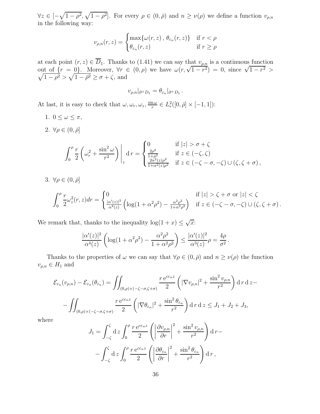$\forall z \in [-\sqrt{1-\rho^2}, \sqrt{1-\rho^2}]$ . For every  $\rho \in (0, \bar{\rho})$  and  $n \ge \nu(\rho)$  we define a function  $v_{\rho,n}$ in the following way:

$$
v_{\rho,n}(r,z) = \begin{cases} \max\{\omega(r,z), \theta_{\varepsilon_n}(r,z)\} & \text{if } r < \rho\\ \theta_{\varepsilon_n}(r,z) & \text{if } r \ge \rho \end{cases}
$$

at each point  $(r, z) \in D_1$ . Thanks to  $(1.41)$  we can say that  $v_{\rho,n}$  is a continuous function out of  $\{r = 0\}$ . Moreover,  $\forall r \in (0, \rho)$  we have  $\omega(r, \sqrt{1-r^2}) = 0$ , since  $\sqrt{1-r}$  $\sqrt{}$  $2$  >  $\sqrt{1-\bar{\rho}^2} > \sqrt{1-\bar{\rho}^2} \ge \sigma + \zeta$ , and

$$
v_{\rho,n}|_{\partial^+ D_1} = \theta_{\varepsilon_n}|_{\partial^+ D_1}.
$$

At last, it is easy to check that  $\omega, \omega_r, \omega_z, \frac{\sin \omega}{r}$  $\frac{\partial^n \omega}{\partial r} \in L^2_r([0,\bar{\rho}] \times [-1,1])$ :

- 1.  $0 \leq \omega \leq \pi$ ,
- 2.  $\forall \rho \in (0, \bar{\rho}]$

$$
\int_0^{\rho} \frac{r}{2} \left( \omega_r^2 + \frac{\sin^2 \omega}{r^2} \right) \Big|_z \, \mathrm{d} \, r = \begin{cases} 0 & \text{if } |z| > \sigma + \zeta \\ \frac{2\rho^2}{1 + \rho^2} & \text{if } z \in (-\zeta, \zeta) \\ \frac{2\alpha^2(z)\rho^2}{1 + \alpha^2(z)\rho^2} & \text{if } z \in (-\zeta - \sigma, -\zeta) \cup (\zeta, \zeta + \sigma) \end{cases}
$$

3.  $\forall \rho \in (0, \bar{\rho}]$ 

$$
\int_0^{\rho} \frac{r}{2} \omega_z^2(r, z) dr = \begin{cases} 0 & \text{if } |z| > \zeta + \sigma \text{ or } |z| < \zeta \\ \frac{|\alpha'(z)|^2}{\alpha^4(z)} \left( \log(1 + \alpha^2 \rho^2) - \frac{\alpha^2 \rho^2}{1 + \alpha^2 \rho^2} \right) & \text{if } z \in (-\zeta - \sigma, -\zeta) \cup (\zeta, \zeta + \sigma). \end{cases}
$$

We remark that, thanks to the inequality  $\log(1+x) \leq \sqrt{x}$ :

$$
\frac{|\alpha'(z)|^2}{\alpha^4(z)} \left( \log(1+\alpha^2 \rho^2) - \frac{\alpha^2 \rho^2}{1+\alpha^2 \rho^2} \right) \le \frac{|\alpha'(z)|^2}{\alpha^3(z)} \rho = \frac{4\rho}{\sigma^2}.
$$

Thanks to the properties of  $\omega$  we can say that  $\forall \rho \in (0, \bar{\rho})$  and  $n \geq \nu(\rho)$  the function  $v_{\rho,n} \in H_1$  and

$$
\mathcal{E}_{\varepsilon_n}(v_{\rho,n}) - \mathcal{E}_{\varepsilon_n}(\theta_{\varepsilon_n}) = \iint_{(0,\rho)\times(-\zeta-\sigma,\zeta+\sigma)} \frac{r e^{c\varepsilon_n z}}{2} \left( |\nabla v_{\rho,n}|^2 + \frac{\sin^2 v_{\rho,n}}{r^2} \right) d\,r \,dz -
$$

$$
- \iint_{(0,\rho)\times(-\zeta-\sigma,\zeta+\sigma)} \frac{r e^{c\varepsilon_n z}}{2} \left( |\nabla \theta_{\varepsilon_n}|^2 + \frac{\sin^2 \theta_{\varepsilon_n}}{r^2} \right) d\,r \,dz \leq J_1 + J_2 + J_3,
$$

where

$$
J_1 = \int_{-\zeta}^{\zeta} \mathrm{d}z \int_0^{\rho} \frac{r e^{c \varepsilon_n z}}{2} \left( \left| \frac{\partial v_{\rho,n}}{\partial r} \right|^2 + \frac{\sin^2 v_{\rho,n}}{r^2} \right) \mathrm{d}r - \int_{-\zeta}^{\zeta} \mathrm{d}z \int_0^{\rho} \frac{r e^{c \varepsilon_n z}}{2} \left( \left| \frac{\partial \theta_{\varepsilon_n}}{\partial r} \right|^2 + \frac{\sin^2 \theta_{\varepsilon_n}}{r^2} \right) \mathrm{d}r ,
$$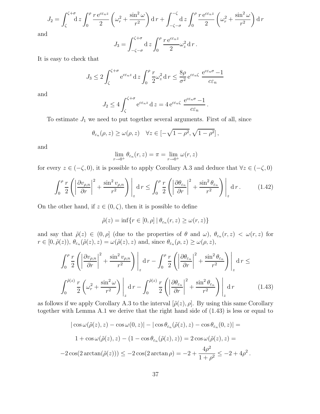$$
J_2 = \int_{\zeta}^{\zeta+\sigma} \mathrm{d}z \int_0^{\rho} \frac{r \, \mathrm{e}^{c \varepsilon_n z}}{2} \left( \omega_r^2 + \frac{\sin^2 \omega}{r^2} \right) \mathrm{d}r + \int_{-\zeta-\sigma}^{-\zeta} \mathrm{d}z \int_0^{\rho} \frac{r \, \mathrm{e}^{c \varepsilon_n z}}{2} \left( \omega_r^2 + \frac{\sin^2 \omega}{r^2} \right) \mathrm{d}r
$$

and

$$
J_3 = \int_{-\zeta-\sigma}^{\zeta+\sigma} \mathrm{d} \, z \int_0^\rho \frac{r \, \mathrm{e}^{c \varepsilon_n z}}{2} \omega_z^2 \, \mathrm{d} \, r \, .
$$

It is easy to check that

$$
J_3 \le 2 \int_{\zeta}^{\zeta + \sigma} e^{c \varepsilon_n z} dz \int_0^{\rho} \frac{r}{2} \omega_z^2 dr \le \frac{8\rho}{\sigma^2} e^{c \varepsilon_n \zeta} \frac{e^{c \varepsilon_n \sigma} - 1}{c \varepsilon_n}
$$

and

$$
J_2 \le 4 \int_{\zeta}^{\zeta+\sigma} e^{c \varepsilon_n z} dz = 4 e^{c \varepsilon_n \zeta} \frac{e^{c \varepsilon_n \sigma} - 1}{c \varepsilon_n}.
$$

To estimate  $J_1$  we need to put together several arguments. First of all, since

$$
\theta_{\varepsilon_n}(\rho, z) \ge \omega(\rho, z) \quad \forall z \in [-\sqrt{1-\rho^2}, \sqrt{1-\rho^2}],
$$

and

$$
\lim_{r \to 0^+} \theta_{\varepsilon_n}(r, z) = \pi = \lim_{r \to 0^+} \omega(r, z)
$$

for every  $z \in (-\zeta, 0)$ , it is possible to apply Corollary A.3 and deduce that  $\forall z \in (-\zeta, 0)$ 

$$
\int_0^{\rho} \frac{r}{2} \left( \left| \frac{\partial v_{\rho,n}}{\partial r} \right|^2 + \frac{\sin^2 v_{\rho,n}}{r^2} \right) \Big|_z \, \mathrm{d} \, r \le \int_0^{\rho} \frac{r}{2} \left( \left| \frac{\partial \theta_{\varepsilon_n}}{\partial r} \right|^2 + \frac{\sin^2 \theta_{\varepsilon_n}}{r^2} \right) \Big|_z \, \mathrm{d} \, r \,. \tag{1.42}
$$

On the other hand, if  $z \in (0, \zeta)$ , then it is possible to define

$$
\tilde{\rho}(z) = \inf\{r \in [0,\rho] \mid \theta_{\varepsilon_n}(r,z) \ge \omega(r,z)\}
$$

and say that  $\tilde{\rho}(z) \in (0, \rho]$  (due to the properties of  $\theta$  and  $\omega$ ),  $\theta_{\varepsilon_n}(r, z) < \omega(r, z)$  for  $r \in [0, \tilde{\rho}(z)), \theta_{\varepsilon_n}(\tilde{\rho}(z), z) = \omega(\tilde{\rho}(z), z)$  and, since  $\theta_{\varepsilon_n}(\rho, z) \ge \omega(\rho, z)$ ,

$$
\int_0^{\rho} \frac{r}{2} \left( \left| \frac{\partial v_{\rho,n}}{\partial r} \right|^2 + \frac{\sin^2 v_{\rho,n}}{r^2} \right) \left|_{z} dr - \int_0^{\rho} \frac{r}{2} \left( \left| \frac{\partial \theta_{\varepsilon_n}}{\partial r} \right|^2 + \frac{\sin^2 \theta_{\varepsilon_n}}{r^2} \right) \right|_{z} dr \le
$$

$$
\int_0^{\tilde{\rho}(z)} \frac{r}{2} \left( \omega_r^2 + \frac{\sin^2 \omega}{r^2} \right) \left|_{z} dr - \int_0^{\tilde{\rho}(z)} \frac{r}{2} \left( \left| \frac{\partial \theta_{\varepsilon_n}}{\partial r} \right|^2 + \frac{\sin^2 \theta_{\varepsilon_n}}{r^2} \right) \right|_{z} dr \qquad (1.43)
$$

as follows if we apply Corollary A.3 to the interval  $[\tilde{\rho}(z), \rho]$ . By using this same Corollary together with Lemma A.1 we derive that the right hand side of (1.43) is less or equal to

$$
|\cos\omega(\tilde{\rho}(z),z) - \cos\omega(0,z)| - |\cos\theta_{\varepsilon_n}(\tilde{\rho}(z),z) - \cos\theta_{\varepsilon_n}(0,z)| =
$$
  

$$
1 + \cos\omega(\tilde{\rho}(z),z) - (1 - \cos\theta_{\varepsilon_n}(\tilde{\rho}(z),z)) = 2\cos\omega(\tilde{\rho}(z),z) =
$$
  

$$
-2\cos(2\arctan(\tilde{\rho}(z))) \le -2\cos(2\arctan\rho) = -2 + \frac{4\rho^2}{1+\rho^2} \le -2 + 4\rho^2.
$$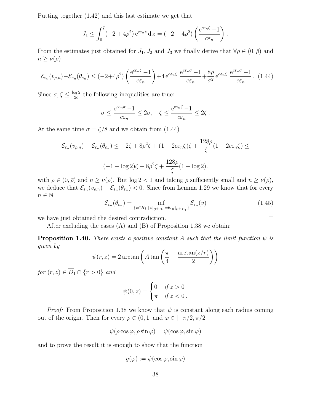Putting together (1.42) and this last estimate we get that

$$
J_1 \le \int_0^{\zeta} (-2+4\rho^2) e^{c\varepsilon_n z} dz = (-2+4\rho^2) \left( \frac{e^{c\varepsilon_n \zeta} - 1}{c\varepsilon_n} \right).
$$

From the estimates just obtained for  $J_1, J_2$  and  $J_3$  we finally derive that  $\forall \rho \in (0, \bar{\rho})$  and  $n \geq \nu(\rho)$ 

$$
\mathcal{E}_{\varepsilon_n}(v_{\rho,n}) - \mathcal{E}_{\varepsilon_n}(\theta_{\varepsilon_n}) \le (-2 + 4\rho^2) \left( \frac{e^{c\varepsilon_n \zeta} - 1}{c\varepsilon_n} \right) + 4 e^{c\varepsilon_n \zeta} \frac{e^{c\varepsilon_n \sigma} - 1}{c\varepsilon_n} + \frac{8\rho}{\sigma^2} e^{c\varepsilon_n \zeta} \frac{e^{c\varepsilon_n \sigma} - 1}{c\varepsilon_n} . \tag{1.44}
$$

Since  $\sigma, \zeta \leq \frac{\log 2}{2c}$  $\frac{\log 2}{2c}$  the following inequalities are true:

$$
\sigma \le \frac{e^{c\varepsilon_n \sigma} - 1}{c\varepsilon_n} \le 2\sigma, \quad \zeta \le \frac{e^{c\varepsilon_n \zeta} - 1}{c\varepsilon_n} \le 2\zeta.
$$

At the same time  $\sigma = \zeta/8$  and we obtain from (1.44)

$$
\mathcal{E}_{\varepsilon_n}(v_{\rho,n}) - \mathcal{E}_{\varepsilon_n}(\theta_{\varepsilon_n}) \le -2\zeta + 8\rho^2\zeta + (1 + 2c\varepsilon_n\zeta)\zeta + \frac{128\rho}{\zeta}(1 + 2c\varepsilon_n\zeta) \le
$$
  

$$
(-1 + \log 2)\zeta + 8\rho^2\zeta + \frac{128\rho}{\zeta}(1 + \log 2).
$$

with  $\rho \in (0, \bar{\rho})$  and  $n \ge \nu(\rho)$ . But  $\log 2 < 1$  and taking  $\rho$  sufficiently small and  $n \ge \nu(\rho)$ , we deduce that  $\mathcal{E}_{\varepsilon_n}(v_{\rho,n}) - \mathcal{E}_{\varepsilon_n}(\theta_{\varepsilon_n}) < 0$ . Since from Lemma 1.29 we know that for every  $n \in \mathbb{N}$ 

$$
\mathcal{E}_{\varepsilon_n}(\theta_{\varepsilon_n}) = \inf_{\{v \in H_1 \mid v|_{\partial^+ D_1} = \theta_{\varepsilon_n}|_{\partial^+ D_1}\}} \mathcal{E}_{\varepsilon_n}(v) \tag{1.45}
$$

we have just obtained the desired contradiction.

After excluding the cases (A) and (B) of Proposition 1.38 we obtain:

**Proposition 1.40.** There exists a positive constant A such that the limit function  $\psi$  is given by

$$
\psi(r,z) = 2 \arctan\left(A \tan\left(\frac{\pi}{4} - \frac{\arctan(z/r)}{2}\right)\right)
$$

for  $(r, z) \in \overline{D}_1 \cap \{r > 0\}$  and

$$
\psi(0,z) = \begin{cases} 0 & \text{if } z > 0 \\ \pi & \text{if } z < 0 \,. \end{cases}
$$

*Proof:* From Proposition 1.38 we know that  $\psi$  is constant along each radius coming out of the origin. Then for every  $\rho \in (0,1]$  and  $\varphi \in [-\pi/2, \pi/2]$ 

$$
\psi(\rho\cos\varphi,\rho\sin\varphi)=\psi(\cos\varphi,\sin\varphi)
$$

and to prove the result it is enough to show that the function

$$
g(\varphi) := \psi(\cos\varphi, \sin\varphi)
$$

 $\Box$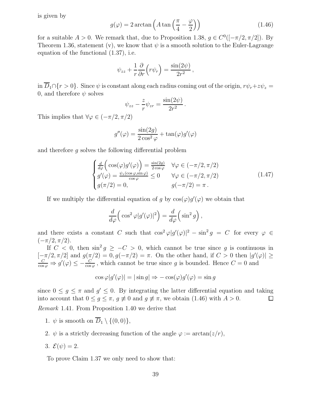is given by

$$
g(\varphi) = 2 \arctan\left(A \tan\left(\frac{\pi}{4} - \frac{\varphi}{2}\right)\right) \tag{1.46}
$$

for a suitable  $A > 0$ . We remark that, due to Proposition 1.38,  $g \in C^0([-\pi/2, \pi/2])$ . By Theorem 1.36, statement (v), we know that  $\psi$  is a smooth solution to the Euler-Lagrange equation of the functional (1.37), i.e.

$$
\psi_{zz} + \frac{1}{r} \frac{\partial}{\partial r} \left( r \psi_r \right) = \frac{\sin(2\psi)}{2r^2} \,,
$$

in  $\overline{D}_1 \cap \{r > 0\}$ . Since  $\psi$  is constant along each radius coming out of the origin,  $r\psi_r + z\psi_z =$ 0, and therefore  $\psi$  solves

$$
\psi_{zz} - \frac{z}{r} \psi_{zr} = \frac{\sin(2\psi)}{2r^2}.
$$

This implies that  $\forall \varphi \in (-\pi/2, \pi/2)$ 

$$
g''(\varphi) = \frac{\sin(2g)}{2\cos^2\varphi} + \tan(\varphi)g'(\varphi)
$$

and therefore g solves the following differential problem

$$
\begin{cases}\n\frac{d}{d\varphi}\left(\cos(\varphi)g'(\varphi)\right) = \frac{\sin(2g)}{2\cos\varphi} & \forall \varphi \in (-\pi/2, \pi/2) \\
g'(\varphi) = \frac{\psi_z(\cos\varphi, \sin\varphi)}{\cos\varphi} \leq 0 & \forall \varphi \in (-\pi/2, \pi/2) \\
g(\pi/2) = 0, & g(-\pi/2) = \pi.\n\end{cases}
$$
\n(1.47)

If we multiply the differential equation of g by  $\cos(\varphi)g'(\varphi)$  we obtain that

$$
\frac{d}{d\varphi}\left(\cos^2\varphi|g'(\varphi)|^2\right) = \frac{d}{d\varphi}\left(\sin^2 g\right),\,
$$

and there exists a constant C such that  $\cos^2 \varphi |g'(\varphi)|^2 - \sin^2 g = C$  for every  $\varphi \in$  $(-\pi/2, \pi/2).$ 

If  $C < 0$ , then  $\sin^2 g \geq -C > 0$ , which cannot be true since g is continuous in  $[-\pi/2, \pi/2]$  and  $g(\pi/2) = 0, g(-\pi/2) = \pi$ . On the other hand, if  $C > 0$  then  $|g'(\varphi)| \ge$ <br>  $\frac{C}{\pi} \to g'(\varphi) \leq C$  which cannot be true since a is bounded. Hence  $C = 0$  and  $\frac{C}{\cos \varphi} \Rightarrow g'(\varphi) \le -\frac{C}{\cos \varphi}$ , which cannot be true since g is bounded. Hence  $C = 0$  and

$$
\cos \varphi |g'(\varphi)| = |\sin g| \Rightarrow -\cos(\varphi)g'(\varphi) = \sin g
$$

since  $0 \leq g \leq \pi$  and  $g' \leq 0$ . By integrating the latter differential equation and taking into account that  $0 \leq g \leq \pi$ ,  $g \neq 0$  and  $g \neq \pi$ , we obtain (1.46) with  $A > 0$ .

Remark 1.41. From Proposition 1.40 we derive that

- 1.  $\psi$  is smooth on  $\overline{D}_1 \setminus \{(0,0)\},\$
- 2.  $\psi$  is a strictly decreasing function of the angle  $\varphi := \arctan(z/r)$ ,
- 3.  $\mathcal{E}(\psi)=2$ .

To prove Claim 1.37 we only need to show that: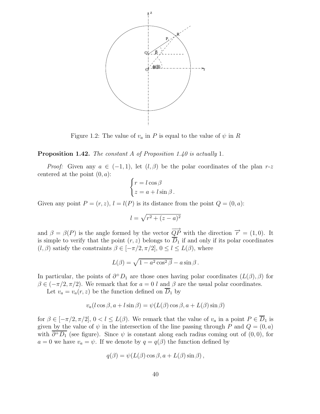

Figure 1.2: The value of  $v_a$  in P is equal to the value of  $\psi$  in R

#### Proposition 1.42. The constant A of Proposition 1.40 is actually 1.

*Proof:* Given any  $a \in (-1, 1)$ , let  $(l, \beta)$  be the polar coordinates of the plan r-z centered at the point  $(0, a)$ :

$$
\begin{cases} r = l \cos \beta \\ z = a + l \sin \beta \end{cases}.
$$

Given any point  $P = (r, z)$ ,  $l = l(P)$  is its distance from the point  $Q = (0, a)$ :

$$
l = \sqrt{r^2 + (z - a)^2}
$$

and  $\beta = \beta(P)$  is the angle formed by the vector  $\overrightarrow{QP}$  with the direction  $\overrightarrow{r} = (1, 0)$ . It is simple to verify that the point  $(r, z)$  belongs to  $\overline{D}_1$  if and only if its polar coordinates  $(l, \beta)$  satisfy the constraints  $\beta \in [-\pi/2, \pi/2], 0 \leq l \leq L(\beta)$ , where

$$
L(\beta) = \sqrt{1 - a^2 \cos^2 \beta} - a \sin \beta.
$$

In particular, the points of  $\partial^+ D_1$  are those ones having polar coordinates  $(L(\beta), \beta)$  for  $\beta \in (-\pi/2, \pi/2)$ . We remark that for  $a = 0$  l and  $\beta$  are the usual polar coordinates.

Let  $v_a = v_a(r, z)$  be the function defined on  $\overline{D}_1$  by

$$
v_a(l\cos\beta, a+l\sin\beta) = \psi(L(\beta)\cos\beta, a+L(\beta)\sin\beta)
$$

for  $\beta \in [-\pi/2, \pi/2], 0 < l \le L(\beta)$ . We remark that the value of  $v_a$  in a point  $P \in \overline{D}_1$  is given by the value of  $\psi$  in the intersection of the line passing through P and  $Q = (0, a)$ with  $\partial^+D_1$  (see figure). Since  $\psi$  is constant along each radius coming out of  $(0,0)$ , for  $a = 0$  we have  $v_a = \psi$ . If we denote by  $q = q(\beta)$  the function defined by

$$
q(\beta) = \psi(L(\beta)\cos\beta, a + L(\beta)\sin\beta),
$$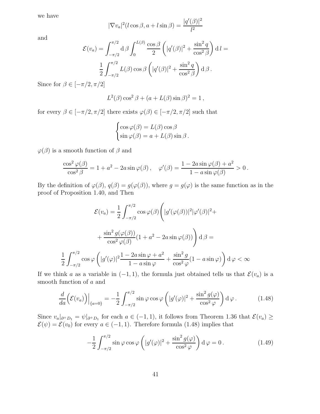we have

$$
|\nabla v_a|^2 (l\cos\beta, a + l\sin\beta) = \frac{|q'(\beta)|^2}{l^2}
$$

and

$$
\mathcal{E}(v_a) = \int_{-\pi/2}^{\pi/2} d\beta \int_0^{L(\beta)} \frac{\cos \beta}{2} \left( |q'(\beta)|^2 + \frac{\sin^2 q}{\cos^2 \beta} \right) dt =
$$

$$
\frac{1}{2} \int_{-\pi/2}^{\pi/2} L(\beta) \cos \beta \left( |q'(\beta)|^2 + \frac{\sin^2 q}{\cos^2 \beta} \right) d\beta.
$$

Since for  $\beta \in [-\pi/2, \pi/2]$ 

$$
L^2(\beta)\cos^2\beta + (a + L(\beta)\sin\beta)^2 = 1
$$
,

for every  $\beta\in[-\pi/2,\pi/2]$  there exists  $\varphi(\beta)\in[-\pi/2,\pi/2]$  such that

$$
\begin{cases}\n\cos \varphi(\beta) = L(\beta) \cos \beta \\
\sin \varphi(\beta) = a + L(\beta) \sin \beta.\n\end{cases}
$$

 $\varphi(\beta)$  is a smooth function of  $\beta$  and

$$
\frac{\cos^2 \varphi(\beta)}{\cos^2 \beta} = 1 + a^2 - 2a \sin \varphi(\beta), \quad \varphi'(\beta) = \frac{1 - 2a \sin \varphi(\beta) + a^2}{1 - a \sin \varphi(\beta)} > 0.
$$

By the definition of  $\varphi(\beta)$ ,  $q(\beta) = g(\varphi(\beta))$ , where  $g = g(\varphi)$  is the same function as in the proof of Proposition 1.40, and Then

$$
\mathcal{E}(v_a) = \frac{1}{2} \int_{-\pi/2}^{\pi/2} \cos \varphi(\beta) \left( |g'(\varphi(\beta))|^2 |\varphi'(\beta)|^2 + \frac{\sin^2 g(\varphi(\beta))}{\cos^2 \varphi(\beta)} (1 + a^2 - 2a \sin \varphi(\beta)) \right) d\beta =
$$
  

$$
\frac{1}{2} \int_{-\pi/2}^{\pi/2} \cos \varphi \left( |g'(\varphi)|^2 \frac{1 - 2a \sin \varphi + a^2}{1 - a \sin \varphi} + \frac{\sin^2 g}{\cos^2 \varphi} (1 - a \sin \varphi) \right) d\varphi < \infty
$$

If we think a as a variable in  $(-1, 1)$ , the formula just obtained tells us that  $\mathcal{E}(v_a)$  is a smooth function of a and

$$
\frac{d}{da}\left(\mathcal{E}(v_a)\right)\Big|_{\{a=0\}} = -\frac{1}{2}\int_{-\pi/2}^{\pi/2} \sin\varphi\cos\varphi\left(|g'(\varphi)|^2 + \frac{\sin^2 g(\varphi)}{\cos^2\varphi}\right) d\varphi.
$$
 (1.48)

Since  $v_a|_{\partial^+ D_1} = \psi|_{\partial^+ D_1}$  for each  $a \in (-1, 1)$ , it follows from Theorem 1.36 that  $\mathcal{E}(v_a) \ge$  $\mathcal{E}(\psi) = \mathcal{E}(v_0)$  for every  $a \in (-1, 1)$ . Therefore formula (1.48) implies that

$$
-\frac{1}{2} \int_{-\pi/2}^{\pi/2} \sin \varphi \cos \varphi \left( |g'(\varphi)|^2 + \frac{\sin^2 g(\varphi)}{\cos^2 \varphi} \right) d\varphi = 0.
$$
 (1.49)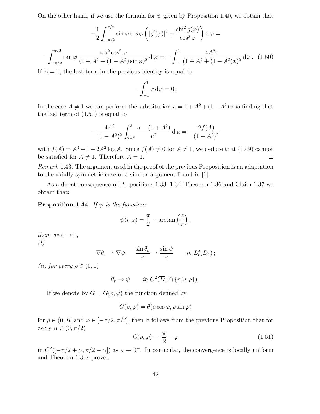On the other hand, if we use the formula for  $\psi$  given by Proposition 1.40, we obtain that

$$
-\frac{1}{2} \int_{-\pi/2}^{\pi/2} \sin \varphi \cos \varphi \left( |g'(\varphi)|^2 + \frac{\sin^2 g(\varphi)}{\cos^2 \varphi} \right) d\varphi =
$$

$$
-\int_{-\pi/2}^{\pi/2} \tan \varphi \frac{4A^2 \cos^2 \varphi}{(1 + A^2 + (1 - A^2) \sin \varphi)^2} d\varphi = -\int_{-1}^{1} \frac{4A^2 x}{(1 + A^2 + (1 - A^2) x)^2} dx. (1.50)
$$

If  $A = 1$ , the last term in the previous identity is equal to

$$
-\int_{-1}^{1} x \, dx = 0 \, .
$$

In the case  $A \neq 1$  we can perform the substitution  $u = 1 + A^2 + (1 - A^2)x$  so finding that the last term of  $(1.50)$  is equal to

$$
-\frac{4A^2}{(1-A^2)^2} \int_{2A^2}^2 \frac{u - (1+A^2)}{u^2} \, \mathrm{d}u = -\frac{2f(A)}{(1-A^2)^2}
$$

with  $f(A) = A^4 - 1 - 2A^2 \log A$ . Since  $f(A) \neq 0$  for  $A \neq 1$ , we deduce that (1.49) cannot be satisfied for  $A \neq 1$ . Therefore  $A = 1$ .

Remark 1.43. The argument used in the proof of the previous Proposition is an adaptation to the axially symmetric case of a similar argument found in [1].

As a direct consequence of Propositions 1.33, 1.34, Theorem 1.36 and Claim 1.37 we obtain that:

**Proposition 1.44.** If  $\psi$  is the function:

$$
\psi(r,z) = \frac{\pi}{2} - \arctan\left(\frac{z}{r}\right),\,
$$

then, as  $\varepsilon \to 0$ , (i)

$$
\nabla \theta_{\varepsilon} \rightharpoonup \nabla \psi \,, \quad \frac{\sin \theta_{\varepsilon}}{r} \rightharpoonup \frac{\sin \psi}{r} \qquad in \, L_r^2(D_1) \,;
$$

(*ii*) for every  $\rho \in (0,1)$ 

$$
\theta_{\varepsilon} \to \psi \quad in \, C^2(\overline{D}_1 \cap \{r \ge \rho\})
$$

If we denote by  $G = G(\rho, \varphi)$  the function defined by

$$
G(\rho, \varphi) = \theta(\rho \cos \varphi, \rho \sin \varphi)
$$

for  $\rho \in (0, R]$  and  $\varphi \in [-\pi/2, \pi/2]$ , then it follows from the previous Proposition that for every  $\alpha \in (0, \pi/2)$ 

$$
G(\rho, \varphi) \to \frac{\pi}{2} - \varphi \tag{1.51}
$$

in  $C^2([-\pi/2 + \alpha, \pi/2 - \alpha])$  as  $\rho \to 0^+$ . In particular, the convergence is locally uniform and Theorem 1.3 is proved.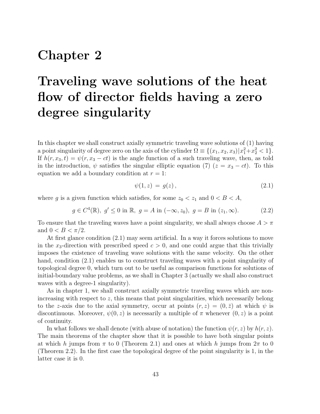## Chapter 2

# Traveling wave solutions of the heat flow of director fields having a zero degree singularity

In this chapter we shall construct axially symmetric traveling wave solutions of (1) having a point singularity of degree zero on the axis of the cylinder  $\Omega \equiv \{(x_1, x_2, x_3)|x_1^2 + x_2^2 < 1\}.$ If  $h(r, x_3, t) = \psi(r, x_3 - ct)$  is the angle function of a such traveling wave, then, as told in the introduction,  $\psi$  satisfies the singular elliptic equation (7) ( $z = x_3 - ct$ ). To this equation we add a boundary condition at  $r = 1$ :

$$
\psi(1,z) = g(z),\tag{2.1}
$$

where g is a given function which satisfies, for some  $z_0 < z_1$  and  $0 < B < A$ ,

 $g \in C^4(\mathbb{R}), g' \le 0$  in  $\mathbb{R}, g = A$  in  $(-\infty, z_0), g = B$  in  $(z_1, \infty)$ . (2.2)

To ensure that the traveling waves have a point singularity, we shall always choose  $A > \pi$ and  $0 < B < \pi/2$ .

At first glance condition (2.1) may seem artificial. In a way it forces solutions to move in the  $x_3$ -direction with prescribed speed  $c > 0$ , and one could argue that this trivially imposes the existence of traveling wave solutions with the same velocity. On the other hand, condition (2.1) enables us to construct traveling waves with a point singularity of topological degree 0, which turn out to be useful as comparison functions for solutions of initial-boundary value problems, as we shall in Chapter 3 (actually we shall also construct waves with a degree-1 singularity).

As in chapter 1, we shall construct axially symmetric traveling waves which are nonincreasing with respect to  $z$ , this means that point singularities, which necessarily belong to the z-axis due to the axial symmetry, occur at points  $(r, z) = (0, \bar{z})$  at which  $\psi$  is discontinuous. Moreover,  $\psi(0, z)$  is necessarily a multiple of  $\pi$  whenever  $(0, z)$  is a point of continuity.

In what follows we shall denote (with abuse of notation) the function  $\psi(r, z)$  by  $h(r, z)$ . The main theorems of the chapter show that it is possible to have both singular points at which h jumps from  $\pi$  to 0 (Theorem 2.1) and ones at which h jumps from  $2\pi$  to 0 (Theorem 2.2). In the first case the topological degree of the point singularity is 1, in the latter case it is 0.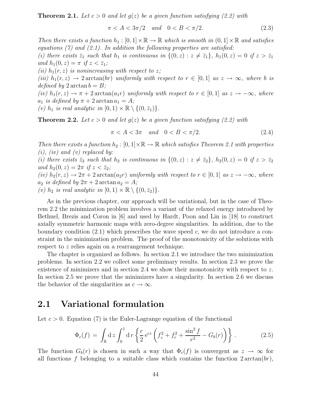**Theorem 2.1.** Let  $c > 0$  and let  $q(z)$  be a given function satisfying (2.2) with

$$
\pi < A < 3\pi/2 \quad \text{and} \quad 0 < B < \pi/2. \tag{2.3}
$$

Then there exists a function  $h_1 : [0,1] \times \mathbb{R} \to \mathbb{R}$  which is smooth in  $(0,1] \times \mathbb{R}$  and satisfies equations  $(7)$  and  $(2.1)$ . In addition the following properties are satisfied:

(i) there exists  $\bar{z}_1$  such that  $h_1$  is continuous in  $\{(0, z) : z \neq \bar{z}_1\}$ ,  $h_1(0, z) = 0$  if  $z > \bar{z}_1$ and  $h_1(0, z) = \pi$  if  $z < \bar{z}_1$ ;

(ii)  $h_1(r, z)$  is nonincreasing with respect to z;

(iii)  $h_1(r, z) \rightarrow 2 \arctan(br)$  uniformly with respect to  $r \in [0, 1]$  as  $z \rightarrow \infty$ , where b is defined by  $2 \arctan b = B$ ;

(iv)  $h_1(r, z) \to \pi + 2 \arctan(a_1 r)$  uniformly with respect to  $r \in [0, 1]$  as  $z \to -\infty$ , where  $a_1$  is defined by  $\pi + 2 \arctan a_1 = A;$ 

(v)  $h_1$  is real analytic in  $[0, 1) \times \mathbb{R} \setminus \{(0, \bar{z}_1)\}.$ 

**Theorem 2.2.** Let  $c > 0$  and let  $g(z)$  be a given function satisfying (2.2) with

$$
\pi < A < 3\pi \quad \text{and} \quad 0 < B < \pi/2. \tag{2.4}
$$

Then there exists a function  $h_2 : [0,1] \times \mathbb{R} \to \mathbb{R}$  which satisfies Theorem 2.1 with properties  $(i)$ ,  $(iv)$  and  $(v)$  replaced by:

(i) there exists  $\bar{z}_2$  such that  $h_2$  is continuous in  $\{(0, z) : z \neq \bar{z}_2\}$ ,  $h_2(0, z) = 0$  if  $z > \bar{z}_2$ and  $h_2(0, z) = 2\pi$  if  $z < \bar{z}_2$ ; (iv)  $h_2(r, z) \to 2\pi + 2 \arctan(azr)$  uniformly with respect to  $r \in [0, 1]$  as  $z \to -\infty$ , where  $a_2$  is defined by  $2\pi + 2 \arctan a_2 = A$ ;

(v)  $h_2$  is real analytic in  $[0, 1) \times \mathbb{R} \setminus \{(0, \bar{z}_2)\}.$ 

As in the previous chapter, our approach will be variational, but in the case of Theorem 2.2 the minimization problem involves a variant of the relaxed energy introduced by Bethuel, Brezis and Coron in [6] and used by Hardt, Poon and Lin in [18] to construct axially symmetric harmonic maps with zero-degree singularities. In addition, due to the boundary condition  $(2.1)$  which prescribes the wave speed c, we do not introduce a constraint in the minimization problem. The proof of the monotonicity of the solutions with respect to z relies again on a rearrangement technique.

The chapter is organized as follows. In section 2.1 we introduce the two minimization problems. In section 2.2 we collect some preliminary results. In section 2.3 we prove the existence of minimizers and in section 2.4 we show their monotonicity with respect to  $z$ . In section 2.5 we prove that the minimizers have a singularity. In section 2.6 we discuss the behavior of the singularities as  $c \to \infty$ .

#### 2.1 Variational formulation

Let  $c > 0$ . Equation (7) is the Euler-Lagrange equation of the functional

$$
\Phi_c(f) = \int_{\mathbb{R}} dz \int_0^1 dr \left\{ \frac{r}{2} e^{cz} \left( f_z^2 + f_r^2 + \frac{\sin^2 f}{r^2} - G_b(r) \right) \right\}.
$$
 (2.5)

The function  $G_b(r)$  is chosen in such a way that  $\Phi_c(f)$  is convergent as  $z \to \infty$  for all functions f belonging to a suitable class which contains the function  $2 \arctan(br)$ ,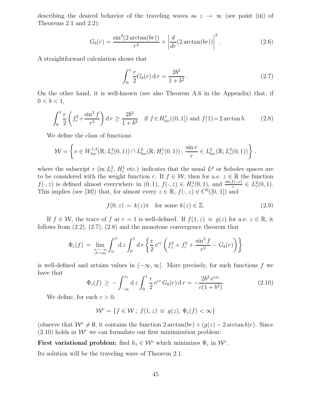describing the desired behavior of the traveling waves as  $z \to \infty$  (see point (iii) of Theorems 2.1 and 2.2):

$$
G_b(r) = \frac{\sin^2(2\arctan(br))}{r^2} + \left| \frac{d}{dr}(2\arctan(br)) \right|^2.
$$
 (2.6)

A straightforward calculation shows that

$$
\int_0^1 \frac{r}{2} G_b(r) \, \mathrm{d} \, r = \frac{2b^2}{1+b^2} \,. \tag{2.7}
$$

On the other hand, it is well-known (see also Theorem A.6 in the Appendix) that, if  $0 < b < 1$ ,

$$
\int_0^1 \frac{r}{2} \left( f_r^2 + \frac{\sin^2 f}{r^2} \right) dr \ge \frac{2b^2}{1 + b^2} \quad \text{if } f \in H^1_{\text{loc}}((0, 1]) \text{ and } f(1) = 2 \arctan b. \tag{2.8}
$$

We define the class of functions

$$
\mathcal{W} = \left\{ v \in W^{1,2}_{loc}(\mathbb{R}; L^2_r(0,1)) \cap L^2_{loc}(\mathbb{R}; H^1_r(0,1)) ; \frac{\sin v}{r} \in L^2_{loc}(\mathbb{R}; L^2_r(0,1)) \right\},\,
$$

where the subscript r (in  $L_r^2$ ,  $H_r^1$  etc.) indicates that the usual  $L^p$  or Sobolev spaces are to be considered with the weight function r. If  $f \in \mathcal{W}$ , then for a.e.  $z \in \mathbb{R}$  the function  $f(\cdot, z)$  is defined almost everywhere in  $(0, 1), f(\cdot, z) \in H_r^1(0, 1)$ , and  $\frac{\sin f(\cdot, z)}{r} \in L_r^2(0, 1)$ . This implies (see [30]) that, for almost every  $z \in \mathbb{R}$ ,  $f(\cdot, z) \in C^0([0, 1])$  and

$$
f(0, z) = k(z)\pi \quad \text{for some } k(z) \in \mathbb{Z}.
$$
 (2.9)

If  $f \in \mathcal{W}$ , the trace of f at  $r = 1$  is well-defined. If  $f(1, z) \equiv q(z)$  for a.e.  $z \in \mathbb{R}$ , it follows from  $(2.2)$ ,  $(2.7)$ ,  $(2.8)$  and the monotone convergence theorem that

$$
\Phi_c(f) = \lim_{\substack{\alpha \to -\infty \\ \beta \to \infty}} \int_{\alpha}^{\beta} dz \int_0^1 dr \left\{ \frac{r}{2} e^{cz} \left( f_z^2 + f_r^2 + \frac{\sin^2 f}{r^2} - G_b(r) \right) \right\}
$$

is well-defined and attains values in  $(-\infty, \infty]$ . More precisely, for such functions f we have that

$$
\Phi_c(f) \ge -\int_{-\infty}^{z_1} dz \int_0^1 \frac{r}{2} e^{cz} G_b(r) dr = -\frac{2b^2 e^{cz_1}}{c(1+b^2)}.
$$
\n(2.10)

We define, for each  $c > 0$ ,

$$
\mathcal{W}^c = \{ f \in \mathcal{W} \, ; \, f(1, z) \equiv g(z), \, \Phi_c(f) < \infty \}
$$

(observe that  $\mathcal{W}^c \neq \emptyset$ ; it contains the function  $2 \arctan(br) + (g(z) - 2 \arctan b)r$ ). Since  $(2.10)$  holds in  $W<sup>c</sup>$  we can formulate our first minimization problem:

First variational problem: find  $h_1 \in \mathcal{W}^c$  which minimizes  $\Phi_c$  in  $\mathcal{W}^c$ .

Its solution will be the traveling wave of Theorem 2.1.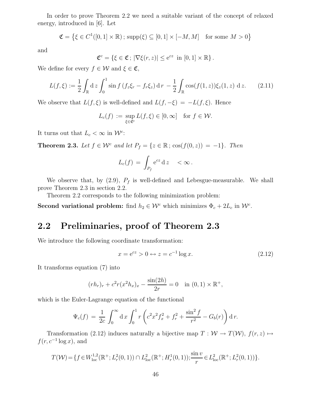In order to prove Theorem 2.2 we need a suitable variant of the concept of relaxed energy, introduced in [6]. Let

$$
\mathfrak{C} = \left\{ \xi \in C^1([0,1] \times \mathbb{R}) \, ; \, \text{supp}(\xi) \subseteq [0,1] \times [-M,M] \quad \text{for some } M > 0 \right\}
$$

and

$$
\mathfrak{C}^c = \left\{ \xi \in \mathfrak{C}; \, |\nabla \xi(r, z)| \leq e^{cz} \, \text{ in } [0, 1] \times \mathbb{R} \right\}.
$$

We define for every  $f \in \mathcal{W}$  and  $\xi \in \mathfrak{C}$ ,

$$
L(f,\xi) := \frac{1}{2} \int_{\mathbb{R}} dz \int_0^1 \sin f \left( f_z \xi_r - f_r \xi_z \right) dr - \frac{1}{2} \int_{\mathbb{R}} \cos(f(1,z)) \xi_z(1,z) dz. \tag{2.11}
$$

We observe that  $L(f, \xi)$  is well-defined and  $L(f, -\xi) = -L(f, \xi)$ . Hence

$$
L_c(f) := \sup_{\xi \in \mathfrak{C}^c} L(f, \xi) \in [0, \infty] \quad \text{for } f \in \mathcal{W}.
$$

It turns out that  $L_c < \infty$  in  $\mathcal{W}^c$ :

**Theorem 2.3.** Let  $f \in \mathcal{W}^c$  and let  $P_f = \{z \in \mathbb{R} \,;\, \cos(f(0, z)) = -1\}$ . Then

$$
L_c(f) = \int_{P_f} e^{cz} dz \quad < \infty \, .
$$

We observe that, by  $(2.9)$ ,  $P_f$  is well-defined and Lebesgue-measurable. We shall prove Theorem 2.3 in section 2.2.

Theorem 2.2 corresponds to the following minimization problem:

Second variational problem: find  $h_2 \in \mathcal{W}^c$  which minimizes  $\Phi_c + 2L_c$  in  $\mathcal{W}^c$ .

### 2.2 Preliminaries, proof of Theorem 2.3

We introduce the following coordinate transformation:

$$
x = e^{cz} > 0 \leftrightarrow z = c^{-1} \log x. \tag{2.12}
$$

It transforms equation (7) into

$$
(r h_r)_r + c^2 r (x^2 h_x)_x - \frac{\sin(2h)}{2r} = 0 \quad \text{in } (0, 1) \times \mathbb{R}^+,
$$

which is the Euler-Lagrange equation of the functional

$$
\Psi_c(f) = \frac{1}{2c} \int_0^\infty dx \int_0^1 r \left( c^2 x^2 f_x^2 + f_r^2 + \frac{\sin^2 f}{r^2} - G_b(r) \right) dr.
$$

Transformation (2.12) induces naturally a bijective map  $T : \mathcal{W} \to T(\mathcal{W})$ ,  $f(r, z) \mapsto$  $f(r, c^{-1} \log x)$ , and

$$
T(\mathcal{W}) = \{ f \in W^{1,2}_{loc}(\mathbb{R}^+; L^2_r(0,1)) \cap L^2_{loc}(\mathbb{R}^+; H^1_r(0,1)); \frac{\sin v}{r} \in L^2_{loc}(\mathbb{R}^+; L^2_r(0,1)) \}.
$$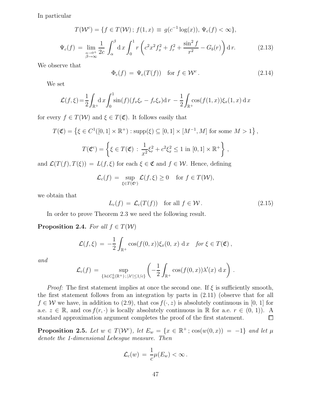In particular

$$
T(\mathcal{W}^c) = \{ f \in T(\mathcal{W}) \, ; \, f(1, x) \equiv g(c^{-1} \log(x)), \, \Psi_c(f) < \infty \},
$$
\n
$$
\Psi_c(f) = \lim_{\substack{\alpha \to 0^+ \\ \beta \to \infty}} \frac{1}{2c} \int_{\alpha}^{\beta} dx \int_0^1 r \left( c^2 x^2 f_x^2 + f_r^2 + \frac{\sin^2 f}{r^2} - G_b(r) \right) dr. \tag{2.13}
$$

We observe that

$$
\Phi_c(f) = \Psi_c(T(f)) \quad \text{for } f \in \mathcal{W}^c. \tag{2.14}
$$

We set

$$
\mathcal{L}(f,\xi) = \frac{1}{2} \int_{\mathbb{R}^+} dx \int_0^1 \sin(f)(f_x \xi_r - f_r \xi_x) dr - \frac{1}{2} \int_{\mathbb{R}^+} \cos(f(1,x)) \xi_x(1,x) dx
$$

for every  $f \in T(W)$  and  $\xi \in T(\mathfrak{C})$ . It follows easily that

$$
T(\mathfrak{C}) = \left\{ \xi \in C^1([0,1] \times \mathbb{R}^+) : \text{supp}(\xi) \subseteq [0,1] \times [M^{-1},M] \text{ for some } M > 1 \right\},\
$$
  

$$
T(\mathfrak{C}^c) = \left\{ \xi \in T(\mathfrak{C}) : \frac{1}{x^2} \xi_r^2 + c^2 \xi_x^2 \le 1 \text{ in } [0,1] \times \mathbb{R}^+ \right\},\
$$

and  $\mathcal{L}(T(f), T(\xi)) = L(f, \xi)$  for each  $\xi \in \mathfrak{C}$  and  $f \in \mathcal{W}$ . Hence, defining

$$
\mathcal{L}_c(f) = \sup_{\xi \in T(\mathfrak{C}^c)} \mathcal{L}(f,\xi) \ge 0 \quad \text{for } f \in T(\mathcal{W}),
$$

we obtain that

$$
L_c(f) = \mathcal{L}_c(T(f)) \quad \text{for all } f \in \mathcal{W} \,.
$$
 (2.15)

In order to prove Theorem 2.3 we need the following result.

**Proposition 2.4.** For all  $f \in T(W)$ 

$$
\mathcal{L}(f,\xi) = -\frac{1}{2} \int_{\mathbb{R}^+} \cos(f(0,x))\xi_x(0,x) dx \text{ for } \xi \in T(\mathfrak{C}),
$$

and

$$
\mathcal{L}_c(f) = \sup_{\{\lambda \in C_0^1(\mathbb{R}^+); |\lambda'| \le 1/c\}} \left(-\frac{1}{2} \int_{\mathbb{R}^+} \cos(f(0,x)) \lambda'(x) \, dx\right).
$$

*Proof:* The first statement implies at once the second one. If  $\xi$  is sufficiently smooth, the first statement follows from an integration by parts in (2.11) (observe that for all  $f \in \mathcal{W}$  we have, in addition to (2.9), that cos  $f(\cdot, z)$  is absolutely continuous in [0, 1] for a.e.  $z \in \mathbb{R}$ , and  $\cos f(r, \cdot)$  is locally absolutely continuous in  $\mathbb{R}$  for a.e.  $r \in (0, 1)$ ). A standard approximation argument completes the proof of the first statement. standard approximation argument completes the proof of the first statement.

**Proposition 2.5.** Let  $w \in T(\mathcal{W}^c)$ , let  $E_w = \{x \in \mathbb{R}^+ \,;\, \cos(w(0,x)) = -1\}$  and let  $\mu$ denote the 1-dimensional Lebesgue measure. Then

$$
\mathcal{L}_c(w) = \frac{1}{c}\mu(E_w) < \infty \, .
$$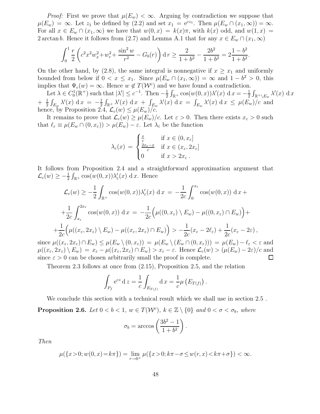*Proof:* First we prove that  $\mu(E_w) < \infty$ . Arguing by contradiction we suppose that  $\mu(E_w) = \infty$ . Let  $z_1$  be defined by (2.2) and set  $x_1 = e^{cz_1}$ . Then  $\mu(E_w \cap (x_1, \infty)) = \infty$ . For all  $x \in E_w \cap (x_1, \infty)$  we have that  $w(0, x) = k(x)\pi$ , with  $k(x)$  odd, and  $w(1, x) =$ 2 arctan b. Hence it follows from (2.7) and Lemma A.1 that for any  $x \in E_w \cap (x_1, \infty)$ 

$$
\int_0^1 \frac{r}{2} \left( c^2 x^2 w_x^2 + w_r^2 + \frac{\sin^2 w}{r^2} - G_b(r) \right) dr \ge \frac{2}{1 + b^2} - \frac{2b^2}{1 + b^2} = 2\frac{1 - b^2}{1 + b^2}.
$$

On the other hand, by (2.8), the same integral is nonnegative if  $x \geq x_1$  and uniformly bounded from below if  $0 \le x \le x_1$ . Since  $\mu(E_w \cap (x_1, \infty)) = \infty$  and  $1 - b^2 > 0$ , this implies that  $\Psi_c(w) = \infty$ . Hence  $w \notin T(\mathcal{W}^c)$  and we have found a contradiction.

Let  $\lambda \in C_0^1(\mathbb{R}^+)$  such that  $|\lambda'| \leq c^{-1}$ . Then  $-\frac{1}{2}$  $\frac{1}{2} \int_{\mathbb{R}^+} \cos(w(0, x)) \lambda'(x) dx = -\frac{1}{2}$  $\frac{1}{2}\int_{\mathbb{R}^+ \setminus E_w} \lambda'(x) \, dx$  $+\frac{1}{2}$  $\frac{1}{2} \int_{E_w} \lambda'(x) \, dx = -\frac{1}{2}$  $\frac{1}{2} \int_{\mathbb{R}^+} \lambda'(x) \, dx + \int_{E_w} \lambda'(x) \, dx = \int_{E_w} \lambda'(x) \, dx \leq \mu(E_w)/c$  and hence, by Proposition 2.4,  $\mathcal{L}_c(w) \leq \mu(E_w)/c$ .

It remains to prove that  $\mathcal{L}_c(w) \geq \mu(E_w)/c$ . Let  $\varepsilon > 0$ . Then there exists  $x_{\varepsilon} > 0$  such that  $\ell_{\varepsilon} \equiv \mu(E_w \cap (0, x_{\varepsilon})) > \mu(E_w) - \varepsilon$ . Let  $\lambda_{\varepsilon}$  be the function

$$
\lambda_{\varepsilon}(x) = \begin{cases} \frac{x}{c} & \text{if } x \in (0, x_{\varepsilon}] \\ \frac{2x_{\varepsilon} - x}{c} & \text{if } x \in (x_{\varepsilon}, 2x_{\varepsilon}] \\ 0 & \text{if } x > 2x_{\varepsilon} \end{cases}
$$

It follows from Proposition 2.4 and a straightforward approximation argument that  $\mathcal{L}_c(w) \geq -\frac{1}{2} \int_{\mathbb{R}^+} \cos(w(0, x)) \lambda'_\varepsilon(x) \, dx$ . Hence

$$
\mathcal{L}_c(w) \ge -\frac{1}{2} \int_{\mathbb{R}^+} \cos(w(0, x)) \lambda_{\varepsilon}'(x) dx = -\frac{1}{2c} \int_0^{x_{\varepsilon}} \cos(w(0, x)) dx +
$$
  
+ 
$$
\frac{1}{2c} \int_{x_{\varepsilon}}^{2x_{\varepsilon}} \cos(w(0, x)) dx = -\frac{1}{2c} \Big( \mu((0, x_{\varepsilon}) \setminus E_w) - \mu((0, x_{\varepsilon}) \cap E_w) \Big) +
$$
  
+ 
$$
\frac{1}{2c} \Big( \mu((x_{\varepsilon}, 2x_{\varepsilon}) \setminus E_w) - \mu((x_{\varepsilon}, 2x_{\varepsilon}) \cap E_w) \Big) > -\frac{1}{2c} (x_{\varepsilon} - 2\ell_{\varepsilon}) + \frac{1}{2c} (x_{\varepsilon} - 2\varepsilon),
$$
  
since  $\mu((x_{\varepsilon}, 2x_{\varepsilon}) \cap E_w) \le \mu(E_w \setminus (0, x_{\varepsilon})) = \mu(E_w \setminus (E_w \cap (0, x_{\varepsilon}))) = \mu(E_w) - \ell_{\varepsilon} < \varepsilon$  and  
 $\mu((x - 2x) \setminus E_v) = x_{\varepsilon} - \mu((x - 2x) \cap E_v) > x_{\varepsilon} - \varepsilon$  Hence  $\int_{\varepsilon} (w) > (\mu(E_v) - 2\varepsilon)/c$  and

 $\mu((x_{\varepsilon}, 2x_{\varepsilon}) \setminus E_w) = x_{\varepsilon} - \mu((x_{\varepsilon}, 2x_{\varepsilon}) \cap E_w) > x_{\varepsilon} - \varepsilon$ . Hence  $\mathcal{L}_c(w) > (\mu(E_w) - 2\varepsilon)/c$  and since  $\varepsilon > 0$  can be chosen arbitrarily small the proof is complete. since  $\varepsilon > 0$  can be chosen arbitrarily small the proof is complete.

Theorem 2.3 follows at once from (2.15), Proposition 2.5, and the relation

$$
\int_{P_f} e^{cz} dz = \frac{1}{c} \int_{E_{T(f)}} dx = \frac{1}{c} \mu (E_{T(f)}) .
$$

We conclude this section with a technical result which we shall use in section 2.5 .

**Proposition 2.6.** Let  $0 < b < 1$ ,  $w \in T(\mathcal{W}^c)$ ,  $k \in \mathbb{Z} \setminus \{0\}$  and  $0 < \sigma < \sigma_b$ , where

$$
\sigma_b = \arccos\left(\frac{3b^2 - 1}{1 + b^2}\right).
$$

Then

$$
\mu({x>0; w(0, x) = k\pi}) = \lim_{r \to 0^+} \mu({x>0; k\pi - \sigma \le w(r, x) < k\pi + \sigma}) < \infty.
$$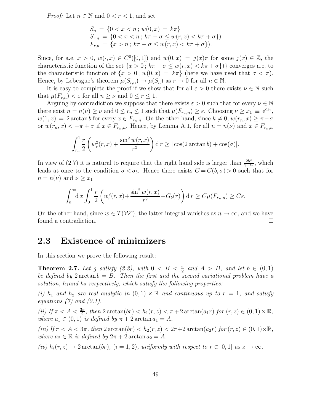*Proof:* Let  $n \in \mathbb{N}$  and  $0 < r < 1$ , and set

$$
S_n = \{0 < x < n \, ; \, w(0, x) = k\pi\}
$$
\n
$$
S_{r,n} = \{0 < x < n \, ; \, k\pi - \sigma \le w(r, x) < k\pi + \sigma\}
$$
\n
$$
F_{r,n} = \{x > n \, ; \, k\pi - \sigma \le w(r, x) < k\pi + \sigma\}.
$$

Since, for a.e.  $x > 0$ ,  $w(\cdot, x) \in C^{0}([0, 1])$  and  $w(0, x) = j(x)\pi$  for some  $j(x) \in \mathbb{Z}$ , the characteristic function of the set  $\{x > 0\,; k\pi - \sigma \leq w(r, x) < k\pi + \sigma\}\$  converges a.e. to the characteristic function of  $\{x > 0; w(0, x) = k\pi\}$  (here we have used that  $\sigma < \pi$ ). Hence, by Lebesgue's theorem  $\mu(S_{r,n}) \to \mu(S_n)$  as  $r \to 0$  for all  $n \in \mathbb{N}$ .

It is easy to complete the proof if we show that for all  $\varepsilon > 0$  there exists  $\nu \in \mathbb{N}$  such that  $\mu(F_{r,n}) < \varepsilon$  for all  $n \geq \nu$  and  $0 \leq r \leq 1$ .

Arguing by contradiction we suppose that there exists  $\varepsilon > 0$  such that for every  $\nu \in \mathbb{N}$ there exist  $n = n(\nu) \ge \nu$  and  $0 \le r_n \le 1$  such that  $\mu(F_{r_n,n}) \ge \varepsilon$ . Choosing  $\nu \ge x_1 \equiv e^{cz_1}$ ,  $w(1, x) = 2 \arctan b$  for every  $x \in F_{r_n, n}$ . On the other hand, since  $k \neq 0$ ,  $w(r_n, x) \geq \pi - \sigma$ or  $w(r_n, x) < -\pi + \sigma$  if  $x \in F_{r_n,n}$ . Hence, by Lemma A.1, for all  $n = n(\nu)$  and  $x \in F_{r_n,n}$ 

$$
\int_{r_n}^1 \frac{r}{2} \left( w_r^2(r, x) + \frac{\sin^2 w(r, x)}{r^2} \right) dr \ge |\cos(2 \arctan b) + \cos(\sigma)|.
$$

In view of (2.7) it is natural to require that the right hand side is larger than  $\frac{2b^2}{1+b}$  $\frac{2b^2}{1+b^2}$ , which leads at once to the condition  $\sigma < \sigma_b$ . Hence there exists  $C = C(b, \sigma) > 0$  such that for  $n = n(\nu)$  and  $\nu \geq x_1$ 

$$
\int_n^{\infty} \mathrm{d}x \int_0^1 \frac{r}{2} \left( w_r^2(r,x) + \frac{\sin^2 w(r,x)}{r^2} - G_b(r) \right) \mathrm{d}r \ge C\mu(F_{r_n,n}) \ge C\varepsilon.
$$

On the other hand, since  $w \in T(\mathcal{W}^c)$ , the latter integral vanishes as  $n \to \infty$ , and we have found a contradiction.

#### 2.3 Existence of minimizers

In this section we prove the following result:

**Theorem 2.7.** Let g satisfy (2.2), with  $0 < B < \frac{\pi}{2}$  and  $A > B$ , and let  $b \in (0,1)$ be defined by  $2 \arctan b = B$ . Then the first and the second variational problem have a solution,  $h_1$  and  $h_2$  respectively, which satisfy the following properties:

(i)  $h_1$  and  $h_2$  are real analytic in  $(0,1) \times \mathbb{R}$  and continuous up to  $r = 1$ , and satisfy equations  $(7)$  and  $(2.1)$ .

(ii) If  $\pi < A < \frac{3\pi}{2}$ , then  $2 \arctan(br) < h_1(r, z) < \pi + 2 \arctan(a_1 r)$  for  $(r, z) \in (0, 1) \times \mathbb{R}$ , where  $a_1 \in (0, 1)$  is defined by  $\pi + 2 \arctan a_1 = A$ .

(iii) If  $\pi < A < 3\pi$ , then  $2 \arctan(br) < h_2(r, z) < 2\pi + 2 \arctan(a_2r)$  for  $(r, z) \in (0, 1) \times \mathbb{R}$ , where  $a_2 \in \mathbb{R}$  is defined by  $2\pi + 2 \arctan a_2 = A$ .

(iv)  $h_i(r, z) \rightarrow 2 \arctan(br)$ ,  $(i = 1, 2)$ , uniformly with respect to  $r \in [0, 1]$  as  $z \rightarrow \infty$ .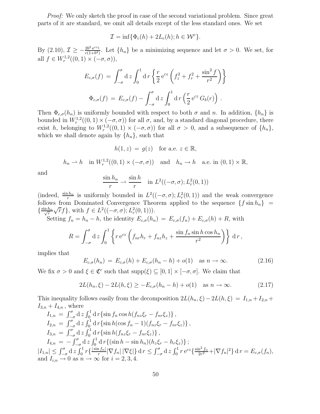Proof: We only sketch the proof in case of the second variational problem. Since great parts of it are standard, we omit all details except of the less standard ones. We set

$$
\mathcal{I} = \inf \{ \Phi_c(h) + 2L_c(h); h \in \mathcal{W}^c \}.
$$

By  $(2.10), \mathcal{I} \geq -\frac{2b^2 e^{cz_1}}{c(1+b^2)}$  $\frac{2b^2 e^{c^2}}{c(1+b^2)}$ . Let  $\{h_n\}$  be a minimizing sequence and let  $\sigma > 0$ . We set, for all  $f \in W_r^{1,2}((0,1) \times (-\sigma, \sigma)),$ 

$$
E_{c,\sigma}(f) = \int_{-\sigma}^{\sigma} d z \int_{0}^{1} d r \left\{ \frac{r}{2} e^{cz} \left( f_{z}^{2} + f_{r}^{2} + \frac{\sin^{2} f}{r^{2}} \right) \right\}
$$

$$
\Phi_{c,\sigma}(f) = E_{c,\sigma}(f) - \int_{-\sigma}^{\sigma} d z \int_{0}^{1} d r \left( \frac{r}{2} e^{cz} G_{b}(r) \right).
$$

Then  $\Phi_{c,\sigma}(h_n)$  is uniformly bounded with respect to both  $\sigma$  and n. In addition,  $\{h_n\}$  is bounded in  $W_r^{1,2}((0,1) \times (-\sigma,\sigma))$  for all σ, and, by a standard diagonal procedure, there exist h, belonging to  $W_r^{1,2}((0,1) \times (-\sigma,\sigma))$  for all  $\sigma > 0$ , and a subsequence of  $\{h_n\}$ , which we shall denote again by  $\{h_n\}$ , such that

$$
h(1, z) = g(z) \quad \text{for a.e. } z \in \mathbb{R},
$$

 $h_n \rightharpoonup h$  in  $W_r^{1,2}((0,1) \times (-\sigma,\sigma))$  and  $h_n \rightharpoonup h$  a.e. in  $(0,1) \times \mathbb{R}$ ,

and

$$
\frac{\sin h_n}{r} \rightharpoonup \frac{\sin h}{r} \quad \text{in } L^2((-\sigma, \sigma); L^2_r(0, 1))
$$

(indeed,  $\frac{\sin h_n}{r}$  is uniformly bounded in  $L^2((-\sigma,\sigma); L^2_r(0,1))$  and the weak convergence follows from Dominated Convergence Theorem applied to the sequence  $\{f \sin h_n\}$  $\left\{\frac{\sin h_n}{\sqrt{r}}\right\}$ r  $\sqrt{r}f$ , with  $f \in L^2((-\sigma,\sigma); L^2_r(0,1))).$ 

Setting  $f_n = h_n - h$ , the identity  $E_{c,\sigma}(h_n) = E_{c,\sigma}(f_n) + E_{c,\sigma}(h) + R$ , with

$$
R = \int_{-\sigma}^{\sigma} \mathrm{d}z \int_{0}^{1} \left\{ r e^{cz} \left( f_{nr} h_{r} + f_{nz} h_{z} + \frac{\sin f_{n} \sin h \cos h_{n}}{r^{2}} \right) \right\} \mathrm{d}r,
$$

implies that

$$
E_{c,\sigma}(h_n) = E_{c,\sigma}(h) + E_{c,\sigma}(h_n - h) + o(1) \quad \text{as } n \to \infty.
$$
 (2.16)

We fix  $\sigma > 0$  and  $\xi \in \mathfrak{C}^c$  such that  $\text{supp}(\xi) \subseteq [0,1] \times [-\sigma, \sigma]$ . We claim that

$$
2L(h_n, \xi) - 2L(h, \xi) \ge -E_{c,\sigma}(h_n - h) + o(1) \quad \text{as } n \to \infty.
$$
 (2.17)

This inequality follows easily from the decomposition  $2L(h_n, \xi) - 2L(h, \xi) = I_{1,n} + I_{2,n} + I_{2,n}$  $I_{3,n} + I_{4,n}$ , where

$$
I_{1,n} = \int_{-\sigma}^{\sigma} d z \int_{0}^{1} d r \{ \sin f_{n} \cos h(f_{nz}\xi_{r} - f_{nr}\xi_{z}) \},
$$
  
\n
$$
I_{2,n} = \int_{-\sigma}^{\sigma} d z \int_{0}^{1} d r \{ \sin h(\cos f_{n} - 1)(f_{nz}\xi_{r} - f_{nr}\xi_{z}) \},
$$
  
\n
$$
I_{3,n} = \int_{-\sigma}^{\sigma} d z \int_{0}^{1} d r \{ \sin h(f_{nz}\xi_{r} - f_{nr}\xi_{z}) \},
$$
  
\n
$$
I_{4,n} = -\int_{-\sigma}^{\sigma} d z \int_{0}^{1} d r \{ (\sin h - \sin h_{n})(h_{z}\xi_{r} - h_{r}\xi_{z}) \};
$$
  
\n
$$
|I_{1,n}| \leq \int_{-\sigma}^{\sigma} d z \int_{0}^{1} r \{ \frac{|\sin f_{n}|}{r} |\nabla f_{n}| |\nabla \xi| \} d r \leq \int_{-\sigma}^{\sigma} d z \int_{0}^{1} r e^{cz} \{ \frac{\sin^{2} f_{n}}{2r^{2}} + |\nabla f_{n}|^{2} \} d r = E_{c,\sigma}(f_{n}),
$$
  
\nand  $I_{i,n} \to 0$  as  $n \to \infty$  for  $i = 2, 3, 4$ .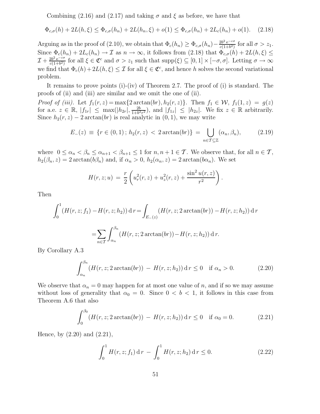Combining (2.16) and (2.17) and taking  $\sigma$  and  $\xi$  as before, we have that

$$
\Phi_{c,\sigma}(h) + 2L(h,\xi) \le \Phi_{c,\sigma}(h_n) + 2L(h_n,\xi) + o(1) \le \Phi_{c,\sigma}(h_n) + 2L_c(h_n) + o(1). \tag{2.18}
$$

Arguing as in the proof of (2.10), we obtain that  $\Phi_c(h_n) \ge \Phi_{c,\sigma}(h_n) - \frac{2b^2 e^{-c\sigma}}{c(1+b^2)}$  $\frac{2b^2 e^{-c\sigma}}{c(1+b^2)}$  for all  $\sigma > z_1$ . Since  $\Phi_c(h_n) + 2L_c(h_n) \to \mathcal{I}$  as  $n \to \infty$ , it follows from (2.18) that  $\Phi_{c,\sigma}(h) + 2L(h,\xi) \leq$  $\mathcal{I} + \frac{2b^2 e^{-c\sigma}}{c(1+b^2)}$  $\frac{2b^2 e^{-c\sigma}}{c(1+b^2)}$  for all  $\xi \in \mathfrak{C}^c$  and  $\sigma > z_1$  such that  $\text{supp}(\xi) \subseteq [0,1] \times [-\sigma,\sigma]$ . Letting  $\sigma \to \infty$ we find that  $\Phi_c(h) + 2L(h,\xi) \leq \mathcal{I}$  for all  $\xi \in \mathfrak{C}^c$ , and hence h solves the second variational problem.

It remains to prove points (i)-(iv) of Theorem 2.7. The proof of (i) is standard. The proofs of (ii) and (iii) are similar and we omit the one of (ii).

Proof of (iii). Let  $f_1(r, z) = \max\{2 \arctan(br), h_2(r, z)\}\$ . Then  $f_1 \in \mathcal{W}$ ,  $f_1(1, z) = g(z)$ for a.e.  $z \in \mathbb{R}$ ,  $|f_{1r}| \leq \max(|h_{2r}|, \frac{2b}{1+b^2})$  $\frac{2b}{1+b^2r^2}$ , and  $|f_{1z}| \leq |h_{2z}|$ . We fix  $z \in \mathbb{R}$  arbitrarily. Since  $h_2(r, z) - 2 \arctan(br)$  is real analytic in  $(0, 1)$ , we may write

$$
E_{-}(z) \equiv \{ r \in (0,1) \, ; \, h_2(r,z) < 2 \arctan(br) \} = \bigcup_{n \in \mathcal{T} \subseteq \mathbb{Z}} (\alpha_n, \beta_n), \tag{2.19}
$$

where  $0 \le \alpha_n < \beta_n \le \alpha_{n+1} < \beta_{n+1} \le 1$  for  $n, n+1 \in \mathcal{T}$ . We observe that, for all  $n \in \mathcal{T}$ ,  $h_2(\beta_n, z) = 2 \arctan(b\beta_n)$  and, if  $\alpha_n > 0$ ,  $h_2(\alpha_n, z) = 2 \arctan(b\alpha_n)$ . We set

$$
H(r, z; u) = \frac{r}{2} \left( u_r^2(r, z) + u_z^2(r, z) + \frac{\sin^2 u(r, z)}{r^2} \right).
$$

Then

$$
\int_0^1 (H(r, z; f_1) - H(r, z; h_2)) dr = \int_{E_-(z)} (H(r, z; 2 \arctan(br)) - H(r, z; h_2)) dr
$$
  
= 
$$
\sum_{n \in \mathcal{T}} \int_{\alpha_n}^{\beta_n} (H(r, z; 2 \arctan(br)) - H(r, z; h_2)) dr.
$$

By Corollary A.3

$$
\int_{\alpha_n}^{\beta_n} \left( H(r, z; 2 \arctan(br) \right) - H(r, z; h_2) \, dr \le 0 \quad \text{if } \alpha_n > 0. \tag{2.20}
$$

We observe that  $\alpha_n = 0$  may happen for at most one value of n, and if so we may assume without loss of generality that  $\alpha_0 = 0$ . Since  $0 < b < 1$ , it follows in this case from Theorem A.6 that also

$$
\int_0^{\beta_0} (H(r, z; 2 \arctan(br)) - H(r, z; h_2)) \, dr \le 0 \quad \text{if } \alpha_0 = 0. \tag{2.21}
$$

Hence, by (2.20) and (2.21),

$$
\int_0^1 H(r, z; f_1) \, \mathrm{d} \, r \, - \, \int_0^1 H(r, z; h_2) \, \mathrm{d} \, r \le 0. \tag{2.22}
$$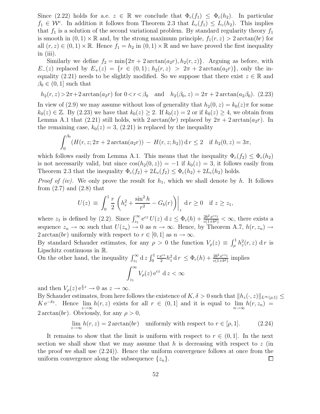Since (2.22) holds for a.e.  $z \in \mathbb{R}$  we conclude that  $\Phi_c(f_1) \leq \Phi_c(h_2)$ . In particular  $f_1 \in \mathcal{W}^c$ . In addition it follows from Theorem 2.3 that  $L_c(f_1) \leq L_c(h_2)$ . This implies that  $f_1$  is a solution of the second variational problem. By standard regularity theory  $f_1$ is smooth in  $(0, 1) \times \mathbb{R}$  and, by the strong maximum principle,  $f_1(r, z) > 2 \arctan(br)$  for all  $(r, z) \in (0, 1) \times \mathbb{R}$ . Hence  $f_1 = h_2$  in  $(0, 1) \times \mathbb{R}$  and we have proved the first inequality in (iii).

Similarly we define  $f_2 = \min\{2\pi + 2\arctan(a_2r), h_2(r, z)\}\$ . Arguing as before, with  $E_-(z)$  replaced by  $E_+(z) = \{r \in (0,1); h_2(r,z) > 2\pi + 2\arctan(a_2r)\}\$ , only the inequality (2.21) needs to be slightly modified. So we suppose that there exist  $z \in \mathbb{R}$  and  $\beta_0 \in (0,1]$  such that

$$
h_2(r, z) > 2\pi + 2 \arctan(a_2 r)
$$
 for  $0 < r < \beta_0$  and  $h_2(\beta_0, z) = 2\pi + 2 \arctan(a_2\beta_0)$ . (2.23)

In view of (2.9) we may assume without loss of generality that  $h_2(0, z) = k_0(z)\pi$  for some  $k_0(z) \in \mathbb{Z}$ . By (2.23) we have that  $k_0(z) \geq 2$ . If  $k_0(z) = 2$  or if  $k_0(z) \geq 4$ , we obtain from Lemma A.1 that (2.21) still holds, with 2 arctan(br) replaced by  $2\pi + 2 \arctan(a_2r)$ . In the remaining case,  $k_0(z) = 3$ , (2.21) is replaced by the inequality

$$
\int_0^{\beta_0} (H(r, z; 2\pi + 2 \arctan(a_2 r)) - H(r, z; h_2)) \, dr \le 2 \quad \text{if } h_2(0, z) = 3\pi,
$$

which follows easily from Lemma A.1. This means that the inequality  $\Phi_c(f_2) \leq \Phi_c(h_2)$ is not necessarily valid, but since  $cos(h_2(0, z)) = -1$  if  $k_0(z) = 3$ , it follows easily from Theorem 2.3 that the inequality  $\Phi_c(f_2) + 2L_c(f_2) \leq \Phi_c(h_2) + 2L_c(h_2)$  holds.

*Proof of (iv)*. We only prove the result for  $h_1$ , which we shall denote by h. It follows from  $(2.7)$  and  $(2.8)$  that

$$
U(z) \equiv \int_0^1 \frac{r}{2} \left( h_r^2 + \frac{\sin^2 h}{r^2} - G_b(r) \right) \Big|_z \, \mathrm{d} \, r \ge 0 \quad \text{if } z \ge z_1,
$$

where  $z_1$  is defined by (2.2). Since  $\int_{z_1}^{\infty} e^{cz} U(z) dz \leq \Phi_c(h) + \frac{2b^2 e^{cz_1}}{c(1+b^2)}$  $\frac{2b^2 e^{c_2}}{c(1+b^2)} < \infty$ , there exists a sequence  $z_n \to \infty$  such that  $U(z_n) \to 0$  as  $n \to \infty$ . Hence, by Theorem A.7,  $h(r, z_n) \to$  $2 \arctan(br)$  uniformly with respect to  $r \in [0,1]$  as  $n \to \infty$ .

By standard Schauder estimates, for any  $\rho > 0$  the function  $V_{\rho}(z) \equiv \int_{\rho}^{1} h_z^2(r, z) dr$  is Lipschitz continuous in R.

On the other hand, the inequality  $\int_{z_1}^{\infty} dz \int_0^1$  $r e^{cz}$  $\frac{e^{cz}}{2}h_z^2 d r \leq \Phi_c(h) + \frac{2b^2 e^{cz_1}}{c(1+b^2)}$  $\frac{2b^2 e^{c^2}}{c(1+b^2)}$  implies  $\int^{\infty}$ 

$$
\int_{z_1} V_{\rho}(z) e^{cz} dz < \infty
$$

and then  $V_{\rho}(z) e^{\frac{c}{2}z} \to 0$  as  $z \to \infty$ .

By Schauder estimates, from here follows the existence of  $K, \delta > 0$  such that  $||h_z(\cdot, z)||_{L^{\infty}(\rho, 1)} \le$  $K e^{-\delta z}$ . Hence  $\lim_{z \to \infty} h(r, z)$  exists for all  $r \in (0, 1]$  and it is equal to  $\lim_{n \to \infty} h(r, z_n)$  $2 \arctan(br)$ . Obviously, for any  $\rho > 0$ ,

$$
\lim_{z \to \infty} h(r, z) = 2 \arctan(br) \quad \text{uniformly with respect to } r \in [\rho, 1]. \tag{2.24}
$$

It remains to show that the limit is uniform with respect to  $r \in (0,1]$ . In the next section we shall show that we may assume that h is decreasing with respect to  $z$  (in the proof we shall use  $(2.24)$ . Hence the uniform convergence follows at once from the uniform convergence along the subsequence  $\{z_n\}$ .  $\Box$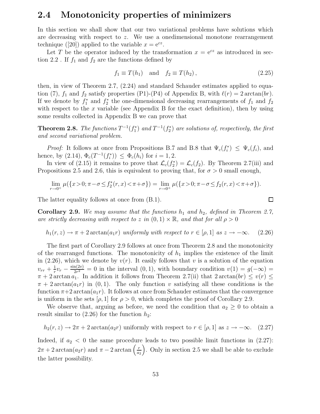#### 2.4 Monotonicity properties of minimizers

In this section we shall show that our two variational problems have solutions which are decreasing with respect to z. We use a onedimensional monotone rearrangement technique ([20]) applied to the variable  $x = e^{cz}$ .

Let T be the operator induced by the transformation  $x = e^{cz}$  as introduced in section 2.2. If  $f_1$  and  $f_2$  are the functions defined by

$$
f_1 \equiv T(h_1) \quad \text{and} \quad f_2 \equiv T(h_2), \tag{2.25}
$$

 $\Box$ 

then, in view of Theorem 2.7, (2.24) and standard Schauder estimates applied to equation (7),  $f_1$  and  $f_2$  satisfy properties (P1)-(P4) of Appendix B, with  $\ell(r) = 2 \arctan(br)$ . If we denote by  $f_1^*$  and  $f_2^*$  the one-dimensional decreasing rearrangements of  $f_1$  and  $f_2$ with respect to the  $x$  variable (see Appendix B for the exact definition), then by using some results collected in Appendix B we can prove that

**Theorem 2.8.** The functions  $T^{-1}(f_1^*)$  and  $T^{-1}(f_2^*)$  are solutions of, respectively, the first and second variational problem.

*Proof:* It follows at once from Propositions B.7 and B.8 that  $\Psi_c(f_i^*) \leq \Psi_c(f_i)$ , and hence, by (2.14),  $\Phi_c(T^{-1}(f_i^*)) \leq \Phi_c(h_i)$  for  $i = 1, 2$ .

In view of (2.15) it remains to prove that  $\mathcal{L}_c(f_2^*) = \mathcal{L}_c(f_2)$ . By Theorem 2.7(iii) and Propositions 2.5 and 2.6, this is equivalent to proving that, for  $\sigma > 0$  small enough,

$$
\lim_{r \to 0^+} \mu(\{x > 0; \pi - \sigma \le f_2^*(r, x) < \pi + \sigma\}) = \lim_{r \to 0^+} \mu(\{x > 0; \pi - \sigma \le f_2(r, x) < \pi + \sigma\}).
$$

The latter equality follows at once from (B.1).

**Corollary 2.9.** We may assume that the functions  $h_1$  and  $h_2$ , defined in Theorem 2.7, are strictly decreasing with respect to z in  $(0,1) \times \mathbb{R}$ , and that for all  $\rho > 0$ 

$$
h_1(r, z) \to \pi + 2 \arctan(a_1 r)
$$
 uniformly with respect to  $r \in [\rho, 1]$  as  $z \to -\infty$ . (2.26)

The first part of Corollary 2.9 follows at once from Theorem 2.8 and the monotonicity of the rearranged functions. The monotonicity of  $h_1$  implies the existence of the limit in (2.26), which we denote by  $v(r)$ . It easily follows that v is a solution of the equation  $v_{rr} + \frac{1}{r}$  $\frac{1}{r}v_r - \frac{\sin(2v)}{2r^2}$  $\frac{\ln(2v)}{2r^2} = 0$  in the interval  $(0, 1)$ , with boundary condition  $v(1) = g(-\infty) =$  $\pi + 2 \arctan a_1$ . In addition it follows from Theorem 2.7(ii) that  $2 \arctan (br) \le v(r) \le$  $\pi + 2 \arctan(a_1 r)$  in  $(0, 1)$ . The only function v satisfying all these conditions is the function  $\pi+2 \arctan(a_1r)$ . It follows at once from Schauder estimates that the convergence is uniform in the sets  $[\rho, 1]$  for  $\rho > 0$ , which completes the proof of Corollary 2.9.

We observe that, arguing as before, we need the condition that  $a_2 \geq 0$  to obtain a result similar to  $(2.26)$  for the function  $h_2$ :

$$
h_2(r, z) \to 2\pi + 2 \arctan(a_2 r)
$$
 uniformly with respect to  $r \in [\rho, 1]$  as  $z \to -\infty$ . (2.27)

Indeed, if  $a_2 < 0$  the same procedure leads to two possible limit functions in  $(2.27)$ :  $2\pi + 2 \arctan(a_2 r)$  and  $\pi - 2 \arctan\left(\frac{r}{a_2}\right)$  $a_2$  . Only in section 2.5 we shall be able to exclude the latter possibility.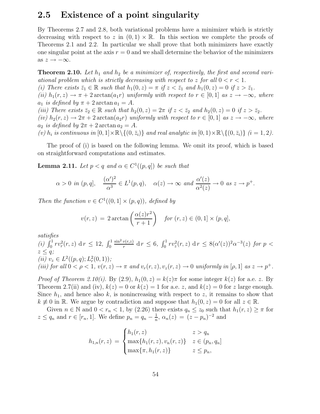#### 2.5 Existence of a point singularity

By Theorems 2.7 and 2.8, both variational problems have a minimizer which is strictly decreasing with respect to z in  $(0, 1) \times \mathbb{R}$ . In this section we complete the proofs of Theorems 2.1 and 2.2. In particular we shall prove that both minimizers have exactly one singular point at the axis  $r = 0$  and we shall determine the behavior of the minimizers as  $z \rightarrow -\infty$ .

**Theorem 2.10.** Let  $h_1$  and  $h_2$  be a minimizer of, respectively, the first and second variational problem which is strictly decreasing with respect to z for all  $0 < r < 1$ . (i) There exists  $\bar{z}_1 \in \mathbb{R}$  such that  $h_1(0, z) = \pi$  if  $z < \bar{z}_1$  and  $h_1(0, z) = 0$  if  $z > \bar{z}_1$ . (ii)  $h_1(r, z) \to \pi + 2 \arctan(a_1 r)$  uniformly with respect to  $r \in [0, 1]$  as  $z \to -\infty$ , where

 $a_1$  is defined by  $\pi + 2 \arctan a_1 = A$ .

(iii) There exists  $\bar{z}_2 \in \mathbb{R}$  such that  $h_2(0, z) = 2\pi$  if  $z < \bar{z}_2$  and  $h_2(0, z) = 0$  if  $z > \bar{z}_2$ . (iv)  $h_2(r, z) \rightarrow 2\pi + 2 \arctan(azr)$  uniformly with respect to  $r \in [0, 1]$  as  $z \rightarrow -\infty$ , where  $a_2$  is defined by  $2\pi + 2 \arctan a_2 = A$ .

(v)  $h_i$  is continuous in  $[0,1] \times \mathbb{R} \setminus \{(0, \bar{z}_i)\}\$  and real analytic in  $[0,1) \times \mathbb{R} \setminus \{(0, \bar{z}_i)\}\$   $(i = 1, 2)$ .

The proof of (i) is based on the following lemma. We omit its proof, which is based on straightforward computations and estimates.

**Lemma 2.11.** Let  $p < q$  and  $\alpha \in C^1((p, q])$  be such that

$$
\alpha > 0
$$
 in  $(p, q]$ ,  $\frac{(\alpha')^2}{\alpha^3} \in L^1(p, q)$ ,  $\alpha(z) \to \infty$  and  $\frac{\alpha'(z)}{\alpha^2(z)} \to 0$  as  $z \to p^+$ .

Then the function  $v \in C^1((0,1] \times (p,q))$ , defined by

$$
v(r,z) = 2 \arctan\left(\frac{\alpha(z)r^2}{r+1}\right) \quad \text{for } (r,z) \in (0,1] \times (p,q],
$$

satisfies

(*i*)  $\int_0^1 r v_r^2(r, z) \, dr \leq 12, \int_0^1$  $\sin^2 v(r,z)$  $\frac{v(r,z)}{r}$  d  $r \leq 6$ ,  $\int_0^1 r v_z^2(r,z) dr \leq 8(\alpha'(z))^2 \alpha^{-3}(z)$  for  $p <$  $z \leq q$ ; (*ii*)  $v_z \in L^2((p,q); L^2_r(0,1));$ (iii) for all  $0 < \rho < 1$ ,  $v(r, z) \rightarrow \pi$  and  $v_r(r, z)$ ,  $v_z(r, z) \rightarrow 0$  uniformly in [ $\rho$ , 1] as  $z \rightarrow p^+$ .

*Proof of Theorem 2.10(i).* By (2.9),  $h_1(0, z) = k(z)\pi$  for some integer  $k(z)$  for a.e. z. By Theorem 2.7(ii) and (iv),  $k(z) = 0$  or  $k(z) = 1$  for a.e. z, and  $k(z) = 0$  for z large enough. Since  $h_1$ , and hence also k, is nonincreasing with respect to z, it remains to show that  $k \neq 0$  in R. We argue by contradiction and suppose that  $h_1(0, z) = 0$  for all  $z \in \mathbb{R}$ .

Given  $n \in \mathbb{N}$  and  $0 < r_n < 1$ , by (2.26) there exists  $q_n \leq z_0$  such that  $h_1(r, z) \geq \pi$  for  $z \le q_n$  and  $r \in [r_n, 1]$ . We define  $p_n = q_n - \frac{1}{n}$  $\frac{1}{n}$ ,  $\alpha_n(z) = (z - p_n)^{-2}$  and

$$
h_{1,n}(r,z) = \begin{cases} h_1(r,z) & z > q_n \\ \max\{h_1(r,z), v_n(r,z)\} & z \in (p_n, q_n] \\ \max\{\pi, h_1(r,z)\} & z \le p_n, \end{cases}
$$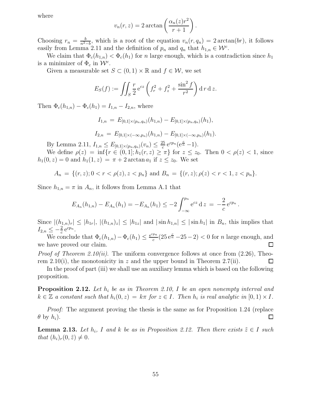where

$$
v_n(r, z) = 2 \arctan\left(\frac{\alpha_n(z)r^2}{r+1}\right).
$$

Choosing  $r_n = \frac{b}{n^2}$  $\frac{b}{n^2-b}$ , which is a root of the equation  $v_n(r, q_n) = 2 \arctan(br)$ , it follows easily from Lemma 2.11 and the definition of  $p_n$  and  $q_n$  that  $h_{1,n} \in \mathcal{W}^c$ .

We claim that  $\Phi_c(h_{1,n}) < \Phi_c(h_1)$  for n large enough, which is a contradiction since  $h_1$ is a minimizer of  $\Phi_c$  in  $\mathcal{W}^c$ .

Given a measurable set  $S \subset (0,1) \times \mathbb{R}$  and  $f \in \mathcal{W}$ , we set

$$
E_S(f) := \iint_S \frac{r}{2} e^{cz} \left( f_r^2 + f_z^2 + \frac{\sin^2 f}{r^2} \right) d r d z.
$$

Then  $\Phi_c(h_{1,n}) - \Phi_c(h_1) = I_{1,n} - I_{2,n}$ , where

$$
I_{1,n} = E_{[0,1] \times (p_n,q_n)}(h_{1,n}) - E_{[0,1] \times (p_n,q_n)}(h_1),
$$
  

$$
I_{2,n} = E_{[0,1] \times (-\infty,p_n)}(h_{1,n}) - E_{[0,1] \times (-\infty,p_n)}(h_1).
$$

By Lemma 2.11,  $I_{1,n} \leq E_{[0,1] \times (p_n,q_n)}(v_n) \leq \frac{25}{c}$  $\frac{e^{25}}{c} e^{cp_n} (e^{\frac{c}{n}} - 1).$ 

We define  $\rho(z) = \inf \{ r \in (0,1]; h_1(r,z) \geq \pi \}$  for  $z \leq z_0$ . Then  $0 < \rho(z) < 1$ , since  $h_1(0, z) = 0$  and  $h_1(1, z) = \pi + 2 \arctan a_1$  if  $z \le z_0$ . We set

$$
A_n = \{(r, z); 0 < r < \rho(z), z < p_n\} \text{ and } B_n = \{(r, z); \rho(z) < r < 1, z < p_n\}.
$$

Since  $h_{1,n} = \pi$  in  $A_n$ , it follows from Lemma A.1 that

$$
E_{A_n}(h_{1,n})-E_{A_n}(h_1)=-E_{A_n}(h_1)\leq -2\int_{-\infty}^{p_n}e^{cz}\,dz=-\frac{2}{c}\,e^{cp_n}\,.
$$

Since  $|(h_{1,n})_r| \leq |h_{1r}|, |(h_{1,n})_z| \leq |h_{1z}|$  and  $|\sin h_{1,n}| \leq |\sin h_1|$  in  $B_n$ , this implies that  $I_{2,n} \leq -\frac{2}{c} e^{cp_n}.$ 

We conclude that  $\Phi_c(h_{1,n}) - \Phi_c(h_1) \leq \frac{e^{cpn}}{c}$  $\frac{p_n}{c}(25e^{\frac{c}{n}}-25-2)$  < 0 for *n* large enough, and we have proved our claim.

*Proof of Theorem 2.10(ii).* The uniform convergence follows at once from  $(2.26)$ , Theorem 2.10(i), the monotonicity in z and the upper bound in Theorem 2.7(ii). □

In the proof of part (iii) we shall use an auxiliary lemma which is based on the following proposition.

**Proposition 2.12.** Let  $h_i$  be as in Theorem 2.10, I be an open nonempty interval and  $k \in \mathbb{Z}$  a constant such that  $h_i(0, z) = k\pi$  for  $z \in I$ . Then  $h_i$  is real analytic in  $[0, 1) \times I$ .

Proof: The argument proving the thesis is the same as for Proposition 1.24 (replace  $\Box$  $\theta$  by  $h_i$ ).

**Lemma 2.13.** Let  $h_i$ , I and k be as in Proposition 2.12. Then there exists  $\tilde{z} \in I$  such that  $(h_i)_r(0, \tilde{z}) \neq 0$ .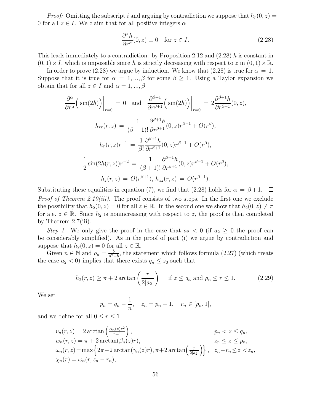*Proof:* Omitting the subscript i and arguing by contradiction we suppose that  $h_r(0, z) =$ 0 for all  $z \in I$ . We claim that for all positive integers  $\alpha$ 

$$
\frac{\partial^{\alpha} h}{\partial r^{\alpha}}(0, z) \equiv 0 \quad \text{for } z \in I.
$$
\n(2.28)

This leads immediately to a contradiction: by Proposition 2.12 and (2.28) h is constant in  $(0, 1) \times I$ , which is impossible since h is strictly decreasing with respect to z in  $(0, 1) \times \mathbb{R}$ .

In order to prove (2.28) we argue by induction. We know that (2.28) is true for  $\alpha = 1$ . Suppose that it is true for  $\alpha = 1, ..., \beta$  for some  $\beta \geq 1$ . Using a Taylor expansion we obtain that for all  $z \in I$  and  $\alpha = 1, ..., \beta$ 

$$
\frac{\partial^{\alpha}}{\partial r^{\alpha}} \Big( \sin(2h) \Big) \Big|_{r=0} = 0 \text{ and } \frac{\partial^{\beta+1}}{\partial r^{\beta+1}} \Big( \sin(2h) \Big) \Big|_{r=0} = 2 \frac{\partial^{\beta+1} h}{\partial r^{\beta+1}} (0, z),
$$

$$
h_{rr}(r, z) = \frac{1}{(\beta - 1)!} \frac{\partial^{\beta+1} h}{\partial r^{\beta+1}} (0, z) r^{\beta-1} + O(r^{\beta}),
$$

$$
h_r(r, z) r^{-1} = \frac{1}{\beta!} \frac{\partial^{\beta+1} h}{\partial r^{\beta+1}} (0, z) r^{\beta-1} + O(r^{\beta}),
$$

$$
\frac{1}{2} \sin(2h(r, z)) r^{-2} = \frac{1}{(\beta + 1)!} \frac{\partial^{\beta+1} h}{\partial r^{\beta+1}} (0, z) r^{\beta-1} + O(r^{\beta}),
$$

$$
h_z(r, z) = O(r^{\beta+1}), h_{zz}(r, z) = O(r^{\beta+1}).
$$

Substituting these equalities in equation (7), we find that (2.28) holds for  $\alpha = \beta + 1$ .  $\Box$ *Proof of Theorem 2.10(iii).* The proof consists of two steps. In the first one we exclude the possibility that  $h_2(0, z) = 0$  for all  $z \in \mathbb{R}$ . In the second one we show that  $h_2(0, z) \neq \pi$ for a.e.  $z \in \mathbb{R}$ . Since  $h_2$  is nonincreasing with respect to z, the proof is then completed by Theorem 2.7(iii).

Step 1. We only give the proof in the case that  $a_2 < 0$  (if  $a_2 \geq 0$  the proof can be considerably simplified). As in the proof of part (i) we argue by contradiction and suppose that  $h_2(0, z) = 0$  for all  $z \in \mathbb{R}$ .

Given  $n \in \mathbb{N}$  and  $\rho_n = \frac{b}{n^2}$ .  $\frac{b}{n^2-b}$ , the statement which follows formula (2.27) (which treats the case  $a_2 < 0$ ) implies that there exists  $q_n \leq z_0$  such that

$$
h_2(r,z) \ge \pi + 2\arctan\left(\frac{r}{2|a_2|}\right) \quad \text{if } z \le q_n \text{ and } \rho_n \le r \le 1. \tag{2.29}
$$

We set

$$
p_n = q_n - \frac{1}{n}, \quad z_n = p_n - 1, \quad r_n \in [\rho_n, 1],
$$

and we define for all  $0 \le r \le 1$ 

$$
v_n(r, z) = 2 \arctan\left(\frac{\alpha_n(z)r^2}{r+1}\right), \qquad p_n < z \le q_n,
$$
  
\n
$$
w_n(r, z) = \pi + 2 \arctan(\beta_n(z)r), \qquad z_n \le z \le p_n,
$$
  
\n
$$
\omega_n(r, z) = \max\left\{2\pi - 2 \arctan(\gamma_n(z)r), \pi + 2 \arctan\left(\frac{r}{2|a_2|}\right)\right\}, \quad z_n - r_n \le z < z_n,
$$
  
\n
$$
\chi_n(r) = \omega_n(r, z_n - r_n),
$$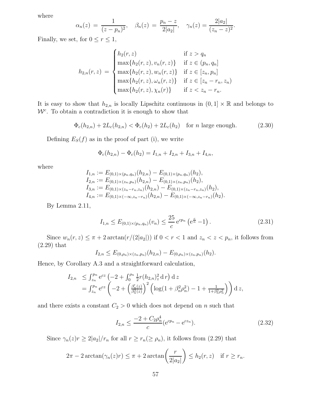where

$$
\alpha_n(z) = \frac{1}{(z - p_n)^2}, \quad \beta_n(z) = \frac{p_n - z}{2|a_2|}, \quad \gamma_n(z) = \frac{2|a_2|}{(z_n - z)^2}.
$$

Finally, we set, for  $0 \le r \le 1$ ,

$$
h_{2,n}(r,z) = \begin{cases} h_2(r,z) & \text{if } z > q_n \\ \max\{h_2(r,z), v_n(r,z)\} & \text{if } z \in (p_n, q_n] \\ \max\{h_2(r,z), w_n(r,z)\} & \text{if } z \in [z_n, p_n] \\ \max\{h_2(r,z), \omega_n(r,z)\} & \text{if } z \in [z_n - r_n, z_n) \\ \max\{h_2(r,z), \chi_n(r)\} & \text{if } z < z_n - r_n. \end{cases}
$$

It is easy to show that  $h_{2,n}$  is locally Lipschitz continuous in  $(0,1] \times \mathbb{R}$  and belongs to  $W<sup>c</sup>$ . To obtain a contradiction it is enough to show that

$$
\Phi_c(h_{2,n}) + 2L_c(h_{2,n}) < \Phi_c(h_2) + 2L_c(h_2) \quad \text{for } n \text{ large enough.} \tag{2.30}
$$

Defining  $E_S(f)$  as in the proof of part (i), we write

$$
\Phi_c(h_{2,n}) - \Phi_c(h_2) = I_{1,n} + I_{2,n} + I_{3,n} + I_{4,n},
$$

where

$$
I_{1,n} := E_{(0,1)\times(p_n,q_n)}(h_{2,n}) - E_{(0,1)\times(p_n,q_n)}(h_2),
$$
  
\n
$$
I_{2,n} := E_{(0,1)\times(z_n,p_n)}(h_{2,n}) - E_{(0,1)\times(z_n,p_n)}(h_2),
$$
  
\n
$$
I_{3,n} := E_{(0,1)\times(z_n-r_n,z_n)}(h_{2,n}) - E_{(0,1)\times(z_n-r_n,z_n)}(h_2),
$$
  
\n
$$
I_{4,n} := E_{(0,1)\times(-\infty,z_n-r_n)}(h_{2,n}) - E_{(0,1)\times(-\infty,z_n-r_n)}(h_2).
$$

By Lemma 2.11,

$$
I_{1,n} \le E_{(0,1)\times(p_n,q_n)}(v_n) \le \frac{25}{c} e^{cp_n} \left(e^{\frac{c}{n}} - 1\right).
$$
 (2.31)

Since  $w_n(r, z) \leq \pi + 2 \arctan(r/(2|a_2|))$  if  $0 < r < 1$  and  $z_n < z < p_n$ , it follows from (2.29) that

$$
I_{2,n} \leq E_{(0,\rho_n)\times(z_n,p_n)}(h_{2,n}) - E_{(0,\rho_n)\times(z_n,p_n)}(h_2).
$$

Hence, by Corollary A.3 and a straightforward calculation,

$$
I_{2,n} \leq \int_{z_n}^{p_n} e^{cz} \left( -2 + \int_0^{\rho_n} \frac{1}{2} r (h_{2,n})_z^2 d r \right) dz
$$
  
= 
$$
\int_{z_n}^{p_n} e^{cz} \left( -2 + \left( \frac{\beta_n'(z)}{\beta_n^2(z)} \right)^2 \left( \log(1 + \beta_n^2 \rho_n^2) - 1 + \frac{1}{1 + \beta_n^2 \rho_n^2} \right) \right) dz,
$$

and there exists a constant  $C_2 > 0$  which does not depend on n such that

$$
I_{2,n} \le \frac{-2 + C_2 \rho_n^4}{c} (e^{c p_n} - e^{c z_n}).
$$
\n(2.32)

Since  $\gamma_n(z)r \geq 2|a_2|/r_n$  for all  $r \geq r_n(\geq \rho_n)$ , it follows from (2.29) that

$$
2\pi - 2\arctan(\gamma_n(z)r) \le \pi + 2\arctan\left(\frac{r}{2|a_2|}\right) \le h_2(r,z) \quad \text{if } r \ge r_n.
$$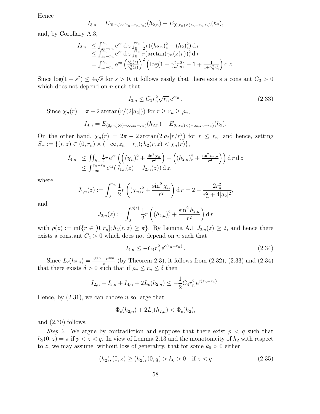Hence

$$
I_{3,n} = E_{(0,r_n)\times(z_n-r_n,z_n)}(h_{2,n}) - E_{(0,r_n)\times(z_n-r_n,z_n)}(h_2),
$$

and, by Corollary A.3,

$$
I_{3,n} \leq \int_{z_n-r_n}^{z_n} e^{cz} dz \int_0^{r_n} \frac{1}{2} r((h_{2,n})_z^2 - (h_2)_z^2) dr
$$
  
\n
$$
\leq \int_{z_n-r_n}^{z_n} e^{cz} dz \int_0^{r_n} r(\arctan(\gamma_n(z)r))_z^2 dr
$$
  
\n
$$
= \int_{z_n-r_n}^{z_n} e^{cz} \left(\frac{\gamma_n'(z)}{\gamma_n^2(z)}\right)^2 \left(\log(1+\gamma_n^2r_n^2) - 1 + \frac{1}{1+\gamma_n^2r_n^2}\right) dz.
$$

Since  $log(1+s^2) \le 4\sqrt{s}$  for  $s > 0$ , it follows easily that there exists a constant  $C_3 > 0$ which does not depend on  $n$  such that

$$
I_{3,n} \leq C_3 r_n^2 \sqrt{r_n} \,\mathrm{e}^{cz_n} \,. \tag{2.33}
$$

Since  $\chi_n(r) = \pi + 2 \arctan(r/(2|a_2|))$  for  $r \ge r_n \ge \rho_n$ ,

$$
I_{4,n} = E_{(0,r_n)\times(-\infty,z_n-r_n)}(h_{2,n}) - E_{(0,r_n)\times(-\infty,z_n-r_n)}(h_2).
$$

On the other hand,  $\chi_n(r) = 2\pi - 2 \arctan(2|a_2|r/r_n^2)$  for  $r \leq r_n$ , and hence, setting  $S_- := \{(r, z) \in (0, r_n) \times (-\infty, z_n - r_n); h_2(r, z) < \chi_n(r) \},$ 

$$
I_{4,n} \leq \iint_{S_{-}} \frac{1}{2} r e^{cz} \left( \left( (\chi_n)_r^2 + \frac{\sin^2 \chi_n}{r^2} \right) - \left( (h_{2,n})_r^2 + \frac{\sin^2 h_{2,n}}{r^2} \right) \right) d r d z
$$
  
\$\leq \int\_{-\infty}^{z\_n - r\_n} e^{cz} (J\_{1,n}(z) - J\_{2,n}(z)) dz\$,

where

$$
J_{1,n}(z) := \int_0^{r_n} \frac{1}{2} r \left( (\chi_n)_r^2 + \frac{\sin^2 \chi_n}{r^2} \right) dr = 2 - \frac{2r_n^2}{r_n^2 + 4|a_2|^2},
$$

and

$$
J_{2,n}(z) := \int_0^{\rho(z)} \frac{1}{2} r \left( (h_{2,n})_r^2 + \frac{\sin^2 h_{2,n}}{r^2} \right) dr
$$

with  $\rho(z) := \inf\{r \in [0, r_n]; h_2(r, z) \geq \pi\}$ . By Lemma A.1  $J_{2,n}(z) \geq 2$ , and hence there exists a constant  $C_4 > 0$  which does not depend on n such that

$$
I_{4,n} \le -C_4 r_n^2 e^{c(z_n - r_n)}.
$$
\n(2.34)

.

Since  $L_c(h_{2,n}) = \frac{e^{cp_n} - e^{cz_n}}{c}$  $\frac{c}{c}e^{c^2/2}$  (by Theorem 2.3), it follows from (2.32), (2.33) and (2.34) that there exists  $\delta > 0$  such that if  $\rho_n \leq r_n \leq \delta$  then

$$
I_{2,n} + I_{3,n} + I_{4,n} + 2L_c(h_{2,n}) \leq -\frac{1}{2}C_4 r_n^2 e^{c(z_n - r_n)}
$$

Hence, by  $(2.31)$ , we can choose *n* so large that

$$
\Phi_c(h_{2,n}) + 2L_c(h_{2,n}) < \Phi_c(h_2),
$$

and (2.30) follows.

Step 2. We argue by contradiction and suppose that there exist  $p < q$  such that  $h_2(0, z) = \pi$  if  $p < z < q$ . In view of Lemma 2.13 and the monotonicity of  $h_2$  with respect to z, we may assume, without loss of generality, that for some  $k_0 > 0$  either

$$
(h_2)_r(0, z) \ge (h_2)_r(0, q) > k_0 > 0 \quad \text{if } z < q \tag{2.35}
$$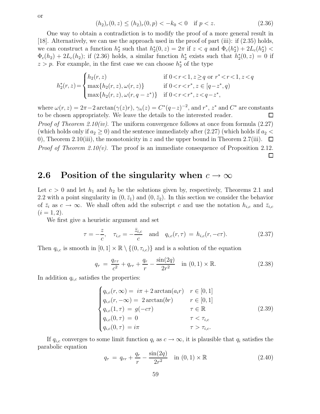$$
(h_2)_r(0, z) \le (h_2)_r(0, p) < -k_0 < 0 \quad \text{if } p < z. \tag{2.36}
$$

One way to obtain a contradiction is to modify the proof of a more general result in [18]. Alternatively, we can use the approach used in the proof of part (iii): if (2.35) holds, we can construct a function  $h_2^*$  such that  $h_2^*(0, z) = 2\pi$  if  $z < q$  and  $\Phi_c(h_2^*) + 2L_c(h_2^*) <$  $\Phi_c(h_2) + 2L_c(h_2)$ ; if (2.36) holds, a similar function  $h_2^*$  exists such that  $h_2^*(0, z) = 0$  if  $z > p$ . For example, in the first case we can choose  $h_2^*$  of the type

$$
h_2^*(r, z) = \begin{cases} h_2(r, z) & \text{if } 0 < r < 1, z \ge q \text{ or } r^* < r < 1, z < q \\ \max\{h_2(r, z), \omega(r, z)\} & \text{if } 0 < r < r^*, z \in [q - z^*, q) \\ \max\{h_2(r, z), \omega(r, q - z^*)\} & \text{if } 0 < r < r^*, z < q - z^*, \end{cases}
$$

where  $\omega(r, z) = 2\pi - 2 \arctan(\gamma(z)r), \gamma_n(z) = C^*(q-z)^{-2}$ , and  $r^*, z^*$  and  $C^*$  are constants to be chosen appropriately. We leave the details to the interested reader.  $\Box$ *Proof of Theorem 2.10(iv).* The uniform convergence follows at once from formula  $(2.27)$ (which holds only if  $a_2 \geq 0$ ) and the sentence immediately after (2.27) (which holds if  $a_2$  < 0), Theorem 2.10(iii), the monotonicity in z and the upper bound in Theorem 2.7(iii).  $\Box$ *Proof of Theorem 2.10(v).* The proof is an immediate consequence of Proposition 2.12. □

#### 2.6 Position of the singularity when  $c \to \infty$

Let  $c > 0$  and let  $h_1$  and  $h_2$  be the solutions given by, respectively, Theorems 2.1 and 2.2 with a point singularity in  $(0, \bar{z}_1)$  and  $(0, \bar{z}_2)$ . In this section we consider the behavior of  $\bar{z}_i$  as  $c \to \infty$ . We shall often add the subscript c and use the notation  $h_{i,c}$  and  $\bar{z}_{i,c}$  $(i = 1, 2).$ 

We first give a heuristic argument and set

$$
\tau = -\frac{z}{c}, \quad \tau_{i,c} = -\frac{\bar{z}_{i,c}}{c} \quad \text{and} \quad q_{i,c}(r,\tau) = h_{i,c}(r,-c\tau). \tag{2.37}
$$

Then  $q_{i,c}$  is smooth in  $[0,1] \times \mathbb{R} \setminus \{(0,\tau_{i,c})\}$  and is a solution of the equation

$$
q_{\tau} = \frac{q_{\tau\tau}}{c^2} + q_{rr} + \frac{q_r}{r} - \frac{\sin(2q)}{2r^2} \quad \text{in } (0,1) \times \mathbb{R}.
$$
 (2.38)

In addition  $q_{i,c}$  satisfies the properties:

$$
\begin{cases}\nq_{i,c}(r,\infty) = i\pi + 2\arctan(a_i r) & r \in [0,1] \\
q_{i,c}(r,-\infty) = 2\arctan(br) & r \in [0,1] \\
q_{i,c}(1,\tau) = g(-c\tau) & \tau \in \mathbb{R} \\
q_{i,c}(0,\tau) = 0 & \tau < \tau_{i,c} \\
q_{i,c}(0,\tau) = i\pi & \tau > \tau_{i,c}.\n\end{cases}
$$
\n(2.39)

If  $q_{i,c}$  converges to some limit function  $q_i$  as  $c \to \infty$ , it is plausible that  $q_i$  satisfies the parabolic equation  $\cdot$  (2)

$$
q_{\tau} = q_{rr} + \frac{q_r}{r} - \frac{\sin(2q)}{2r^2} \quad \text{in } (0, 1) \times \mathbb{R} \tag{2.40}
$$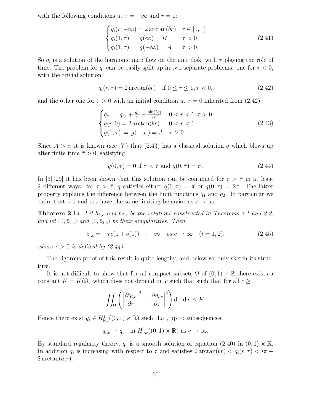with the following conditions at  $\tau = -\infty$  and  $r = 1$ :

$$
\begin{cases}\nq_i(r, -\infty) = 2 \arctan(br) & r \in [0, 1] \\
q_i(1, \tau) = g(\infty) = B & \tau < 0 \\
q_i(1, \tau) = g(-\infty) = A & \tau > 0.\n\end{cases}
$$
\n(2.41)

So  $q_i$  is a solution of the harmonic map flow on the unit disk, with  $\tau$  playing the role of time. The problem for  $q_i$  can be easily split up in two separate problems: one for  $\tau < 0$ , with the trivial solution

$$
q_i(r, \tau) = 2 \arctan(br)
$$
 if  $0 \le r \le 1, \tau < 0$ , (2.42)

and the other one for  $\tau > 0$  with an initial condition at  $\tau = 0$  inherited from (2.42):

$$
\begin{cases}\n q_{\tau} = q_{rr} + \frac{q_r}{r} - \frac{\sin(2q)}{2r^2} & 0 < r < 1, \tau > 0 \\
 q(r, 0) = 2 \arctan(br) & 0 < r < 1 \\
 q(1, \tau) = g(-\infty) = A & \tau > 0.\n\end{cases}\n\tag{2.43}
$$

Since  $A > \pi$  it is known (see [7]) that (2.43) has a classical solution q which blows up after finite time  $\bar{\tau} > 0$ , satisfying

$$
q(0,\tau) = 0 \text{ if } \tau < \bar{\tau} \text{ and } q(0,\bar{\tau}) = \pi. \tag{2.44}
$$

In [3],[29] it has been shown that this solution can be continued for  $\tau > \bar{\tau}$  in at least 2 different ways: for  $\tau > \overline{\tau}$ , q satisfies either  $q(0, \tau) = \pi$  or  $q(0, \tau) = 2\pi$ . The latter property explains the difference between the limit functions  $q_1$  and  $q_2$ . In particular we claim that  $\bar{z}_{1,c}$  and  $\bar{z}_{2,c}$  have the same limiting behavior as  $c \to \infty$ :

**Theorem 2.14.** Let  $h_{1,c}$  and  $h_{2,c}$  be the solutions constructed in Theorems 2.1 and 2.2, and let  $(0, \bar{z}_{1,c})$  and  $(0, \bar{z}_{2,c})$  be their singularities. Then

$$
\bar{z}_{i,c} = -\bar{\tau}c(1 + o(1)) \rightarrow -\infty \quad \text{as } c \rightarrow \infty \quad (i = 1, 2), \tag{2.45}
$$

where  $\bar{\tau} > 0$  is defined by (2.44).

The rigorous proof of this result is quite lengthy, and below we only sketch its structure.

It is not difficult to show that for all compact subsets  $\Omega$  of  $(0,1) \times \mathbb{R}$  there exists a constant  $K = K(\Omega)$  which does not depend on c such that such that for all  $c \geq 1$ 

$$
\iint_{\Omega} \left( \left| \frac{\partial q_{i,c}}{\partial r} \right|^2 + \left| \frac{\partial q_{i,c}}{\partial \tau} \right|^2 \right) d\tau d\tau \leq K.
$$

Hence there exist  $q_i \in H^1_{loc}((0,1) \times \mathbb{R})$  such that, up to subsequences,

$$
q_{i,c} \rightarrow q_i
$$
 in  $H^1_{loc}((0,1) \times \mathbb{R})$  as  $c \rightarrow \infty$ .

By standard regularity theory,  $q_i$  is a smooth solution of equation (2.40) in  $(0, 1) \times \mathbb{R}$ . In addition  $q_i$  is increasing with respect to  $\tau$  and satisfies  $2 \arctan(br) < q_i(r, \tau) < i\pi +$  $2 \arctan(a_i r)$ .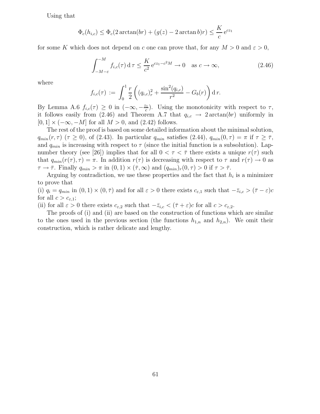Using that

$$
\Phi_c(h_{i,c}) \le \Phi_c(2 \arctan(br) + (g(z) - 2 \arctan b)r) \le \frac{K}{c} e^{cz_1}
$$

for some K which does not depend on c one can prove that, for any  $M > 0$  and  $\varepsilon > 0$ ,

$$
\int_{-M-\varepsilon}^{-M} f_{i,c}(\tau) d\tau \le \frac{K}{c^2} e^{cz_1 - c^2 M} \to 0 \quad \text{as } c \to \infty,
$$
 (2.46)

where

$$
f_{i,c}(\tau) := \int_0^1 \frac{r}{2} \left( (q_{i,c})_r^2 + \frac{\sin^2(q_{i,c})}{r^2} - G_b(r) \right) d r.
$$

By Lemma A.6  $f_{i,c}(\tau) \geq 0$  in  $(-\infty, -\frac{z_1}{c})$  $\frac{\varepsilon_1}{c}$ ). Using the monotonicity with respect to  $\tau$ , it follows easily from (2.46) and Theorem A.7 that  $q_{i,c} \to 2 \arctan(br)$  uniformly in  $[0, 1] \times (-\infty, -M]$  for all  $M > 0$ , and  $(2.42)$  follows.

The rest of the proof is based on some detailed information about the minimal solution,  $q_{min}(r, \tau)$  ( $\tau \ge 0$ ), of (2.43). In particular  $q_{min}$  satisfies (2.44),  $q_{min}(0, \tau) = \pi$  if  $\tau \ge \overline{\tau}$ , and  $q_{min}$  is increasing with respect to  $\tau$  (since the initial function is a subsolution). Lapnumber theory (see [26]) implies that for all  $0 < \tau < \overline{\tau}$  there exists a unique  $r(\tau)$  such that  $q_{min}(r(\tau), \tau) = \pi$ . In addition  $r(\tau)$  is decreasing with respect to  $\tau$  and  $r(\tau) \to 0$  as  $\tau \to \bar{\tau}$ . Finally  $q_{min} > \pi$  in  $(0, 1) \times (\bar{\tau}, \infty)$  and  $(q_{min})_r(0, \tau) > 0$  if  $\tau > \bar{\tau}$ .

Arguing by contradiction, we use these properties and the fact that  $h_i$  is a minimizer to prove that

(i)  $q_i = q_{min}$  in  $(0, 1) \times (0, \overline{\tau})$  and for all  $\varepsilon > 0$  there exists  $c_{\varepsilon,1}$  such that  $-\overline{z}_{i,c} > (\overline{\tau} - \varepsilon)c$ for all  $c > c_{\varepsilon,1}$ ;

(ii) for all  $\varepsilon > 0$  there exists  $c_{\varepsilon,2}$  such that  $-\overline{z}_{i,c} < (\overline{\tau} + \varepsilon)c$  for all  $c > c_{\varepsilon,2}$ .

The proofs of (i) and (ii) are based on the construction of functions which are similar to the ones used in the previous section (the functions  $h_{1,n}$  and  $h_{2,n}$ ). We omit their construction, which is rather delicate and lengthy.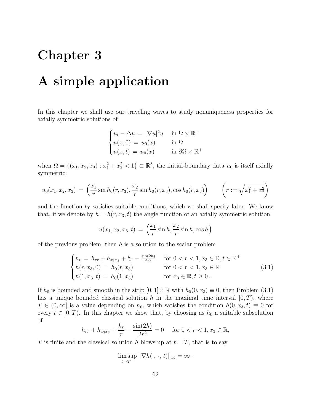## Chapter 3

## A simple application

In this chapter we shall use our traveling waves to study nonuniqueness properties for axially symmetric solutions of

$$
\begin{cases} u_t - \Delta u = |\nabla u|^2 u & \text{in } \Omega \times \mathbb{R}^+ \\ u(x,0) = u_0(x) & \text{in } \Omega \\ u(x,t) = u_0(x) & \text{in } \partial\Omega \times \mathbb{R}^+ \end{cases}
$$

when  $\Omega = \{(x_1, x_2, x_3) : x_1^2 + x_2^2 < 1\} \subset \mathbb{R}^3$ , the initial-boundary data  $u_0$  is itself axially symmetric:

$$
u_0(x_1, x_2, x_3) = \left(\frac{x_1}{r}\sin h_0(r, x_3), \frac{x_2}{r}\sin h_0(r, x_3), \cos h_0(r, x_3)\right) \qquad \left(r := \sqrt{x_1^2 + x_2^2}\right)
$$

and the function  $h_0$  satisfies suitable conditions, which we shall specify later. We know that, if we denote by  $h = h(r, x_3, t)$  the angle function of an axially symmetric solution

$$
u(x_1, x_2, x_3, t) = \left(\frac{x_1}{r} \sin h, \frac{x_2}{r} \sin h, \cos h\right)
$$

of the previous problem, then  $h$  is a solution to the scalar problem

$$
\begin{cases}\nh_t = h_{rr} + h_{x_3x_3} + \frac{h_r}{r} - \frac{\sin(2h)}{2r^2} & \text{for } 0 < r < 1, x_3 \in \mathbb{R}, t \in \mathbb{R}^+ \\
h(r, x_3, 0) = h_0(r, x_3) & \text{for } 0 < r < 1, x_3 \in \mathbb{R} \\
h(1, x_3, t) = h_0(1, x_3) & \text{for } x_3 \in \mathbb{R}, t \ge 0.\n\end{cases}
$$
\n(3.1)

If  $h_0$  is bounded and smooth in the strip  $[0, 1] \times \mathbb{R}$  with  $h_0(0, x_3) \equiv 0$ , then Problem (3.1) has a unique bounded classical solution h in the maximal time interval  $[0, T)$ , where  $T \in (0,\infty]$  is a value depending on  $h_0$ , which satisfies the condition  $h(0, x_3, t) \equiv 0$  for every  $t \in [0, T)$ . In this chapter we show that, by choosing as  $h_0$  a suitable subsolution of

$$
h_{rr} + h_{x_3x_3} + \frac{h_r}{r} - \frac{\sin(2h)}{2r^2} = 0 \quad \text{for } 0 < r < 1, x_3 \in \mathbb{R},
$$

T is finite and the classical solution h blows up at  $t = T$ , that is to say

$$
\limsup_{t\to T^-} \|\nabla h(\cdot,\,\cdot,\,t)\|_{\infty} = \infty.
$$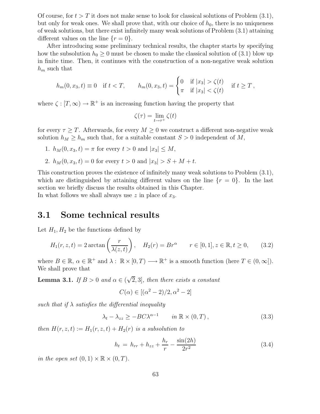Of course, for  $t > T$  it does not make sense to look for classical solutions of Problem  $(3.1)$ , but only for weak ones. We shall prove that, with our choice of  $h_0$ , there is no uniqueness of weak solutions, but there exist infinitely many weak solutions of Problem (3.1) attaining different values on the line  $\{r=0\}$ .

After introducing some preliminary technical results, the chapter starts by specifying how the subsolution  $h_0 \geq 0$  must be chosen to make the classical solution of (3.1) blow up in finite time. Then, it continues with the construction of a non-negative weak solution  $h_m$  such that

$$
h_m(0, x_3, t) \equiv 0 \quad \text{if } t < T, \qquad h_m(0, x_3, t) = \begin{cases} 0 & \text{if } |x_3| > \zeta(t) \\ \pi & \text{if } |x_3| < \zeta(t) \end{cases} \quad \text{if } t \ge T,
$$

where  $\zeta : [T, \infty) \to \mathbb{R}^+$  is an increasing function having the property that

$$
\zeta(\tau) = \lim_{t \to \tau^+} \zeta(t)
$$

for every  $\tau \geq T$ . Afterwards, for every  $M \geq 0$  we construct a different non-negative weak solution  $h_M \geq h_m$  such that, for a suitable constant  $S > 0$  independent of M,

- 1.  $h_M(0, x_3, t) = \pi$  for every  $t > 0$  and  $|x_3| \leq M$ ,
- 2.  $h_M(0, x_3, t) = 0$  for every  $t > 0$  and  $|x_3| > S + M + t$ .

This construction proves the existence of infinitely many weak solutions to Problem (3.1), which are distinguished by attaining different values on the line  $\{r = 0\}$ . In the last section we briefly discuss the results obtained in this Chapter. In what follows we shall always use  $z$  in place of  $x_3$ .

#### 3.1 Some technical results

Let  $H_1, H_2$  be the functions defined by

$$
H_1(r, z, t) = 2 \arctan\left(\frac{r}{\lambda(z, t)}\right), \quad H_2(r) = Br^\alpha \qquad r \in [0, 1], z \in \mathbb{R}, t \ge 0,
$$
 (3.2)

where  $B \in \mathbb{R}$ ,  $\alpha \in \mathbb{R}^+$  and  $\lambda : \mathbb{R} \times [0, T) \longrightarrow \mathbb{R}^+$  is a smooth function (here  $T \in (0, \infty]$ ). We shall prove that

**Lemma 3.1.** If  $B > 0$  and  $\alpha \in (\sqrt{2}, 3]$ , then there exists a constant

$$
C(\alpha) \in [(\alpha^2 - 2)/2, \alpha^2 - 2]
$$

such that if  $\lambda$  satisfies the differential inequality

 $\lambda_t - \lambda_{zz} > -BC\lambda^{\alpha-1}$  $in \mathbb{R} \times (0,T)$ , (3.3)

then  $H(r, z, t) := H_1(r, z, t) + H_2(r)$  is a subsolution to

$$
h_t = h_{rr} + h_{zz} + \frac{h_r}{r} - \frac{\sin(2h)}{2r^2}
$$
\n(3.4)

in the open set  $(0, 1) \times \mathbb{R} \times (0, T)$ .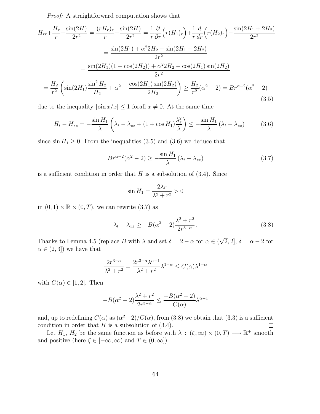Proof: A straightforward computation shows that

$$
H_{rr} + \frac{H_r}{r} - \frac{\sin(2H)}{2r^2} = \frac{(rH_r)_r}{r} - \frac{\sin(2H)}{2r^2} = \frac{1}{r}\frac{\partial}{\partial r}\left(r(H_1)_r\right) + \frac{1}{r}\frac{d}{dr}\left(r(H_2)_r\right) - \frac{\sin(2H_1 + 2H_2)}{2r^2}
$$
  

$$
= \frac{\sin(2H_1) + \alpha^2 2H_2 - \sin(2H_1 + 2H_2)}{2r^2}
$$
  

$$
= \frac{\sin(2H_1)(1 - \cos(2H_2)) + \alpha^2 2H_2 - \cos(2H_1)\sin(2H_2)}{2r^2}
$$
  

$$
= \frac{H_2}{r^2}\left(\sin(2H_1)\frac{\sin^2 H_2}{H_2} + \alpha^2 - \frac{\cos(2H_1)\sin(2H_2)}{2H_2}\right) \ge \frac{H_2}{r^2}(\alpha^2 - 2) = Br^{\alpha - 2}(\alpha^2 - 2)
$$
(3.5)

due to the inequality  $|\sin x/x| \leq 1$  forall  $x \neq 0$ . At the same time

$$
H_t - H_{zz} = -\frac{\sin H_1}{\lambda} \left( \lambda_t - \lambda_{zz} + (1 + \cos H_1) \frac{\lambda_z^2}{\lambda} \right) \le -\frac{\sin H_1}{\lambda} \left( \lambda_t - \lambda_{zz} \right) \tag{3.6}
$$

since  $\sin H_1 \geq 0$ . From the inequalities (3.5) and (3.6) we deduce that

$$
Br^{\alpha-2}(\alpha^2 - 2) \ge -\frac{\sin H_1}{\lambda} (\lambda_t - \lambda_{zz})
$$
\n(3.7)

is a sufficient condition in order that  $H$  is a subsolution of  $(3.4)$ . Since

$$
\sin H_1 = \frac{2\lambda r}{\lambda^2 + r^2} > 0
$$

in  $(0, 1) \times \mathbb{R} \times (0, T)$ , we can rewrite  $(3.7)$  as

$$
\lambda_t - \lambda_{zz} \ge -B(\alpha^2 - 2)\frac{\lambda^2 + r^2}{2r^{3-\alpha}}.
$$
\n(3.8)

Thanks to Lemma 4.5 (replace B with  $\lambda$  and set  $\delta = 2 - \alpha$  for  $\alpha \in (\sqrt{2}, 2], \delta = \alpha - 2$  for  $\alpha \in (2, 3]$  we have that

$$
\frac{2r^{3-\alpha}}{\lambda^2 + r^2} = \frac{2r^{3-\alpha}\lambda^{\alpha-1}}{\lambda^2 + r^2}\lambda^{1-\alpha} \le C(\alpha)\lambda^{1-\alpha}
$$

with  $C(\alpha) \in [1, 2]$ . Then

$$
-B(\alpha^2-2)\frac{\lambda^2+r^2}{2r^{3-\alpha}}\leq \frac{-B(\alpha^2-2)}{C(\alpha)}\lambda^{\alpha-1}
$$

and, up to redefining  $C(\alpha)$  as  $(\alpha^2-2)/C(\alpha)$ , from  $(3.8)$  we obtain that  $(3.3)$  is a sufficient condition in order that  $H$  is a subsolution of  $(3.4)$ .

Let  $H_1$ ,  $H_2$  be the same function as before with  $\lambda : (\zeta, \infty) \times (0, T) \longrightarrow \mathbb{R}^+$  smooth and positive (here  $\zeta \in [-\infty, \infty)$  and  $T \in (0, \infty]$ ).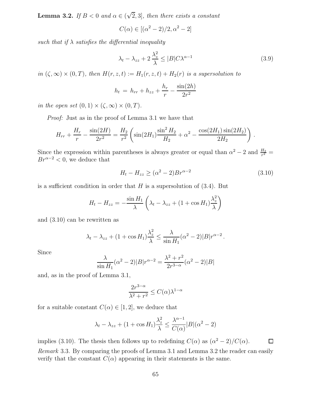**Lemma 3.2.** If  $B < 0$  and  $\alpha \in (\sqrt{2}, 3]$ , then there exists a constant

$$
C(\alpha) \in [(\alpha^2 - 2)/2, \alpha^2 - 2]
$$

such that if  $\lambda$  satisfies the differential inequality

$$
\lambda_t - \lambda_{zz} + 2\frac{\lambda_z^2}{\lambda} \le |B|C\lambda^{\alpha - 1}
$$
\n(3.9)

in  $(\zeta, \infty) \times (0, T)$ , then  $H(r, z, t) := H_1(r, z, t) + H_2(r)$  is a supersolution to

$$
h_t = h_{rr} + h_{zz} + \frac{h_r}{r} - \frac{\sin(2h)}{2r^2}
$$

in the open set  $(0, 1) \times (\zeta, \infty) \times (0, T)$ .

Proof: Just as in the proof of Lemma 3.1 we have that

$$
H_{rr} + \frac{H_r}{r} - \frac{\sin(2H)}{2r^2} = \frac{H_2}{r^2} \left( \sin(2H_1) \frac{\sin^2 H_2}{H_2} + \alpha^2 - \frac{\cos(2H_1)\sin(2H_2)}{2H_2} \right).
$$

Since the expression within parentheses is always greater or equal than  $\alpha^2 - 2$  and  $\frac{H_2}{r^2} =$  $Br^{\alpha-2} < 0$ , we deduce that

$$
H_t - H_{zz} \ge (\alpha^2 - 2)Br^{\alpha - 2}
$$
\n(3.10)

is a sufficient condition in order that  $H$  is a supersolution of  $(3.4)$ . But

$$
H_t - H_{zz} = -\frac{\sin H_1}{\lambda} \left( \lambda_t - \lambda_{zz} + (1 + \cos H_1) \frac{\lambda_z^2}{\lambda} \right)
$$

and (3.10) can be rewritten as

$$
\lambda_t - \lambda_{zz} + (1 + \cos H_1) \frac{\lambda_z^2}{\lambda} \le \frac{\lambda}{\sin H_1} (\alpha^2 - 2)|B|r^{\alpha - 2}.
$$

Since

$$
\frac{\lambda}{\sin H_1} (\alpha^2 - 2)|B|r^{\alpha - 2} = \frac{\lambda^2 + r^2}{2r^{3-\alpha}} (\alpha^2 - 2)|B|
$$

and, as in the proof of Lemma 3.1,

$$
\frac{2r^{3-\alpha}}{\lambda^2 + r^2} \le C(\alpha)\lambda^{1-\alpha}
$$

for a suitable constant  $C(\alpha) \in [1,2]$ , we deduce that

$$
\lambda_t - \lambda_{zz} + (1 + \cos H_1) \frac{\lambda_z^2}{\lambda} \le \frac{\lambda^{\alpha - 1}}{C(\alpha)} |B| (\alpha^2 - 2)
$$

implies (3.10). The thesis then follows up to redefining  $C(\alpha)$  as  $(\alpha^2 - 2)/C(\alpha)$ .  $\Box$ Remark 3.3. By comparing the proofs of Lemma 3.1 and Lemma 3.2 the reader can easily verify that the constant  $C(\alpha)$  appearing in their statements is the same.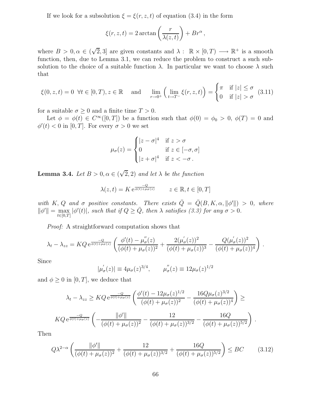If we look for a subsolution  $\xi = \xi(r, z, t)$  of equation (3.4) in the form

$$
\xi(r, z, t) = 2 \arctan\left(\frac{r}{\lambda(z, t)}\right) + Br^{\alpha},
$$

where  $B > 0, \alpha \in (\sqrt{2}, 3]$  are given constants and  $\lambda : \mathbb{R} \times [0, T) \longrightarrow \mathbb{R}^+$  is a smooth function, then, due to Lemma 3.1, we can reduce the problem to construct a such subsolution to the choice of a suitable function  $\lambda$ . In particular we want to choose  $\lambda$  such that

$$
\xi(0, z, t) = 0 \quad \forall t \in [0, T), z \in \mathbb{R} \quad \text{and} \quad \lim_{r \to 0^+} \left( \lim_{t \to T^-} \xi(r, z, t) \right) = \begin{cases} \pi & \text{if } |z| \le \sigma \\ 0 & \text{if } |z| > \sigma \end{cases} \tag{3.11}
$$

for a suitable  $\sigma \geq 0$  and a finite time  $T > 0$ .

Let  $\phi = \phi(t) \in C^{\infty}([0,T])$  be a function such that  $\phi(0) = \phi_0 > 0$ ,  $\phi(T) = 0$  and  $\phi'(t) < 0$  in [0, T]. For every  $\sigma > 0$  we set

$$
\mu_{\sigma}(z) = \begin{cases}\n|z - \sigma|^4 & \text{if } z > \sigma \\
0 & \text{if } z \in [-\sigma, \sigma] \\
|z + \sigma|^4 & \text{if } z < -\sigma.\n\end{cases}
$$

**Lemma 3.4.** Let  $B > 0, \alpha \in (\sqrt{2}, 2)$  and let  $\lambda$  be the function

$$
\lambda(z,t) = K e^{\frac{-Q}{\phi(t) + \mu_{\sigma}(z)}} \qquad z \in \mathbb{R}, t \in [0, T]
$$

with K, Q and  $\sigma$  positive constants. There exists  $\overline{Q} = \overline{Q}(B, K, \alpha, ||\phi'||) > 0$ , where  $\|\phi'\| = \max_{t \in [0,T]} |\phi'(t)|$ , such that if  $Q \ge \overline{Q}$ , then  $\lambda$  satisfies (3.3) for any  $\sigma > 0$ .

Proof: A straightforward computation shows that

$$
\lambda_t - \lambda_{zz} = KQ e^{\frac{-Q}{\phi(t) + \mu_\sigma(z)}} \left( \frac{\phi'(t) - \mu_\sigma''(z)}{(\phi(t) + \mu_\sigma(z))^2} + \frac{2(\mu_\sigma'(z))^2}{(\phi(t) + \mu_\sigma(z))^3} - \frac{Q(\mu_\sigma'(z))^2}{(\phi(t) + \mu_\sigma(z))^4} \right).
$$

Since

$$
|\mu_{\sigma}'(z)| \equiv 4\mu_{\sigma}(z)^{3/4}, \qquad \mu_{\sigma}''(z) \equiv 12\mu_{\sigma}(z)^{1/2}
$$

and  $\phi \geq 0$  in [0, T], we deduce that

$$
\lambda_t - \lambda_{zz} \geq KQ \, e^{\frac{-Q}{\phi(t) + \mu_\sigma(z)}} \left( \frac{\phi'(t) - 12\mu_\sigma(z)^{1/2}}{(\phi(t) + \mu_\sigma(z))^2} - \frac{16Q\mu_\sigma(z)^{3/2}}{(\phi(t) + \mu_\sigma(z))^4} \right) \geq
$$
  

$$
KQ \, e^{\frac{-Q}{\phi(t) + \mu_\sigma(z)}} \left( -\frac{\|\phi'\|}{(\phi(t) + \mu_\sigma(z))^2} - \frac{12}{(\phi(t) + \mu_\sigma(z))^{3/2}} - \frac{16Q}{(\phi(t) + \mu_\sigma(z))^{5/2}} \right).
$$

Then

$$
Q\lambda^{2-\alpha} \left( \frac{\|\phi'\|}{(\phi(t) + \mu_{\sigma}(z))^2} + \frac{12}{(\phi(t) + \mu_{\sigma}(z))^{3/2}} + \frac{16Q}{(\phi(t) + \mu_{\sigma}(z))^{5/2}} \right) \le BC \tag{3.12}
$$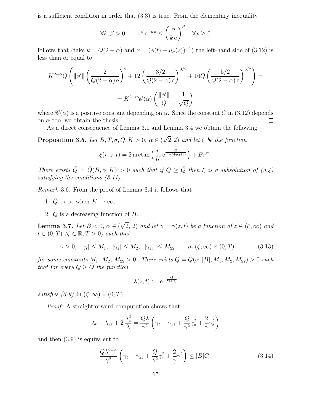is a sufficient condition in order that (3.3) is true. From the elementary inequality

$$
\forall k, \beta > 0 \qquad x^{\beta} e^{-kx} \le \left(\frac{\beta}{k e}\right)^{\beta} \quad \forall x \ge 0
$$

follows that (take  $k = Q(2 - \alpha)$  and  $x = (\phi(t) + \mu_{\sigma}(z))^{-1}$ ) the left-hand side of (3.12) is less than or equal to

$$
K^{2-\alpha}Q\left(\|\phi'\|\left(\frac{2}{Q(2-\alpha)e}\right)^2 + 12\left(\frac{3/2}{Q(2-\alpha)e}\right)^{3/2} + 16Q\left(\frac{5/2}{Q(2-\alpha)e}\right)^{5/2}\right) = K^{2-\alpha}\mathscr{C}(\alpha)\left(\frac{\|\phi'\|}{Q} + \frac{1}{\sqrt{Q}}\right)
$$

where  $\mathscr{C}(\alpha)$  is a positive constant depending on  $\alpha$ . Since the constant C in (3.12) depends on  $\alpha$  too, we obtain the thesis.  $\Box$ 

As a direct consequence of Lemma 3.1 and Lemma 3.4 we obtain the following

**Proposition 3.5.** Let  $B, T, \sigma, Q, K > 0$ ,  $\alpha \in (\sqrt{2}, 2)$  and let  $\xi$  be the function

$$
\xi(r, z, t) = 2 \arctan\left(\frac{r}{K} e^{\frac{Q}{T - t + \mu_{\sigma}(z)}}\right) + B r^{\alpha}.
$$

There exists  $\overline{Q} = \overline{Q}(B, \alpha, K) > 0$  such that if  $Q \geq \overline{Q}$  then  $\xi$  is a subsolution of (3.4) satisfying the conditions (3.11).

Remark 3.6. From the proof of Lemma 3.4 it follows that

- 1.  $\overline{Q} \to \infty$  when  $K \to \infty$ ,
- 2.  $\overline{Q}$  is a decreasing function of B.

**Lemma 3.7.** Let  $B < 0$ ,  $\alpha \in (\sqrt{2}, 2)$  and let  $\gamma = \gamma(z, t)$  be a function of  $z \in (\zeta, \infty)$  and  $t \in (0, T)$   $(\zeta \in \mathbb{R}, T > 0)$  such that

$$
\gamma > 0, \quad |\gamma_t| \le M_1, \quad |\gamma_z| \le M_2, \quad |\gamma_{zz}| \le M_{22} \qquad in \ (\zeta, \infty) \times (0, T) \tag{3.13}
$$

for some constants  $M_1, M_2, M_{22} > 0$ . There exists  $\hat{Q} = \hat{Q}(\alpha, |B|, M_1, M_2, M_{22}) > 0$  such that for every  $Q \geq \hat{Q}$  the function

$$
\lambda(z,t) := \mathrm{e}^{-\frac{Q}{\gamma(z,t)}}
$$

satisfies (3.9) in  $(\zeta, \infty) \times (0, T)$ .

Proof: A straightforward computation shows that

$$
\lambda_t - \lambda_{zz} + 2\frac{\lambda_z^2}{\lambda} = \frac{Q\lambda}{\gamma^2} \left(\gamma_t - \gamma_{zz} + \frac{Q}{\gamma^2}\gamma_z^2 + \frac{2}{\gamma}\gamma_z^2\right)
$$

and then (3.9) is equivalent to

$$
\frac{Q\lambda^{2-\alpha}}{\gamma^2} \left( \gamma_t - \gamma_{zz} + \frac{Q}{\gamma^2} \gamma_z^2 + \frac{2}{\gamma} \gamma_z^2 \right) \le |B|C. \tag{3.14}
$$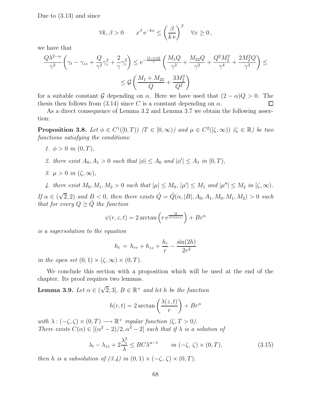Due to (3.13) and since

$$
\forall k, \beta > 0 \qquad x^{\beta} e^{-kx} \le \left(\frac{\beta}{k e}\right)^{\beta} \quad \forall x \ge 0,
$$

we have that

$$
\frac{Q\lambda^{2-\alpha}}{\gamma^2} \left( \gamma_t - \gamma_{zz} + \frac{Q}{\gamma^2} \gamma_z^2 + \frac{2}{\gamma} \gamma_z^2 \right) \le e^{-\frac{(2-\alpha)Q}{\gamma}} \left( \frac{M_1 Q}{\gamma^2} + \frac{M_{22} Q}{\gamma^2} + \frac{Q^2 M_2^2}{\gamma^4} + \frac{2M_2^2 Q}{\gamma^3} \right) \le
$$
  
 
$$
\le \mathcal{G} \left( \frac{M_1 + M_{22}}{Q} + \frac{3M_2^2}{Q^2} \right)
$$

for a suitable constant G depending on  $\alpha$ . Here we have used that  $(2 - \alpha)Q > 0$ . The thesis then follows from (3.14) since C is a constant depending on  $\alpha$ . thesis then follows from (3.14) since C is a constant depending on  $\alpha$ .

As a direct consequence of Lemma 3.2 and Lemma 3.7 we obtain the following assertion:

**Proposition 3.8.** Let  $\phi \in C^1([0,T))$   $(T \in [0,\infty))$  and  $\mu \in C^2([\zeta,\infty))$   $(\zeta \in \mathbb{R})$  be two functions satisfying the conditions:

- 1.  $\phi > 0$  in  $(0, T)$ ,
- 2. there exist  $A_0, A_1 > 0$  such that  $|\phi| \leq A_0$  and  $|\phi'| \leq A_1$  in  $[0, T)$ ,
- 3.  $\mu > 0$  in  $(\zeta, \infty)$ ,

4. there exist  $M_0, M_1, M_2 > 0$  such that  $|\mu| \leq M_0, |\mu'| \leq M_1$  and  $|\mu''| \leq M_2$  in  $(\zeta, \infty)$ .

If  $\alpha \in (\sqrt{2}, 2)$  and  $B < 0$ , then there exists  $\hat{Q} = \hat{Q}(\alpha, |B|, A_0, A_1, M_0, M_1, M_2) > 0$  such that for every  $Q \geq \hat{Q}$  the function

$$
\psi(r, z, t) = 2 \arctan\left(r e^{\frac{Q}{\phi(t)\mu(z)}}\right) + Br^{\alpha}
$$

is a supersolution to the equation

$$
h_t = h_{rr} + h_{zz} + \frac{h_r}{r} - \frac{\sin(2h)}{2r^2}
$$

in the open set  $(0, 1) \times (\zeta, \infty) \times (0, T)$ .

We conclude this section with a proposition which will be used at the end of the chapter. Its proof requires two lemmas.

**Lemma 3.9.** Let  $\alpha \in (\sqrt{2}, 3]$ ,  $B \in \mathbb{R}^+$  and let h be the function

$$
h(r,t) = 2 \arctan\left(\frac{\lambda(z,t)}{r}\right) + Br^{\alpha}
$$

with  $\lambda: (-\zeta, \zeta) \times (0, T) \longrightarrow \mathbb{R}^+$  regular function  $(\zeta, T > 0)$ . There exists  $C(\alpha) \in [(\alpha^2 - 2)/2, \alpha^2 - 2]$  such that if  $\lambda$  is a solution of

$$
\lambda_t - \lambda_{zz} + 2\frac{\lambda_z^2}{\lambda} \le BC\lambda^{\alpha - 1} \qquad in \ (-\zeta, \ \zeta) \times (0, T), \tag{3.15}
$$

then h is a subsolution of  $(3.4)$  in  $(0, 1) \times (-\zeta, \zeta) \times (0, T)$ .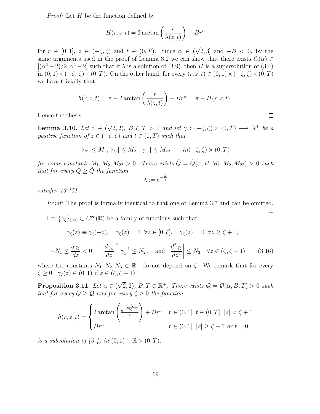*Proof:* Let  $H$  be the function defined by

$$
H(r, z, t) = 2 \arctan\left(\frac{r}{\lambda(z, t)}\right) - Br^{\alpha}
$$

for  $r \in [0,1], z \in (-\zeta,\zeta)$  and  $t \in (0,T)$ . Since  $\alpha \in (\sqrt{2},3]$  and  $-B < 0$ , by the same arguments used in the proof of Lemma 3.2 we can show that there exists  $C(\alpha) \in$  $[(\alpha^2-2)/2, \alpha^2-2]$  such that if  $\lambda$  is a solution of (3.9), then H is a supersolution of (3.4) in  $(0, 1) \times (-\zeta, \zeta) \times (0, T)$ . On the other hand, for every  $(r, z, t) \in (0, 1) \times (-\zeta, \zeta) \times (0, T)$ we have trivially that

$$
h(r, z, t) = \pi - 2 \arctan\left(\frac{r}{\lambda(z, t)}\right) + Br^{\alpha} = \pi - H(r, z, t).
$$

Hence the thesis.

**Lemma 3.10.** Let  $\alpha \in (\sqrt{2}, 2)$ ,  $B, \zeta, T > 0$  and let  $\gamma : (-\zeta, \zeta) \times (0, T) \longrightarrow \mathbb{R}^+$  be a positive function of  $z \in (-\zeta, \zeta)$  and  $t \in (0, T)$  such that

$$
|\gamma_t| \le M_1, |\gamma_z| \le M_2, |\gamma_{zz}| \le M_{22} \qquad in(-\zeta, \zeta) \times (0, T)
$$

for some constants  $M_1, M_2, M_{22} > 0$ . There exists  $\tilde{Q} = \tilde{Q}(\alpha, B, M_1, M_2, M_{22}) > 0$  such that for every  $Q \geq Q$  the function

$$
\lambda := \mathrm{e}^{-\frac{Q}{\gamma}}
$$

satisfies (3.15).

Proof: The proof is formally identical to that one of Lemma 3.7 and can be omitted.

Let  $\{\gamma_{\zeta}\}_{\zeta \geq 0} \subset C^{\infty}(\mathbb{R})$  be a family of functions such that

$$
\gamma_{\zeta}(z) \equiv \gamma_{\zeta}(-z), \quad \gamma_{\zeta}(z) = 1 \quad \forall z \in [0, \zeta], \quad \gamma_{\zeta}(z) = 0 \quad \forall z \ge \zeta + 1,
$$

$$
-N_1 \le \frac{d\gamma_{\zeta}}{dz} < 0, \quad \left|\frac{d\gamma_{\zeta}}{dz}\right|^2 \gamma_{\zeta}^{-1} \le N_2, \quad \text{and} \quad \left|\frac{d^2\gamma_{\zeta}}{dz^2}\right| \le N_3 \quad \forall z \in (\zeta, \zeta + 1) \tag{3.16}
$$

where the constants  $N_1, N_2, N_3 \in \mathbb{R}^+$  do not depend on  $\zeta$ . We remark that for every  $\zeta \geq 0$   $\gamma_{\zeta}(z) \in (0,1)$  if  $z \in (\zeta, \zeta + 1)$ .

**Proposition 3.11.** Let  $\alpha \in (\sqrt{2}, 2)$ ,  $B, T \in \mathbb{R}^+$ . There exists  $\mathcal{Q} = \mathcal{Q}(\alpha, B, T) > 0$  such that for every  $Q > Q$  and for every  $\zeta > 0$  the function

$$
h(r, z, t) = \begin{cases} 2\arctan\left(\frac{e^{-\frac{Q}{t\gamma_{\zeta}(z)}}}{r}\right) + Br^{\alpha} & r \in (0, 1], t \in (0, T], |z| < \zeta + 1 \\ Br^{\alpha} & r \in (0, 1], |z| \ge \zeta + 1 \text{ or } t = 0 \end{cases}
$$

is a subsolution of  $(3.4)$  in  $(0,1) \times \mathbb{R} \times (0,T)$ .

 $\square$ 

◻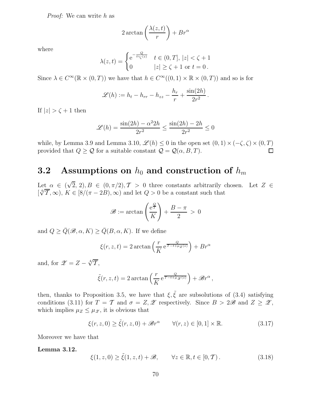Proof: We can write h as

$$
2\arctan\left(\frac{\lambda(z,t)}{r}\right) + Br^{\alpha}
$$

where

$$
\lambda(z,t) = \begin{cases} e^{-\frac{Q}{t\gamma_{\zeta}(z)}} & t \in (0,T], \, |z| < \zeta + 1 \\ 0 & |z| \ge \zeta + 1 \text{ or } t = 0 \,. \end{cases}
$$

Since  $\lambda \in C^{\infty}(\mathbb{R} \times (0,T))$  we have that  $h \in C^{\infty}((0,1) \times \mathbb{R} \times (0,T))$  and so is for

$$
\mathscr{L}(h) := h_t - h_{rr} - h_{zz} - \frac{h_r}{r} + \frac{\sin(2h)}{2r^2}.
$$

If  $|z| > \zeta + 1$  then

$$
\mathcal{L}(h) = \frac{\sin(2h) - \alpha^2 2h}{2r^2} \le \frac{\sin(2h) - 2h}{2r^2} \le 0
$$

while, by Lemma 3.9 and Lemma 3.10,  $\mathscr{L}(h) \leq 0$  in the open set  $(0, 1) \times (-\zeta, \zeta) \times (0, T)$ provided that  $Q \ge Q$  for a suitable constant  $Q = Q(\alpha, B, T)$ .

#### 3.2 Assumptions on  $h_0$  and construction of  $h_m$

Let  $\alpha \in (\sqrt{2}, 2), B \in (0, \pi/2), T > 0$  three constants arbitrarily chosen. Let  $Z \in$  $[\sqrt[4]{T}, \infty)$ ,  $K \in [8/(\pi - 2B), \infty)$  and let  $Q > 0$  be a constant such that

$$
\mathscr{B} := \arctan\left(\frac{e^{\frac{Q}{T}}}{K}\right) + \frac{B - \pi}{2} > 0
$$

and  $Q \ge \overline{Q}(\mathcal{B}, \alpha, K) \ge \overline{Q}(B, \alpha, K)$ . If we define

$$
\xi(r, z, t) = 2 \arctan\left(\frac{r}{K} e^{\frac{Q}{T - t + \mu_Z(z)}}\right) + Br^{\alpha}
$$

and, for  $\mathscr{Z} = Z - \sqrt[4]{\mathcal{T}},$ 

$$
\tilde{\xi}(r, z, t) = 2 \arctan \left( \frac{r}{K} e^{\overline{\tau - t + \mu_{\mathscr{Z}}(z)}} \right) + \mathscr{B}r^{\alpha},
$$

then, thanks to Proposition 3.5, we have that  $\xi, \tilde{\xi}$  are subsolutions of (3.4) satisfying conditions (3.11) for  $T = \mathcal{T}$  and  $\sigma = Z, \mathscr{Z}$  respectively. Since  $B > 2\mathscr{B}$  and  $Z \geq \mathscr{Z}$ , which implies  $\mu_Z \leq \mu_{\mathscr{Z}}$ , it is obvious that

$$
\xi(r, z, 0) \ge \tilde{\xi}(r, z, 0) + \mathcal{B}r^{\alpha} \qquad \forall (r, z) \in [0, 1] \times \mathbb{R}.
$$
\n(3.17)

Moreover we have that

Lemma 3.12.

$$
\xi(1, z, 0) \ge \tilde{\xi}(1, z, t) + \mathcal{B}, \qquad \forall z \in \mathbb{R}, t \in [0, T). \tag{3.18}
$$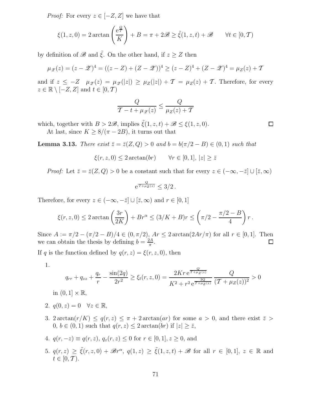*Proof:* For every  $z \in [-Z, Z]$  we have that

$$
\xi(1, z, 0) = 2 \arctan\left(\frac{e^{\frac{Q}{\mathcal{T}}}}{K}\right) + B = \pi + 2\mathscr{B} \ge \tilde{\xi}(1, z, t) + \mathscr{B} \qquad \forall t \in [0, \mathcal{T})
$$

by definition of  $\mathscr{B}$  and  $\tilde{\xi}$ . On the other hand, if  $z \geq Z$  then

$$
\mu_{\mathscr{Z}}(z) = (z - \mathscr{Z})^4 = ((z - Z) + (Z - \mathscr{Z}))^4 \ge (z - Z)^4 + (Z - \mathscr{Z})^4 = \mu_Z(z) + T
$$

and if  $z \le -Z$   $\mu_{\mathscr{Z}}(z) = \mu_{\mathscr{Z}}(|z|) \ge \mu_Z(|z|) + \mathcal{T} = \mu_Z(z) + \mathcal{T}$ . Therefore, for every  $z \in \mathbb{R} \setminus [-Z, Z]$  and  $t \in [0, T)$ 

$$
\frac{Q}{\mathcal{T}-t+\mu_{\mathscr{Z}}(z)} \leq \frac{Q}{\mu_Z(z)+\mathcal{T}}
$$

which, together with  $B > 2\mathcal{B}$ , implies  $\tilde{\xi}(1, z, t) + \mathcal{B} \leq \xi(1, z, 0)$ .

At last, since  $K \geq 8/(\pi - 2B)$ , it turns out that

**Lemma 3.13.** There exist  $\bar{z} = \bar{z}(Z, Q) > 0$  and  $b = b(\pi/2 - B) \in (0, 1)$  such that

$$
\xi(r, z, 0) \le 2 \arctan(br) \qquad \forall r \in [0, 1], \, |z| \ge \bar{z}
$$

*Proof:* Let  $\bar{z} = \bar{z}(Z, Q) > 0$  be a constant such that for every  $z \in (-\infty, -\bar{z}] \cup [\bar{z}, \infty)$ 

$$
e^{\frac{Q}{T+\mu_Z(z)}} \leq 3/2.
$$

Therefore, for every  $z \in (-\infty, -\overline{z}] \cup [\overline{z}, \infty)$  and  $r \in [0, 1]$ 

$$
\xi(r,z,0) \le 2\arctan\left(\frac{3r}{2K}\right) + Br^{\alpha} \le (3/K+B)r \le \left(\pi/2 - \frac{\pi/2 - B}{4}\right)r.
$$

Since  $A := \pi/2 - (\pi/2 - B)/4 \in (0, \pi/2)$ ,  $Ar \leq 2 \arctan(2Ar/\pi)$  for all  $r \in [0, 1]$ . Then we can obtain the thesis by defining  $b = \frac{2A}{\pi}$ . we can obtain the thesis by defining  $b = \frac{2A}{\pi}$  $\frac{2A}{\pi}$ .

If q is the function defined by  $q(r, z) = \xi(r, z, 0)$ , then

1.

$$
q_{rr} + q_{zz} + \frac{q_r}{r} - \frac{\sin(2q)}{2r^2} \ge \xi_t(r, z, 0) = \frac{2Kr e^{\frac{Q}{T + \mu_Z(z)}}}{K^2 + r^2 e^{\frac{2Q}{T + \mu_Z(z)}}} \frac{Q}{(T + \mu_Z(z))^2} > 0
$$

in  $(0, 1] \times \mathbb{R}$ ,

- 2.  $q(0, z) = 0 \quad \forall z \in \mathbb{R}$ ,
- 3. 2 arctan $(r/K) \leq q(r, z) \leq \pi + 2 \arctan(ar)$  for some  $a > 0$ , and there exist  $\bar{z} >$  $0, b \in (0, 1)$  such that  $q(r, z) \leq 2 \arctan(br)$  if  $|z| \geq \overline{z}$ ,

4. 
$$
q(r, -z) \equiv q(r, z), q_z(r, z) \le 0
$$
 for  $r \in [0, 1], z \ge 0$ , and

5.  $q(r, z) \geq \tilde{\xi}(r, z, 0) + \mathcal{B}r^{\alpha}, q(1, z) \geq \tilde{\xi}(1, z, t) + \mathcal{B}$  for all  $r \in [0, 1], z \in \mathbb{R}$  and  $t \in [0, T)$ .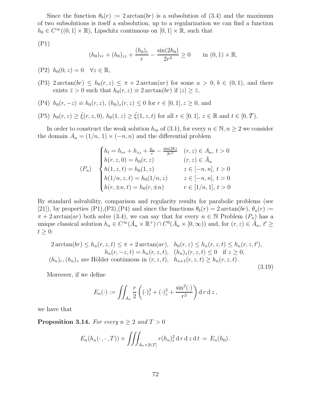Since the function  $\theta_b(r) := 2 \arctan(br)$  is a subsolution of (3.4) and the maximum of two subsolutions is itself a subsolution, up to a regularization we can find a function  $h_0 \in C^{\infty}((0,1] \times \mathbb{R})$ , Lipschitz continuous on  $[0,1] \times \mathbb{R}$ , such that

(P1)

$$
(h_0)_{rr} + (h_0)_{zz} + \frac{(h_0)_r}{r} - \frac{\sin(2h_0)}{2r^2} \ge 0 \quad \text{in } (0,1) \times \mathbb{R},
$$

(P2)  $h_0(0, z) = 0 \quad \forall z \in \mathbb{R}$ ,

- (P3)  $2 \arctan(br) \leq h_0(r, z) \leq \pi + 2 \arctan(ar)$  for some  $a > 0, b \in (0, 1)$ , and there exists  $\bar{z} > 0$  such that  $h_0(r, z) \equiv 2 \arctan(br)$  if  $|z| \geq \bar{z}$ ,
- (P4)  $h_0(r, -z) \equiv h_0(r, z)$ ,  $(h_0)_z(r, z) \le 0$  for  $r \in [0, 1], z \ge 0$ , and

(P5)  $h_0(r, z) \ge \tilde{\xi}(r, z, 0), h_0(1, z) \ge \tilde{\xi}(1, z, t)$  for all  $r \in [0, 1], z \in \mathbb{R}$  and  $t \in [0, T)$ .

In order to construct the weak solution  $h_m$  of (3.1), for every  $n \in \mathbb{N}, n \geq 2$  we consider the domain  $A_n = (1/n, 1) \times (-n, n)$  and the differential problem

$$
(P_n) \quad\n\begin{cases}\nh_t = h_{rr} + h_{zz} + \frac{h_r}{r} - \frac{\sin(2h)}{2r^2} & (r, z) \in A_n, \ t > 0 \\
h(r, z, 0) = h_0(r, z) & (r, z) \in \bar{A}_n \\
h(1, z, t) = h_0(1, z) & z \in [-n, n], \ t > 0 \\
h(1/n, z, t) = h_0(1/n, z) & z \in [-n, n], \ t > 0 \\
h(r, \pm n, t) = h_0(r, \pm n) & r \in [1/n, 1], \ t > 0\n\end{cases}
$$

By standard solvability, comparison and regularity results for parabolic problems (see [21]), by properties (P1),(P3),(P4) and since the functions  $\theta_b(r) = 2 \arctan(br)$ ,  $\theta_a(r) :=$  $\pi + 2 \arctan(ar)$  both solve (3.4), we can say that for every  $n \in \mathbb{N}$  Problem  $(P_n)$  has a unique classical solution  $h_n \in C^{\infty}(\bar{A}_n \times \mathbb{R}^+) \cap C^0(\bar{A}_n \times [0, \infty))$  and, for  $(r, z) \in \bar{A}_n$ ,  $t' \geq$  $t \geq 0$ :

$$
2\arctan(br) \le h_n(r, z, t) \le \pi + 2\arctan(ar), \quad h_0(r, z) \le h_n(r, z, t) \le h_n(r, z, t'),
$$
  
\n
$$
h_n(r, -z, t) = h_n(r, z, t), \quad (h_n)_z(r, z, t) \le 0 \quad \text{if } z \ge 0,
$$
  
\n
$$
(h_n)_r, (h_n)_z \text{ are Hölder continuous in } (r, z, t), \quad h_{n+1}(r, z, t) \ge h_n(r, z, t).
$$
\n(3.19)

Moreover, if we define

$$
E_n(\cdot) := \iint_{A_n} \frac{r}{2} \left( (\cdot)_r^2 + (\cdot)_z^2 + \frac{\sin^2(\cdot)}{r^2} \right) \mathrm{d} r \, \mathrm{d} z,
$$

we have that

**Proposition 3.14.** For every  $n > 2$  and  $T > 0$ 

$$
E_n(h_n(\cdot,\cdot,T)) + \iiint_{A_n \times [0,T]} r(h_n)_t^2 \, \mathrm{d} \, r \, \mathrm{d} \, z \, \mathrm{d} \, t \, = \, E_n(h_0) \, .
$$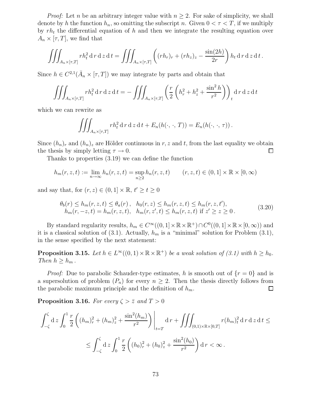*Proof:* Let *n* be an arbitrary integer value with  $n \geq 2$ . For sake of simplicity, we shall denote by h the function  $h_n$ , so omitting the subscript n. Given  $0 < \tau < T$ , if we multiply by  $rh_t$  the differential equation of h and then we integrate the resulting equation over  $A_n \times [\tau, T]$ , we find that

$$
\iiint_{A_n\times[\tau,T]}rh_t^2\,\mathrm{d}\,r\,\mathrm{d}\,z\,\mathrm{d}\,t = \iiint_{A_n\times[\tau,T]} \left( (rh_r)_r + (rh_z)_z - \frac{\sin(2h)}{2r} \right) h_t\,\mathrm{d}\,r\,\mathrm{d}\,z\,\mathrm{d}\,t\,.
$$

Since  $h \in C^{2,1}(\bar{A}_n \times [\tau, T])$  we may integrate by parts and obtain that

$$
\iiint_{A_n\times[\tau,T]} rh_t^2 dr dz dt = -\iiint_{A_n\times[\tau,T]} \left( \frac{r}{2} \left( h_r^2 + h_z^2 + \frac{\sin^2 h}{r^2} \right) \right)_t dr dz dt
$$

which we can rewrite as

$$
\iiint_{A_n\times[\tau,T]}rh_t^2\,dr\,dz\,dt + E_n(h(\cdot,\cdot,T)) = E_n(h(\cdot,\cdot,\tau)).
$$

Since  $(h_n)_r$  and  $(h_n)_z$  are Hölder continuous in r, z and t, from the last equality we obtain the thesis by simply letting  $\tau \to 0$ .  $\Box$ 

Thanks to properties (3.19) we can define the function

$$
h_m(r, z, t) := \lim_{n \to \infty} h_n(r, z, t) = \sup_{n \ge 2} h_n(r, z, t) \qquad (r, z, t) \in (0, 1] \times \mathbb{R} \times [0, \infty)
$$

and say that, for  $(r, z) \in (0, 1] \times \mathbb{R}$ ,  $t' \ge t \ge 0$ 

$$
\theta_b(r) \le h_m(r, z, t) \le \theta_a(r), \quad h_0(r, z) \le h_m(r, z, t) \le h_m(r, z, t'),\nh_m(r, -z, t) = h_m(r, z, t), \quad h_m(r, z', t) \le h_m(r, z, t) \text{ if } z' \ge z \ge 0.
$$
\n(3.20)

By standard regularity results,  $h_m \in C^\infty((0,1] \times \mathbb{R} \times \mathbb{R}^+) \cap C^0((0,1] \times \mathbb{R} \times [0,\infty))$  and it is a classical solution of  $(3.1)$ . Actually,  $h_m$  is a "minimal" solution for Problem  $(3.1)$ , in the sense specified by the next statement:

**Proposition 3.15.** Let  $h \in L^{\infty}((0,1) \times \mathbb{R} \times \mathbb{R}^+)$  be a weak solution of (3.1) with  $h \geq h_0$ . Then  $h \geq h_m$ .

*Proof:* Due to parabolic Schauder-type estimates, h is smooth out of  $\{r = 0\}$  and is a supersolution of problem  $(P_n)$  for every  $n \geq 2$ . Then the thesis directly follows from the parabolic maximum principle and the definition of  $h_m$ . the parabolic maximum principle and the definition of  $h_m$ .

**Proposition 3.16.** For every  $\zeta > \overline{z}$  and  $T > 0$ 

$$
\int_{-\zeta}^{\zeta} d z \int_{0}^{1} \frac{r}{2} \left( (h_{m})_{r}^{2} + (h_{m})_{z}^{2} + \frac{\sin^{2}(h_{m})}{r^{2}} \right) \Big|_{t=T} d r + \iiint_{(0,1)\times\mathbb{R}\times[0,T]} r(h_{m})_{t}^{2} d r d z d t \le
$$
  

$$
\leq \int_{-\zeta}^{\zeta} d z \int_{0}^{1} \frac{r}{2} \left( (h_{0})_{r}^{2} + (h_{0})_{z}^{2} + \frac{\sin^{2}(h_{0})}{r^{2}} \right) d r < \infty.
$$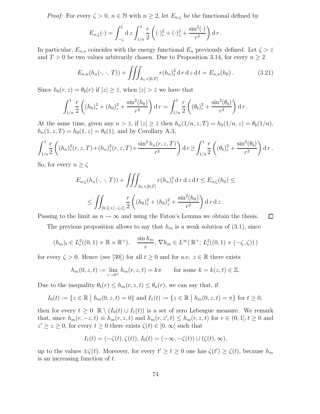*Proof:* For every  $\zeta > 0$ ,  $n \in \mathbb{N}$  with  $n \geq 2$ , let  $E_{n,\zeta}$  be the functional defined by

$$
E_{n,\zeta}(\cdot) = \int_{-\zeta}^{\zeta} dz \int_{1/n}^{1} \frac{r}{2} \left( (\cdot)_r^2 + (\cdot)_z^2 + \frac{\sin^2(\cdot)}{r^2} \right) dr.
$$

In particular,  $E_{n,n}$  coincides with the energy functional  $E_n$  previously defined. Let  $\zeta > \bar{z}$ and  $T > 0$  be two values arbitrarily chosen. Due to Proposition 3.14, for every  $n \geq 2$ 

$$
E_{n,n}(h_n(\cdot,\cdot,T)) + \iiint_{A_n \times [0,T]} r(h_n)_t^2 \, \mathrm{d} \, r \, \mathrm{d} \, z \, \mathrm{d} \, t = E_{n,n}(h_0). \tag{3.21}
$$

Since  $h_0(r, z) = \theta_b(r)$  if  $|z| \ge \overline{z}$ , when  $|z| > \overline{z}$  we have that

$$
\int_{1/n}^1 \frac{r}{2} \left( (h_0)_r^2 + (h_0)_z^2 + \frac{\sin^2(h_0)}{r^2} \right) dr = \int_{1/n}^1 \frac{r}{2} \left( (\theta_b)_r^2 + \frac{\sin^2(\theta_b)}{r^2} \right) dr.
$$

At the same time, given any  $n > \overline{z}$ , if  $|z| \geq \overline{z}$  then  $h_n(1/n, z, T) = h_0(1/n, z) = \theta_b(1/n)$ ,  $h_n(1, z, T) = h_0(1, z) = \theta_b(1)$ , and by Corollary A.3,

$$
\int_{1/n}^1 \frac{r}{2} \left( (h_n)_r^2(r, z, T) + (h_n)_z^2(r, z, T) + \frac{\sin^2 h_n(r, z, T)}{r^2} \right) dr \ge \int_{1/n}^1 \frac{r}{2} \left( (\theta_b)_r^2 + \frac{\sin^2(\theta_b)}{r^2} \right) dr.
$$

So, for every  $n \geq \zeta$ 

$$
E_{n,\zeta}(h_n(\cdot,\cdot,T)) + \iiint_{A_n \times [0,T]} r(h_n)_t^2 \, \mathrm{d} \, r \, \mathrm{d} \, z \, \mathrm{d} \, t \le E_{n,\zeta}(h_0) \le
$$
  
\$\le \iint\_{[0,1] \times [-\zeta,\zeta]} \frac{r}{2} \left( (h\_0)\_r^2 + (h\_0)\_z^2 + \frac{\sin^2(h\_0)}{r^2} \right) \mathrm{d} \, r \, \mathrm{d} \, z \, .

 $\Box$ Passing to the limit as  $n \to \infty$  and using the Fatou's Lemma we obtain the thesis.

The previous proposition allows to say that  $h_m$  is a weak solution of (3.1), since

$$
(h_m)_t \in L^2_r((0,1) \times \mathbb{R} \times \mathbb{R}^+), \quad \frac{\sin h_m}{r}, \nabla h_m \in L^\infty(\mathbb{R}^+; L^2_r((0,1) \times (-\zeta,\zeta)))
$$

for every  $\zeta > 0$ . Hence (see [30]) for all  $t \geq 0$  and for a.e.  $z \in \mathbb{R}$  there exists

$$
h_m(0, z, t) := \lim_{r \to 0^+} h_m(r, z, t) = k\pi
$$
 for some  $k = k(z, t) \in \mathbb{Z}$ .

Due to the inequality  $\theta_b(r) \leq h_m(r, z, t) \leq \theta_a(r)$ , we can say that, if

$$
I_0(t) := \{ z \in \mathbb{R} \mid h_m(0, z, t) = 0 \} \text{ and } I_1(t) := \{ z \in \mathbb{R} \mid h_m(0, z, t) = \pi \} \text{ for } t \ge 0,
$$

then for every  $t \geq 0 \mathbb{R} \setminus (I_0(t) \cup I_1(t))$  is a set of zero Lebesgue measure. We remark that, since  $h_m(r, -z, t) \equiv h_m(r, z, t)$  and  $h_m(r, z', t) \leq h_m(r, z, t)$  for  $r \in (0, 1], t \geq 0$  and  $z' \geq z \geq 0$ , for every  $t \geq 0$  there exists  $\zeta(t) \in [0, \infty]$  such that

$$
I_1(t) = (-\zeta(t), \zeta(t)), I_0(t) = (-\infty, -\zeta(t)) \cup (\zeta(t), \infty),
$$

up to the values  $\pm \zeta(t)$ . Moreover, for every  $t' \ge t \ge 0$  one has  $\zeta(t') \ge \zeta(t)$ , because  $h_m$ is an increasing function of  $t$ .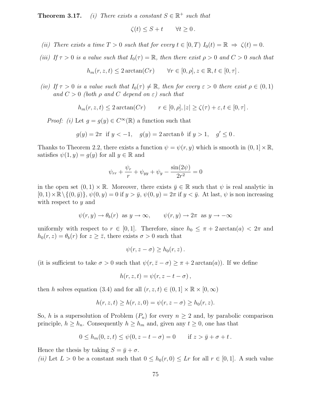**Theorem 3.17.** (i) There exists a constant  $S \in \mathbb{R}^+$  such that

$$
\zeta(t) \leq S + t \qquad \forall t \geq 0.
$$

- (ii) There exists a time  $T > 0$  such that for every  $t \in [0, T)$   $I_0(t) = \mathbb{R} \Rightarrow \zeta(t) = 0$ .
- (iii) If  $\tau > 0$  is a value such that  $I_0(\tau) = \mathbb{R}$ , then there exist  $\rho > 0$  and  $C > 0$  such that

$$
h_m(r, z, t) \le 2 \arctan(Cr) \qquad \forall r \in [0, \rho], z \in \mathbb{R}, t \in [0, \tau].
$$

(iv) If  $\tau > 0$  is a value such that  $I_0(\tau) \neq \mathbb{R}$ , then for every  $\varepsilon > 0$  there exist  $\rho \in (0,1)$ and  $C > 0$  (both  $\rho$  and  $C$  depend on  $\varepsilon$ ) such that

$$
h_m(r, z, t) \le 2 \arctan(Cr) \qquad r \in [0, \rho], |z| \ge \zeta(\tau) + \varepsilon, t \in [0, \tau].
$$

*Proof:* (i) Let  $g = g(y) \in C^{\infty}(\mathbb{R})$  a function such that

$$
g(y) = 2\pi
$$
 if  $y < -1$ ,  $g(y) = 2 \arctan b$  if  $y > 1$ ,  $g' \le 0$ .

Thanks to Theorem 2.2, there exists a function  $\psi = \psi(r, y)$  which is smooth in  $(0, 1] \times \mathbb{R}$ , satisfies  $\psi(1, y) = g(y)$  for all  $y \in \mathbb{R}$  and

$$
\psi_{rr} + \frac{\psi_r}{r} + \psi_{yy} + \psi_y - \frac{\sin(2\psi)}{2r^2} = 0
$$

in the open set  $(0, 1) \times \mathbb{R}$ . Moreover, there exists  $\bar{y} \in \mathbb{R}$  such that  $\psi$  is real analytic in  $[0, 1) \times \mathbb{R} \setminus \{(0, \bar{y})\}, \psi(0, y) = 0$  if  $y > \bar{y}, \psi(0, y) = 2\pi$  if  $y < \bar{y}$ . At last,  $\psi$  is non increasing with respect to y and

$$
\psi(r, y) \to \theta_b(r)
$$
 as  $y \to \infty$ ,  $\psi(r, y) \to 2\pi$  as  $y \to -\infty$ 

uniformly with respect to  $r \in [0, 1]$ . Therefore, since  $h_0 \leq \pi + 2 \arctan(a) < 2\pi$  and  $h_0(r, z) = \theta_b(r)$  for  $z \ge \overline{z}$ , there exists  $\sigma > 0$  such that

$$
\psi(r,z-\sigma)\geq h_0(r,z)\,.
$$

(it is sufficient to take  $\sigma > 0$  such that  $\psi(r, \bar{z}-\sigma) \geq \pi + 2 \arctan(a)$ ). If we define

$$
h(r, z, t) = \psi(r, z - t - \sigma),
$$

then h solves equation (3.4) and for all  $(r, z, t) \in (0, 1] \times \mathbb{R} \times [0, \infty)$ 

$$
h(r, z, t) \ge h(r, z, 0) = \psi(r, z - \sigma) \ge h_0(r, z).
$$

So, h is a supersolution of Problem  $(P_n)$  for every  $n \geq 2$  and, by parabolic comparison principle,  $h \geq h_n$ . Consequently  $h \geq h_m$  and, given any  $t \geq 0$ , one has that

$$
0 \le h_m(0, z, t) \le \psi(0, z - t - \sigma) = 0
$$
 if  $z > \bar{y} + \sigma + t$ .

Hence the thesis by taking  $S = \bar{y} + \sigma$ .

(ii) Let  $L > 0$  be a constant such that  $0 \leq h_0(r, 0) \leq Lr$  for all  $r \in [0, 1]$ . A such value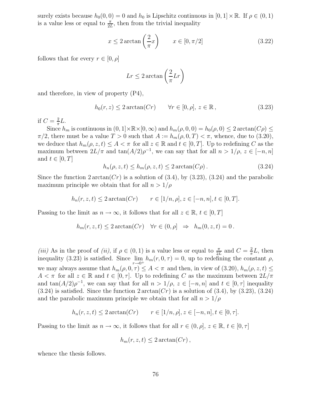surely exists because  $h_0(0, 0) = 0$  and  $h_0$  is Lipschitz continuous in  $[0, 1] \times \mathbb{R}$ . If  $\rho \in (0, 1)$ is a value less or equal to  $\frac{\pi}{2L}$ , then from the trivial inequality

$$
x \le 2 \arctan\left(\frac{2}{\pi}x\right) \qquad x \in [0, \pi/2]
$$
 (3.22)

follows that for every  $r \in [0, \rho]$ 

$$
Lr \le 2\arctan\left(\frac{2}{\pi}Lr\right)
$$

and therefore, in view of property (P4),

$$
h_0(r, z) \le 2 \arctan(Cr) \qquad \forall r \in [0, \rho], \ z \in \mathbb{R}, \tag{3.23}
$$

if  $C=\frac{2}{\pi}L$ .

Since  $h_m$  is continuous in  $(0, 1] \times \mathbb{R} \times [0, \infty)$  and  $h_m(\rho, 0, 0) = h_0(\rho, 0) \leq 2 \arctan(C\rho) \leq$  $\pi/2$ , there must be a value  $T > 0$  such that  $A := h_m(\rho, 0, T) < \pi$ , whence, due to (3.20), we deduce that  $h_m(\rho, z, t) \leq A < \pi$  for all  $z \in \mathbb{R}$  and  $t \in [0, T]$ . Up to redefining C as the maximum between  $2L/\pi$  and  $\tan(A/2)\rho^{-1}$ , we can say that for all  $n > 1/\rho$ ,  $z \in [-n, n]$ and  $t \in [0, T]$ 

$$
h_n(\rho, z, t) \le h_m(\rho, z, t) \le 2 \arctan(C\rho).
$$
 (3.24)

Since the function  $2 \arctan(Cr)$  is a solution of (3.4), by (3.23), (3.24) and the parabolic maximum principle we obtain that for all  $n > 1/\rho$ 

$$
h_n(r, z, t) \leq 2 \arctan(Cr)
$$
  $r \in [1/n, \rho], z \in [-n, n], t \in [0, T].$ 

Passing to the limit as  $n \to \infty$ , it follows that for all  $z \in \mathbb{R}$ ,  $t \in [0, T]$ 

$$
h_m(r, z, t) \le 2 \arctan(Cr) \quad \forall r \in (0, \rho] \Rightarrow h_m(0, z, t) = 0.
$$

(iii) As in the proof of (ii), if  $\rho \in (0,1)$  is a value less or equal to  $\frac{\pi}{2L}$  and  $C = \frac{2}{\pi}$  $\frac{2}{\pi}L$ , then inequality (3.23) is satisfied. Since lim  $r\rightarrow 0^+$  $h_m(r, 0, \tau) = 0$ , up to redefining the constant  $\rho$ , we may always assume that  $h_m(\rho, 0, \tau) \leq A < \pi$  and then, in view of (3.20),  $h_m(\rho, z, t) \leq$  $A \leq \pi$  for all  $z \in \mathbb{R}$  and  $t \in [0, \tau]$ . Up to redefining C as the maximum between  $2L/\pi$ and  $\tan(A/2)\rho^{-1}$ , we can say that for all  $n > 1/\rho$ ,  $z \in [-n, n]$  and  $t \in [0, \tau]$  inequality  $(3.24)$  is satisfied. Since the function  $2 \arctan(Cr)$  is a solution of  $(3.4)$ , by  $(3.23)$ ,  $(3.24)$ and the parabolic maximum principle we obtain that for all  $n > 1/\rho$ 

$$
h_n(r, z, t) \leq 2 \arctan(Cr)
$$
  $r \in [1/n, \rho], z \in [-n, n], t \in [0, \tau].$ 

Passing to the limit as  $n \to \infty$ , it follows that for all  $r \in (0, \rho], z \in \mathbb{R}, t \in [0, \tau]$ 

$$
h_m(r, z, t) \leq 2 \arctan(Cr),
$$

whence the thesis follows.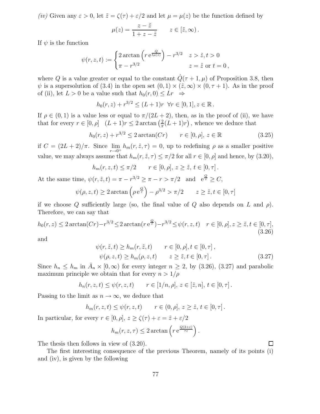(iv) Given any  $\varepsilon > 0$ , let  $\tilde{z} = \zeta(\tau) + \varepsilon/2$  and let  $\mu = \mu(z)$  be the function defined by

$$
\mu(z) = \frac{z - \tilde{z}}{1 + z - \tilde{z}} \qquad z \in [\tilde{z}, \infty).
$$

If  $\psi$  is the function

At the same time,

$$
\psi(r, z, t) := \begin{cases} 2\arctan\left(r e^{\frac{Q}{t\mu(z)}}\right) - r^{3/2} & z > \tilde{z}, t > 0 \\ \pi - r^{3/2} & z = \tilde{z} \text{ or } t = 0 \end{cases}
$$

where Q is a value greater or equal to the constant  $\hat{Q}(\tau + 1, \mu)$  of Proposition 3.8, then  $\psi$  is a supersolution of (3.4) in the open set  $(0,1) \times (\tilde{z}, \infty) \times (0, \tau + 1)$ . As in the proof of (ii), let  $L > 0$  be a value such that  $h_0(r, 0) \leq Lr \Rightarrow$ 

$$
h_0(r, z) + r^{3/2} \le (L+1)r \ \forall r \in [0, 1], z \in \mathbb{R}
$$
.

If  $\rho \in (0,1)$  is a value less or equal to  $\pi/(2L+2)$ , then, as in the proof of (ii), we have that for every  $r \in [0, \rho]$   $(L+1)r \leq 2 \arctan \left(\frac{2}{\pi}\right)$  $\frac{2}{\pi}(L+1)r$ , whence we deduce that

$$
h_0(r, z) + r^{3/2} \le 2 \arctan(Cr) \qquad r \in [0, \rho], \ z \in \mathbb{R}
$$
 (3.25)

if  $C = (2L + 2)/\pi$ . Since lim  $r\rightarrow 0^+$  $h_m(r, \tilde{z}, \tau) = 0$ , up to redefining  $\rho$  as a smaller positive value, we may always assume that  $h_m(r, \tilde{z}, \tau) \leq \pi/2$  for all  $r \in [0, \rho]$  and hence, by (3.20),

$$
h_m(r, z, t) \le \pi/2 \qquad r \in [0, \rho], \ z \ge \tilde{z}, \ t \in [0, \tau].
$$
  

$$
\psi(r, \tilde{z}, t) = \pi - r^{3/2} \ge \pi - r > \pi/2 \quad \text{and} \quad e^{\frac{Q}{\tau}} \ge C,
$$

$$
\psi(\rho, z, t) \ge 2 \arctan\left(\rho e^{\frac{Q}{\tau}}\right) - \rho^{3/2} > \pi/2
$$
  $z \ge \tilde{z}, t \in [0, \tau]$ 

if we choose Q sufficiently large (so, the final value of Q also depends on L and  $\rho$ ). Therefore, we can say that

$$
h_0(r, z) \le 2 \arctan(Cr) - r^{3/2} \le 2 \arctan(r e^{\frac{Q}{r}}) - r^{3/2} \le \psi(r, z, t) \quad r \in [0, \rho], z \ge \tilde{z}, t \in [0, \tau],
$$
\n(3.26)

and

$$
\psi(r, \tilde{z}, t) \ge h_m(r, \tilde{z}, t) \qquad r \in [0, \rho], t \in [0, \tau],
$$
  

$$
\psi(\rho, z, t) \ge h_m(\rho, z, t) \qquad z \ge \tilde{z}, t \in [0, \tau].
$$
 (3.27)

Since  $h_n \leq h_m$  in  $\bar{A}_n \times [0, \infty)$  for every integer  $n \geq 2$ , by (3.26), (3.27) and parabolic maximum principle we obtain that for every  $n > 1/\rho$ 

$$
h_n(r, z, t) \le \psi(r, z, t)
$$
  $r \in [1/n, \rho], z \in [\tilde{z}, n], t \in [0, \tau].$ 

Passing to the limit as  $n \to \infty$ , we deduce that

$$
h_m(r, z, t) \le \psi(r, z, t)
$$
  $r \in (0, \rho], z \ge \tilde{z}, t \in [0, \tau].$ 

In particular, for every  $r \in [0, \rho], z \ge \zeta(\tau) + \varepsilon = \tilde{z} + \varepsilon/2$ 

$$
h_m(r, z, \tau) \leq 2 \arctan\left(r e^{\frac{Q(2+\varepsilon)}{\tau \varepsilon}}\right).
$$

The thesis then follows in view of (3.20).

The first interesting consequence of the previous Theorem, namely of its points (i) and (iv), is given by the following

Π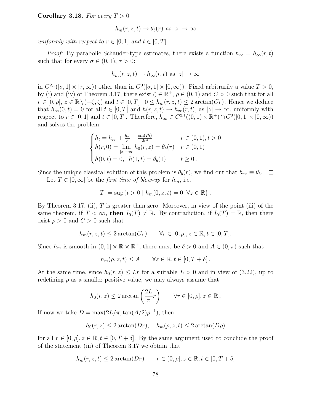Corollary 3.18. For every  $T > 0$ 

$$
h_m(r, z, t) \to \theta_b(r) \text{ as } |z| \to \infty
$$

uniformly with respect to  $r \in [0,1]$  and  $t \in [0,T]$ .

*Proof:* By parabolic Schauder-type estimates, there exists a function  $h_{\infty} = h_{\infty}(r, t)$ such that for every  $\sigma \in (0,1), \tau > 0$ :

$$
h_m(r, z, t) \to h_\infty(r, t)
$$
 as  $|z| \to \infty$ 

in  $C^{2,1}([\sigma,1] \times [\tau,\infty))$  other than in  $C^0([\sigma,1] \times [0,\infty))$ . Fixed arbitrarily a value  $T > 0$ , by (i) and (iv) of Theorem 3.17, there exist  $\zeta \in \mathbb{R}^+$ ,  $\rho \in (0,1)$  and  $C > 0$  such that for all  $r \in [0, \rho], z \in \mathbb{R} \setminus (-\zeta, \zeta)$  and  $t \in [0, T]$   $0 \leq h_m(r, z, t) \leq 2 \arctan(Cr)$ . Hence we deduce that  $h_{\infty}(0, t) = 0$  for all  $t \in [0, T]$  and  $h(r, z, t) \to h_{\infty}(r, t)$ , as  $|z| \to \infty$ , uniformly with respect to  $r \in [0, 1]$  and  $t \in [0, T]$ . Therefore,  $h_{\infty} \in C^{2,1}((0, 1) \times \mathbb{R}^+) \cap C^0([0, 1] \times [0, \infty))$ and solves the problem

$$
\begin{cases}\nh_t = h_{rr} + \frac{h_r}{r} - \frac{\sin(2h)}{2r^2} & r \in (0,1), t > 0 \\
h(r, 0) = \lim_{|z| \to \infty} h_0(r, z) = \theta_b(r) & r \in (0, 1) \\
h(0, t) = 0, & h(1, t) = \theta_b(1) & t \ge 0.\n\end{cases}
$$

Since the unique classical solution of this problem is  $\theta_b(r)$ , we find out that  $h_{\infty} \equiv \theta_b$ .  $\Box$ 

Let  $T \in [0,\infty]$  be the *first time of blow-up* for  $h_m$ , i.e.

$$
T := \sup\{t > 0 \mid h_m(0, z, t) = 0 \ \forall z \in \mathbb{R}\}.
$$

By Theorem 3.17, (ii), T is greater than zero. Moreover, in view of the point (iii) of the same theorem, if  $T < \infty$ , then  $I_0(T) \neq \mathbb{R}$ . By contradiction, if  $I_0(T) = \mathbb{R}$ , then there exist  $\rho > 0$  and  $C > 0$  such that

$$
h_m(r, z, t) \le 2 \arctan(Cr) \qquad \forall r \in [0, \rho], z \in \mathbb{R}, t \in [0, T].
$$

Since  $h_m$  is smooth in  $(0, 1] \times \mathbb{R} \times \mathbb{R}^+$ , there must be  $\delta > 0$  and  $A \in (0, \pi)$  such that

$$
h_m(\rho, z, t) \le A \qquad \forall z \in \mathbb{R}, t \in [0, T + \delta].
$$

At the same time, since  $h_0(r, z) \leq Lr$  for a suitable  $L > 0$  and in view of (3.22), up to redefining  $\rho$  as a smaller positive value, we may always assume that

$$
h_0(r, z) \le 2 \arctan\left(\frac{2L}{\pi}r\right) \quad \forall r \in [0, \rho], z \in \mathbb{R}.
$$

If now we take  $D = \max(2L/\pi, \tan(A/2)\rho^{-1}),$  then

$$
h_0(r, z) \leq 2 \arctan(Dr), \quad h_m(\rho, z, t) \leq 2 \arctan(D\rho)
$$

for all  $r \in [0, \rho], z \in \mathbb{R}, t \in [0, T + \delta]$ . By the same argument used to conclude the proof of the statement (iii) of Theorem 3.17 we obtain that

$$
h_m(r,z,t) \leq 2 \arctan(Dr) \qquad r \in (0,\rho], z \in \mathbb{R}, t \in [0,T+\delta]
$$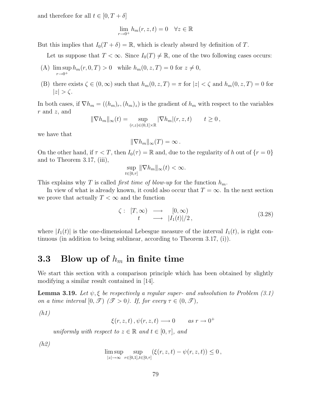and therefore for all  $t \in [0, T + \delta]$ 

$$
\lim_{r \to 0^+} h_m(r, z, t) = 0 \quad \forall z \in \mathbb{R}
$$

But this implies that  $I_0(T + \delta) = \mathbb{R}$ , which is clearly absurd by definition of T.

Let us suppose that  $T < \infty$ . Since  $I_0(T) \neq \mathbb{R}$ , one of the two following cases occurs:

- (A)  $\limsup_{n \to \infty} h_m(r, 0, T) > 0$  while  $h_m(0, z, T) = 0$  for  $z \neq 0$ ,  $r\rightarrow 0^+$
- (B) there exists  $\zeta \in (0,\infty)$  such that  $h_m(0,z,T) = \pi$  for  $|z| < \zeta$  and  $h_m(0,z,T) = 0$  for  $|z| > \zeta$ .

In both cases, if  $\nabla h_m = ((h_m)_r, (h_m)_z)$  is the gradient of  $h_m$  with respect to the variables  $r$  and  $z$ , and

$$
\|\nabla h_m\|_{\infty}(t) = \sup_{(r,z)\in(0,1]\times\mathbb{R}} |\nabla h_m|(r,z,t) \qquad t \ge 0,
$$

we have that

$$
\|\nabla h_m\|_{\infty}(T)=\infty.
$$

On the other hand, if  $\tau < T$ , then  $I_0(\tau) = \mathbb{R}$  and, due to the regularity of h out of  $\{r = 0\}$ and to Theorem 3.17, (iii),

$$
\sup_{t\in[0,\tau]}\|\nabla h_m\|_\infty(t)<\infty.
$$

This explains why T is called *first time of blow-up* for the function  $h_m$ .

In view of what is already known, it could also occur that  $T = \infty$ . In the next section we prove that actually  $T < \infty$  and the function

$$
\zeta: [T, \infty) \longrightarrow [0, \infty)
$$
  
\n
$$
t \longrightarrow |I_1(t)|/2,
$$
\n(3.28)

where  $|I_1(t)|$  is the one-dimensional Lebesgue measure of the interval  $I_1(t)$ , is right continuous (in addition to being sublinear, according to Theorem 3.17, (i)).

## 3.3 Blow up of  $h_m$  in finite time

We start this section with a comparison principle which has been obtained by slightly modifying a similar result contained in [14].

**Lemma 3.19.** Let  $\psi$ ,  $\xi$  be respectively a regular super- and subsolution to Problem (3.1) on a time interval  $[0, \mathcal{T})$   $(\mathcal{T} > 0)$ . If, for every  $\tau \in (0, \mathcal{T})$ ,

(h1)

$$
\xi(r, z, t), \psi(r, z, t) \longrightarrow 0 \quad as \; r \rightarrow 0^+
$$

uniformly with respect to  $z \in \mathbb{R}$  and  $t \in [0, \tau]$ , and

(h2)

$$
\limsup_{|z| \to \infty} \sup_{r \in [0,1], t \in [0,\tau]} (\xi(r,z,t) - \psi(r,z,t)) \leq 0,
$$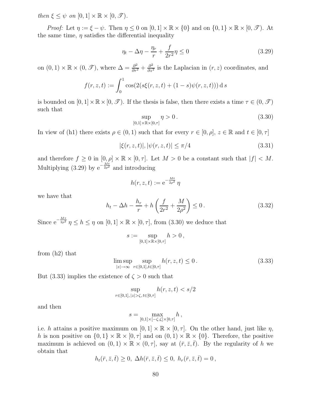then  $\xi < \psi$  on  $[0, 1] \times \mathbb{R} \times [0, \mathcal{T})$ .

*Proof:* Let  $\eta := \xi - \psi$ . Then  $\eta \leq 0$  on  $[0, 1] \times \mathbb{R} \times \{0\}$  and on  $\{0, 1\} \times \mathbb{R} \times [0, \mathcal{T})$ . At the same time,  $\eta$  satisfies the differential inequality

$$
\eta_t - \Delta \eta - \frac{\eta_r}{r} + \frac{f}{2r^2} \eta \le 0 \tag{3.29}
$$

on  $(0,1) \times \mathbb{R} \times (0, \mathcal{I})$ , where  $\Delta = \frac{\partial^2}{\partial r^2} + \frac{\partial^2}{\partial z^2}$  $\frac{\partial^2}{\partial z^2}$  is the Laplacian in  $(r, z)$  coordinates, and

$$
f(r, z, t) := \int_0^1 \cos(2(s\xi(r, z, t) + (1 - s)\psi(r, z, t))) \,ds
$$

is bounded on  $[0, 1] \times \mathbb{R} \times [0, \mathcal{F})$ . If the thesis is false, then there exists a time  $\tau \in (0, \mathcal{F})$ such that

$$
\sup_{[0,1]\times\mathbb{R}\times[0,\tau]} \eta > 0. \tag{3.30}
$$

In view of (h1) there exists  $\rho \in (0,1)$  such that for every  $r \in [0,\rho]$ ,  $z \in \mathbb{R}$  and  $t \in [0,\tau]$ 

$$
|\xi(r, z, t)|, |\psi(r, z, t)| \le \pi/4
$$
\n(3.31)

and therefore  $f \geq 0$  in  $[0, \rho] \times \mathbb{R} \times [0, \tau]$ . Let  $M > 0$  be a constant such that  $|f| < M$ . Multiplying (3.29) by  $e^{-\frac{Mt}{2\rho^2}}$  and introducing

$$
h(r,z,t) := e^{-\frac{Mt}{2\rho^2}} \eta
$$

we have that

$$
h_t - \Delta h - \frac{h_r}{r} + h\left(\frac{f}{2r^2} + \frac{M}{2\rho^2}\right) \le 0.
$$
 (3.32)

Since  $e^{-\frac{M\tau}{2\rho^2}}\eta \leq h \leq \eta$  on  $[0,1] \times \mathbb{R} \times [0,\tau]$ , from (3.30) we deduce that

$$
s := \sup_{[0,1] \times \mathbb{R} \times [0,\tau]} h > 0,
$$

from (h2) that

$$
\limsup_{|z| \to \infty} \sup_{r \in [0,1], t \in [0,\tau]} h(r, z, t) \le 0.
$$
\n(3.33)

But (3.33) implies the existence of  $\zeta > 0$  such that

$$
\sup_{r \in [0,1], \, |z| > \zeta, \, t \in [0,\tau]} h(r,z,t) < s/2
$$

and then

$$
s=\max_{[0,1]\times[-\zeta,\zeta]\times[0,\tau]}h\,,
$$

i.e. h attains a positive maximum on  $[0, 1] \times \mathbb{R} \times [0, \tau]$ . On the other hand, just like  $\eta$ , h is non positive on  $\{0,1\} \times \mathbb{R} \times [0,\tau]$  and on  $(0,1) \times \mathbb{R} \times \{0\}$ . Therefore, the positive maximum is achieved on  $(0, 1) \times \mathbb{R} \times (0, \tau]$ , say at  $(\bar{r}, \bar{z}, \bar{t})$ . By the regularity of h we obtain that

$$
h_t(\bar{r}, \bar{z}, \bar{t}) \geq 0, \ \Delta h(\bar{r}, \bar{z}, \bar{t}) \leq 0, \ h_r(\bar{r}, \bar{z}, \bar{t}) = 0,
$$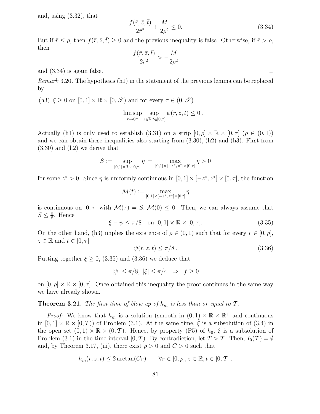and, using (3.32), that

$$
\frac{f(\bar{r}, \bar{z}, \bar{t})}{2\bar{r}^2} + \frac{M}{2\rho^2} \le 0.
$$
\n(3.34)

But if  $\bar{r} \leq \rho$ , then  $f(\bar{r}, \bar{z}, \bar{t}) \geq 0$  and the previous inequality is false. Otherwise, if  $\bar{r} > \rho$ , then

$$
\frac{f(\bar{r},\bar{z},\bar{t})}{2\bar{r}^2}>-\frac{M}{2\rho^2}
$$

and (3.34) is again false.

Remark 3.20. The hypothesis (h1) in the statement of the previous lemma can be replaced by

(h3)  $\xi \geq 0$  on  $[0, 1] \times \mathbb{R} \times [0, \mathcal{T})$  and for every  $\tau \in (0, \mathcal{T})$ 

$$
\limsup_{r \to 0^+} \sup_{z \in \mathbb{R}, t \in [0,\tau]} \psi(r, z, t) \leq 0.
$$

Actually (h1) is only used to establish (3.31) on a strip  $[0, \rho] \times \mathbb{R} \times [0, \tau]$  ( $\rho \in (0, 1)$ ) and we can obtain these inequalities also starting from  $(3.30)$ ,  $(h2)$  and  $(h3)$ . First from (3.30) and (h2) we derive that

$$
S := \sup_{[0,1] \times \mathbb{R} \times [0,\tau]} \eta = \max_{[0,1] \times [-z^*, z^*] \times [0,\tau]} \eta > 0
$$

for some  $z^* > 0$ . Since  $\eta$  is uniformly continuous in  $[0, 1] \times [-z^*, z^*] \times [0, \tau]$ , the function

$$
\mathcal{M}(t):=\max_{[0,1]\times[-z^*,z^*]\times[0,t]}\eta
$$

is continuous on  $[0, \tau]$  with  $\mathcal{M}(\tau) = S$ ,  $\mathcal{M}(0) \leq 0$ . Then, we can always assume that  $S \leq \frac{\pi}{8}$  $\frac{\pi}{8}$ . Hence

 $\xi - \psi \le \pi/8$  on  $[0, 1] \times \mathbb{R} \times [0, \tau]$ . (3.35)

On the other hand, (h3) implies the existence of  $\rho \in (0,1)$  such that for every  $r \in [0,\rho]$ ,  $z \in \mathbb{R}$  and  $t \in [0, \tau]$ 

$$
\psi(r, z, t) \le \pi/8. \tag{3.36}
$$

Putting together  $\xi \geq 0$ , (3.35) and (3.36) we deduce that

$$
|\psi| \le \pi/8, \ |\xi| \le \pi/4 \ \Rightarrow \ f \ge 0
$$

on  $[0, \rho] \times \mathbb{R} \times [0, \tau]$ . Once obtained this inequality the proof continues in the same way we have already shown.

#### **Theorem 3.21.** The first time of blow up of  $h_m$  is less than or equal to  $\mathcal{T}$ .

*Proof:* We know that  $h_m$  is a solution (smooth in  $(0, 1) \times \mathbb{R} \times \mathbb{R}^+$  and continuous in  $[0,1] \times \mathbb{R} \times [0,T)$  of Problem (3.1). At the same time,  $\tilde{\xi}$  is a subsolution of (3.4) in the open set  $(0,1) \times \mathbb{R} \times (0,\mathcal{T})$ . Hence, by property (P5) of  $h_0$ ,  $\tilde{\xi}$  is a subsolution of Problem (3.1) in the time interval  $[0, T)$ . By contradiction, let  $T > T$ . Then,  $I_0(T) = \emptyset$ and, by Theorem 3.17, (iii), there exist  $\rho > 0$  and  $C > 0$  such that

$$
h_m(r, z, t) \leq 2 \arctan(Cr) \qquad \forall r \in [0, \rho], z \in \mathbb{R}, t \in [0, T].
$$

 $\Box$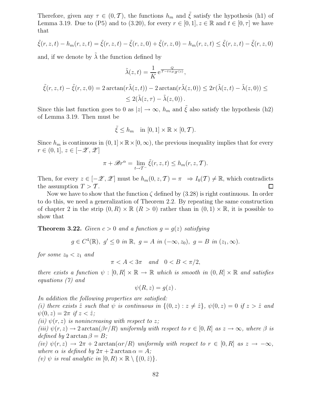Therefore, given any  $\tau \in (0, \mathcal{T})$ , the functions  $h_m$  and  $\tilde{\xi}$  satisfy the hypothesis (h1) of Lemma 3.19. Due to (P5) and to (3.20), for every  $r \in [0,1], z \in \mathbb{R}$  and  $t \in [0,\tau]$  we have that

$$
\tilde{\xi}(r, z, t) - h_m(r, z, t) = \tilde{\xi}(r, z, t) - \tilde{\xi}(r, z, 0) + \tilde{\xi}(r, z, 0) - h_m(r, z, t) \le \tilde{\xi}(r, z, t) - \tilde{\xi}(r, z, 0)
$$

and, if we denote by  $\lambda$  the function defined by

$$
\tilde{\lambda}(z,t) = \frac{1}{K} e^{\frac{Q}{T-t+\mu_{\mathscr{Z}}(z)}},
$$
  

$$
\tilde{\xi}(r, z, t) - \tilde{\xi}(r, z, 0) = 2 \arctan(r\tilde{\lambda}(z, t)) - 2 \arctan(r\tilde{\lambda}(z, 0)) \le 2r(\tilde{\lambda}(z, t) - \tilde{\lambda}(z, 0)) \le
$$
  

$$
\le 2(\tilde{\lambda}(z, \tau) - \tilde{\lambda}(z, 0)).
$$

Since this last function goes to 0 as  $|z| \to \infty$ ,  $h_m$  and  $\tilde{\xi}$  also satisfy the hypothesis (h2) of Lemma 3.19. Then must be

$$
\tilde{\xi} \le h_m \quad \text{in } [0,1] \times \mathbb{R} \times [0,\mathcal{T}).
$$

Since  $h_m$  is continuous in  $(0, 1] \times \mathbb{R} \times [0, \infty)$ , the previous inequality implies that for every  $r \in (0,1], z \in [-\mathscr{Z},\mathscr{Z}]$ 

$$
\pi + \mathscr{B}r^{\alpha} = \lim_{t \to \mathcal{T}^{-}} \tilde{\xi}(r, z, t) \le h_m(r, z, \mathcal{T}).
$$

Then, for every  $z \in [-\mathscr{Z}, \mathscr{Z}]$  must be  $h_m(0, z, \mathcal{T}) = \pi \implies I_0(\mathcal{T}) \neq \mathbb{R}$ , which contradicts the assumption  $T > \mathcal{T}$ . the assumption  $T > T$ .

Now we have to show that the function  $\zeta$  defined by (3.28) is right continuous. In order to do this, we need a generalization of Theorem 2.2. By repeating the same construction of chapter 2 in the strip  $(0, R) \times \mathbb{R}$   $(R > 0)$  rather than in  $(0, 1) \times \mathbb{R}$ , it is possible to show that

**Theorem 3.22.** Given  $c > 0$  and a function  $g = g(z)$  satisfying

$$
g \in C^4(\mathbb{R}), g' \le 0
$$
 in  $\mathbb{R}, g = A$  in  $(-\infty, z_0), g = B$  in  $(z_1, \infty)$ .

for some  $z_0 < z_1$  and

$$
\pi < A < 3\pi \quad and \quad 0 < B < \pi/2,
$$

there exists a function  $\psi : [0, R] \times \mathbb{R} \to \mathbb{R}$  which is smooth in  $(0, R] \times \mathbb{R}$  and satisfies equations (7) and

$$
\psi(R, z) = g(z) \, .
$$

In addition the following properties are satisfied:

(i) there exists  $\hat{z}$  such that  $\psi$  is continuous in  $\{(0, z) : z \neq \hat{z}\}\,$ ,  $\psi(0, z) = 0$  if  $z > \hat{z}$  and  $\psi(0, z) = 2\pi$  if  $z < \hat{z}$ ;

(ii)  $\psi(r, z)$  is nonincreasing with respect to z;

(iii)  $\psi(r, z) \to 2 \arctan(\beta r/R)$  uniformly with respect to  $r \in [0, R]$  as  $z \to \infty$ , where  $\beta$  is defined by  $2 \arctan \beta = B$ ;

(iv)  $\psi(r, z) \to 2\pi + 2 \arctan(\alpha r/R)$  uniformly with respect to  $r \in [0, R]$  as  $z \to -\infty$ , where  $\alpha$  is defined by  $2\pi + 2 \arctan \alpha = A$ ;

(v)  $\psi$  is real analytic in  $[0, R) \times \mathbb{R} \setminus \{(0, \hat{z})\}.$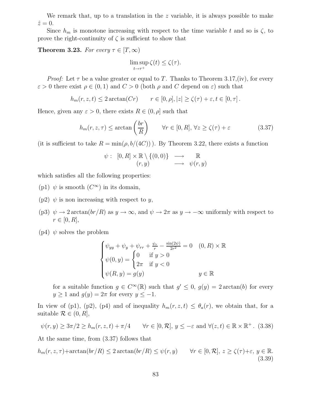We remark that, up to a translation in the  $z$  variable, it is always possible to make  $\hat{z}=0.$ 

Since  $h_m$  is monotone increasing with respect to the time variable t and so is  $\zeta$ , to prove the right-continuity of  $\zeta$  is sufficient to show that

**Theorem 3.23.** For every  $\tau \in [T, \infty)$ 

$$
\limsup_{t \to \tau^+} \zeta(t) \le \zeta(\tau).
$$

*Proof:* Let  $\tau$  be a value greater or equal to T. Thanks to Theorem 3.17,(iv), for every  $\varepsilon > 0$  there exist  $\rho \in (0, 1)$  and  $C > 0$  (both  $\rho$  and C depend on  $\varepsilon$ ) such that

$$
h_m(r, z, t) \le 2 \arctan(Cr) \qquad r \in [0, \rho], |z| \ge \zeta(\tau) + \varepsilon, t \in [0, \tau].
$$

Hence, given any  $\varepsilon > 0$ , there exists  $R \in (0, \rho]$  such that

$$
h_m(r, z, \tau) \le \arctan\left(\frac{br}{R}\right) \qquad \forall r \in [0, R], \forall z \ge \zeta(\tau) + \varepsilon \tag{3.37}
$$

(it is sufficient to take  $R = \min(\rho, b/(4C))$ ). By Theorem 3.22, there exists a function

$$
\psi: [0, R] \times \mathbb{R} \setminus \{ (0, 0) \} \longrightarrow \mathbb{R}
$$
  

$$
(r, y) \longrightarrow \psi(r, y)
$$

which satisfies all the following properties:

- (p1)  $\psi$  is smooth  $(C^{\infty})$  in its domain,
- (p2)  $\psi$  is non increasing with respect to y,
- (p3)  $\psi \to 2 \arctan(br/R)$  as  $y \to \infty$ , and  $\psi \to 2\pi$  as  $y \to -\infty$  uniformly with respect to  $r \in [0, R],$
- (p4)  $\psi$  solves the problem

$$
\begin{cases}\n\psi_{yy} + \psi_y + \psi_{rr} + \frac{\psi_r}{r} - \frac{\sin(2\psi)}{2r^2} = 0 & (0, R) \times \mathbb{R} \\
\psi(0, y) = \begin{cases}\n0 & \text{if } y > 0 \\
2\pi & \text{if } y < 0\n\end{cases} \\
\psi(R, y) = g(y) & y \in \mathbb{R}\n\end{cases}
$$

for a suitable function  $g \in C^{\infty}(\mathbb{R})$  such that  $g' \leq 0$ ,  $g(y) = 2 \arctan(b)$  for every  $y \ge 1$  and  $g(y) = 2\pi$  for every  $y \le -1$ .

In view of (p1), (p2), (p4) and of inequality  $h_m(r, z, t) \leq \theta_a(r)$ , we obtain that, for a suitable  $\mathcal{R} \in (0, R],$ 

$$
\psi(r, y) \ge 3\pi/2 \ge h_m(r, z, t) + \pi/4 \quad \forall r \in [0, \mathcal{R}], y \le -\varepsilon \text{ and } \forall (z, t) \in \mathbb{R} \times \mathbb{R}^+.
$$
 (3.38)

At the same time, from (3.37) follows that

$$
h_m(r, z, \tau) + \arctan(br/R) \le 2\arctan(br/R) \le \psi(r, y) \qquad \forall r \in [0, \mathcal{R}], z \ge \zeta(\tau) + \varepsilon, y \in \mathbb{R}.
$$
\n(3.39)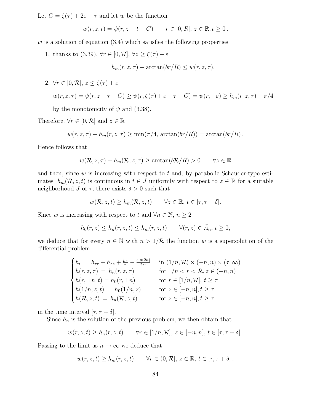Let  $C = \zeta(\tau) + 2\varepsilon - \tau$  and let w be the function

$$
w(r, z, t) = \psi(r, z - t - C)
$$
  $r \in [0, R], z \in \mathbb{R}, t \ge 0.$ 

 $w$  is a solution of equation (3.4) which satisfies the following properties:

1. thanks to (3.39),  $\forall r \in [0, \mathcal{R}], \forall z \geq \zeta(\tau) + \varepsilon$ 

 $h_m(r, z, \tau) + \arctan(br/R) \leq w(r, z, \tau),$ 

2.  $\forall r \in [0, \mathcal{R}], z \leq \zeta(\tau) + \varepsilon$ 

$$
w(r, z, \tau) = \psi(r, z - \tau - C) \ge \psi(r, \zeta(\tau) + \varepsilon - \tau - C) = \psi(r, -\varepsilon) \ge h_m(r, z, \tau) + \pi/4
$$

by the monotonicity of  $\psi$  and (3.38).

Therefore,  $\forall r \in [0, \mathcal{R}]$  and  $z \in \mathbb{R}$ 

$$
w(r, z, \tau) - h_m(r, z, \tau) \ge \min(\pi/4, \arctan(br/R)) = \arctan(br/R).
$$

Hence follows that

$$
w(\mathcal{R}, z, \tau) - h_m(\mathcal{R}, z, \tau) \ge \arctan(b\mathcal{R}/R) > 0 \quad \forall z \in \mathbb{R}
$$

and then, since  $w$  is increasing with respect to  $t$  and, by parabolic Schauder-type estimates,  $h_m(\mathcal{R}, z, t)$  is continuous in  $t \in J$  uniformly with respect to  $z \in \mathbb{R}$  for a suitable neighborhood J of  $\tau$ , there exists  $\delta > 0$  such that

$$
w(\mathcal{R}, z, t) \ge h_m(\mathcal{R}, z, t) \qquad \forall z \in \mathbb{R}, t \in [\tau, \tau + \delta].
$$

Since w is increasing with respect to t and  $\forall n \in \mathbb{N}, n \geq 2$ 

$$
h_0(r, z) \le h_n(r, z, t) \le h_m(r, z, t) \qquad \forall (r, z) \in \bar{A}_n, t \ge 0,
$$

we deduce that for every  $n \in \mathbb{N}$  with  $n > 1/\mathcal{R}$  the function w is a supersolution of the differential problem

$$
\begin{cases}\nh_t = h_{rr} + h_{zz} + \frac{h_r}{r} - \frac{\sin(2h)}{2r^2} & \text{in } (1/n, \mathcal{R}) \times (-n, n) \times (\tau, \infty) \\
h(r, z, \tau) = h_n(r, z, \tau) & \text{for } 1/n < r < \mathcal{R}, z \in (-n, n) \\
h(r, \pm n, t) = h_0(r, \pm n) & \text{for } r \in [1/n, \mathcal{R}], t \ge \tau \\
h(1/n, z, t) = h_0(1/n, z) & \text{for } z \in [-n, n], t \ge \tau \\
h(\mathcal{R}, z, t) = h_n(\mathcal{R}, z, t) & \text{for } z \in [-n, n], t \ge \tau\n\end{cases}
$$

in the time interval  $[\tau, \tau + \delta]$ .

Since  $h_n$  is the solution of the previous problem, we then obtain that

$$
w(r, z, t) \ge h_n(r, z, t)
$$
  $\forall r \in [1/n, \mathcal{R}], z \in [-n, n], t \in [\tau, \tau + \delta].$ 

Passing to the limit as  $n \to \infty$  we deduce that

$$
w(r, z, t) \ge h_m(r, z, t)
$$
  $\forall r \in (0, \mathcal{R}], z \in \mathbb{R}, t \in [\tau, \tau + \delta].$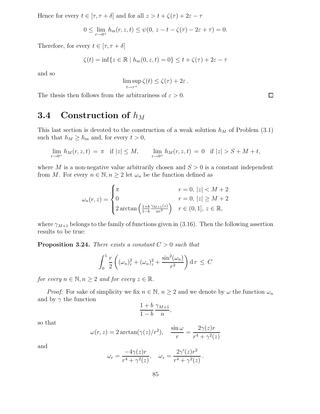Hence for every  $t \in [\tau, \tau + \delta]$  and for all  $z > t + \zeta(\tau) + 2\varepsilon - \tau$ 

$$
0 \le \lim_{r \to 0^+} h_m(r, z, t) \le \psi(0, z - t - \zeta(\tau) - 2\varepsilon + \tau) = 0.
$$

Therefore, for every  $t \in [\tau, \tau + \delta]$ 

$$
\zeta(t) = \inf\{z \in \mathbb{R} \mid h_m(0, z, t) = 0\} \le t + \zeta(\tau) + 2\varepsilon - \tau
$$

and so

$$
\limsup_{t \to \tau^+} \zeta(t) \le \zeta(\tau) + 2\varepsilon.
$$

The thesis then follows from the arbitrariness of  $\varepsilon > 0$ .

## 3.4 Construction of  $h_M$

This last section is devoted to the construction of a weak solution  $h_M$  of Problem (3.1) such that  $h_M \geq h_m$  and, for every  $t > 0$ ,

$$
\lim_{r \to 0^+} h_M(r, z, t) = \pi \quad \text{if } |z| \le M, \qquad \lim_{r \to 0^+} h_M(r, z, t) = 0 \quad \text{if } |z| > S + M + t,
$$

where M is a non-negative value arbitrarily chosen and  $S > 0$  is a constant independent from M. For every  $n \in \mathbb{N}, n \geq 2$  let  $\omega_n$  be the function defined as

$$
\omega_n(r, z) = \begin{cases}\n\pi & r = 0, |z| < M + 2 \\
0 & r = 0, |z| \ge M + 2 \\
2 \arctan\left(\frac{1 + b}{1 - b} \frac{\gamma_{M+1}(z)}{n r^2}\right) & r \in (0, 1], z \in \mathbb{R},\n\end{cases}
$$

where  $\gamma_{M+1}$  belongs to the family of functions given in (3.16). Then the following assertion results to be true:

**Proposition 3.24.** There exists a constant  $C > 0$  such that

$$
\int_0^1 \frac{r}{2} \left( (\omega_n)_r^2 + (\omega_n)_z^2 + \frac{\sin^2(\omega_n)}{r^2} \right) \mathrm{d} \, r \leq C
$$

for every  $n \in \mathbb{N}, n \geq 2$  and for every  $z \in \mathbb{R}$ .

*Proof:* For sake of simplicity we fix  $n \in \mathbb{N}$ ,  $n \ge 2$  and we denote by  $\omega$  the function  $\omega_n$ and by  $\gamma$  the function

$$
\frac{1+b}{1-b}\frac{\gamma_{M+1}}{n},
$$

so that

$$
\omega(r,z) = 2 \arctan(\gamma(z)/r^2), \quad \frac{\sin \omega}{r} = \frac{2\gamma(z)r}{r^4 + \gamma^2(z)}
$$

and

$$
\omega_r = \frac{-4\gamma(z)r}{r^4 + \gamma^2(z)}, \quad \omega_z = \frac{2\gamma'(z)r^2}{r^4 + \gamma^2(z)}.
$$

 $\Box$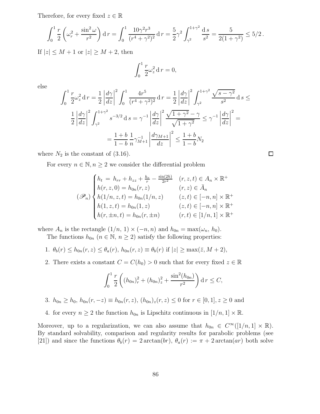Therefore, for every fixed  $z \in \mathbb{R}$ 

$$
\int_0^1 \frac{r}{2} \left( \omega_r^2 + \frac{\sin^2 \omega}{r^2} \right) dr = \int_0^1 \frac{10\gamma^2 r^3}{(r^4 + \gamma^2)^2} dr = \frac{5}{2} \gamma^2 \int_{\gamma^2}^{1+\gamma^2} \frac{ds}{s^2} = \frac{5}{2(1+\gamma^2)} \le 5/2.
$$

If  $|z| \leq M + 1$  or  $|z| \geq M + 2$ , then

$$
\int_0^1 \frac{r}{2} \omega_z^2 \, \mathrm{d}\, r = 0,
$$

else

$$
\int_{0}^{1} \frac{r}{2} \omega_{z}^{2} dr = \frac{1}{2} \left| \frac{d\gamma}{dz} \right|^{2} \int_{0}^{1} \frac{4r^{5}}{(r^{4} + \gamma^{2})^{2}} dr = \frac{1}{2} \left| \frac{d\gamma}{dz} \right|^{2} \int_{\gamma^{2}}^{1+\gamma^{2}} \frac{\sqrt{s - \gamma^{2}}}{s^{2}} ds \le
$$

$$
\frac{1}{2} \left| \frac{d\gamma}{dz} \right|^{2} \int_{\gamma^{2}}^{1+\gamma^{2}} s^{-3/2} ds = \gamma^{-1} \left| \frac{d\gamma}{dz} \right|^{2} \frac{\sqrt{1 + \gamma^{2}} - \gamma}{\sqrt{1 + \gamma^{2}}} \leq \gamma^{-1} \left| \frac{d\gamma}{dz} \right|^{2} =
$$

$$
= \frac{1 + b}{1 - b} \frac{1}{n} \gamma_{M+1}^{-1} \left| \frac{d\gamma_{M+1}}{dz} \right|^{2} \leq \frac{1 + b}{1 - b} N_{2}
$$

 $\Box$ 

where  $N_2$  is the constant of  $(3.16)$ .

For every  $n \in \mathbb{N}, n \geq 2$  we consider the differential problem

$$
(\mathcal{P}_n)\begin{cases}h_t = h_{rr} + h_{zz} + \frac{h_r}{r} - \frac{\sin(2h)}{2r^2} & (r, z, t) \in A_n \times \mathbb{R}^+\\h(r, z, 0) = h_{0n}(r, z) & (r, z) \in \bar{A}_n\\h(1/n, z, t) = h_{0n}(1/n, z) & (z, t) \in [-n, n] \times \mathbb{R}^+\\h(1, z, t) = h_{0n}(1, z) & (z, t) \in [-n, n] \times \mathbb{R}^+\\h(r, \pm n, t) = h_{0n}(r, \pm n) & (r, t) \in [1/n, 1] \times \mathbb{R}^+\end{cases}
$$

where  $A_n$  is the rectangle  $(1/n, 1) \times (-n, n)$  and  $h_{0n} = \max(\omega_n, h_0)$ .

The functions  $h_{0n}$   $(n \in \mathbb{N}, n \ge 2)$  satisfy the following properties:

1. 
$$
\theta_b(r) \leq h_{0n}(r, z) \leq \theta_a(r)
$$
,  $h_{0n}(r, z) \equiv \theta_b(r)$  if  $|z| \geq \max(\overline{z}, M + 2)$ ,

2. There exists a constant  $C = C(h_0) > 0$  such that for every fixed  $z \in \mathbb{R}$ 

$$
\int_0^1 \frac{r}{2} \left( (h_{0n})_r^2 + (h_{0n})_z^2 + \frac{\sin^2(h_{0n})}{r^2} \right) \mathrm{d} r \le C,
$$

- 3.  $h_{0n} \ge h_0$ ,  $h_{0n}(r, -z) \equiv h_{0n}(r, z)$ ,  $(h_{0n})_z(r, z) \le 0$  for  $r \in [0, 1], z \ge 0$  and
- 4. for every  $n \geq 2$  the function  $h_{0n}$  is Lipschitz continuous in  $[1/n, 1] \times \mathbb{R}$ .

Moreover, up to a regularization, we can also assume that  $h_{0n} \in C^{\infty}([1/n, 1] \times \mathbb{R})$ . By standard solvability, comparison and regularity results for parabolic problems (see [21]) and since the functions  $\theta_b(r) = 2 \arctan(br)$ ,  $\theta_a(r) := \pi + 2 \arctan(ar)$  both solve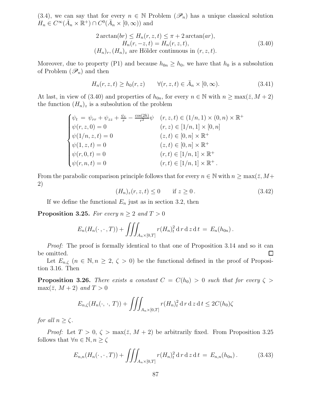(3.4), we can say that for every  $n \in \mathbb{N}$  Problem  $(\mathscr{P}_n)$  has a unique classical solution  $H_n \in C^{\infty}(\bar{A}_n \times \mathbb{R}^+) \cap C^0(\bar{A}_n \times [0, \infty))$  and

$$
2\arctan(br) \le H_n(r, z, t) \le \pi + 2\arctan(ar),
$$
  
\n
$$
H_n(r, -z, t) = H_n(r, z, t),
$$
  
\n
$$
(H_n)_r, (H_n)_z \text{ are Hölder continuous in } (r, z, t).
$$
\n(3.40)

Moreover, due to property (P1) and because  $h_{0n} \geq h_0$ , we have that  $h_0$  is a subsolution of Problem  $(\mathscr{P}_n)$  and then

$$
H_n(r, z, t) \ge h_0(r, z) \qquad \forall (r, z, t) \in \bar{A}_n \times [0, \infty).
$$
\n(3.41)

At last, in view of (3.40) and properties of  $h_{0n}$ , for every  $n \in \mathbb{N}$  with  $n \ge \max(\bar{z}, M + 2)$ the function  $(H_n)_z$  is a subsolution of the problem

$$
\begin{cases}\n\psi_t = \psi_{rr} + \psi_{zz} + \frac{\psi_r}{r} - \frac{\cos(2h)}{r^2} \psi & (r, z, t) \in (1/n, 1) \times (0, n) \times \mathbb{R}^+ \\
\psi(r, z, 0) = 0 & (r, z) \in [1/n, 1] \times [0, n] \\
\psi(1/n, z, t) = 0 & (z, t) \in [0, n] \times \mathbb{R}^+ \\
\psi(1, z, t) = 0 & (z, t) \in [0, n] \times \mathbb{R}^+ \\
\psi(r, 0, t) = 0 & (r, t) \in [1/n, 1] \times \mathbb{R}^+ \\
\psi(r, n, t) = 0 & (r, t) \in [1/n, 1] \times \mathbb{R}^+.\n\end{cases}
$$

From the parabolic comparison principle follows that for every  $n \in \mathbb{N}$  with  $n \ge \max(\bar{z}, M + \bar{z})$ 2)

$$
(H_n)_z(r,z,t) \le 0 \qquad \text{if } z \ge 0. \tag{3.42}
$$

If we define the functional  $E_n$  just as in section 3.2, then

**Proposition 3.25.** For every  $n \geq 2$  and  $T > 0$ 

$$
E_n(H_n(\cdot,\cdot,T)) + \iiint_{A_n \times [0,T]} r(H_n)_t^2 \, \mathrm{d} \, r \, \mathrm{d} \, z \, \mathrm{d} \, t \, = \, E_n(h_{0n}) \, .
$$

Proof: The proof is formally identical to that one of Proposition 3.14 and so it can be omitted.  $\Box$ 

Let  $E_{n,\zeta}$   $(n \in \mathbb{N}, n \geq 2, \zeta > 0)$  be the functional defined in the proof of Proposition 3.16. Then

**Proposition 3.26.** There exists a constant  $C = C(h_0) > 0$  such that for every  $\zeta >$  $\max(\bar{z}, M+2)$  and  $T > 0$ 

$$
E_{n,\zeta}(H_n(\cdot,\cdot,T)) + \iiint_{A_n \times [0,T]} r(H_n)_t^2 \, \mathrm{d} \, r \, \mathrm{d} \, z \, \mathrm{d} \, t \leq 2C(h_0)\zeta
$$

for all  $n \geq \zeta$ .

*Proof:* Let  $T > 0$ ,  $\zeta > \max(\bar{z}, M + 2)$  be arbitrarily fixed. From Proposition 3.25 follows that  $\forall n \in \mathbb{N}, n \geq \zeta$ 

$$
E_{n,n}(H_n(\cdot,\cdot,T)) + \iiint_{A_n \times [0,T]} r(H_n)_t^2 \, \mathrm{d} \, r \, \mathrm{d} \, z \, \mathrm{d} \, t = E_{n,n}(h_{0n}). \tag{3.43}
$$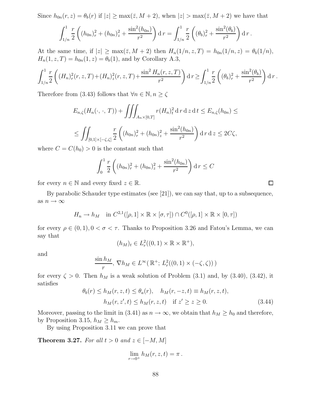Since  $h_{0n}(r, z) = \theta_b(r)$  if  $|z| \ge \max(\bar{z}, M + 2)$ , when  $|z| > \max(\bar{z}, M + 2)$  we have that

$$
\int_{1/n}^1 \frac{r}{2} \left( (h_{0n})_r^2 + (h_{0n})_z^2 + \frac{\sin^2(h_{0n})}{r^2} \right) dr = \int_{1/n}^1 \frac{r}{2} \left( (\theta_b)_r^2 + \frac{\sin^2(\theta_b)}{r^2} \right) dr.
$$

At the same time, if  $|z| \ge \max(\overline{z}, M + 2)$  then  $H_n(1/n, z, T) = h_{0n}(1/n, z) = \theta_b(1/n)$ ,  $H_n(1, z, T) = h_{0n}(1, z) = \theta_b(1)$ , and by Corollary A.3,

$$
\int_{1/n}^1 \frac{r}{2} \left( (H_n)_r^2(r, z, T) + (H_n)_z^2(r, z, T) + \frac{\sin^2 H_n(r, z, T)}{r^2} \right) dr \ge \int_{1/n}^1 \frac{r}{2} \left( (\theta_b)_r^2 + \frac{\sin^2(\theta_b)}{r^2} \right) dr.
$$

Therefore from (3.43) follows that  $\forall n \in \mathbb{N}, n \geq \zeta$ 

$$
E_{n,\zeta}(H_n(\cdot,\cdot,T)) + \iiint_{A_n \times [0,T]} r(H_n)_t^2 \, \mathrm{d} \, r \, \mathrm{d} \, z \, \mathrm{d} \, t \le E_{n,\zeta}(h_{0n}) \le
$$
  

$$
\le \iint_{[0,1] \times [-\zeta,\zeta]} \frac{r}{2} \left( (h_{0n})_r^2 + (h_{0n})_z^2 + \frac{\sin^2(h_{0n})}{r^2} \right) \mathrm{d} \, r \, \mathrm{d} \, z \le 2C\zeta,
$$

where  $C = C(h_0) > 0$  is the constant such that

$$
\int_0^1 \frac{r}{2} \left( (h_{0n})_r^2 + (h_{0n})_z^2 + \frac{\sin^2(h_{0n})}{r^2} \right) \mathrm{d}r \le C
$$

for every  $n \in \mathbb{N}$  and every fixed  $z \in \mathbb{R}$ .

By parabolic Schauder type estimates (see [21]), we can say that, up to a subsequence, as  $n\to\infty$ 

$$
H_n \to h_M \quad \text{in } C^{2,1}([\rho,1] \times \mathbb{R} \times [\sigma,\tau]) \cap C^0([\rho,1] \times \mathbb{R} \times [0,\tau])
$$

for every  $\rho \in (0,1)$ ,  $0 < \sigma < \tau$ . Thanks to Proposition 3.26 and Fatou's Lemma, we can say that

$$
(h_M)_t \in L^2_r((0,1) \times \mathbb{R} \times \mathbb{R}^+),
$$

and

$$
\frac{\sin h_M}{r}, \nabla h_M \in L^{\infty}(\mathbb{R}^+; L^2_r((0,1) \times (-\zeta,\zeta)))
$$

for every  $\zeta > 0$ . Then  $h_M$  is a weak solution of Problem (3.1) and, by (3.40), (3.42), it satisfies

$$
\theta_b(r) \le h_M(r, z, t) \le \theta_a(r), \quad h_M(r, -z, t) \equiv h_M(r, z, t),
$$
  
\n
$$
h_M(r, z', t) \le h_M(r, z, t) \quad \text{if } z' \ge z \ge 0.
$$
\n(3.44)

Moreover, passing to the limit in (3.41) as  $n \to \infty$ , we obtain that  $h_M \geq h_0$  and therefore, by Proposition 3.15,  $h_M \geq h_m$ .

By using Proposition 3.11 we can prove that

Theorem 3.27. For all  $t > 0$  and  $z \in [-M, M]$ 

$$
\lim_{r \to 0^+} h_M(r, z, t) = \pi.
$$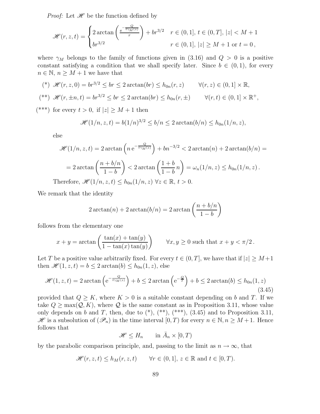*Proof:* Let  $\mathcal{H}$  be the function defined by

$$
\mathcal{H}(r, z, t) = \begin{cases} 2\arctan\left(\frac{e^{-\frac{Q}{t\gamma_M(z)}}}{r}\right) + br^{3/2} & r \in (0, 1], t \in (0, T], |z| < M + 1 \\ br^{3/2} & r \in (0, 1], |z| \ge M + 1 \text{ or } t = 0, \end{cases}
$$

where  $\gamma_M$  belongs to the family of functions given in (3.16) and  $Q > 0$  is a positive constant satisfying a condition that we shall specify later. Since  $b \in (0,1)$ , for every  $n \in \mathbb{N}, n \geq M + 1$  we have that

$$
(*) \mathscr{H}(r, z, 0) = br^{3/2} \le br \le 2 \arctan(br) \le h_{0n}(r, z) \qquad \forall (r, z) \in (0, 1] \times \mathbb{R},
$$
  

$$
(**) \mathscr{H}(r, \pm n, t) = br^{3/2} \le br \le 2 \arctan(br) \le h_{0n}(r, \pm) \qquad \forall (r, t) \in (0, 1] \times \mathbb{R}^+,
$$

(\*\*\*) for every  $t > 0$ , if  $|z| \geq M + 1$  then

$$
\mathcal{H}(1/n, z, t) = b(1/n)^{3/2} \le b/n \le 2 \arctan(b/n) \le h_{0n}(1/n, z),
$$

else

$$
\mathcal{H}(1/n, z, t) = 2 \arctan\left(n e^{-\frac{Q}{t\gamma_M(z)}}\right) + b n^{-3/2} < 2 \arctan(n) + 2 \arctan(b/n) =
$$
  
= 2 \arctan\left(\frac{n+b/n}{1-b}\right) < 2 \arctan\left(\frac{1+b}{1-b}n\right) = \omega\_n(1/n, z) \le h\_{0n}(1/n, z).  
Therefore,  $\mathcal{H}(1/n, z, t) \le h_{0n}(1/n, z) \quad \forall z \in \mathbb{R}, t > 0.$ 

We remark that the identity

$$
2\arctan(n) + 2\arctan(b/n) = 2\arctan\left(\frac{n+b/n}{1-b}\right)
$$

follows from the elementary one

$$
x + y = \arctan\left(\frac{\tan(x) + \tan(y)}{1 - \tan(x)\tan(y)}\right) \qquad \forall x, y \ge 0 \text{ such that } x + y < \pi/2.
$$

Let T be a positive value arbitrarily fixed. For every  $t \in (0, T]$ , we have that if  $|z| \geq M+1$ then  $\mathscr{H}(1, z, t) = b \leq 2 \arctan(b) \leq h_{0n}(1, z)$ , else

$$
\mathcal{H}(1, z, t) = 2 \arctan\left(e^{-\frac{Q}{t\gamma_M(z)}}\right) + b \le 2 \arctan\left(e^{-\frac{Q}{T}}\right) + b \le 2 \arctan(b) \le h_{0n}(1, z)
$$
\n(3.45)

provided that  $Q \geq K$ , where  $K > 0$  is a suitable constant depending on b and T. If we take  $Q > \max(Q, K)$ , where Q is the same constant as in Proposition 3.11, whose value only depends on b and T, then, due to  $(*), (**, (**, ', 3.45)$  and to Proposition 3.11,  $\mathscr H$  is a subsolution of  $(\mathscr P_n)$  in the time interval  $[0,T)$  for every  $n \in \mathbb N, n \geq M+1$ . Hence follows that

$$
\mathcal{H} \le H_n \qquad \text{in } \bar{A}_n \times [0, T)
$$

by the parabolic comparison principle, and, passing to the limit as  $n \to \infty$ , that

$$
\mathcal{H}(r, z, t) \le h_M(r, z, t) \quad \forall r \in (0, 1], z \in \mathbb{R} \text{ and } t \in [0, T).
$$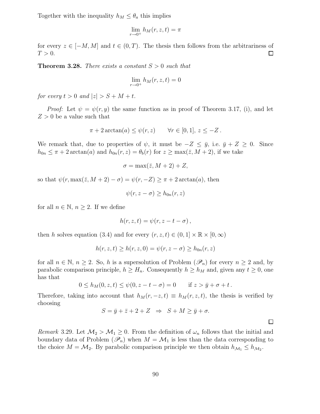Together with the inequality  $h_M \leq \theta_a$  this implies

$$
\lim_{r \to 0^+} h_M(r, z, t) = \pi
$$

for every  $z \in [-M, M]$  and  $t \in (0, T)$ . The thesis then follows from the arbitrariness of  $T > 0$ . □  $T > 0$ .

**Theorem 3.28.** There exists a constant  $S > 0$  such that

$$
\lim_{r \to 0^+} h_M(r, z, t) = 0
$$

for every  $t > 0$  and  $|z| > S + M + t$ .

*Proof:* Let  $\psi = \psi(r, y)$  the same function as in proof of Theorem 3.17, (i), and let  $Z > 0$  be a value such that

$$
\pi + 2\arctan(a) \le \psi(r, z) \quad \forall r \in [0, 1], z \le -Z.
$$

We remark that, due to properties of  $\psi$ , it must be  $-Z \leq \bar{y}$ , i.e.  $\bar{y} + Z \geq 0$ . Since  $h_{0n} \leq \pi + 2 \arctan(a)$  and  $h_{0n}(r, z) = \theta_b(r)$  for  $z \geq \max(\bar{z}, M + 2)$ , if we take

$$
\sigma = \max(\bar{z}, M+2) + Z,
$$

so that  $\psi(r, \max(\bar{z}, M+2) - \sigma) = \psi(r, -Z) \geq \pi + 2 \arctan(a),$  then

$$
\psi(r, z - \sigma) \ge h_{0n}(r, z)
$$

for all  $n \in \mathbb{N}$ ,  $n \geq 2$ . If we define

$$
h(r, z, t) = \psi(r, z - t - \sigma),
$$

then h solves equation (3.4) and for every  $(r, z, t) \in (0, 1] \times \mathbb{R} \times [0, \infty)$ 

$$
h(r, z, t) \ge h(r, z, 0) = \psi(r, z - \sigma) \ge h_{0n}(r, z)
$$

for all  $n \in \mathbb{N}$ ,  $n \ge 2$ . So, h is a supersolution of Problem  $(\mathscr{P}_n)$  for every  $n \ge 2$  and, by parabolic comparison principle,  $h \geq H_n$ . Consequently  $h \geq h_M$  and, given any  $t \geq 0$ , one has that

$$
0 \le h_M(0, z, t) \le \psi(0, z - t - \sigma) = 0
$$
 if  $z > \bar{y} + \sigma + t$ .

Therefore, taking into account that  $h_M(r, -z, t) \equiv h_M(r, z, t)$ , the thesis is verified by choosing

$$
S = \bar{y} + \bar{z} + 2 + Z \implies S + M \ge \bar{y} + \sigma.
$$

Remark 3.29. Let  $\mathcal{M}_2 > \mathcal{M}_1 \geq 0$ . From the definition of  $\omega_n$  follows that the initial and boundary data of Problem  $(\mathscr{P}_n)$  when  $M = \mathcal{M}_1$  is less than the data corresponding to the choice  $M = M_2$ . By parabolic comparison principle we then obtain  $h_{M_1} \leq h_{M_2}$ .

 $\Box$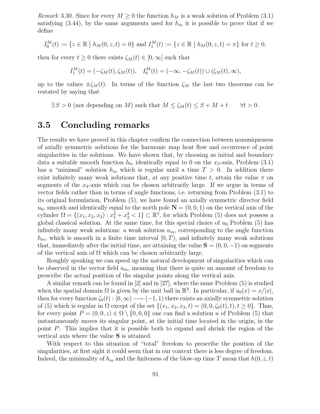*Remark* 3.30. Since for every  $M \geq 0$  the function  $h_M$  is a weak solution of Problem (3.1) satisfying (3.44), by the same arguments used for  $h_m$  it is possible to prove that if we define

$$
I_0^M(t) := \{ z \in \mathbb{R} \mid h_M(0, z, t) = 0 \} \text{ and } I_1^M(t) := \{ z \in \mathbb{R} \mid h_M(0, z, t) = \pi \} \text{ for } t \ge 0,
$$

then for every  $t \geq 0$  there exists  $\zeta_M(t) \in [0,\infty]$  such that

$$
I_1^M(t) = (-\zeta_M(t), \zeta_M(t)), \quad I_0^M(t) = (-\infty, -\zeta_M(t)) \cup (\zeta_M(t), \infty),
$$

up to the values  $\pm \zeta_M(t)$ . In terms of the function  $\zeta_M$  the last two theorems can be restated by saying that

 $\exists S > 0$  (not depending on M) such that  $M \le \zeta_M(t) \le S + M + t$   $\forall t > 0$ .

### 3.5 Concluding remarks

The results we have proved in this chapter confirm the connection between nonuniqueness of axially symmetric solutions for the harmonic map heat flow and occurrence of point singularities in the solutions. We have shown that, by choosing as initial and boundary data a suitable smooth function  $h_0$ , identically equal to 0 on the  $x_3$ -axis, Problem (3.1) has a "minimal" solution  $h_m$  which is regular until a time  $T > 0$ . In addition there exist infinitely many weak solutions that, at any positive time t, attain the value  $\pi$  on segments of the  $x_3$ -axis which can be chosen arbitrarily large. If we argue in terms of vector fields rather than in terms of angle functions, i.e. returning from Problem (3.1) to its original formulation, Problem (5), we have found an axially symmetric director field  $u_0$ , smooth and identically equal to the north pole  $N = (0, 0, 1)$  on the vertical axis of the cylinder  $\Omega = \{(x_1, x_2, x_3) : x_1^2 + x_2^2 < 1\} \subset \mathbb{R}^3$ , for which Problem (5) does not possess a global classical solution. At the same time, for this special choice of  $u_0$  Problem (5) has infinitely many weak solutions: a weak solution  $u_m$ , corresponding to the angle function  $h_m$ , which is smooth in a finite time interval  $[0, T)$ , and infinitely many weak solutions that, immediately after the initial time, are attaining the value  $S = (0, 0, -1)$  on segments of the vertical axis of  $\Omega$  which can be chosen arbitrarily large.

Roughly speaking we can speed up the natural development of singularities which can be observed in the vector field  $u_m$ , meaning that there is quite an amount of freedom to prescribe the actual position of the singular points along the vertical axis.

A similar remark can be found in [2] and in [27], where the same Problem (5) is studied when the spatial domain  $\Omega$  is given by the unit ball in  $\mathbb{R}^3$ . In particular, if  $u_0(x) = x/|x|$ , then for every function  $\zeta_0(t): [0,\infty) \longrightarrow (-1,1)$  there exists an axially symmetric solution of (5) which is regular in  $\Omega$  except of the set  $\{(x_1, x_2, x_3, t) = (0, 0, \zeta_0(t), t), t \ge 0\}$ . Thus, for every point  $P = (0, 0, z) \in \Omega \setminus \{0, 0, 0\}$  one can find a solution u of Problem (5) that instantaneously moves its singular point, at the initial time located in the origin, in the point P. This implies that it is possible both to expand and shrink the region of the vertical axis where the value S is attained.

With respect to this situation of "total" freedom to prescribe the position of the singularities, at first sight it could seem that in our context there is less degree of freedom. Indeed, the minimality of  $h_m$  and the finiteness of the blow-up time T mean that  $h(0, z, t)$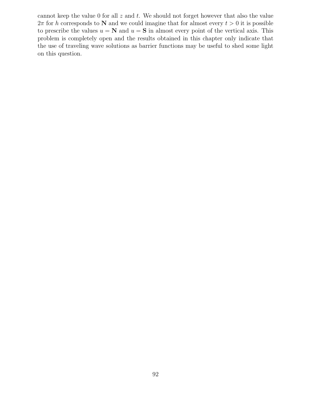cannot keep the value 0 for all  $z$  and  $t$ . We should not forget however that also the value  $2\pi$  for h corresponds to N and we could imagine that for almost every  $t > 0$  it is possible to prescribe the values  $u = \mathbf{N}$  and  $u = \mathbf{S}$  in almost every point of the vertical axis. This problem is completely open and the results obtained in this chapter only indicate that the use of traveling wave solutions as barrier functions may be useful to shed some light on this question.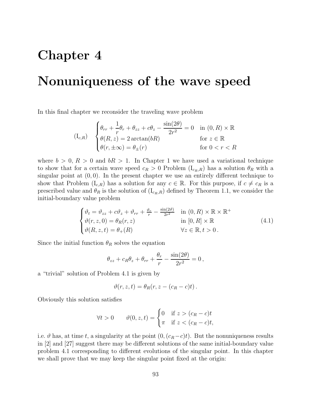## Chapter 4

## Nonuniqueness of the wave speed

In this final chapter we reconsider the traveling wave problem

$$
(I_{c,R}) \quad \begin{cases} \theta_{rr} + \frac{1}{r}\theta_r + \theta_{zz} + c\theta_z - \frac{\sin(2\theta)}{2r^2} = 0 & \text{in } (0,R) \times \mathbb{R} \\ \theta(R,z) = 2\arctan(bR) & \text{for } z \in \mathbb{R} \\ \theta(r,\pm\infty) = \theta_{\pm}(r) & \text{for } 0 < r < R \end{cases}
$$

where  $b > 0$ ,  $R > 0$  and  $bR > 1$ . In Chapter 1 we have used a variational technique to show that for a certain wave speed  $c_R > 0$  Problem  $(I_{c_R,R})$  has a solution  $\theta_R$  with a singular point at  $(0, 0)$ . In the present chapter we use an entirely different technique to show that Problem  $(I_{c,R})$  has a solution for any  $c \in \mathbb{R}$ . For this purpose, if  $c \neq c_R$  is a prescribed value and  $\theta_R$  is the solution of  $(I_{c_R,R})$  defined by Theorem 1.1, we consider the initial-boundary value problem

$$
\begin{cases}\n\vartheta_t = \vartheta_{zz} + c\vartheta_z + \vartheta_{rr} + \frac{\vartheta_r}{r} - \frac{\sin(2\vartheta)}{2r^2} & \text{in } (0, R) \times \mathbb{R} \times \mathbb{R}^+ \\
\vartheta(r, z, 0) = \theta_R(r, z) & \text{in } [0, R] \times \mathbb{R} \\
\vartheta(R, z, t) = \theta_+(R) & \forall z \in \mathbb{R}, t > 0.\n\end{cases}
$$
\n(4.1)

Since the initial function  $\theta_R$  solves the equation

$$
\theta_{zz} + c_R \theta_z + \theta_{rr} + \frac{\theta_r}{r} - \frac{\sin(2\theta)}{2r^2} = 0,
$$

a "trivial" solution of Problem 4.1 is given by

$$
\vartheta(r,z,t) = \theta_R(r,z-(c_R-c)t).
$$

Obviously this solution satisfies

$$
\forall t > 0 \qquad \vartheta(0, z, t) = \begin{cases} 0 & \text{if } z > (c_R - c)t \\ \pi & \text{if } z < (c_R - c)t, \end{cases}
$$

i.e.  $\vartheta$  has, at time t, a singularity at the point  $(0,(c_R-c)t)$ . But the nonuniqueness results in [2] and [27] suggest there may be different solutions of the same initial-boundary value problem 4.1 corresponding to different evolutions of the singular point. In this chapter we shall prove that we may keep the singular point fixed at the origin: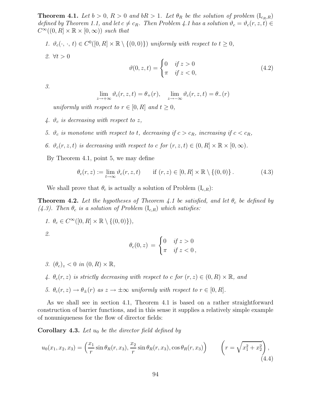**Theorem 4.1.** Let  $b > 0$ ,  $R > 0$  and  $bR > 1$ . Let  $\theta_R$  be the solution of problem  $(I_{c_R,R})$ defined by Theorem 1.1, and let  $c \neq c_R$ . Then Problem 4.1 has a solution  $\vartheta_c = \vartheta_c(r, z, t) \in$  $C^{\infty}((0, R] \times \mathbb{R} \times [0, \infty))$  such that

1. 
$$
\vartheta_c(\cdot, \cdot, t) \in C^0([0, R] \times \mathbb{R} \setminus \{(0, 0)\})
$$
 uniformly with respect to  $t \ge 0$ ,  
2.  $\forall t > 0$   

$$
\vartheta(0, z, t) = \begin{cases} 0 & \text{if } z > 0 \\ \pi & \text{if } z < 0, \end{cases}
$$

3.

$$
\lim_{z \to +\infty} \vartheta_c(r, z, t) = \theta_+(r), \quad \lim_{z \to -\infty} \vartheta_c(r, z, t) = \theta_-(r)
$$

(4.2)

uniformly with respect to  $r \in [0, R]$  and  $t \geq 0$ ,

- 4.  $\vartheta_c$  is decreasing with respect to z,
- 5.  $\vartheta_c$  is monotone with respect to t, decreasing if  $c > c_R$ , increasing if  $c < c_R$ ,
- 6.  $\vartheta_c(r, z, t)$  is decreasing with respect to c for  $(r, z, t) \in (0, R] \times \mathbb{R} \times [0, \infty)$ .

By Theorem 4.1, point 5, we may define

$$
\theta_c(r,z) := \lim_{t \to \infty} \vartheta_c(r,z,t) \qquad \text{if } (r,z) \in [0,R] \times \mathbb{R} \setminus \{(0,0)\} \,. \tag{4.3}
$$

We shall prove that  $\theta_c$  is actually a solution of Problem  $(I_{c,R})$ :

**Theorem 4.2.** Let the hypotheses of Theorem 4.1 be satisfied, and let  $\theta_c$  be defined by (4.3). Then  $\theta_c$  is a solution of Problem (I<sub>c,R</sub>) which satisfies:

1.  $\theta_c \in C^{\infty}([0, R] \times \mathbb{R} \setminus \{(0, 0)\}),$ 

2.

$$
\theta_c(0,z) = \begin{cases} 0 & \text{if } z > 0 \\ \pi & \text{if } z < 0 \end{cases}
$$

- 3.  $(\theta_c)_z < 0$  in  $(0, R) \times \mathbb{R}$ ,
- 4.  $\theta_c(r, z)$  is strictly decreasing with respect to c for  $(r, z) \in (0, R) \times \mathbb{R}$ , and
- 5.  $\theta_c(r, z) \rightarrow \theta_{\pm}(r)$  as  $z \rightarrow \pm \infty$  uniformly with respect to  $r \in [0, R]$ .

As we shall see in section 4.1, Theorem 4.1 is based on a rather straightforward construction of barrier functions, and in this sense it supplies a relatively simple example of nonuniqueness for the flow of director fields:

**Corollary 4.3.** Let  $u_0$  be the director field defined by

$$
u_0(x_1, x_2, x_3) = \left(\frac{x_1}{r}\sin\theta_R(r, x_3), \frac{x_2}{r}\sin\theta_R(r, x_3), \cos\theta_R(r, x_3)\right) \qquad \left(r = \sqrt{x_1^2 + x_2^2}\right),\tag{4.4}
$$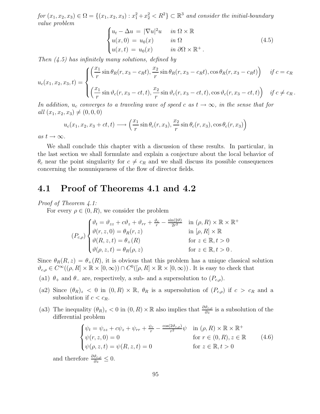for  $(x_1, x_2, x_3) \in \Omega = \{(x_1, x_2, x_3) : x_1^2 + x_2^2 < R^2\} \subset \mathbb{R}^3$  and consider the initial-boundary value problem

$$
\begin{cases}\n u_t - \Delta u = |\nabla u|^2 u & \text{in } \Omega \times \mathbb{R} \\
 u(x, 0) = u_0(x) & \text{in } \Omega \\
 u(x, t) = u_0(x) & \text{in } \partial\Omega \times \mathbb{R}^+.\n\end{cases}
$$
\n(4.5)

Then  $(4.5)$  has infinitely many solutions, defined by

$$
u_c(x_1, x_2, x_3, t) = \begin{cases} \left(\frac{x_1}{r}\sin\theta_R(r, x_3 - c_R t), \frac{x_2}{r}\sin\theta_R(r, x_3 - c_R t), \cos\theta_R(r, x_3 - c_R t)\right) & \text{if } c = c_R\\ \left(\frac{x_1}{r}\sin\theta_c(r, x_3 - ct, t), \frac{x_2}{r}\sin\theta_c(r, x_3 - ct, t), \cos\theta_c(r, x_3 - ct, t)\right) & \text{if } c \neq c_R. \end{cases}
$$

In addition,  $u_c$  converges to a traveling wave of speed c as  $t \to \infty$ , in the sense that for all  $(x_1, x_2, x_3) \neq (0, 0, 0)$ 

$$
u_c(x_1, x_2, x_3 + ct, t) \longrightarrow \left(\frac{x_1}{r}\sin\theta_c(r, x_3), \frac{x_2}{r}\sin\theta_c(r, x_3), \cos\theta_c(r, x_3)\right)
$$

as  $t \to \infty$ .

We shall conclude this chapter with a discussion of these results. In particular, in the last section we shall formulate and explain a conjecture about the local behavior of  $\theta_c$  near the point singularity for  $c \neq c_R$  and we shall discuss its possible consequences concerning the nonuniqueness of the flow of director fields.

### 4.1 Proof of Theorems 4.1 and 4.2

#### Proof of Theorem 4.1:

For every  $\rho \in (0, R)$ , we consider the problem

$$
(P_{c,\rho})\begin{cases} \vartheta_t = \vartheta_{zz} + c\vartheta_z + \vartheta_{rr} + \frac{\vartheta_r}{r} - \frac{\sin(2\vartheta)}{2r^2} & \text{in } (\rho, R) \times \mathbb{R} \times \mathbb{R}^+ \\ \vartheta(r, z, 0) = \theta_R(r, z) & \text{in } [\rho, R] \times \mathbb{R} \\ \vartheta(R, z, t) = \theta_+(R) & \text{for } z \in \mathbb{R}, t > 0 \\ \vartheta(\rho, z, t) = \theta_R(\rho, z) & \text{for } z \in \mathbb{R}, t > 0. \end{cases}
$$

Since  $\theta_R(R, z) = \theta_+(R)$ , it is obvious that this problem has a unique classical solution  $\vartheta_{c,\rho} \in C^{\infty}((\rho, R] \times \mathbb{R} \times [0, \infty)) \cap C^{0}([\rho, R] \times \mathbb{R} \times [0, \infty))$ . It is easy to check that

(a1)  $\theta_+$  and  $\theta_-$  are, respectively, a sub- and a supersolution to  $(P_{c,\rho})$ .

- (a2) Since  $(\theta_R)_z < 0$  in  $(0, R) \times \mathbb{R}$ ,  $\theta_R$  is a supersolution of  $(P_{c,\rho})$  if  $c > c_R$  and a subsolution if  $c < c_R$ .
- (a3) The inequality  $(\theta_R)_z < 0$  in  $(0, R) \times \mathbb{R}$  also implies that  $\frac{\partial \theta_{c,\rho}}{\partial z}$  is a subsolution of the differential problem

$$
\begin{cases}\n\psi_t = \psi_{zz} + c\psi_z + \psi_{rr} + \frac{\psi_r}{r} - \frac{\cos(2\vartheta_{c,\rho})}{r^2}\psi & \text{in } (\rho, R) \times \mathbb{R} \times \mathbb{R}^+ \\
\psi(r, z, 0) = 0 & \text{for } r \in (0, R), z \in \mathbb{R} \\
\psi(\rho, z, t) = \psi(R, z, t) = 0 & \text{for } z \in \mathbb{R}, t > 0\n\end{cases}
$$
\n(4.6)

and therefore  $\frac{\partial \vartheta_{c,\rho}}{\partial z} \leq 0$ .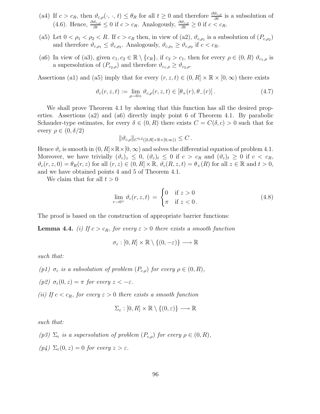- (a4) If  $c > c_R$ , then  $\vartheta_{c,\rho}(\cdot,\cdot,t) \leq \theta_R$  for all  $t \geq 0$  and therefore  $\frac{\partial \vartheta_{c,\rho}}{\partial t}$  is a subsolution of (4.6). Hence,  $\frac{\partial \vartheta_{c,\rho}}{\partial t} \leq 0$  if  $c > c_R$ . Analogously,  $\frac{\partial \vartheta_{c,\rho}}{\partial t} \geq 0$  if  $c < c_R$ .
- (a5) Let  $0 < \rho_1 < \rho_2 < R$ . If  $c > c_R$  then, in view of (a2),  $\vartheta_{c,\rho_1}$  is a subsolution of  $(P_{c,\rho_2})$ and therefore  $\vartheta_{c,\rho_1} \leq \vartheta_{c,\rho_2}$ . Analogously,  $\vartheta_{c,\rho_1} \geq \vartheta_{c,\rho_2}$  if  $c < c_R$ .
- (a6) In view of (a3), given  $c_1, c_2 \in \mathbb{R} \setminus \{c_R\}$ , if  $c_2 > c_1$ , then for every  $\rho \in (0, R)$   $\vartheta_{c_1,\rho}$  is a supersolution of  $(P_{c_2,\rho})$  and therefore  $\vartheta_{c_1,\rho} \geq \vartheta_{c_2,\rho}$ .

Assertions (a1) and (a5) imply that for every  $(r, z, t) \in (0, R] \times \mathbb{R} \times [0, \infty)$  there exists

$$
\vartheta_c(r, z, t) := \lim_{\rho \to 0+} \vartheta_{c,\rho}(r, z, t) \in [\theta_+(r), \theta_-(r)]. \tag{4.7}
$$

We shall prove Theorem 4.1 by showing that this function has all the desired properties. Assertions (a2) and (a6) directly imply point 6 of Theorem 4.1. By parabolic Schauder-type estimates, for every  $\delta \in (0, R)$  there exists  $C = C(\delta, c) > 0$  such that for every  $\rho \in (0, \delta/2)$ 

$$
\|\vartheta_{c,\rho}\|_{C^{3,2}([\delta,R]\times\mathbb{R}\times[0,\infty))}\leq C\,.
$$

Hence  $\vartheta_c$  is smooth in  $(0, R] \times \mathbb{R} \times [0, \infty)$  and solves the differential equation of problem 4.1. Moreover, we have trivially  $(\vartheta_c)_z \leq 0$ ,  $(\vartheta_c)_t \leq 0$  if  $c > c_R$  and  $(\vartheta_c)_t \geq 0$  if  $c < c_R$ ,  $\vartheta_c(r, z, 0) = \theta_R(r, z)$  for all  $(r, z) \in (0, R] \times \mathbb{R}$ ,  $\vartheta_c(R, z, t) = \theta_+(R)$  for all  $z \in \mathbb{R}$  and  $t > 0$ , and we have obtained points 4 and 5 of Theorem 4.1.

We claim that for all  $t > 0$ 

$$
\lim_{r \to 0^+} \vartheta_c(r, z, t) = \begin{cases} 0 & \text{if } z > 0 \\ \pi & \text{if } z < 0 \end{cases}
$$
 (4.8)

The proof is based on the construction of appropriate barrier functions:

**Lemma 4.4.** (i) If  $c > c_R$ , for every  $\epsilon > 0$  there exists a smooth function

$$
\sigma_{\varepsilon} : [0, R] \times \mathbb{R} \setminus \{ (0, -\varepsilon) \} \longrightarrow \mathbb{R}
$$

such that:

- (p1)  $\sigma_{\varepsilon}$  is a subsolution of problem  $(P_{c,\rho})$  for every  $\rho \in (0,R)$ ,
- (p2)  $\sigma_{\varepsilon}(0, z) = \pi$  for every  $z < -\varepsilon$ .

(ii) If  $c < c_R$ , for every  $\varepsilon > 0$  there exists a smooth function

$$
\Sigma_{\varepsilon}:[0,R]\times \mathbb{R}\setminus\{(0,\varepsilon)\}\longrightarrow \mathbb{R}
$$

such that:

- (p3)  $\Sigma_{\varepsilon}$  is a supersolution of problem  $(P_{c,\rho})$  for every  $\rho \in (0,R)$ ,
- (p4)  $\Sigma_{\varepsilon}(0, z) = 0$  for every  $z > \varepsilon$ .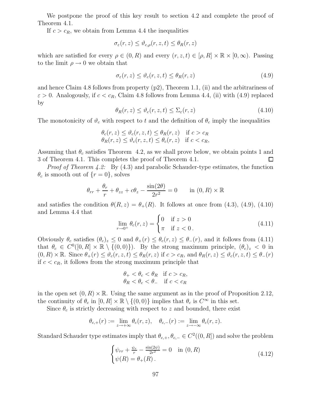We postpone the proof of this key result to section 4.2 and complete the proof of Theorem 4.1.

If  $c > c_R$ , we obtain from Lemma 4.4 the inequalities

$$
\sigma_{\varepsilon}(r,z) \leq \vartheta_{c,\rho}(r,z,t) \leq \theta_R(r,z)
$$

which are satisfied for every  $\rho \in (0, R)$  and every  $(r, z, t) \in [\rho, R] \times \mathbb{R} \times [0, \infty)$ . Passing to the limit  $\rho \rightarrow 0$  we obtain that

$$
\sigma_{\varepsilon}(r,z) \le \vartheta_c(r,z,t) \le \theta_R(r,z) \tag{4.9}
$$

and hence Claim 4.8 follows from property (p2), Theorem 1.1, (ii) and the arbitrariness of  $\varepsilon > 0$ . Analogously, if  $c < c_R$ , Claim 4.8 follows from Lemma 4.4, (ii) with (4.9) replaced by

$$
\theta_R(r,z) \le \vartheta_c(r,z,t) \le \Sigma_{\varepsilon}(r,z) \tag{4.10}
$$

The monotonicity of  $\vartheta_c$  with respect to t and the definition of  $\theta_c$  imply the inequalities

$$
\begin{aligned} \theta_c(r,z) &\leq \vartheta_c(r,z,t) \leq \theta_R(r,z) \quad \text{if } c > c_R\\ \theta_R(r,z) &\leq \vartheta_c(r,z,t) \leq \theta_c(r,z) \quad \text{if } c < c_R, \end{aligned}
$$

Assuming that  $\theta_c$  satisfies Theorem 4.2, as we shall prove below, we obtain points 1 and 3 of Theorem 4.1. This completes the proof of Theorem 4.1.  $\Box$ 

*Proof of Theorem 4.2:* By  $(4.3)$  and parabolic Schauder-type estimates, the function  $\theta_c$  is smooth out of  $\{r=0\}$ , solves

$$
\theta_{rr} + \frac{\theta_r}{r} + \theta_{zz} + c\theta_z - \frac{\sin(2\theta)}{2r^2} = 0 \quad \text{in } (0, R) \times \mathbb{R}
$$

and satisfies the condition  $\theta(R, z) = \theta_+(R)$ . It follows at once from (4.3), (4.9), (4.10) and Lemma 4.4 that

$$
\lim_{r \to 0^+} \theta_c(r, z) = \begin{cases} 0 & \text{if } z > 0 \\ \pi & \text{if } z < 0. \end{cases}
$$
 (4.11)

Obviously  $\theta_c$  satisfies  $(\theta_c)_z \leq 0$  and  $\theta_+(r) \leq \theta_c(r,z) \leq \theta_-(r)$ , and it follows from (4.11) that  $\theta_c \in C^0([0, R] \times \mathbb{R} \setminus \{(0, 0)\})$ . By the strong maximum principle,  $(\theta_c)_z < 0$  in  $(0, R) \times \mathbb{R}$ . Since  $\theta_+(r) \leq \theta_c(r, z, t) \leq \theta_R(r, z)$  if  $c > c_R$ , and  $\theta_R(r, z) \leq \theta_c(r, z, t) \leq \theta_-(r)$ if  $c < c_R$ , it follows from the strong maximum principle that

$$
\begin{aligned} \theta_+ &< \theta_c &< \theta_R \quad \text{if } c > c_R, \\ \theta_R &< \theta_c &< \theta_- \quad \text{if } c < c_R \end{aligned}
$$

in the open set  $(0, R) \times \mathbb{R}$ . Using the same argument as in the proof of Proposition 2.12, the continuity of  $\theta_c$  in  $[0, R] \times \mathbb{R} \setminus \{(0, 0)\}\$ implies that  $\theta_c$  is  $C^{\infty}$  in this set.

Since  $\theta_c$  is strictly decreasing with respect to z and bounded, there exist

$$
\theta_{c,+}(r):=\lim_{z\to+\infty}\theta_c(r,z),\quad \theta_{c,-}(r):=\lim_{z\to-\infty}\theta_c(r,z).
$$

Standard Schauder type estimates imply that  $\theta_{c,+}, \theta_{c,-} \in C^2((0,R])$  and solve the problem

$$
\begin{cases}\n\psi_{rr} + \frac{\psi_r}{r} - \frac{\sin(2\psi)}{2r^2} = 0 & \text{in } (0, R) \\
\psi(R) = \theta_+(R).\n\end{cases}
$$
\n(4.12)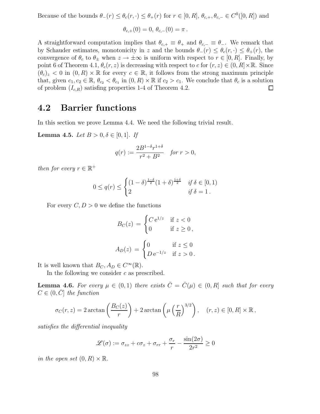Because of the bounds  $\theta_-(r) \leq \theta_c(r,\cdot) \leq \theta_+(r)$  for  $r \in [0,R]$ ,  $\theta_{c,+}, \theta_{c,-} \in C^0([0,R])$  and

$$
\theta_{c,+}(0)=0, \, \theta_{c,-}(0)=\pi
$$

A straightforward computation implies that  $\theta_{c,+} \equiv \theta_+$  and  $\theta_{c,-} \equiv \theta_-$ . We remark that by Schauder estimates, monotonicity in z and the bounds  $\theta_-(r) \leq \theta_c(r, \cdot) \leq \theta_+(r)$ , the convergence of  $\theta_c$  to  $\theta_{\pm}$  when  $z \to \pm \infty$  is uniform with respect to  $r \in [0, R]$ . Finally, by point 6 of Theorem 4.1,  $\theta_c(r, z)$  is decreasing with respect to c for  $(r, z) \in (0, R] \times \mathbb{R}$ . Since  $(\theta_c)_z < 0$  in  $(0, R) \times \mathbb{R}$  for every  $c \in \mathbb{R}$ , it follows from the strong maximum principle that, given  $c_1, c_2 \in \mathbb{R}$ ,  $\theta_{c_2} < \theta_{c_1}$  in  $(0, R) \times \mathbb{R}$  if  $c_2 > c_1$ . We conclude that  $\theta_c$  is a solution of problem  $(I_{c,R})$  satisfing properties 1-4 of Theorem 4.2.

### 4.2 Barrier functions

In this section we prove Lemma 4.4. We need the following trivial result.

**Lemma 4.5.** Let  $B > 0, \delta \in [0, 1]$ . If

$$
q(r) := \frac{2B^{1-\delta}r^{1+\delta}}{r^2 + B^2} \quad \text{for } r > 0,
$$

then for every  $r \in \mathbb{R}^+$ 

$$
0 \le q(r) \le \begin{cases} (1 - \delta)^{\frac{1 - \delta}{2}} (1 + \delta)^{\frac{1 + \delta}{2}} & \text{if } \delta \in [0, 1) \\ 2 & \text{if } \delta = 1 \,. \end{cases}
$$

For every  $C, D > 0$  we define the functions

$$
B_C(z) = \begin{cases} C e^{1/z} & \text{if } z < 0 \\ 0 & \text{if } z \ge 0, \end{cases}
$$

$$
A_D(z) = \begin{cases} 0 & \text{if } z \le 0 \\ D e^{-1/z} & \text{if } z > 0. \end{cases}
$$

It is well known that  $B_C, A_D \in C^{\infty}(\mathbb{R})$ .

In the following we consider  $c$  as prescribed.

**Lemma 4.6.** For every  $\mu \in (0,1)$  there exists  $\overline{C} = \overline{C}(\mu) \in (0,R]$  such that for every  $C \in (0, \bar{C}]$  the function

$$
\sigma_C(r, z) = 2 \arctan\left(\frac{B_C(z)}{r}\right) + 2 \arctan\left(\mu \left(\frac{r}{R}\right)^{3/2}\right), \quad (r, z) \in [0, R] \times \mathbb{R},
$$

satisfies the differential inequality

$$
\mathcal{L}(\sigma) := \sigma_{zz} + c\sigma_z + \sigma_{rr} + \frac{\sigma_r}{r} - \frac{\sin(2\sigma)}{2r^2} \ge 0
$$

in the open set  $(0, R) \times \mathbb{R}$ .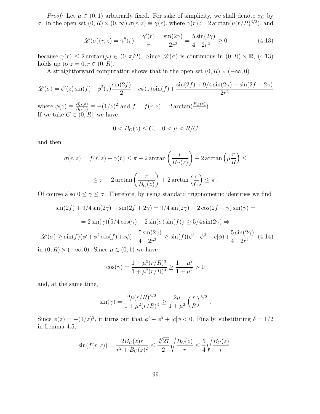*Proof:* Let  $\mu \in (0, 1)$  arbitrarily fixed. For sake of simplicity, we shall denote  $\sigma_C$  by σ. In the open set  $(0, R) \times (0, \infty)$   $\sigma(r, z) \equiv \gamma(r)$ , where  $\gamma(r) := 2 \arctan(\mu(r/R)^{3/2})$ , and

$$
\mathcal{L}(\sigma)(r,z) = \gamma''(r) + \frac{\gamma'(r)}{r} - \frac{\sin(2\gamma)}{2r^2} = \frac{5}{4} \frac{\sin(2\gamma)}{2r^2} \ge 0
$$
\n(4.13)

because  $\gamma(r) \leq 2 \arctan(\mu) \in (0, \pi/2)$ . Since  $\mathscr{L}(\sigma)$  is continuous in  $(0, R) \times \mathbb{R}$ , (4.13) holds up to  $z = 0, r \in (0, R)$ .

A straightforward computation shows that in the open set  $(0, R) \times (-\infty, 0)$ 

$$
\mathcal{L}(\sigma) = \phi'(z)\sin(f) + \phi^2(z)\frac{\sin(2f)}{2} + c\phi(z)\sin(f) + \frac{\sin(2f) + 9/4\sin(2\gamma) - \sin(2f + 2\gamma)}{2r^2}
$$

where  $\phi(z) \equiv \frac{B_C'(z)}{B_C(z)} \equiv -(1/z)^2$  and  $f = f(r, z) = 2 \arctan(\frac{B_C(z)}{r})$ . If we take  $C \in (0, R]$ , we have

$$
0 < B_C(z) \le C, \quad 0 < \mu < R/C
$$

and then

$$
\sigma(r, z) = f(r, z) + \gamma(r) \le \pi - 2 \arctan\left(\frac{r}{B_C(z)}\right) + 2 \arctan\left(\mu \frac{r}{R}\right) \le
$$
  

$$
\le \pi - 2 \arctan\left(\frac{r}{B_C(z)}\right) + 2 \arctan\left(\frac{r}{C}\right) \le \pi.
$$

Of course also  $0 \leq \gamma \leq \sigma$ . Therefore, by using standard trigonometric identities we find

$$
\sin(2f) + 9/4\sin(2\gamma) - \sin(2f + 2\gamma) = 9/4\sin(2\gamma) - 2\cos(2f + \gamma)\sin(\gamma) =
$$

$$
= 2\sin(\gamma)\left(5/4\cos(\gamma) + 2\sin(\sigma)\sin(f)\right) \ge 5/4\sin(2\gamma) \Rightarrow
$$

$$
\cos(f)(\phi' + \phi^2\cos(f) + c\phi) + \frac{5}{4}\sin(2\gamma) \ge \sin(f)(\phi' - \phi^2 + |c|\phi) + \frac{5}{4}\sin(2\gamma)
$$

$$
\mathcal{L}(\sigma) \ge \sin(f)(\phi' + \phi^2 \cos(f) + c\phi) + \frac{5\sin(2\gamma)}{4} \ge \sin(f)(\phi' - \phi^2 + |c|\phi) + \frac{5\sin(2\gamma)}{4} \tag{4.14}
$$

in  $(0, R) \times (-\infty, 0)$ . Since  $\mu \in (0, 1)$  we have

$$
\cos(\gamma) = \frac{1 - \mu^2 (r/R)^3}{1 + \mu^2 (r/R)^3} \ge \frac{1 - \mu^2}{1 + \mu^2} > 0
$$

and, at the same time,

$$
\sin(\gamma) = \frac{2\mu (r/R)^{3/2}}{1 + \mu^2 (r/R)^3} \ge \frac{2\mu}{1 + \mu^2} \left(\frac{r}{R}\right)^{3/2}.
$$

Since  $\phi(z) = -(1/z)^2$ , it turns out that  $\phi' - \phi^2 + |c|\phi < 0$ . Finally, substituting  $\delta = 1/2$ in Lemma 4.5,

$$
\sin(f(r,z)) = \frac{2B_C(z)r}{r^2 + B_C(z)^2} \le \frac{\sqrt[4]{27}}{2} \sqrt{\frac{B_C(z)}{r}} \le \frac{5}{4} \sqrt{\frac{B_C(z)}{r}}.
$$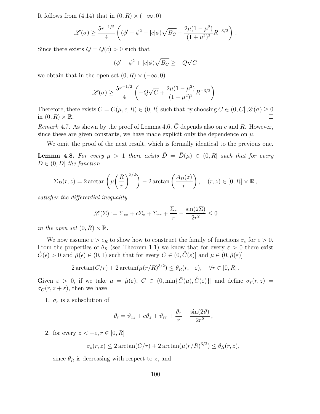It follows from (4.14) that in  $(0, R) \times (-\infty, 0)$ 

$$
\mathscr{L}(\sigma) \ge \frac{5r^{-1/2}}{4} \left( (\phi' - \phi^2 + |c|\phi) \sqrt{B_C} + \frac{2\mu(1-\mu^2)}{(1+\mu^2)^2} R^{-3/2} \right) .
$$

Since there exists  $Q = Q(c) > 0$  such that

$$
(\phi' - \phi^2 + |c|\phi)\sqrt{B_C} \ge -Q\sqrt{C}
$$

we obtain that in the open set  $(0, R) \times (-\infty, 0)$ 

$$
\mathscr{L}(\sigma) \ge \frac{5r^{-1/2}}{4} \left( -Q\sqrt{C} + \frac{2\mu(1-\mu^2)}{(1+\mu^2)^2} R^{-3/2} \right) .
$$

Therefore, there exists  $\bar{C} = \bar{C}(\mu, c, R) \in (0, R]$  such that by choosing  $C \in (0, \bar{C}]$   $\mathscr{L}(\sigma) \ge 0$  in  $(0, R) \times \mathbb{R}$ . in  $(0, R) \times \mathbb{R}$ .

*Remark* 4.7. As shown by the proof of Lemma 4.6,  $\overline{C}$  depends also on c and R. However, since these are given constants, we have made explicit only the dependence on  $\mu$ .

We omit the proof of the next result, which is formally identical to the previous one.

**Lemma 4.8.** For every  $\mu > 1$  there exists  $\bar{D} = \bar{D}(\mu) \in (0, R]$  such that for every  $D \in (0, \overline{D}]$  the function

$$
\Sigma_D(r,z) = 2 \arctan\left(\mu \left(\frac{R}{r}\right)^{3/2}\right) - 2 \arctan\left(\frac{A_D(z)}{r}\right), \quad (r,z) \in [0,R] \times \mathbb{R},
$$

satisfies the differential inequality

$$
\mathcal{L}(\Sigma) := \Sigma_{zz} + c\Sigma_z + \Sigma_{rr} + \frac{\Sigma_r}{r} - \frac{\sin(2\Sigma)}{2r^2} \le 0
$$

in the open set  $(0, R) \times \mathbb{R}$ .

We now assume  $c > c_R$  to show how to construct the family of functions  $\sigma_{\varepsilon}$  for  $\varepsilon > 0$ . From the properties of  $\theta_R$  (see Theorem 1.1) we know that for every  $\varepsilon > 0$  there exist  $\hat{C}(\epsilon) > 0$  and  $\hat{\mu}(\epsilon) \in (0, 1)$  such that for every  $C \in (0, \hat{C}(\epsilon)]$  and  $\mu \in (0, \hat{\mu}(\epsilon)]$ 

$$
2\arctan(C/r) + 2\arctan(\mu(r/R)^{3/2}) \le \theta_R(r, -\varepsilon), \quad \forall r \in [0, R].
$$

Given  $\varepsilon > 0$ , if we take  $\mu = \hat{\mu}(\varepsilon)$ ,  $C \in (0, \min\{\bar{C}(\mu), \hat{C}(\varepsilon)\}]$  and define  $\sigma_{\varepsilon}(r, z)$  $\sigma_C(r, z + \varepsilon)$ , then we have

1.  $\sigma_{\varepsilon}$  is a subsolution of

$$
\vartheta_t = \vartheta_{zz} + c\vartheta_z + \vartheta_{rr} + \frac{\vartheta_r}{r} - \frac{\sin(2\vartheta)}{2r^2},
$$

2. for every  $z < -\varepsilon$ ,  $r \in [0, R]$ 

$$
\sigma_{\varepsilon}(r,z) \leq 2 \arctan(C/r) + 2 \arctan(\mu(r/R)^{3/2}) \leq \theta_R(r,z),
$$

since  $\theta_R$  is decreasing with respect to z, and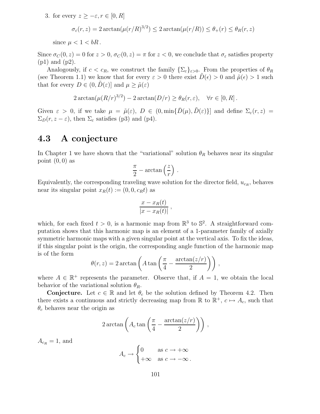3. for every  $z \geq -\varepsilon$ ,  $r \in [0, R]$ 

$$
\sigma_{\varepsilon}(r,z) = 2 \arctan(\mu(r/R)^{3/2}) \le 2 \arctan(\mu(r/R)) \le \theta_{+}(r) \le \theta_{R}(r,z)
$$

since  $\mu < 1 < bR$ .

Since  $\sigma_C(0, z) = 0$  for  $z > 0$ ,  $\sigma_C(0, z) = \pi$  for  $z < 0$ , we conclude that  $\sigma_{\varepsilon}$  satisfies property (p1) and (p2).

Analogously, if  $c < c_R$ , we construct the family  $\{\Sigma_{\varepsilon}\}_{{\varepsilon}>0}$ . From the properties of  $\theta_R$ (see Theorem 1.1) we know that for every  $\varepsilon > 0$  there exist  $D(\epsilon) > 0$  and  $\tilde{\mu}(\epsilon) > 1$  such that for every  $D \in (0, D(\varepsilon))$  and  $\mu \geq \tilde{\mu}(\varepsilon)$ 

$$
2\arctan(\mu (R/r)^{3/2}) - 2\arctan(D/r) \ge \theta_R(r,\varepsilon), \quad \forall r \in [0,R].
$$

Given  $\varepsilon > 0$ , if we take  $\mu = \tilde{\mu}(\varepsilon)$ ,  $D \in (0, \min\{\bar{D}(\mu), \tilde{D}(\varepsilon)\}]$  and define  $\Sigma_{\varepsilon}(r, z)$  $\Sigma_D(r, z - \varepsilon)$ , then  $\Sigma_{\varepsilon}$  satisfies (p3) and (p4).

### 4.3 A conjecture

In Chapter 1 we have shown that the "variational" solution  $\theta_R$  behaves near its singular point  $(0, 0)$  as

$$
\frac{\pi}{2} - \arctan\left(\frac{z}{r}\right) .
$$

Equivalently, the corresponding traveling wave solution for the director field,  $u_{c_R}$ , behaves near its singular point  $x_R(t) := (0, 0, c_R t)$  as

$$
\frac{x - x_R(t)}{|x - x_R(t)|},
$$

which, for each fixed  $t > 0$ , is a harmonic map from  $\mathbb{R}^3$  to  $\mathbb{S}^2$ . A straightforward computation shows that this harmonic map is an element of a 1-parameter family of axially symmetric harmonic maps with a given singular point at the vertical axis. To fix the ideas, if this singular point is the origin, the corresponding angle function of the harmonic map is of the form

$$
\theta(r,z) = 2 \arctan\left(A \tan\left(\frac{\pi}{4} - \frac{\arctan(z/r)}{2}\right)\right),\,
$$

where  $A \in \mathbb{R}^+$  represents the parameter. Observe that, if  $A = 1$ , we obtain the local behavior of the variational solution  $\theta_R$ .

**Conjecture.** Let  $c \in \mathbb{R}$  and let  $\theta_c$  be the solution defined by Theorem 4.2. Then there exists a continuous and strictly decreasing map from  $\mathbb R$  to  $\mathbb R^+$ ,  $c \mapsto A_c$ , such that  $\theta_c$  behaves near the origin as

$$
2\arctan\left(A_c\tan\left(\frac{\pi}{4}-\frac{\arctan(z/r)}{2}\right)\right),\,
$$

 $A_{c_R} = 1$ , and

$$
A_c \to \begin{cases} 0 & \text{as } c \to +\infty \\ +\infty & \text{as } c \to -\infty \,. \end{cases}
$$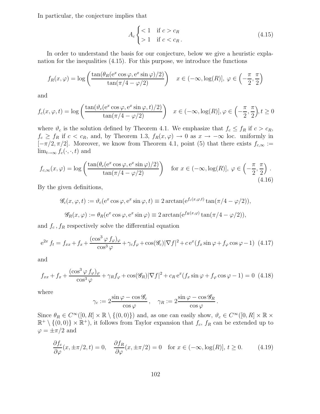In particular, the conjecture implies that

$$
A_c \begin{cases} < 1 & \text{if } c > c_R \\ > 1 & \text{if } c < c_R \end{cases} \tag{4.15}
$$

In order to understand the basis for our conjecture, below we give a heuristic explanation for the inequalities (4.15). For this purpose, we introduce the functions

$$
f_R(x,\varphi) = \log\left(\frac{\tan(\theta_R(e^x \cos \varphi, e^x \sin \varphi)/2)}{\tan(\pi/4 - \varphi/2)}\right) \quad x \in (-\infty, \log(R)], \varphi \in \left(-\frac{\pi}{2}, \frac{\pi}{2}\right)
$$

and

$$
f_c(x,\varphi,t) = \log\left(\frac{\tan(\vartheta_c(e^x\cos\varphi,e^x\sin\varphi,t)/2)}{\tan(\pi/4-\varphi/2)}\right) \quad x \in (-\infty,\log(R)], \varphi \in \left(-\frac{\pi}{2},\frac{\pi}{2}\right), t \ge 0
$$

where  $\vartheta_c$  is the solution defined by Theorem 4.1. We emphasize that  $f_c \leq f_R$  if  $c > c_R$ ,  $f_c \ge f_R$  if  $c < c_R$ , and, by Theorem 1.3,  $f_R(x, \varphi) \to 0$  as  $x \to -\infty$  loc. uniformly in  $[-\pi/2, \pi/2]$ . Moreover, we know from Theorem 4.1, point (5) that there exists  $f_{c,\infty} :=$  $\lim_{t\to\infty} f_c(\cdot,\cdot,t)$  and

$$
f_{c,\infty}(x,\varphi) = \log\left(\frac{\tan(\theta_c(e^x \cos\varphi, e^x \sin\varphi)/2)}{\tan(\pi/4 - \varphi/2)}\right) \quad \text{for } x \in (-\infty, \log(R)], \varphi \in \left(-\frac{\pi}{2}, \frac{\pi}{2}\right).
$$
\n(4.16)

By the given definitions,

$$
\mathcal{G}_c(x,\varphi,t) := \vartheta_c(e^x \cos \varphi, e^x \sin \varphi, t) \equiv 2 \arctan(e^{f_c(x,\varphi,t)} \tan(\pi/4 - \varphi/2)),
$$
  

$$
\mathcal{G}_R(x,\varphi) := \theta_R(e^x \cos \varphi, e^x \sin \varphi) \equiv 2 \arctan(e^{f_R(x,\varphi)} \tan(\pi/4 - \varphi/2)),
$$

and  $f_c$ ,  $f_R$  respectively solve the differential equation

$$
e^{2x} f_t = f_{xx} + f_x + \frac{(\cos^3 \varphi f_\varphi)_{\varphi}}{\cos^3 \varphi} + \gamma_c f_\varphi + \cos(\mathscr{G}_c) |\nabla f|^2 + c e^x (f_x \sin \varphi + f_\varphi \cos \varphi - 1) \tag{4.17}
$$

and

$$
f_{xx} + f_x + \frac{(\cos^3 \varphi \, f_{\varphi})_{\varphi}}{\cos^3 \varphi} + \gamma_R f_{\varphi} + \cos(\mathscr{G}_R) |\nabla f|^2 + c_R \, e^x (f_x \sin \varphi + f_{\varphi} \cos \varphi - 1) = 0 \tag{4.18}
$$

where

$$
\gamma_c := 2 \frac{\sin \varphi - \cos \mathscr{G}_c}{\cos \varphi}, \quad \gamma_R := 2 \frac{\sin \varphi - \cos \mathscr{G}_R}{\cos \varphi}.
$$

Since  $\theta_R \in C^{\infty}([0, R] \times \mathbb{R} \setminus \{(0, 0)\})$  and, as one can easily show,  $\vartheta_c \in C^{\infty}([0, R] \times \mathbb{R} \times$  $\mathbb{R}^+ \setminus \{(0,0)\} \times \mathbb{R}^+$ , it follows from Taylor expansion that  $f_c$ ,  $f_R$  can be extended up to  $\varphi = \pm \pi/2$  and

$$
\frac{\partial f_c}{\partial \varphi}(x, \pm \pi/2, t) = 0, \quad \frac{\partial f_R}{\partial \varphi}(x, \pm \pi/2) = 0 \quad \text{for } x \in (-\infty, \log(R)], t \ge 0. \tag{4.19}
$$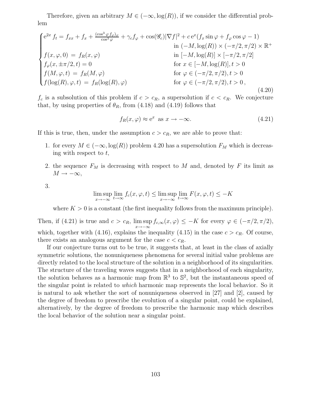Therefore, given an arbitrary  $M \in (-\infty, \log(R))$ , if we consider the differential problem

$$
\begin{cases}\ne^{2x} f_t = f_{xx} + f_x + \frac{(\cos^3 \varphi f_{\varphi})_{\varphi}}{\cos^3 \varphi} + \gamma_c f_{\varphi} + \cos(\mathcal{G}_c) |\nabla f|^2 + c e^x (f_x \sin \varphi + f_{\varphi} \cos \varphi - 1) \\
\text{in } (-M, \log(R)) \times (-\pi/2, \pi/2) \times \mathbb{R}^+ \\
f(x, \varphi, 0) = f_R(x, \varphi) \\
f_{\varphi}(x, \pm \pi/2, t) = 0 \\
f(M, \varphi, t) = f_R(M, \varphi) \\
f(\log(R), \varphi, t) = f_R(\log(R), \varphi) \\
\text{for } \varphi \in (-\pi/2, \pi/2), t > 0 \\
\text{for } \varphi \in (-\pi/2, \pi/2), t > 0,\n\end{cases} (4.20)
$$

 $f_c$  is a subsolution of this problem if  $c > c_R$ , a supersolution if  $c < c_R$ . We conjecture that, by using properties of  $\theta_R$ , from (4.18) and (4.19) follows that

$$
f_R(x,\varphi) \approx e^x \text{ as } x \to -\infty. \tag{4.21}
$$

If this is true, then, under the assumption  $c > c_R$ , we are able to prove that:

- 1. for every  $M \in (-\infty, \log(R))$  problem 4.20 has a supersolution  $F_M$  which is decreasing with respect to  $t$ ,
- 2. the sequence  $F_M$  is decreasing with respect to M and, denoted by F its limit as  $M \rightarrow -\infty$ ,

3.

$$
\limsup_{x \to -\infty} \lim_{t \to \infty} f_c(x, \varphi, t) \le \limsup_{x \to -\infty} \lim_{t \to \infty} F(x, \varphi, t) \le -K
$$

where  $K > 0$  is a constant (the first inequality follows from the maximum principle).

Then, if  $(4.21)$  is true and  $c > c_R$ , lim sup  $\limsup_{x \to -\infty} f_{c,\infty}(x,\varphi) \leq -K$  for every  $\varphi \in (-\pi/2, \pi/2),$ which, together with (4.16), explains the inequality (4.15) in the case  $c > c_R$ . Of course, there exists an analogous argument for the case  $c < c_R$ .

If our conjecture turns out to be true, it suggests that, at least in the class of axially symmetric solutions, the nonuniqueness phenomena for several initial value problems are directly related to the local structure of the solution in a neighborhood of its singularities. The structure of the traveling waves suggests that in a neighborhood of each singularity, the solution behaves as a harmonic map from  $\mathbb{R}^3$  to  $\mathbb{S}^2$ , but the instantaneous speed of the singular point is related to which harmonic map represents the local behavior. So it is natural to ask whether the sort of nonuniqueness observed in [27] and [2], caused by the degree of freedom to prescribe the evolution of a singular point, could be explained, alternatively, by the degree of freedom to prescribe the harmonic map which describes the local behavior of the solution near a singular point.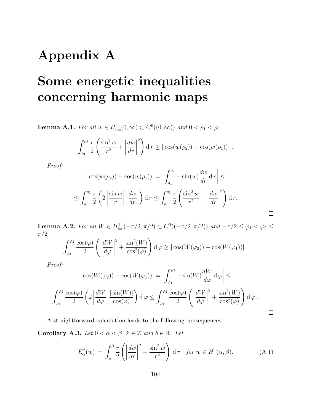## Appendix A

# Some energetic inequalities concerning harmonic maps

**Lemma A.1.** For all  $w \in H^1_{loc}(0, \infty) \subset C^0((0, \infty))$  and  $0 < \rho_1 < \rho_2$ 

$$
\int_{\rho_1}^{\rho_2} \frac{r}{2} \left( \frac{\sin^2 w}{r^2} + \left| \frac{dw}{dr} \right|^2 \right) dr \ge \left| \cos(w(\rho_2)) - \cos(w(\rho_1)) \right|.
$$

Proof:

$$
|\cos(w(\rho_2)) - \cos(w(\rho_1))| = \left| \int_{\rho_1}^{\rho_2} -\sin(w) \frac{dw}{dr} dr \right| \le
$$
  

$$
\le \int_{\rho_1}^{\rho_2} \frac{r}{2} \left( 2 \left| \frac{\sin w}{r} \right| \left| \frac{dw}{dr} \right| \right) dr \le \int_{\rho_1}^{\rho_2} \frac{r}{2} \left( \frac{\sin^2 w}{r^2} + \left| \frac{dw}{dr} \right|^{2} \right) dr.
$$

 $\Box$ 

 $\Box$ 

Lemma A.2. For all  $W \in H_{loc}^1(-\pi/2, \pi/2) \subset C^0((-\pi/2, \pi/2))$  and  $-\pi/2 \le \varphi_1 < \varphi_2 \le$  $\pi/2$ 

$$
\int_{\varphi_1}^{\varphi_2} \frac{\cos(\varphi)}{2} \left( \left| \frac{dW}{d\varphi} \right|^2 + \frac{\sin^2(W)}{\cos^2(\varphi)} \right) d\varphi \ge \left| \cos(W(\varphi_2)) - \cos(W(\varphi_1)) \right|.
$$

Proof:

$$
|\cos(W(\varphi_2)) - \cos(W(\varphi_1))| = \left| \int_{\varphi_1}^{\varphi_2} -\sin(W) \frac{dW}{d\varphi} d\varphi \right| \le
$$
  

$$
\int_{\varphi_1}^{\varphi_2} \frac{\cos(\varphi)}{2} \left( 2 \left| \frac{dW}{d\varphi} \right| \frac{|\sin(W)|}{\cos(\varphi)} \right) d\varphi \le \int_{\varphi_1}^{\varphi_2} \frac{\cos(\varphi)}{2} \left( \left| \frac{dW}{d\varphi} \right|^{2} + \frac{\sin^{2}(W)}{\cos^{2}(\varphi)} \right) d\varphi.
$$

A straightforward calculation leads to the following consequences: Corollary A.3. Let  $0 < \alpha < \beta$ ,  $k \in \mathbb{Z}$  and  $b \in \mathbb{R}$ . Let

$$
E_{\alpha}^{\beta}(w) = \int_{\alpha}^{\beta} \frac{r}{2} \left( \left| \frac{dw}{dr} \right|^{2} + \frac{\sin^{2} w}{r^{2}} \right) dr \quad \text{for } w \in H^{1}(\alpha, \beta). \tag{A.1}
$$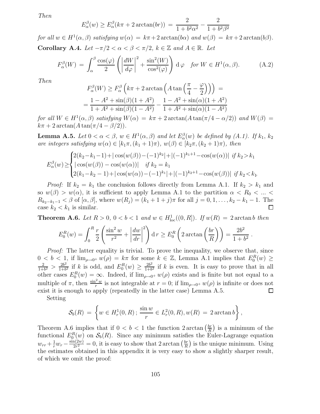Then

$$
E_{\alpha}^{\beta}(w) \ge E_{\alpha}^{\beta}(k\pi + 2\arctan(br)) = \frac{2}{1 + b^2\alpha^2} - \frac{2}{1 + b^2\beta^2}
$$

for all  $w \in H^1(\alpha, \beta)$  satisfying  $w(\alpha) = k\pi + 2 \arctan(b\alpha)$  and  $w(\beta) = k\pi + 2 \arctan(b\beta)$ . Corollary A.4. Let  $-\pi/2 < \alpha < \beta < \pi/2$ ,  $k \in \mathbb{Z}$  and  $A \in \mathbb{R}$ . Let

$$
F_{\alpha}^{\beta}(W) = \int_{\alpha}^{\beta} \frac{\cos(\varphi)}{2} \left( \left| \frac{dW}{d\varphi} \right|^{2} + \frac{\sin^{2}(W)}{\cos^{2}(\varphi)} \right) d\varphi \quad \text{for } W \in H^{1}(\alpha, \beta). \tag{A.2}
$$

Then

$$
F_{\alpha}^{\beta}(W) \ge F_{\alpha}^{\beta}\left(k\pi + 2\arctan\left(A\tan\left(\frac{\pi}{4} - \frac{\varphi}{2}\right)\right)\right) =
$$
  
= 
$$
\frac{1 - A^2 + \sin(\beta)(1 + A^2)}{1 + A^2 + \sin(\beta)(1 - A^2)} - \frac{1 - A^2 + \sin(\alpha)(1 + A^2)}{1 + A^2 + \sin(\alpha)(1 - A^2)}
$$

for all  $W \in H^1(\alpha, \beta)$  satisfying  $W(\alpha) = k\pi + 2 \arctan(A \tan(\pi/4 - \alpha/2))$  and  $W(\beta) =$  $k\pi + 2 \arctan(A \tan(\pi/4 - \beta/2)).$ 

**Lemma A.5.** Let  $0 < \alpha < \beta$ ,  $w \in H^1(\alpha, \beta)$  and let  $E_{\alpha}^{\beta}(w)$  be defined by  $(A.1)$ . If  $k_1$ ,  $k_2$ are integers satisfying  $w(\alpha) \in [k_1 \pi, (k_1 + 1) \pi), w(\beta) \in [k_2 \pi, (k_2 + 1) \pi),$  then

$$
E_{\alpha}^{\beta}(w) \ge \begin{cases} 2(k_2 - k_1 - 1) + |\cos(w(\beta)) - (-1)^{k_2}| + |(-1)^{k_1 + 1} - \cos(w(\alpha))| & \text{if } k_2 > k_1 \\ |\cos(w(\beta)) - \cos(w(\alpha))| & \text{if } k_2 = k_1 \\ 2(k_1 - k_2 - 1) + |\cos(w(\alpha)) - (-1)^{k_1}| + |(-1)^{k_2 + 1} - \cos(w(\beta))| & \text{if } k_2 < k_1. \end{cases}
$$

*Proof:* If  $k_2 = k_1$  the conclusion follows directly from Lemma A.1. If  $k_2 > k_1$  and so  $w(\beta) > w(\alpha)$ , it is sufficient to apply Lemma A.1 to the partition  $\alpha < R_0 < ... <$  $R_{k_2-k_1-1} < \beta$  of  $[\alpha, \beta]$ , where  $w(R_j) = (k_1 + 1 + j)\pi$  for all  $j = 0, 1, ..., k_2 - k_1 - 1$ . The case  $k_2 < k_1$  is similar. case  $k_2 < k_1$  is similar.

**Theorem A.6.** Let  $R > 0$ ,  $0 < b < 1$  and  $w \in H_{loc}^1((0, R])$ . If  $w(R) = 2 \arctan b$  then

$$
E_0^R(w) = \int_0^R \frac{r}{2} \left( \frac{\sin^2 w}{r^2} + \left| \frac{dw}{dr} \right|^2 \right) dr \ge E_0^R \left( 2 \arctan \left( \frac{br}{R} \right) \right) = \frac{2b^2}{1+b^2} \, .
$$

*Proof:* The latter equality is trivial. To prove the inequality, we observe that, since  $0 < b < 1$ , if  $\lim_{\rho \to 0^+} w(\rho) = k\pi$  for some  $k \in \mathbb{Z}$ , Lemma A.1 implies that  $E_0^R(w) \ge$ <br>  $\frac{2}{\rho} \leq \frac{2b^2}{\rho}$  if k is odd and  $F_0^R(w) \geq \frac{2b^2}{\rho}$  if k is even It is easy to prove that in all  $\frac{2}{1+b^2} > \frac{2b^2}{1+b}$  $rac{2b^2}{1+b^2}$  if k is odd, and  $E_0^R(w) \geq \frac{2b^2}{1+b}$  $\frac{2b^2}{1+b^2}$  if k is even. It is easy to prove that in all other cases  $E_0^R(w) = \infty$ . Indeed, if  $\lim_{\rho \to 0^+} w(\rho)$  exists and is finite but not equal to a multiple of  $\pi$ , then  $\frac{\sin^2 w}{r}$  is not integrable at  $r = 0$ ; if  $\lim_{\rho \to 0^+} w(\rho)$  is infinite or does not exist it is enough to apply (repeatedly in the latter case) Lemma A.5. □

Setting

$$
\mathcal{S}_b(R) = \left\{ w \in H_r^1(0,R) \, ; \, \frac{\sin w}{r} \in L_r^2(0,R), w(R) = 2 \arctan b \right\},\,
$$

Theorem A.6 implies that if  $0 < b < 1$  the function 2 arctan  $\left(\frac{br}{R}\right)$  $\frac{br}{R}$ ) is a minimum of the functional  $E_0^R(w)$  on  $\mathcal{S}_b(R)$ . Since any minimum satisfies the Euler-Lagrange equation  $w_{rr} + \frac{1}{r} w_r - \frac{\sin(2w)}{2r^2}$  $\frac{\Delta(2w)}{2r^2} = 0$ , it is easy to show that  $2 \arctan \left( \frac{br}{R} \right)$  $\frac{br}{R}$ ) is the unique minimum. Using the estimates obtained in this appendix it is very easy to show a slightly sharper result, of which we omit the proof: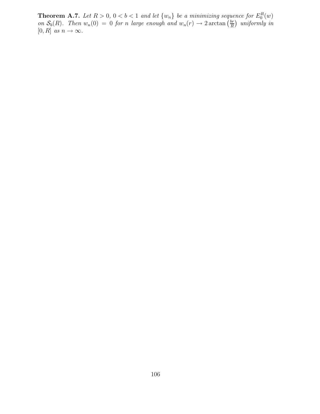**Theorem A.7.** Let  $R > 0$ ,  $0 < b < 1$  and let  $\{w_n\}$  be a minimizing sequence for  $E_0^R(w)$ on  $S_b(R)$ . Then  $w_n(0) = 0$  for n large enough and  $w_n(r) \to 2 \arctan \left( \frac{br}{R} \right)$  $\frac{br}{R}$ ) uniformly in [0, R] as  $n \to \infty$ .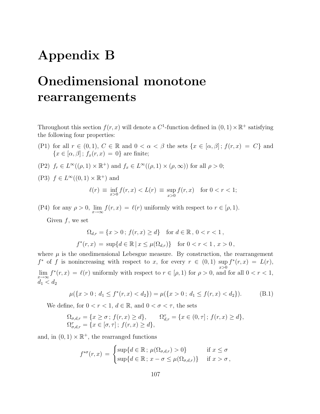## Appendix B

# Onedimensional monotone rearrangements

Throughout this section  $f(r, x)$  will denote a  $C^1$ -function defined in  $(0, 1) \times \mathbb{R}^+$  satisfying the following four properties:

- (P1) for all  $r \in (0,1)$ ,  $C \in \mathbb{R}$  and  $0 < \alpha < \beta$  the sets  $\{x \in [\alpha,\beta] ; f(r,x) = C\}$  and  ${x \in [\alpha, \beta]; f_x(r, x) = 0}$  are finite;
- (P2)  $f_r \in L^{\infty}((\rho, 1) \times \mathbb{R}^+)$  and  $f_x \in L^{\infty}((\rho, 1) \times (\rho, \infty))$  for all  $\rho > 0$ ;
- (P3)  $f \in L^{\infty}((0,1) \times \mathbb{R}^+)$  and

$$
\ell(r) \equiv \inf_{x>0} f(r, x) < L(r) \equiv \sup_{x>0} f(r, x) \quad \text{for } 0 < r < 1;
$$

(P4) for any  $\rho > 0$ ,  $\lim_{x \to \infty} f(r, x) = \ell(r)$  uniformly with respect to  $r \in [\rho, 1)$ .

Given  $f$ , we set

$$
\Omega_{d,r} = \{x > 0 \, ; \, f(r,x) \ge d\} \quad \text{for } d \in \mathbb{R}, \, 0 < r < 1 \,,
$$
\n
$$
f^*(r,x) = \sup\{d \in \mathbb{R} \, | \, x \le \mu(\Omega_{d,r})\} \quad \text{for } 0 < r < 1 \,, \, x > 0 \,,
$$

where  $\mu$  is the onedimensional Lebesgue measure. By construction, the rearrangement  $f^*$  of f is nonincreasing with respect to x, for every  $r \in (0,1)$  sup  $f^*(r, x) = L(r),$  $\lim_{x \to \infty} f^*(r, x) = \ell(r)$  uniformly with respect to  $r \in [\rho, 1)$  for  $\rho > 0$ , and for all  $0 < r < 1$ ,  $d_1 < d_2$ 

$$
\mu({x > 0 \; ; \; d_1 \le f^*(r, x) < d_2}) = \mu({x > 0 \; ; \; d_1 \le f(r, x) < d_2}).
$$
 (B.1)

We define, for  $0 < r < 1$ ,  $d \in \mathbb{R}$ , and  $0 < \sigma < \tau$ , the sets

$$
\Omega_{\sigma,d,r} = \{x \ge \sigma \, ; \, f(r,x) \ge d\}, \qquad \Omega_{d,r}^{\tau} = \{x \in (0,\tau] \, ; \, f(r,x) \ge d\},\
$$
  

$$
\Omega_{\sigma,d,r}^{\tau} = \{x \in [\sigma,\tau] \, ; \, f(r,x) \ge d\},
$$

and, in  $(0, 1) \times \mathbb{R}^+$ , the rearranged functions

$$
f^{*\sigma}(r,x) = \begin{cases} \sup\{d \in \mathbb{R} \, ; \, \mu(\Omega_{\sigma,d,r}) > 0\} & \text{if } x \le \sigma \\ \sup\{d \in \mathbb{R} \, ; \, x - \sigma \le \mu(\Omega_{\sigma,d,r})\} & \text{if } x > \sigma \, , \end{cases}
$$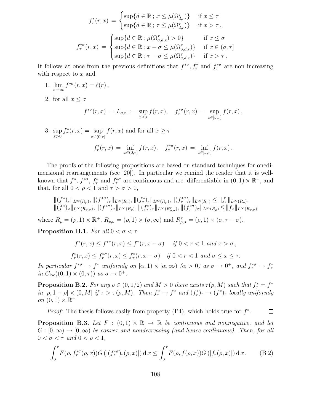$$
f_{\tau}^*(r, x) = \begin{cases} \sup\{d \in \mathbb{R} \, ; \, x \le \mu(\Omega_{d,r}^{\tau})\} & \text{if } x \le \tau \\ \sup\{d \in \mathbb{R} \, ; \, \tau \le \mu(\Omega_{d,r}^{\tau})\} & \text{if } x > \tau, \end{cases}
$$
\n
$$
f_{\tau}^{*\sigma}(r, x) = \begin{cases} \sup\{d \in \mathbb{R} \, ; \, \mu(\Omega_{\sigma,d,r}^{\tau}) > 0\} \\ \sup\{d \in \mathbb{R} \, ; \, x - \sigma \le \mu(\Omega_{\sigma,d,r}^{\tau})\} & \text{if } x \in (\sigma, \tau] \\ \sup\{d \in \mathbb{R} \, ; \, \tau - \sigma \le \mu(\Omega_{\sigma,d,r}^{\tau})\} & \text{if } x > \tau. \end{cases}
$$

It follows at once from the previous definitions that  $f^{*\sigma}, f^*_{\tau}$  and  $f^{*\sigma}_{\tau}$  are non increasing with respect to x and

- 1.  $\lim_{x \to \infty} f^{*\sigma}(r, x) = \ell(r)$ ,
- 2. for all  $x \leq \sigma$

$$
f^{*\sigma}(r,x) = L_{\sigma,r} := \sup_{x \ge \sigma} f(r,x), \quad f^{*\sigma}_{\tau}(r,x) = \sup_{x \in [\sigma,\tau]} f(r,x),
$$

3. sup  $x>0$  $f^*_\tau(r,x) = \sup$  $x \in (0, \tau]$  $f(r, x)$  and for all  $x \geq \tau$  $f^*_\tau(r,x) = \inf_{r,s \in (0,1]}$  $x \in (0, \tau]$  $f(r, x), \quad f_{\tau}^{*\sigma}(r, x) = \inf_{r \in \mathbb{R}^n}$  $x \in [\sigma, \tau]$  $f(r, x)$ .

The proofs of the following propositions are based on standard techniques for onedimensional rearrangements (see [20]). In particular we remind the reader that it is wellknown that  $f^*, f^{*\sigma}, f^*_\tau$  and  $f^{*\sigma}_\tau$  are continuous and a.e. differentiable in  $(0, 1) \times \mathbb{R}^+$ , and that, for all  $0 < \rho < 1$  and  $\tau > \sigma > 0$ ,

$$
\begin{aligned} &\|(f^*)_r\|_{L^{\infty}(R_{\rho})},\|(f^{*\sigma})_r\|_{L^{\infty}(R_{\rho})},\|(f_{\tau}^*)_r\|_{L^{\infty}(R_{\rho})},\|(f_{\tau}^*)_r\|_{L^{\infty}(R_{\rho})},\|(f_{\tau}^*)_r\|_{L^{\infty}(R_{\rho})} \leq \|f_r\|_{L^{\infty}(R_{\rho})},\\ &\|(f^*)_x\|_{L^{\infty}(R_{\rho,\sigma})},\|(f^{*\sigma})_x\|_{L^{\infty}(R_{\rho})},\|(f_{\tau}^*)_x\|_{L^{\infty}(R_{\rho,\sigma})},\|(f_{\tau}^*)_x\|_{L^{\infty}(R_{\rho})} \leq \|f_x\|_{L^{\infty}(R_{\rho,\sigma})} \end{aligned}
$$

where  $R_{\rho} = (\rho, 1) \times \mathbb{R}^+, R_{\rho, \sigma} = (\rho, 1) \times (\sigma, \infty)$  and  $R^{\tau}_{\rho, \sigma} = (\rho, 1) \times (\sigma, \tau - \sigma)$ .

**Proposition B.1.** For all  $0 < \sigma < \tau$ 

$$
f^*(r, x) \le f^{*\sigma}(r, x) \le f^*(r, x - \sigma) \quad \text{if } 0 < r < 1 \text{ and } x > \sigma,
$$
\n
$$
f^*_\tau(r, x) \le f^{*\sigma}_\tau(r, x) \le f^*_\tau(r, x - \sigma) \quad \text{if } 0 < r < 1 \text{ and } \sigma \le x \le \tau.
$$

In particular  $f^{*\sigma} \to f^*$  uniformly on  $[\alpha, 1) \times [\alpha, \infty)$   $(\alpha > 0)$  as  $\sigma \to 0^+$ , and  $f^{*\sigma}_\tau \to f^*_\tau$ in  $C_{\text{loc}}((0,1) \times (0,\tau))$  as  $\sigma \to 0^+$ .

**Proposition B.2.** For any  $\rho \in (0, 1/2)$  and  $M > 0$  there exists  $\tau(\rho, M)$  such that  $f_{\tau}^* = f^*$ in  $[\rho, 1 - \rho] \times (0, M]$  if  $\tau > \tau(\rho, M)$ . Then  $f^*_\tau \to f^*$  and  $(f^*_\tau)_r \to (f^*)_r$  locally uniformly on  $(0,1) \times \mathbb{R}^+$ 

*Proof:* The thesis follows easily from property  $(P4)$ , which holds true for  $f^*$ .  $\Box$ 

**Proposition B.3.** Let  $F : (0,1) \times \mathbb{R} \rightarrow \mathbb{R}$  be continuous and nonnegative, and let  $G : [0, \infty) \to [0, \infty)$  be convex and nondecreasing (and hence continuous). Then, for all  $0 < \sigma < \tau$  and  $0 < \rho < 1$ ,

$$
\int_{\sigma}^{\tau} F(\rho, f_{\tau}^{*\sigma}(\rho, x)) G\left(\left|\left(f_{\tau}^{*\sigma}\right)_{r}(\rho, x)\right|\right) \mathrm{d}x \le \int_{\sigma}^{\tau} F(\rho, f(\rho, x)) G\left(\left|f_{r}(\rho, x)\right|\right) \mathrm{d}x. \tag{B.2}
$$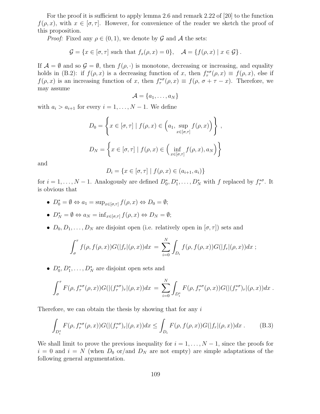For the proof it is sufficient to apply lemma 2.6 and remark 2.22 of [20] to the function  $f(\rho, x)$ , with  $x \in [\sigma, \tau]$ . However, for convenience of the reader we sketch the proof of this proposition.

*Proof:* Fixed any  $\rho \in (0,1)$ , we denote by G and A the sets:

$$
\mathcal{G} = \{x \in [\sigma, \tau] \text{ such that } f_x(\rho, x) = 0\}, \quad \mathcal{A} = \{f(\rho, x) \mid x \in \mathcal{G}\}.
$$

If  $\mathcal{A} = \emptyset$  and so  $\mathcal{G} = \emptyset$ , then  $f(\rho, \cdot)$  is monotone, decreasing or increasing, and equality holds in (B.2): if  $f(\rho, x)$  is a decreasing function of x, then  $f_{\tau}^{*\sigma}(\rho, x) \equiv f(\rho, x)$ , else if  $f(\rho, x)$  is an increasing function of x, then  $f_{\tau}^{*\sigma}(\rho, x) \equiv f(\rho, \sigma + \tau - x)$ . Therefore, we may assume

$$
\mathcal{A} = \{a_1, \ldots, a_N\}
$$

with  $a_i > a_{i+1}$  for every  $i = 1, \ldots, N-1$ . We define

$$
D_0 = \left\{ x \in [\sigma, \tau] \mid f(\rho, x) \in \left( a_1, \sup_{x \in [\sigma, \tau]} f(\rho, x) \right) \right\},
$$
  

$$
D_N = \left\{ x \in [\sigma, \tau] \mid f(\rho, x) \in \left( \inf_{x \in [\sigma, \tau]} f(\rho, x), a_N \right) \right\}
$$

and

$$
D_i = \{ x \in [\sigma, \tau] \mid f(\rho, x) \in (a_{i+1}, a_i) \}
$$

for  $i = 1, ..., N - 1$ . Analogously are defined  $D_0^*, D_1^*, ..., D_N^*$  with f replaced by  $f_{\tau}^{*\sigma}$ . It is obvious that

- $D_0^* = \emptyset \Leftrightarrow a_1 = \sup_{x \in [\sigma, \tau]} f(\rho, x) \Leftrightarrow D_0 = \emptyset;$
- $D_N^* = \emptyset \Leftrightarrow a_N = \inf_{x \in [\sigma, \tau]} f(\rho, x) \Leftrightarrow D_N = \emptyset;$
- $D_0, D_1, \ldots, D_N$  are disjoint open (i.e. relatively open in  $[\sigma, \tau]$ ) sets and

$$
\int_{\sigma}^{\tau} f(\rho, f(\rho, x)) G(|f_r|(\rho, x)) dx = \sum_{i=0}^{N} \int_{D_i} f(\rho, f(\rho, x)) G(|f_r|(\rho, x)) dx ;
$$

•  $D_0^*, D_1^*, \ldots, D_N^*$  are disjoint open sets and

$$
\int_{\sigma}^{\tau} F(\rho, f_{\tau}^{*\sigma}(\rho, x)) G(|(f_{\tau}^{*\sigma})_r | (\rho, x)) dx = \sum_{i=0}^{N} \int_{D_i^*} F(\rho, f_{\tau}^{*\sigma}(\rho, x)) G(|(f_{\tau}^{*\sigma})_r | (\rho, x)) dx.
$$

Therefore, we can obtain the thesis by showing that for any  $i$ 

$$
\int_{D_i^*} F(\rho, f_\tau^{*\sigma}(\rho, x)) G(|(f_\tau^{*\sigma})_r | (\rho, x)) dx \le \int_{D_i} F(\rho, f(\rho, x)) G(|f_r|(\rho, x)) dx . \tag{B.3}
$$

We shall limit to prove the previous inequality for  $i = 1, \ldots, N-1$ , since the proofs for  $i = 0$  and  $i = N$  (when  $D_0$  or/and  $D_N$  are not empty) are simple adaptations of the following general argumentation.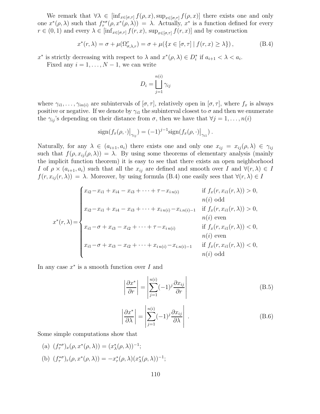We remark that  $\forall \lambda \in [\inf_{x \in [\sigma,\tau]} f(\rho,x), \sup_{x \in [\sigma,\tau]} f(\rho,x)]$  there exists one and only one  $x^*(\rho, \lambda)$  such that  $f^{*\sigma}_\tau(\rho, x^*(\rho, \lambda)) = \lambda$ . Actually,  $x^*$  is a function defined for every  $r \in (0,1)$  and every  $\lambda \in \left[\inf_{x \in [\sigma,\tau]} f(r,x), \sup_{x \in [\sigma,\tau]} f(r,x)\right]$  and by construction

$$
x^*(r,\lambda) = \sigma + \mu(\Omega_{\sigma,\lambda,r}^{\tau}) = \sigma + \mu(\lbrace x \in [\sigma,\tau] \mid f(r,x) \geq \lambda \rbrace),
$$
 (B.4)

 $x^*$  is strictly decreasing with respect to  $\lambda$  and  $x^*(\rho, \lambda) \in D_i^*$  if  $a_{i+1} < \lambda < a_i$ .

Fixed any  $i = 1, \ldots, N - 1$ , we can write

$$
D_i = \bigsqcup_{j=1}^{n(i)} \gamma_{ij}
$$

where  $\gamma_{i1}, \ldots, \gamma_{in(i)}$  are subintervals of  $[\sigma, \tau]$ , relatively open in  $[\sigma, \tau]$ , where  $f_x$  is always positive or negative. If we denote by  $\gamma_{i1}$  the subinterval closest to  $\sigma$  and then we enumerate the  $\gamma_{ij}$ 's depending on their distance from  $\sigma$ , then we have that  $\forall j = 1, \ldots, n(i)$ 

$$
\mathrm{sign}(f_x(\rho,\cdot)|_{\gamma_{ij}}) = (-1)^{j-1} \mathrm{sign}(f_x(\rho,\cdot)|_{\gamma_{i1}}).
$$

Naturally, for any  $\lambda \in (a_{i+1}, a_i)$  there exists one and only one  $x_{ij} = x_{ij}(\rho, \lambda) \in \gamma_{ij}$ such that  $f(\rho, x_{ij}(\rho, \lambda)) = \lambda$ . By using some theorems of elementary analysis (mainly the implicit function theorem) it is easy to see that there exists an open neighborhood I of  $\rho \times (a_{i+1}, a_i)$  such that all the  $x_{ij}$  are defined and smooth over I and  $\forall (r, \lambda) \in I$  $f(r, x_{ij}(r, \lambda)) = \lambda$ . Moreover, by using formula (B.4) one easily sees that  $\forall (r, \lambda) \in I$ 

$$
x^{*}(r,\lambda) = \begin{cases} x_{i2} - x_{i1} + x_{i4} - x_{i3} + \dots + \tau - x_{in(i)} & \text{if } f_{x}(r, x_{i1}(r,\lambda)) > 0, \\ n(i) \text{ odd} \\ x_{i2} - x_{i1} + x_{i4} - x_{i3} + \dots + x_{in(i)} - x_{i,n(i)-1} & \text{if } f_{x}(r, x_{i1}(r,\lambda)) > 0, \\ n(i) \text{ even} \\ x_{i1} - \sigma + x_{i3} - x_{i2} + \dots + \tau - x_{in(i)} & \text{if } f_{x}(r, x_{i1}(r,\lambda)) < 0, \\ n(i) \text{ even} \\ x_{i1} - \sigma + x_{i3} - x_{i2} + \dots + x_{in(i)} - x_{i,n(i)-1} & \text{if } f_{x}(r, x_{i1}(r,\lambda)) < 0, \\ n(i) \text{ odd} \end{cases}
$$

In any case  $x^*$  is a smooth function over I and

$$
\left| \frac{\partial x^*}{\partial r} \right| = \left| \sum_{j=1}^{n(i)} (-1)^j \frac{\partial x_{ij}}{\partial r} \right| \tag{B.5}
$$

$$
\left| \frac{\partial x^*}{\partial \lambda} \right| = \left| \sum_{j=1}^{n(i)} (-1)^j \frac{\partial x_{ij}}{\partial \lambda} \right| . \tag{B.6}
$$

Some simple computations show that

(a) 
$$
(f_{\tau}^{*\sigma})_x(\rho, x^*(\rho, \lambda)) = (x_{\lambda}^*(\rho, \lambda))^{-1};
$$
  
\n(b)  $(f_{\tau}^{*\sigma})_r(\rho, x^*(\rho, \lambda)) = -x_r^*(\rho, \lambda)(x_{\lambda}^*(\rho, \lambda))^{-1};$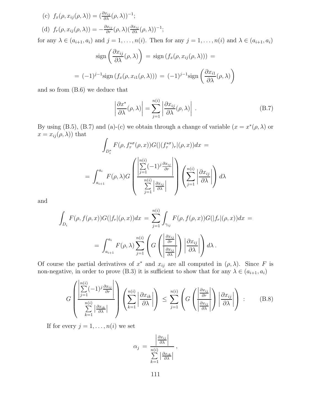(c) 
$$
f_x(\rho, x_{ij}(\rho, \lambda)) = (\frac{\partial x_{ij}}{\partial \lambda}(\rho, \lambda))^{-1};
$$
  
(d)  $f_r(\rho, x_{ij}(\rho, \lambda)) = -\frac{\partial x_{ij}}{\partial r}(\rho, \lambda)(\frac{\partial x_{ij}}{\partial \lambda}(\rho, \lambda))^{-1};$ 

for any  $\lambda \in (a_{i+1}, a_i)$  and  $j = 1, \ldots, n(i)$ . Then for any  $j = 1, \ldots, n(i)$  and  $\lambda \in (a_{i+1}, a_i)$ 

$$
\operatorname{sign}\left(\frac{\partial x_{ij}}{\partial \lambda}(\rho, \lambda)\right) = \operatorname{sign}\left(f_x(\rho, x_{ij}(\rho, \lambda))\right) =
$$

$$
= (-1)^{j-1} \operatorname{sign}\left(f_x(\rho, x_{i1}(\rho, \lambda))\right) = (-1)^{j-1} \operatorname{sign}\left(\frac{\partial x_{i1}}{\partial \lambda}(\rho, \lambda)\right)
$$

and so from (B.6) we deduce that

$$
\left| \frac{\partial x^*}{\partial \lambda} (\rho, \lambda) \right| = \sum_{j=1}^{n(i)} \left| \frac{\partial x_{ij}}{\partial \lambda} (\rho, \lambda) \right| . \tag{B.7}
$$

By using (B.5), (B.7) and (a)-(c) we obtain through a change of variable  $(x = x^*(\rho, \lambda))$  or  $x = x_{ij}(\rho, \lambda)$  that

$$
\int_{D_i^*} F(\rho, f_\tau^{*\sigma}(\rho, x)) G(| (f_\tau^{*\sigma})_r | (\rho, x)) dx =
$$
\n
$$
= \int_{a_{i+1}}^{a_i} F(\rho, \lambda) G\left(\frac{\left|\sum_{j=1}^{n(i)} (-1)^j \frac{\partial x_{ij}}{\partial r}\right|}{\sum_{j=1}^{n(i)} \left|\frac{\partial x_{ij}}{\partial \lambda}\right|}\right) \left(\sum_{j=1}^{n(i)} \left|\frac{\partial x_{ij}}{\partial \lambda}\right|\right) d\lambda
$$

and

$$
\int_{D_i} F(\rho, f(\rho, x)) G(|f_r|(\rho, x)) dx = \sum_{j=1}^{n(i)} \int_{\gamma_{ij}} F(\rho, f(\rho, x)) G(|f_r|(\rho, x)) dx =
$$
\n
$$
= \int_{a_{i+1}}^{a_i} F(\rho, \lambda) \sum_{j=1}^{n(i)} \left( G\left(\frac{\left|\frac{\partial x_{ij}}{\partial r}\right|}{\left|\frac{\partial x_{ij}}{\partial \lambda}\right|}\right) \left|\frac{\partial x_{ij}}{\partial \lambda}\right|\right) d\lambda.
$$

Of course the partial derivatives of  $x^*$  and  $x_{ij}$  are all computed in  $(\rho, \lambda)$ . Since F is non-negative, in order to prove (B.3) it is sufficient to show that for any  $\lambda \in (a_{i+1}, a_i)$ 

$$
G\left(\frac{\left|\sum_{j=1}^{n(i)}(-1)^j\frac{\partial x_{ij}}{\partial r}\right|}{\sum_{k=1}^{n(i)}\left|\frac{\partial x_{ik}}{\partial\lambda}\right|}\right)\left(\sum_{k=1}^{n(i)}\left|\frac{\partial x_{ik}}{\partial\lambda}\right|\right) \leq \sum_{j=1}^{n(i)}\left(G\left(\left|\frac{\frac{\partial x_{ij}}{\partial r}}{\frac{\partial x_{ij}}{\partial\lambda}}\right|\right)\left|\frac{\partial x_{ij}}{\partial\lambda}\right|\right) : (B.8)
$$

If for every  $j = 1, \ldots, n(i)$  we set

$$
\alpha_j = \frac{\left|\frac{\partial x_{ij}}{\partial \lambda}\right|}{\sum_{k=1}^{n(i)} \left|\frac{\partial x_{ik}}{\partial \lambda}\right|},
$$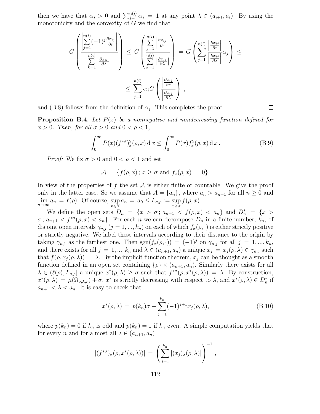then we have that  $\alpha_j > 0$  and  $\sum_{j=1}^{n(i)} \alpha_j = 1$  at any point  $\lambda \in (a_{i+1}, a_i)$ . By using the monotonicity and the convexity of  $G$  we find that

$$
G\left(\frac{\sum_{j=1}^{n(i)}(-1)^j\frac{\partial x_{ij}}{\partial r}}{\sum_{k=1}^{n(i)}\left|\frac{\partial x_{ik}}{\partial \lambda}\right|}\right) \leq G\left(\frac{\sum_{j=1}^{n(i)}\left|\frac{\partial x_{ij}}{\partial r}\right|}{\sum_{k=1}^{n(i)}\left|\frac{\partial x_{ik}}{\partial \lambda}\right|}\right) = G\left(\sum_{j=1}^{n(i)}\frac{\left|\frac{\partial x_{ij}}{\partial r}\right|}{\left|\frac{\partial x_{ij}}{\partial \lambda}\right|}\alpha_j\right) \leq \sum_{j=1}^{n(i)}\alpha_j G\left(\frac{\left|\frac{\partial x_{ij}}{\partial r}\right|}{\left|\frac{\partial x_{ij}}{\partial \lambda}\right|}\right),
$$

and (B.8) follows from the definition of  $\alpha_j$ . This completes the proof.

**Proposition B.4.** Let  $P(x)$  be a nonnegative and nondecreasing function defined for  $x > 0$ . Then, for all  $\sigma > 0$  and  $0 < \rho < 1$ ,

$$
\int_0^\infty P(x) (f^{*\sigma})_x^2(\rho, x) \, dx \le \int_0^\infty P(x) f_x^2(\rho, x) \, dx \,. \tag{B.9}
$$

 $\Box$ 

*Proof:* We fix  $\sigma > 0$  and  $0 < \rho < 1$  and set

$$
\mathcal{A} = \{ f(\rho, x) \, ; \, x \ge \sigma \text{ and } f_x(\rho, x) = 0 \}.
$$

In view of the properties of f the set  $A$  is either finite or countable. We give the proof only in the latter case. So we assume that  $A = \{a_n\}$ , where  $a_n > a_{n+1}$  for all  $n \geq 0$  and  $\lim_{n\to\infty} a_n = \ell(\rho)$ . Of course, sup  $\sup_{n \in \mathbb{N}} a_n = a_0 \leq L_{\sigma,\rho} := \sup_{x \geq \sigma}$  $f(\rho, x)$ .

We define the open sets  $D_n = \{x > \sigma : a_{n+1} < f(\rho, x) < a_n\}$  and  $D_n^* = \{x >$  $\sigma$ ;  $a_{n+1} < f^{*\sigma}(\rho, x) < a_n$ . For each n we can decompose  $D_n$  in a finite number,  $k_n$ , of disjoint open intervals  $\gamma_{n,j}$   $(j = 1, ..., k_n)$  on each of which  $f_x(\rho, \cdot)$  is either strictly positive or strictly negative. We label these intervals according to their distance to the origin by taking  $\gamma_{n,1}$  as the farthest one. Then  $sgn(f_x(\rho, \cdot)) = (-1)^j$  on  $\gamma_{n,j}$  for all  $j = 1, ..., k_n$ , and there exists for all  $j = 1, ..., k_n$  and  $\lambda \in (a_{n+1}, a_n)$  a unique  $x_j = x_j(\rho, \lambda) \in \gamma_{n,j}$  such that  $f(\rho, x_j(\rho, \lambda)) = \lambda$ . By the implicit function theorem,  $x_j$  can be thought as a smooth function defined in an open set containing  $\{\rho\} \times (a_{n+1}, a_n)$ . Similarly there exists for all  $\lambda \in (\ell(\rho), L_{\sigma,\rho}]$  a unique  $x^*(\rho, \lambda) \geq \sigma$  such that  $f^{*\sigma}(\rho, x^*(\rho, \lambda)) = \lambda$ . By construction,  $x^*(\rho,\lambda) = \mu(\Omega_{\sigma,\lambda,r}) + \sigma$ ,  $x^*$  is strictly decreasing with respect to  $\lambda$ , and  $x^*(\rho,\lambda) \in D_n^*$  if  $a_{n+1} < \lambda < a_n$ . It is easy to check that

$$
x^*(\rho, \lambda) = p(k_n)\sigma + \sum_{j=1}^{k_n} (-1)^{j+1} x_j(\rho, \lambda),
$$
 (B.10)

where  $p(k_n) = 0$  if  $k_n$  is odd and  $p(k_n) = 1$  if  $k_n$  even. A simple computation yields that for every *n* and for almost all  $\lambda \in (a_{n+1}, a_n)$ 

$$
|(f^{*\sigma})_x(\rho, x^*(\rho, \lambda))| = \left(\sum_{j=1}^{k_n} |(x_j)_{\lambda}(\rho, \lambda)|\right)^{-1},
$$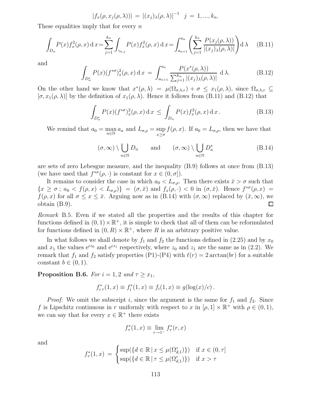$$
|f_x(\rho, x_j(\rho, \lambda))| = |(x_j)_{\lambda}(\rho, \lambda)|^{-1} \quad j = 1, ..., k_n.
$$

These equalities imply that for every  $n$ 

$$
\int_{D_n} P(x) f_x^2(\rho, x) dx = \sum_{j=1}^{k_n} \int_{\gamma_{n,j}} P(x) f_x^2(\rho, x) dx = \int_{a_{n+1}}^{a_n} \left( \sum_{j=1}^{k_n} \frac{P(x_j(\rho, \lambda))}{|(x_j)_{\lambda}(\rho, \lambda)|} \right) d\lambda \quad (B.11)
$$

and

$$
\int_{D_n^*} P(x) (f^{*\sigma})_x^2(\rho, x) dx = \int_{a_{n+1}}^{a_n} \frac{P(x^*(\rho, \lambda))}{\sum_{j=1}^{k_n} |(x_j)_{\lambda}(\rho, \lambda)|} d\lambda.
$$
 (B.12)

On the other hand we know that  $x^*(\rho, \lambda) = \mu(\Omega_{\sigma,\lambda,r}) + \sigma \leq x_1(\rho, \lambda)$ , since  $\Omega_{\sigma,\lambda,r} \subseteq$  $[\sigma, x_1(\rho, \lambda)]$  by the definition of  $x_1(\rho, \lambda)$ . Hence it follows from (B.11) and (B.12) that

$$
\int_{D_n^*} P(x) (f^{*\sigma})_x^2(\rho, x) \, dx \le \int_{D_n} P(x) f_x^2(\rho, x) \, dx \, . \tag{B.13}
$$

We remind that  $a_0 = \max_{n \in \mathbb{N}} a_n$  $n\in\mathbb{N}$  $a_n$  and  $L_{\sigma,\rho} = \sup$  $x \geq \sigma$  $f(\rho, x)$ . If  $a_0 = L_{\sigma,\rho}$ , then we have that

$$
(\sigma, \infty) \setminus \bigcup_{n \in \mathbb{N}} D_n \quad \text{and} \quad (\sigma, \infty) \setminus \bigcup_{n \in \mathbb{N}} D_n^* \quad (\text{B.14})
$$

are sets of zero Lebesgue measure, and the inequality (B.9) follows at once from (B.13) (we have used that  $f^{*\sigma}(\rho, \cdot)$  is constant for  $x \in (0, \sigma]$ ).

It remains to consider the case in which  $a_0 < L_{\sigma,\rho}$ . Then there exists  $\bar{x} > \sigma$  such that  ${x \ge \sigma \,;\, a_0 < f(\rho, x) < L_{\sigma,\rho}}$  =  $(\sigma, \bar{x})$  and  $f_x(\rho, \cdot) < 0$  in  $(\sigma, \bar{x})$ . Hence  $f^{*\sigma}(\rho, x)$  =  $f(\rho, x)$  for all  $\sigma \le x \le \bar{x}$ . Arguing now as in (B.14) with  $(\sigma, \infty)$  replaced by  $(\bar{x}, \infty)$ , we obtain (B.9). obtain (B.9).

Remark B.5. Even if we stated all the properties and the results of this chapter for functions defined in  $(0, 1) \times \mathbb{R}^+$ , it is simple to check that all of them can be reformulated for functions defined in  $(0, R) \times \mathbb{R}^+$ , where R is an arbitrary positive value.

In what follows we shall denote by  $f_1$  and  $f_2$  the functions defined in (2.25) and by  $x_0$ and  $x_1$  the values  $e^{cz_0}$  and  $e^{cz_1}$  respectively, where  $z_0$  and  $z_1$  are the same as in (2.2). We remark that  $f_1$  and  $f_2$  satisfy properties (P1)-(P4) with  $\ell(r) = 2 \arctan(br)$  for a suitable constant  $b \in (0, 1)$ .

**Proposition B.6.** For  $i = 1, 2$  and  $\tau \geq x_1$ ,

$$
f_{i\tau}^*(1, x) \equiv f_i^*(1, x) \equiv f_i(1, x) \equiv g(\log(x)/c).
$$

*Proof:* We omit the subscript i, since the argument is the same for  $f_1$  and  $f_2$ . Since f is Lipschitz continuous in r uniformly with respect to x in  $[\rho, 1] \times \mathbb{R}^+$  with  $\rho \in (0, 1)$ , we can say that for every  $x \in \mathbb{R}^+$  there exists

$$
f_{\tau}^*(1, x) \equiv \lim_{r \to 1^-} f_{\tau}^*(r, x)
$$

and

$$
f_{\tau}^*(1, x) = \begin{cases} \sup(\{d \in \mathbb{R} \mid x \le \mu(\Omega_{d,1}^{\tau})\}) & \text{if } x \in (0, \tau] \\ \sup(\{d \in \mathbb{R} \mid \tau \le \mu(\Omega_{d,1}^{\tau})\}) & \text{if } x > \tau \end{cases}
$$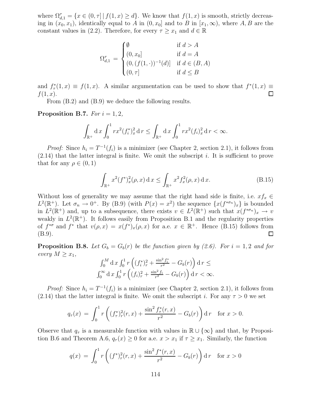where  $\Omega_{d,1}^{\tau} = \{x \in (0,\tau] \mid f(1,x) \geq d\}$ . We know that  $f(1,x)$  is smooth, strictly decreasing in  $(x_0, x_1)$ , identically equal to A in  $(0, x_0]$  and to B in  $[x_1, \infty)$ , where A, B are the constant values in (2.2). Therefore, for every  $\tau \geq x_1$  and  $d \in \mathbb{R}$ 

$$
\Omega_{d,1}^{\tau} = \begin{cases} \emptyset & \text{if } d > A \\ (0, x_0] & \text{if } d = A \\ (0, (f(1, \cdot))^{-1}(d)] & \text{if } d \in (B, A) \\ (0, \tau] & \text{if } d \le B \end{cases}
$$

and  $f_{\tau}^*(1, x) \equiv f(1, x)$ . A similar argumentation can be used to show that  $f^*(1, x) \equiv f(1, x)$ .  $f(1, x)$ .

From (B.2) and (B.9) we deduce the following results.

## Proposition B.7. For  $i = 1, 2$ ,

$$
\int_{\mathbb{R}^+} \mathrm{d} x \int_0^1 r x^2 (f_i^*)_x^2 \, \mathrm{d} r \le \int_{\mathbb{R}^+} \mathrm{d} x \int_0^1 r x^2 (f_i)_x^2 \, \mathrm{d} r < \infty.
$$

*Proof:* Since  $h_i = T^{-1}(f_i)$  is a minimizer (see Chapter 2, section 2.1), it follows from  $(2.14)$  that the latter integral is finite. We omit the subscript i. It is sufficient to prove that for any  $\rho \in (0,1)$ 

$$
\int_{\mathbb{R}^+} x^2 (f^*)_x^2 (\rho, x) \, dx \le \int_{\mathbb{R}^+} x^2 f_x^2 (\rho, x) \, dx. \tag{B.15}
$$

Without loss of generality we may assume that the right hand side is finite, i.e.  $xf_x \in$  $L^2(\mathbb{R}^+)$ . Let  $\sigma_n \to 0^+$ . By (B.9) (with  $P(x) = x^2$ ) the sequence  $\{x(f^{*\sigma_n})_x\}$  is bounded in  $L^2(\mathbb{R}^+)$  and, up to a subsequence, there exists  $v \in L^2(\mathbb{R}^+)$  such that  $x(f^{*\sigma_n})_x \to v$ weakly in  $L^2(\mathbb{R}^+)$ . It follows easily from Proposition B.1 and the regularity properties of  $f^{*\sigma}$  and  $f^*$  that  $v(\rho, x) = x(f^*)_x(\rho, x)$  for a.e.  $x \in \mathbb{R}^+$ . Hence (B.15) follows from (B.9). □

**Proposition B.8.** Let  $G_b = G_b(r)$  be the function given by (2.6). For  $i = 1, 2$  and for every  $M \geq x_1$ ,

$$
\int_0^M \mathrm{d}x \int_0^1 r \left( (f_i^*)^2_r + \frac{\sin^2 f_i^*}{r^2} - G_b(r) \right) \mathrm{d}r \le
$$
  

$$
\int_0^\infty \mathrm{d}x \int_0^1 r \left( (f_i)^2_r + \frac{\sin^2 f_i}{r^2} - G_b(r) \right) \mathrm{d}r < \infty.
$$

*Proof:* Since  $h_i = T^{-1}(f_i)$  is a minimizer (see Chapter 2, section 2.1), it follows from (2.14) that the latter integral is finite. We omit the subscript i. For any  $\tau > 0$  we set

$$
q_{\tau}(x) = \int_0^1 r\left( (f_{\tau}^*)^2_r(r, x) + \frac{\sin^2 f_{\tau}^*(r, x)}{r^2} - G_b(r) \right) dr \quad \text{for } x > 0.
$$

Observe that  $q_{\tau}$  is a measurable function with values in  $\mathbb{R} \cup \{\infty\}$  and that, by Proposition B.6 and Theorem A.6,  $q_{\tau}(x) \ge 0$  for a.e.  $x > x_1$  if  $\tau \ge x_1$ . Similarly, the function

$$
q(x) = \int_0^1 r\left( (f^*)_r^2(r,x) + \frac{\sin^2 f^*(r,x)}{r^2} - G_b(r) \right) dr \quad \text{for } x > 0
$$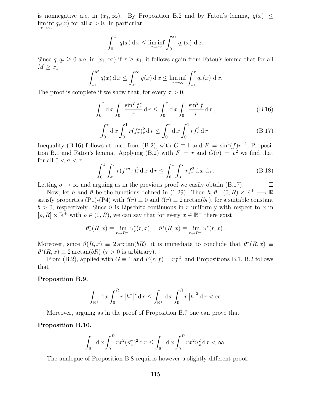is nonnegative a.e. in  $(x_1,\infty)$ . By Proposition B.2 and by Fatou's lemma,  $q(x) \leq$  $\liminf q_{\tau}(x)$  for all  $x > 0$ . In particular  $\tau \rightarrow \infty$ 

$$
\int_0^{x_1} q(x) dx \le \liminf_{\tau \to \infty} \int_0^{x_1} q_\tau(x) dx.
$$

Since  $q, q_\tau \geq 0$  a.e. in  $[x_1, \infty)$  if  $\tau \geq x_1$ , it follows again from Fatou's lemma that for all  $M \geq x_1$ 

$$
\int_{x_1}^M q(x) dx \le \int_{x_1}^\infty q(x) dx \le \liminf_{\tau \to \infty} \int_{x_1}^\tau q_\tau(x) dx.
$$

The proof is complete if we show that, for every  $\tau > 0$ ,

$$
\int_0^{\tau} \mathrm{d}x \int_0^1 \frac{\sin^2 f_{\tau}^*}{r} \mathrm{d}r \le \int_0^{\tau} \mathrm{d}x \int_0^1 \frac{\sin^2 f}{r} \mathrm{d}r, \tag{B.16}
$$

$$
\int_0^{\tau} d x \int_0^1 r(f_{\tau}^*)_r^2 dr \le \int_0^{\tau} d x \int_0^1 r f_r^2 dr.
$$
 (B.17)

Inequality (B.16) follows at once from (B.2), with  $G \equiv 1$  and  $F = \sin^2(f)r^{-1}$ , Proposition B.1 and Fatou's lemma. Applying (B.2) with  $F = r$  and  $G(v) = v^2$  we find that for all  $0 < \sigma < \tau$ 

$$
\int_0^1 \int_{\sigma}^{\tau} r(f^{*\sigma}\tau)_r^2 \, \mathrm{d}x \, \mathrm{d}r \le \int_0^1 \int_{\sigma}^{\tau} r f_r^2 \, \mathrm{d}x \, \mathrm{d}r. \tag{B.18}
$$
\nreguing as in the previous proof we easily obtain (B.17).

Letting  $\sigma \to \infty$  and arguing as in the previous proof we easily obtain (B.17).

Now, let  $\bar{h}$  and  $\vartheta$  be the functions defined in (1.29). Then  $\bar{h}$ ,  $\vartheta$  :  $(0, R) \times \mathbb{R}^+ \longrightarrow \mathbb{R}$ satisfy properties (P1)-(P4) with  $\ell(r) \equiv 0$  and  $\ell(r) \equiv 2 \arctan(br)$ , for a suitable constant  $b > 0$ , respectively. Since  $\vartheta$  is Lipschitz continuous in r uniformly with respect to x in  $[\rho, R] \times \mathbb{R}^+$  with  $\rho \in (0, R)$ , we can say that for every  $x \in \mathbb{R}^+$  there exist

$$
\vartheta^*_{\tau}(R,x) \equiv \lim_{r \to R^{-}} \vartheta^*_{\tau}(r,x), \quad \vartheta^*(R,x) \equiv \lim_{r \to R^{-}} \vartheta^*(r,x).
$$

Moreover, since  $\vartheta(R,x) \equiv 2 \arctan(bR)$ , it is immediate to conclude that  $\vartheta^*_{\tau}(R,x) \equiv$  $\vartheta^*(R, x) \equiv 2 \arctan(bR)$  ( $\tau > 0$  is arbitrary).

From (B.2), applied with  $G \equiv 1$  and  $F(r, f) = rf^2$ , and Propositions B.1, B.2 follows that

Proposition B.9.

$$
\int_{\mathbb{R}^+} \mathrm{d} x \int_0^R r \left| \bar{h}^* \right|^2 \mathrm{d} r \le \int_{\mathbb{R}^+} \mathrm{d} x \int_0^R r \left| \bar{h} \right|^2 \mathrm{d} r < \infty
$$

Moreover, arguing as in the proof of Proposition B.7 one can prove that

## Proposition B.10.

$$
\int_{\mathbb{R}^+} \mathrm{d} x \int_0^R r x^2 (\vartheta_x^*)^2 \, \mathrm{d} r \le \int_{\mathbb{R}^+} \mathrm{d} x \int_0^R r x^2 \vartheta_x^2 \, \mathrm{d} r < \infty.
$$

The analogue of Proposition B.8 requires however a slightly different proof.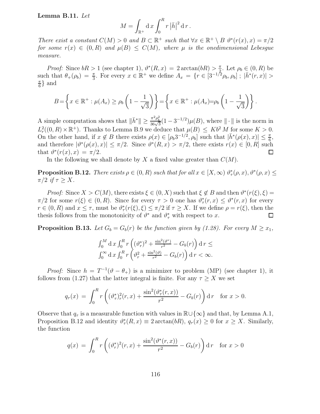## Lemma B.11. Let

$$
M = \int_{\mathbb{R}^+} \mathrm{d} \, x \int_0^R r \, |\bar{h}|^2 \, \mathrm{d} \, r \, .
$$

There exist a constant  $C(M) > 0$  and  $B \subset \mathbb{R}^+$  such that  $\forall x \in \mathbb{R}^+ \setminus B$   $\vartheta^*(r(x), x) = \pi/2$ for some  $r(x) \in (0, R)$  and  $\mu(B) \leq C(M)$ , where  $\mu$  is the onedimensional Lebesgue measure.

*Proof:* Since  $bR > 1$  (see chapter 1),  $\vartheta^*(R, x) = 2 \arctan(bR) > \frac{\pi}{2}$ . Let  $\rho_b \in (0, R)$  be such that  $\theta_+(\rho_b) = \frac{\pi}{3}$ . For every  $x \in \mathbb{R}^+$  we define  $A_x = \{r \in [3^{-1/2} \rho_b, \rho_b] ; |\bar{h}^*(r, x)| >$ π  $\frac{\pi}{6}$  and

$$
B = \left\{ x \in \mathbb{R}^+ : \mu(A_x) \ge \rho_b \left( 1 - \frac{1}{\sqrt{3}} \right) \right\} = \left\{ x \in \mathbb{R}^+ : \mu(A_x) = \rho_b \left( 1 - \frac{1}{\sqrt{3}} \right) \right\}.
$$

A simple computation shows that  $\|\bar{h}^*\| \ge \frac{\pi^2 \rho_b^2}{36\sqrt{3}}(1-3^{-1/2})\mu(B)$ , where  $\|\cdot\|$  is the norm in  $L_r^2((0,R)\times\mathbb{R}^+)$ . Thanks to Lemma B.9 we deduce that  $\mu(B) \leq Kb^2 M$  for some  $K > 0$ . On the other hand, if  $x \notin B$  there exists  $\rho(x) \in [\rho_b 3^{-1/2}, \rho_b]$  such that  $|\bar{h}^*(\rho(x), x)| \leq \frac{\pi}{6}$ , and therefore  $|\vartheta^*(\rho(x),x)| \leq \pi/2$ . Since  $\vartheta^*(R,x) > \pi/2$ , there exists  $r(x) \in [0,R]$  such that  $\vartheta^*(r(x),x) = \pi/2$ .

In the following we shall denote by  $X$  a fixed value greater than  $C(M)$ .

**Proposition B.12.** There exists  $\rho \in (0, R)$  such that for all  $x \in [X, \infty)$   $\vartheta^*_{\tau}(\rho, x), \vartheta^*(\rho, x) \leq$  $\pi/2$  if  $\tau \geq X$ .

*Proof:* Since  $X > C(M)$ , there exists  $\xi \in (0, X)$  such that  $\xi \notin B$  and then  $\vartheta^*(r(\xi), \xi) =$  $\pi/2$  for some  $r(\xi) \in (0, R)$ . Since for every  $\tau > 0$  one has  $\vartheta^*_{\tau}(r, x) \leq \vartheta^*(r, x)$  for every  $r \in (0, R)$  and  $x \leq \tau$ , must be  $\vartheta^*_{\tau}(r(\xi), \xi) \leq \pi/2$  if  $\tau \geq X$ . If we define  $\rho = r(\xi)$ , then the thesis follows from the monotonicity of  $\vartheta^*$  and  $\vartheta^*_{\tau}$  with respect to x.

**Proposition B.13.** Let  $G_b = G_b(r)$  be the function given by (1.28). For every  $M \ge x_1$ ,

$$
\int_0^M \mathrm{d}\,x \int_0^R r \left( (\vartheta_r^*)^2 + \frac{\sin^2(\vartheta^*)}{r^2} - G_b(r) \right) \mathrm{d}\,r \le
$$
  

$$
\int_0^\infty \mathrm{d}\,x \int_0^R r \left( \vartheta_r^2 + \frac{\sin^2(\vartheta)}{r^2} - G_b(r) \right) \mathrm{d}\,r < \infty.
$$

*Proof:* Since  $h = T^{-1}(\theta - \theta_+)$  is a minimizer to problem (MP) (see chapter 1), it follows from (1.27) that the latter integral is finite. For any  $\tau \geq X$  we set

$$
q_{\tau}(x) = \int_0^R r \left( (\vartheta_{\tau}^*)^2_r(r, x) + \frac{\sin^2(\vartheta_{\tau}^*(r, x))}{r^2} - G_b(r) \right) dr \quad \text{for } x > 0.
$$

Observe that  $q_{\tau}$  is a measurable function with values in  $\mathbb{R}\cup\{\infty\}$  and that, by Lemma A.1, Proposition B.12 and identity  $\vartheta^*_{\tau}(R, x) \equiv 2 \arctan(bR), q_{\tau}(x) \ge 0$  for  $x \ge X$ . Similarly, the function

$$
q(x) = \int_0^R r \left( (\vartheta_r^*)^2(r, x) + \frac{\sin^2(\vartheta^*(r, x))}{r^2} - G_b(r) \right) dr \quad \text{for } x > 0
$$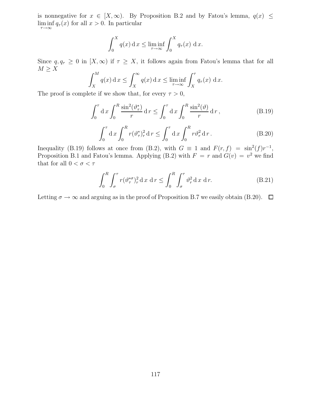is nonnegative for  $x \in [X,\infty)$ . By Proposition B.2 and by Fatou's lemma,  $q(x) \leq$  $\liminf q_{\tau}(x)$  for all  $x > 0$ . In particular  $\tau \rightarrow \infty$ 

$$
\int_0^X q(x) dx \le \liminf_{\tau \to \infty} \int_0^X q_\tau(x) dx.
$$

Since  $q, q<sub>\tau</sub> \geq 0$  in  $[X, \infty)$  if  $\tau \geq X$ , it follows again from Fatou's lemma that for all  $M \geq X$ 

$$
\int_{X}^{M} q(x) dx \le \int_{X}^{\infty} q(x) dx \le \liminf_{\tau \to \infty} \int_{X}^{\tau} q_{\tau}(x) dx.
$$

The proof is complete if we show that, for every  $\tau > 0$ ,

$$
\int_0^\tau \mathrm{d}x \int_0^R \frac{\sin^2(\vartheta_\tau^*)}{r} \mathrm{d}r \le \int_0^\tau \mathrm{d}x \int_0^R \frac{\sin^2(\vartheta)}{r} \mathrm{d}r,\tag{B.19}
$$

$$
\int_0^{\tau} d x \int_0^R r (\vartheta^*_{\tau})^2_r d r \le \int_0^{\tau} d x \int_0^R r \vartheta^2_r d r. \tag{B.20}
$$

Inequality (B.19) follows at once from (B.2), with  $G \equiv 1$  and  $F(r, f) = \sin^2(f)r^{-1}$ , Proposition B.1 and Fatou's lemma. Applying (B.2) with  $F = r$  and  $G(v) = v^2$  we find that for all  $0<\sigma<\tau$ 

$$
\int_0^R \int_\sigma^\tau r(\vartheta_\tau^{*\sigma})_r^2 \, \mathrm{d}x \, \mathrm{d}r \le \int_0^R \int_\sigma^\tau \vartheta_r^2 \, \mathrm{d}x \, \mathrm{d}r. \tag{B.21}
$$

Letting  $\sigma \to \infty$  and arguing as in the proof of Proposition B.7 we easily obtain (B.20).  $\Box$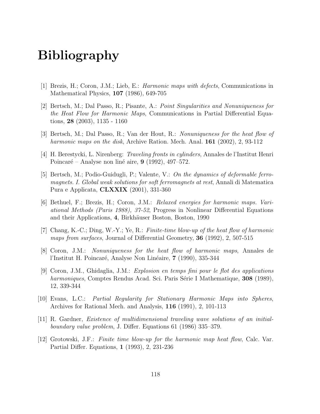## Bibliography

- [1] Brezis, H.; Coron, J.M.; Lieb, E.: Harmonic maps with defects, Communications in Mathematical Physics, 107 (1986), 649-705
- [2] Bertsch, M.; Dal Passo, R.; Pisante, A.: Point Singularities and Nonuniqueness for the Heat Flow for Harmonic Maps, Communications in Partial Differential Equations, 28 (2003), 1135 - 1160
- [3] Bertsch, M.; Dal Passo, R.; Van der Hout, R.: Nonuniqueness for the heat flow of harmonic maps on the disk, Archive Ration. Mech. Anal. **161** (2002), 2, 93-112
- [4] H. Berestycki, L. Nirenberg: Traveling fronts in cylinders, Annales de l'Institut Henri Poincaré – Analyse non liné aire,  $9$  (1992), 497–572.
- [5] Bertsch, M.; Podio-Guidugli, P.; Valente, V.: On the dynamics of deformable ferromagnets. I. Global weak solutions for soft ferromagnets at rest, Annali di Matematica Pura e Applicata, CLXXIX (2001), 331-360
- [6] Bethuel, F.; Brezis, H.; Coron, J.M.: Relaxed energies for harmonic maps. Variational Methods (Paris 1988), 37-52, Progress in Nonlinear Differential Equations and their Applications, 4, Birkhäuser Boston, Boston, 1990
- [7] Chang, K.-C.; Ding, W.-Y.; Ye, R.: Finite-time blow-up of the heat flow of harmonic maps from surfaces, Journal of Differential Geometry, 36 (1992), 2, 507-515
- [8] Coron, J.M.: Nonuniqueness for the heat flow of harmonic maps, Annales de l'Institut H. Poincaré, Analyse Non Linéaire, 7 (1990), 335-344
- [9] Coron, J.M., Ghidaglia, J.M.: Explosion en temps fini pour le flot des applications harmoniques, Comptes Rendus Acad. Sci. Paris Série I Mathematique, 308 (1989), 12, 339-344
- [10] Evans, L.C.: Partial Regularity for Stationary Harmonic Maps into Spheres, Archives for Rational Mech. and Analysis, 116 (1991), 2, 101-113
- [11] R. Gardner, Existence of multidimensional traveling wave solutions of an initialboundary value problem, J. Differ. Equations 61 (1986) 335–379.
- [12] Grotowski, J.F.: Finite time blow-up for the harmonic map heat flow, Calc. Var. Partial Differ. Equations, 1 (1993), 2, 231-236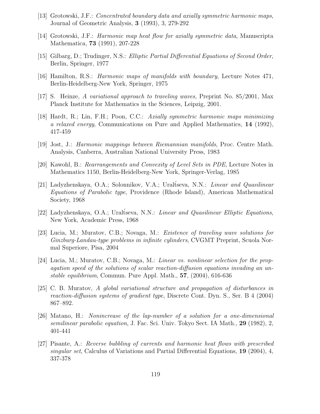- [13] Grotowski, J.F.: Concentrated boundary data and axially symmetric harmonic maps, Journal of Geometric Analysis, 3 (1993), 3, 279-292
- [14] Grotowski, J.F.: Harmonic map heat flow for axially symmetric data, Manuscripta Mathematica, 73 (1991), 207-228
- [15] Gilbarg, D.; Trudinger, N.S.: Elliptic Partial Differential Equations of Second Order, Berlin, Springer, 1977
- [16] Hamilton, R.S.: Harmonic maps of manifolds with boundary, Lecture Notes 471, Berlin-Heidelberg-New York, Springer, 1975
- [17] S. Heinze, A variational approach to traveling waves, Preprint No. 85/2001, Max Planck Institute for Mathematics in the Sciences, Leipzig, 2001.
- [18] Hardt, R.; Lin, F.H.; Poon, C.C.: Axially symmetric harmonic maps minimizing a relaxed energy, Communications on Pure and Applied Mathematics, 14 (1992), 417-459
- [19] Jost, J.: Harmonic mappings between Riemannian manifolds, Proc. Centre Math. Analysis, Canberra, Australian National University Press, 1983
- [20] Kawohl, B.: Rearrangements and Convexity of Level Sets in PDE, Lecture Notes in Mathematics 1150, Berlin-Heidelberg-New York, Springer-Verlag, 1985
- [21] Ladyzhenskaya, O.A.; Solonnikov, V.A.; Uraltseva, N.N.: *Linear and Quasilinear* Equations of Parabolic type, Providence (Rhode Island), American Mathematical Society, 1968
- [22] Ladyzhenskaya, O.A.; Uraltseva, N.N.: *Linear and Quasilinear Elliptic Equations*, New York, Academic Press, 1968
- [23] Lucia, M.; Muratov, C.B.; Novaga, M.: Existence of traveling wave solutions for Ginzburg-Landau-type problems in infinite cylinders, CVGMT Preprint, Scuola Normal Superiore, Pisa, 2004
- [24] Lucia, M.; Muratov, C.B.; Novaga, M.: Linear vs. nonlinear selection for the propagation speed of the solutions of scalar reaction-diffusion equations invading an unstable equilibrium, Commun. Pure Appl. Math., 57, (2004), 616-636
- [25] C. B. Muratov, A global variational structure and propagation of disturbances in reaction-diffusion systems of gradient type, Discrete Cont. Dyn. S., Ser. B 4 (2004) 867–892.
- [26] Matano, H.: Nonincrease of the lap-number of a solution for a one-dimensional semilinear parabolic equation, J. Fac. Sci. Univ. Tokyo Sect. IA Math., 29 (1982), 2, 401-441
- [27] Pisante, A.: Reverse bubbling of currents and harmonic heat flows with prescribed singular set, Calculus of Variations and Partial Differential Equations, 19 (2004), 4, 337-378